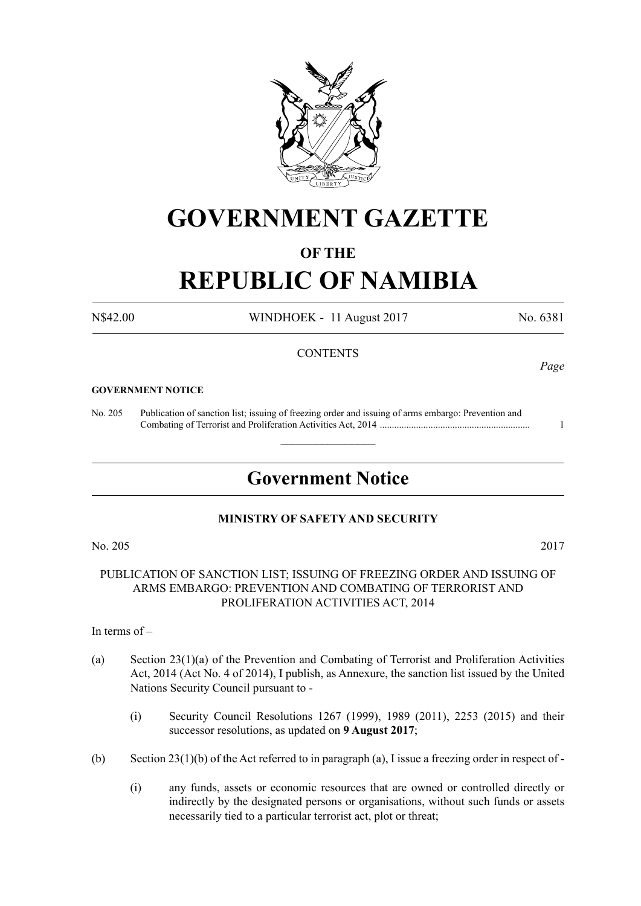

# **GOVERNMENT GAZETTE**

# **OF THE**

# **REPUBLIC OF NAMIBIA**

N\$42.00 WINDHOEK - 11 August 2017 No. 6381

# **CONTENTS**

## **GOVERNMENT NOTICE**

No. 205 Publication of sanction list; issuing of freezing order and issuing of arms embargo: Prevention and Combating of Terrorist and Proliferation Activities Act, 2014 .............................................................. 1

# **Government Notice**

 $\overline{\phantom{a}}$  , where  $\overline{\phantom{a}}$ 

# **MINISTRY OF SAFETY AND SECURITY**

PUBLICATION OF SANCTION LIST; ISSUING OF FREEZING ORDER AND ISSUING OF ARMS EMBARGO: PREVENTION AND COMBATING OF TERRORIST AND PROLIFERATION ACTIVITIES ACT, 2014

In terms of –

- (a) Section 23(1)(a) of the Prevention and Combating of Terrorist and Proliferation Activities Act, 2014 (Act No. 4 of 2014), I publish, as Annexure, the sanction list issued by the United Nations Security Council pursuant to -
	- (i) Security Council Resolutions 1267 (1999), 1989 (2011), 2253 (2015) and their successor resolutions, as updated on **9 August 2017**;
- (b) Section 23(1)(b) of the Act referred to in paragraph (a), I issue a freezing order in respect of
	- (i) any funds, assets or economic resources that are owned or controlled directly or indirectly by the designated persons or organisations, without such funds or assets necessarily tied to a particular terrorist act, plot or threat;

No. 205 2017

*Page*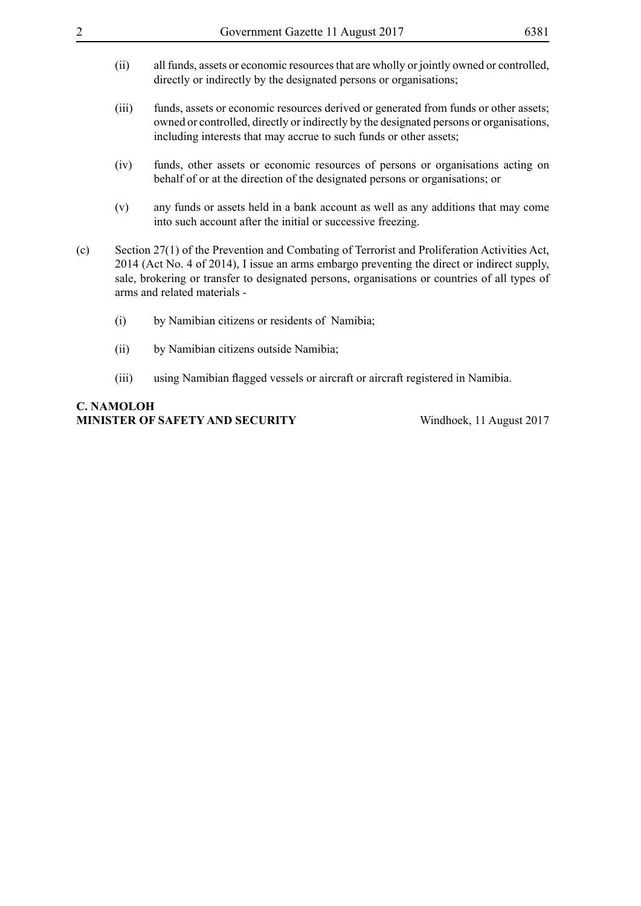- (ii) all funds, assets or economic resources that are wholly or jointly owned or controlled, directly or indirectly by the designated persons or organisations;
- (iii) funds, assets or economic resources derived or generated from funds or other assets; owned or controlled, directly or indirectly by the designated persons or organisations, including interests that may accrue to such funds or other assets;
- (iv) funds, other assets or economic resources of persons or organisations acting on behalf of or at the direction of the designated persons or organisations; or
- (v) any funds or assets held in a bank account as well as any additions that may come into such account after the initial or successive freezing.
- (c) Section 27(1) of the Prevention and Combating of Terrorist and Proliferation Activities Act, 2014 (Act No. 4 of 2014), I issue an arms embargo preventing the direct or indirect supply, sale, brokering or transfer to designated persons, organisations or countries of all types of arms and related materials -
	- (i) by Namibian citizens or residents of Namibia;
	- (ii) by Namibian citizens outside Namibia;
	- (iii) using Namibian flagged vessels or aircraft or aircraft registered in Namibia.

# **C. Namoloh Minister of Safety and Security** Windhoek, 11 August 2017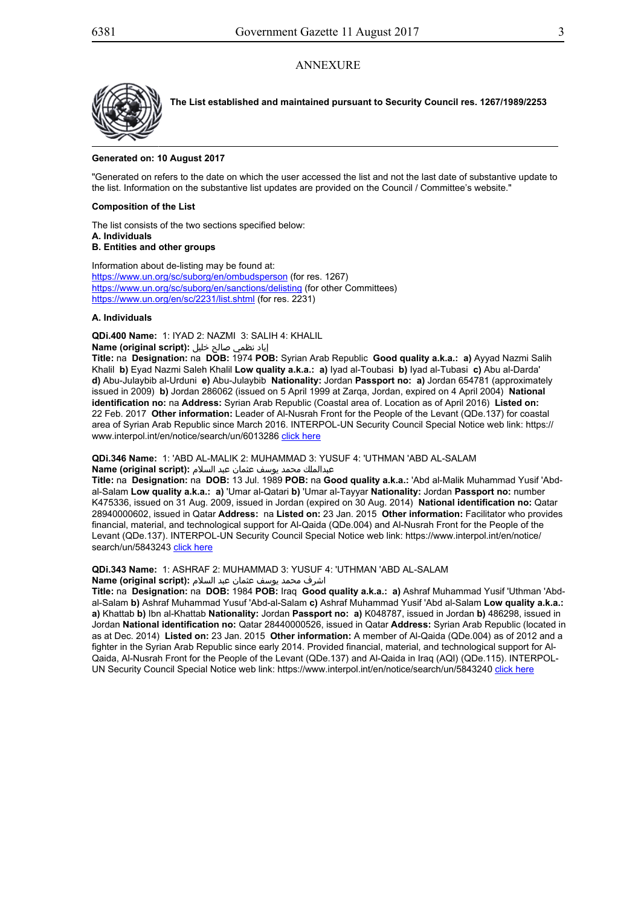## **ANNEXURE**



**The List established and maintained pursuant to Security Council res. 1267/1989/2253**

## **Generated on: 10 August 2017**

"Generated on refers to the date on which the user accessed the list and not the last date of substantive update to the list. Information on the substantive list updates are provided on the Council / Committee's website."

## **Composition of the List**

The list consists of the two sections specified below: **A. Individuals**

## **B. Entities and other groups**

Information about de-listing may be found at: https://www.un.org/sc/suborg/en/ombudsperson (for res. 1267) https://www.un.org/sc/suborg/en/sanctions/delisting (for other Committees) https://www.un.org/en/sc/2231/list.shtml (for res. 2231)

## **A. Individuals**

**QDi.400 Name:** 1: IYAD 2: NAZMI 3: SALIH 4: KHALIL

# إياد نظمي صالح خليل **:(script original (Name**

**Title:** na **Designation:** na **DOB:** 1974 **POB:** Syrian Arab Republic **Good quality a.k.a.: a)** Ayyad Nazmi Salih Khalil **b)** Eyad Nazmi Saleh Khalil **Low quality a.k.a.: a)** Iyad al-Toubasi **b)** Iyad al-Tubasi **c)** Abu al-Darda' **d)** Abu-Julaybib al-Urduni **e)** Abu-Julaybib **Nationality:** Jordan **Passport no: a)** Jordan 654781 (approximately issued in 2009) **b)** Jordan 286062 (issued on 5 April 1999 at Zarqa, Jordan, expired on 4 April 2004) **National identification no:** na **Address:** Syrian Arab Republic (Coastal area of. Location as of April 2016) **Listed on:** 22 Feb. 2017 **Other information:** Leader of Al-Nusrah Front for the People of the Levant (QDe.137) for coastal area of Syrian Arab Republic since March 2016. INTERPOL-UN Security Council Special Notice web link: https:// www.interpol.int/en/notice/search/un/6013286 click here

**QDi.346 Name:** 1: 'ABD AL-MALIK 2: MUHAMMAD 3: YUSUF 4: 'UTHMAN 'ABD AL-SALAM

#### عبدالملك محمد يوسف عثمان عبد السلام **:(script original (Name**

**Title:** na **Designation:** na **DOB:** 13 Jul. 1989 **POB:** na **Good quality a.k.a.:** 'Abd al-Malik Muhammad Yusif 'Abdal-Salam **Low quality a.k.a.: a)** 'Umar al-Qatari **b)** 'Umar al-Tayyar **Nationality:** Jordan **Passport no:** number K475336, issued on 31 Aug. 2009, issued in Jordan (expired on 30 Aug. 2014) **National identification no:** Qatar 28940000602, issued in Qatar **Address:** na **Listed on:** 23 Jan. 2015 **Other information:** Facilitator who provides financial, material, and technological support for Al-Qaida (QDe.004) and Al-Nusrah Front for the People of the Levant (QDe.137). INTERPOL-UN Security Council Special Notice web link: https://www.interpol.int/en/notice/ search/un/5843243 click here

**QDi.343 Name:** 1: ASHRAF 2: MUHAMMAD 3: YUSUF 4: 'UTHMAN 'ABD AL-SALAM

# اشرف محمد يوسف عثمان عبد السلام **:(script original (Name**

**Title:** na **Designation:** na **DOB:** 1984 **POB:** Iraq **Good quality a.k.a.: a)** Ashraf Muhammad Yusif 'Uthman 'Abdal-Salam **b)** Ashraf Muhammad Yusuf 'Abd-al-Salam **c)** Ashraf Muhammad Yusif 'Abd al-Salam **Low quality a.k.a.: a)** Khattab **b)** Ibn al-Khattab **Nationality:** Jordan **Passport no: a)** K048787, issued in Jordan **b)** 486298, issued in Jordan **National identification no:** Qatar 28440000526, issued in Qatar **Address:** Syrian Arab Republic (located in as at Dec. 2014) **Listed on:** 23 Jan. 2015 **Other information:** A member of Al-Qaida (QDe.004) as of 2012 and a fighter in the Syrian Arab Republic since early 2014. Provided financial, material, and technological support for Al-Qaida, Al-Nusrah Front for the People of the Levant (QDe.137) and Al-Qaida in Iraq (AQI) (QDe.115). INTERPOL-UN Security Council Special Notice web link: https://www.interpol.int/en/notice/search/un/5843240 click here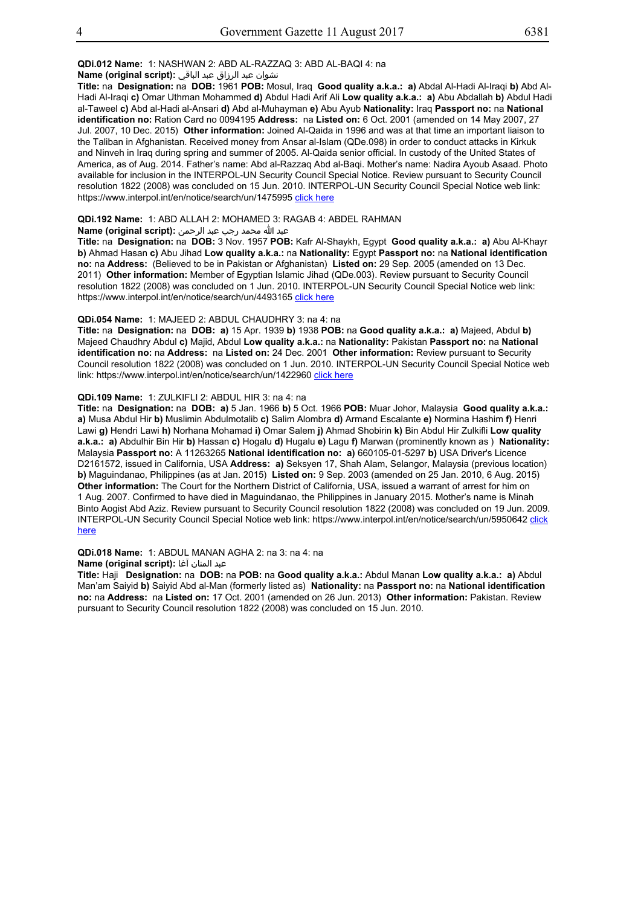## **QDi.012 Name:** 1: NASHWAN 2: ABD AL-RAZZAQ 3: ABD AL-BAQI 4: na

## نشوان عبد الرزاق عبد الباقي **:(script original (Name**

**Title:** na **Designation:** na **DOB:** 1961 **POB:** Mosul, Iraq **Good quality a.k.a.: a)** Abdal Al-Hadi Al-Iraqi **b)** Abd Al-Hadi Al-Iraqi **c)** Omar Uthman Mohammed **d)** Abdul Hadi Arif Ali **Low quality a.k.a.: a)** Abu Abdallah **b)** Abdul Hadi al-Taweel **c)** Abd al-Hadi al-Ansari **d)** Abd al-Muhayman **e)** Abu Ayub **Nationality:** Iraq **Passport no:** na **National identification no:** Ration Card no 0094195 **Address:** na **Listed on:** 6 Oct. 2001 (amended on 14 May 2007, 27 Jul. 2007, 10 Dec. 2015) **Other information:** Joined Al-Qaida in 1996 and was at that time an important liaison to the Taliban in Afghanistan. Received money from Ansar al-Islam (QDe.098) in order to conduct attacks in Kirkuk and Ninveh in Iraq during spring and summer of 2005. Al-Qaida senior official. In custody of the United States of America, as of Aug. 2014. Father's name: Abd al-Razzaq Abd al-Baqi. Mother's name: Nadira Ayoub Asaad. Photo available for inclusion in the INTERPOL-UN Security Council Special Notice. Review pursuant to Security Council resolution 1822 (2008) was concluded on 15 Jun. 2010. INTERPOL-UN Security Council Special Notice web link: https://www.interpol.int/en/notice/search/un/1475995 click here

## **QDi.192 Name:** 1: ABD ALLAH 2: MOHAMED 3: RAGAB 4: ABDEL RAHMAN

## عبد الله محمد رجب عبد الرحمن **:(script original (Name**

**Title:** na **Designation:** na **DOB:** 3 Nov. 1957 **POB:** Kafr Al-Shaykh, Egypt **Good quality a.k.a.: a)** Abu Al-Khayr **b)** Ahmad Hasan **c)** Abu Jihad **Low quality a.k.a.:** na **Nationality:** Egypt **Passport no:** na **National identification no:** na **Address:** (Believed to be in Pakistan or Afghanistan) **Listed on:** 29 Sep. 2005 (amended on 13 Dec. 2011) **Other information:** Member of Egyptian Islamic Jihad (QDe.003). Review pursuant to Security Council resolution 1822 (2008) was concluded on 1 Jun. 2010. INTERPOL-UN Security Council Special Notice web link: https://www.interpol.int/en/notice/search/un/4493165 click here

#### **QDi.054 Name:** 1: MAJEED 2: ABDUL CHAUDHRY 3: na 4: na

**Title:** na **Designation:** na **DOB: a)** 15 Apr. 1939 **b)** 1938 **POB:** na **Good quality a.k.a.: a)** Majeed, Abdul **b)** Majeed Chaudhry Abdul **c)** Majid, Abdul **Low quality a.k.a.:** na **Nationality:** Pakistan **Passport no:** na **National identification no:** na **Address:** na **Listed on:** 24 Dec. 2001 **Other information:** Review pursuant to Security Council resolution 1822 (2008) was concluded on 1 Jun. 2010. INTERPOL-UN Security Council Special Notice web link: https://www.interpol.int/en/notice/search/un/1422960 click here

## **QDi.109 Name:** 1: ZULKIFLI 2: ABDUL HIR 3: na 4: na

**Title:** na **Designation:** na **DOB: a)** 5 Jan. 1966 **b)** 5 Oct. 1966 **POB:** Muar Johor, Malaysia **Good quality a.k.a.: a)** Musa Abdul Hir **b)** Muslimin Abdulmotalib **c)** Salim Alombra **d)** Armand Escalante **e)** Normina Hashim **f)** Henri Lawi **g)** Hendri Lawi **h)** Norhana Mohamad **i)** Omar Salem **j)** Ahmad Shobirin **k)** Bin Abdul Hir Zulkifli **Low quality a.k.a.: a)** Abdulhir Bin Hir **b)** Hassan **c)** Hogalu **d)** Hugalu **e)** Lagu **f)** Marwan (prominently known as ) **Nationality:** Malaysia **Passport no:** A 11263265 **National identification no: a)** 660105-01-5297 **b)** USA Driver's Licence D2161572, issued in California, USA **Address: a)** Seksyen 17, Shah Alam, Selangor, Malaysia (previous location) **b)** Maguindanao, Philippines (as at Jan. 2015) **Listed on:** 9 Sep. 2003 (amended on 25 Jan. 2010, 6 Aug. 2015) **Other information:** The Court for the Northern District of California, USA, issued a warrant of arrest for him on 1 Aug. 2007. Confirmed to have died in Maguindanao, the Philippines in January 2015. Mother's name is Minah Binto Aogist Abd Aziz. Review pursuant to Security Council resolution 1822 (2008) was concluded on 19 Jun. 2009. INTERPOL-UN Security Council Special Notice web link: https://www.interpol.int/en/notice/search/un/5950642 click here

## **QDi.018 Name:** 1: ABDUL MANAN AGHA 2: na 3: na 4: na

#### عبد المنان آغا **:(script original (Name**

**Title:** Haji **Designation:** na **DOB:** na **POB:** na **Good quality a.k.a.:** Abdul Manan **Low quality a.k.a.: a)** Abdul Man'am Saiyid **b)** Saiyid Abd al-Man (formerly listed as) **Nationality:** na **Passport no:** na **National identification no:** na **Address:** na **Listed on:** 17 Oct. 2001 (amended on 26 Jun. 2013) **Other information:** Pakistan. Review pursuant to Security Council resolution 1822 (2008) was concluded on 15 Jun. 2010.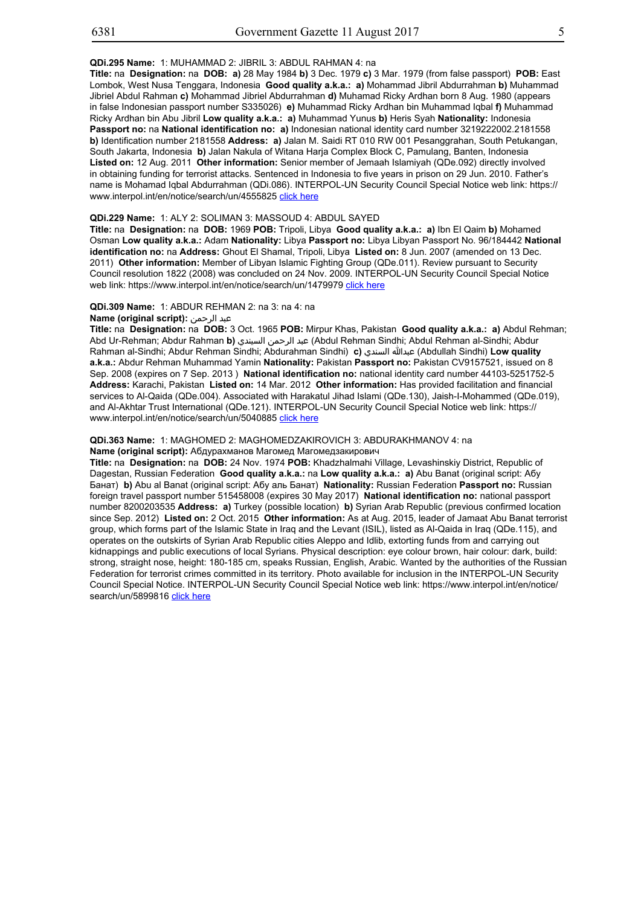#### **QDi.295 Name:** 1: MUHAMMAD 2: JIBRIL 3: ABDUL RAHMAN 4: na

**Title:** na **Designation:** na **DOB: a)** 28 May 1984 **b)** 3 Dec. 1979 **c)** 3 Mar. 1979 (from false passport) **POB:** East Lombok, West Nusa Tenggara, Indonesia **Good quality a.k.a.: a)** Mohammad Jibril Abdurrahman **b)** Muhammad Jibriel Abdul Rahman **c)** Mohammad Jibriel Abdurrahman **d)** Muhamad Ricky Ardhan born 8 Aug. 1980 (appears in false Indonesian passport number S335026) **e)** Muhammad Ricky Ardhan bin Muhammad Iqbal **f)** Muhammad Ricky Ardhan bin Abu Jibril **Low quality a.k.a.: a)** Muhammad Yunus **b)** Heris Syah **Nationality:** Indonesia **Passport no:** na **National identification no: a)** Indonesian national identity card number 3219222002.2181558 **b)** Identification number 2181558 **Address: a)** Jalan M. Saidi RT 010 RW 001 Pesanggrahan, South Petukangan, South Jakarta, Indonesia **b)** Jalan Nakula of Witana Harja Complex Block C, Pamulang, Banten, Indonesia **Listed on:** 12 Aug. 2011 **Other information:** Senior member of Jemaah Islamiyah (QDe.092) directly involved in obtaining funding for terrorist attacks. Sentenced in Indonesia to five years in prison on 29 Jun. 2010. Father's name is Mohamad Iqbal Abdurrahman (QDi.086). INTERPOL-UN Security Council Special Notice web link: https:// www.interpol.int/en/notice/search/un/4555825 click here

## **QDi.229 Name:** 1: ALY 2: SOLIMAN 3: MASSOUD 4: ABDUL SAYED

**Title:** na **Designation:** na **DOB:** 1969 **POB:** Tripoli, Libya **Good quality a.k.a.: a)** Ibn El Qaim **b)** Mohamed Osman **Low quality a.k.a.:** Adam **Nationality:** Libya **Passport no:** Libya Libyan Passport No. 96/184442 **National identification no:** na **Address:** Ghout El Shamal, Tripoli, Libya **Listed on:** 8 Jun. 2007 (amended on 13 Dec. 2011) **Other information:** Member of Libyan Islamic Fighting Group (QDe.011). Review pursuant to Security Council resolution 1822 (2008) was concluded on 24 Nov. 2009. INTERPOL-UN Security Council Special Notice web link: https://www.interpol.int/en/notice/search/un/1479979 click here

#### **QDi.309 Name:** 1: ABDUR REHMAN 2: na 3: na 4: na

## **Name (original script):** الرحمن عبد

**Title:** na **Designation:** na **DOB:** 3 Oct. 1965 **POB:** Mirpur Khas, Pakistan **Good quality a.k.a.: a)** Abdul Rehman; Abd Ur-Rehman; Abdur Rahman **b)** السيندي الرحمن عبد) Abdul Rehman Sindhi; Abdul Rehman al-Sindhi; Abdur Rahman al-Sindhi; Abdur Rehman Sindhi; Abdurahman Sindhi) **c)** السندي عبدالله) Abdullah Sindhi) **Low quality a.k.a.:** Abdur Rehman Muhammad Yamin **Nationality:** Pakistan **Passport no:** Pakistan CV9157521, issued on 8 Sep. 2008 (expires on 7 Sep. 2013 ) **National identification no:** national identity card number 44103-5251752-5 **Address:** Karachi, Pakistan **Listed on:** 14 Mar. 2012 **Other information:** Has provided facilitation and financial services to Al-Qaida (QDe.004). Associated with Harakatul Jihad Islami (QDe.130), Jaish-I-Mohammed (QDe.019), and Al-Akhtar Trust International (QDe.121). INTERPOL-UN Security Council Special Notice web link: https:// www.interpol.int/en/notice/search/un/5040885 click here

#### **QDi.363 Name:** 1: MAGHOMED 2: MAGHOMEDZAKIROVICH 3: ABDURAKHMANOV 4: na

**Name (original script):** Абдурахманов Магомед Магомедзакирович

**Title:** na **Designation:** na **DOB:** 24 Nov. 1974 **POB:** Khadzhalmahi Village, Levashinskiy District, Republic of Dagestan, Russian Federation **Good quality a.k.a.:** na **Low quality a.k.a.: a)** Abu Banat (original script: Абу Банат) **b)** Abu al Banat (original script: Абу аль Банат) **Nationality:** Russian Federation **Passport no:** Russian foreign travel passport number 515458008 (expires 30 May 2017) **National identification no:** national passport number 8200203535 **Address: a)** Turkey (possible location) **b)** Syrian Arab Republic (previous confirmed location since Sep. 2012) **Listed on:** 2 Oct. 2015 **Other information:** As at Aug. 2015, leader of Jamaat Abu Banat terrorist group, which forms part of the Islamic State in Iraq and the Levant (ISIL), listed as Al-Qaida in Iraq (QDe.115), and operates on the outskirts of Syrian Arab Republic cities Aleppo and Idlib, extorting funds from and carrying out kidnappings and public executions of local Syrians. Physical description: eye colour brown, hair colour: dark, build: strong, straight nose, height: 180-185 cm, speaks Russian, English, Arabic. Wanted by the authorities of the Russian Federation for terrorist crimes committed in its territory. Photo available for inclusion in the INTERPOL-UN Security Council Special Notice. INTERPOL-UN Security Council Special Notice web link: https://www.interpol.int/en/notice/ search/un/5899816 click here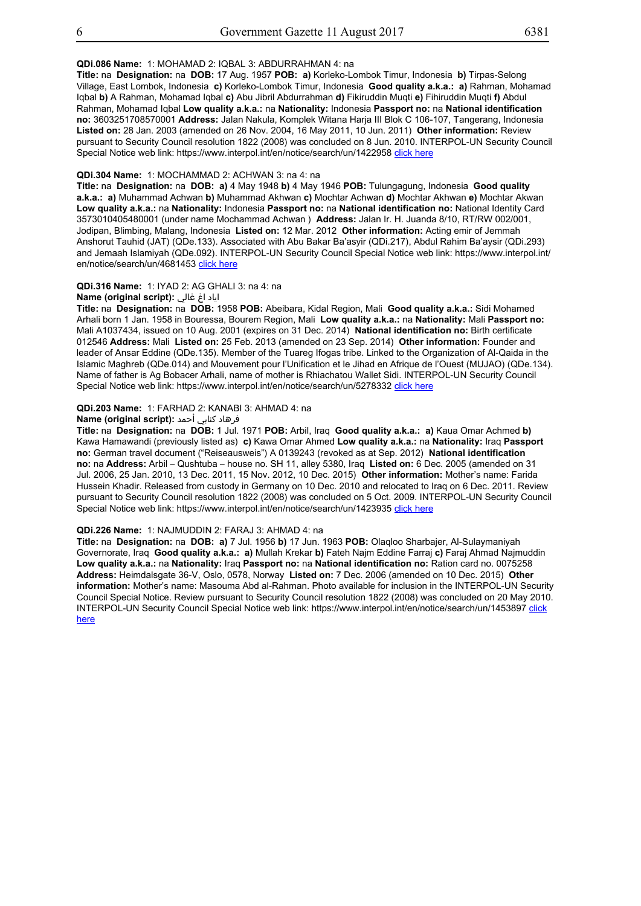## **QDi.086 Name:** 1: MOHAMAD 2: IQBAL 3: ABDURRAHMAN 4: na

**Title:** na **Designation:** na **DOB:** 17 Aug. 1957 **POB: a)** Korleko-Lombok Timur, Indonesia **b)** Tirpas-Selong Village, East Lombok, Indonesia **c)** Korleko-Lombok Timur, Indonesia **Good quality a.k.a.: a)** Rahman, Mohamad Iqbal **b)** A Rahman, Mohamad Iqbal **c)** Abu Jibril Abdurrahman **d)** Fikiruddin Muqti **e)** Fihiruddin Muqti **f)** Abdul Rahman, Mohamad Iqbal **Low quality a.k.a.:** na **Nationality:** Indonesia **Passport no:** na **National identification no:** 3603251708570001 **Address:** Jalan Nakula, Komplek Witana Harja III Blok C 106-107, Tangerang, Indonesia **Listed on:** 28 Jan. 2003 (amended on 26 Nov. 2004, 16 May 2011, 10 Jun. 2011) **Other information:** Review pursuant to Security Council resolution 1822 (2008) was concluded on 8 Jun. 2010. INTERPOL-UN Security Council Special Notice web link: https://www.interpol.int/en/notice/search/un/1422958 click here

#### **QDi.304 Name:** 1: MOCHAMMAD 2: ACHWAN 3: na 4: na

**Title:** na **Designation:** na **DOB: a)** 4 May 1948 **b)** 4 May 1946 **POB:** Tulungagung, Indonesia **Good quality a.k.a.: a)** Muhammad Achwan **b)** Muhammad Akhwan **c)** Mochtar Achwan **d)** Mochtar Akhwan **e)** Mochtar Akwan **Low quality a.k.a.:** na **Nationality:** Indonesia **Passport no:** na **National identification no:** National Identity Card 3573010405480001 (under name Mochammad Achwan ) **Address:** Jalan Ir. H. Juanda 8/10, RT/RW 002/001, Jodipan, Blimbing, Malang, Indonesia **Listed on:** 12 Mar. 2012 **Other information:** Acting emir of Jemmah Anshorut Tauhid (JAT) (QDe.133). Associated with Abu Bakar Ba'asyir (QDi.217), Abdul Rahim Ba'aysir (QDi.293) and Jemaah Islamiyah (QDe.092). INTERPOL-UN Security Council Special Notice web link: https://www.interpol.int/ en/notice/search/un/4681453 click here

#### **QDi.316 Name:** 1: IYAD 2: AG GHALI 3: na 4: na

#### اياد اغ غالي **:(script original (Name**

**Title:** na **Designation:** na **DOB:** 1958 **POB:** Abeibara, Kidal Region, Mali **Good quality a.k.a.:** Sidi Mohamed Arhali born 1 Jan. 1958 in Bouressa, Bourem Region, Mali **Low quality a.k.a.:** na **Nationality:** Mali **Passport no:** Mali A1037434, issued on 10 Aug. 2001 (expires on 31 Dec. 2014) **National identification no:** Birth certificate 012546 **Address:** Mali **Listed on:** 25 Feb. 2013 (amended on 23 Sep. 2014) **Other information:** Founder and leader of Ansar Eddine (QDe.135). Member of the Tuareg Ifogas tribe. Linked to the Organization of Al-Qaida in the Islamic Maghreb (QDe.014) and Mouvement pour l'Unification et le Jihad en Afrique de l'Ouest (MUJAO) (QDe.134). Name of father is Ag Bobacer Arhali, name of mother is Rhiachatou Wallet Sidi. INTERPOL-UN Security Council Special Notice web link: https://www.interpol.int/en/notice/search/un/5278332 click here

#### **QDi.203 Name:** 1: FARHAD 2: KANABI 3: AHMAD 4: na

#### فرهاد كنابي أحمد **:Name (original script)**

**Title:** na **Designation:** na **DOB:** 1 Jul. 1971 **POB:** Arbil, Iraq **Good quality a.k.a.: a)** Kaua Omar Achmed **b)** Kawa Hamawandi (previously listed as) **c)** Kawa Omar Ahmed **Low quality a.k.a.:** na **Nationality:** Iraq **Passport no:** German travel document ("Reiseausweis") A 0139243 (revoked as at Sep. 2012) **National identification no:** na **Address:** Arbil – Qushtuba – house no. SH 11, alley 5380, Iraq **Listed on:** 6 Dec. 2005 (amended on 31 Jul. 2006, 25 Jan. 2010, 13 Dec. 2011, 15 Nov. 2012, 10 Dec. 2015) **Other information:** Mother's name: Farida Hussein Khadir. Released from custody in Germany on 10 Dec. 2010 and relocated to Iraq on 6 Dec. 2011. Review pursuant to Security Council resolution 1822 (2008) was concluded on 5 Oct. 2009. INTERPOL-UN Security Council Special Notice web link: https://www.interpol.int/en/notice/search/un/1423935 click here

## **QDi.226 Name:** 1: NAJMUDDIN 2: FARAJ 3: AHMAD 4: na

**Title:** na **Designation:** na **DOB: a)** 7 Jul. 1956 **b)** 17 Jun. 1963 **POB:** Olaqloo Sharbajer, Al-Sulaymaniyah Governorate, Iraq **Good quality a.k.a.: a)** Mullah Krekar **b)** Fateh Najm Eddine Farraj **c)** Faraj Ahmad Najmuddin **Low quality a.k.a.:** na **Nationality:** Iraq **Passport no:** na **National identification no:** Ration card no. 0075258 **Address:** Heimdalsgate 36-V, Oslo, 0578, Norway **Listed on:** 7 Dec. 2006 (amended on 10 Dec. 2015) **Other information:** Mother's name: Masouma Abd al-Rahman. Photo available for inclusion in the INTERPOL-UN Security Council Special Notice. Review pursuant to Security Council resolution 1822 (2008) was concluded on 20 May 2010. INTERPOL-UN Security Council Special Notice web link: https://www.interpol.int/en/notice/search/un/1453897 click here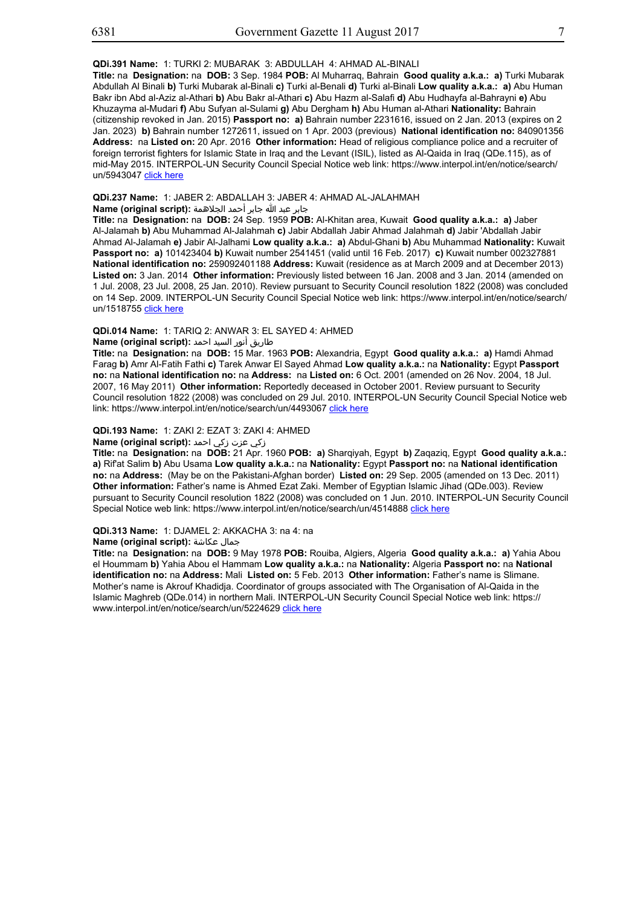## **QDi.391 Name:** 1: TURKI 2: MUBARAK 3: ABDULLAH 4: AHMAD AL-BINALI

**Title:** na **Designation:** na **DOB:** 3 Sep. 1984 **POB:** Al Muharraq, Bahrain **Good quality a.k.a.: a)** Turki Mubarak Abdullah Al Binali **b)** Turki Mubarak al-Binali **c)** Turki al-Benali **d)** Turki al-Binali **Low quality a.k.a.: a)** Abu Human Bakr ibn Abd al-Aziz al-Athari **b)** Abu Bakr al-Athari **c)** Abu Hazm al-Salafi **d)** Abu Hudhayfa al-Bahrayni **e)** Abu Khuzayma al-Mudari **f)** Abu Sufyan al-Sulami **g)** Abu Dergham **h)** Abu Human al-Athari **Nationality:** Bahrain (citizenship revoked in Jan. 2015) **Passport no: a)** Bahrain number 2231616, issued on 2 Jan. 2013 (expires on 2 Jan. 2023) **b)** Bahrain number 1272611, issued on 1 Apr. 2003 (previous) **National identification no:** 840901356 **Address:** na **Listed on:** 20 Apr. 2016 **Other information:** Head of religious compliance police and a recruiter of foreign terrorist fighters for Islamic State in Iraq and the Levant (ISIL), listed as Al-Qaida in Iraq (QDe.115), as of mid-May 2015. INTERPOL-UN Security Council Special Notice web link: https://www.interpol.int/en/notice/search/ un/5943047 click here

## **QDi.237 Name:** 1: JABER 2: ABDALLAH 3: JABER 4: AHMAD AL-JALAHMAH

جابر عبد الله جابر أحمد الجلاهمة **:(script original (Name**

**Title:** na **Designation:** na **DOB:** 24 Sep. 1959 **POB:** Al-Khitan area, Kuwait **Good quality a.k.a.: a)** Jaber Al-Jalamah **b)** Abu Muhammad Al-Jalahmah **c)** Jabir Abdallah Jabir Ahmad Jalahmah **d)** Jabir 'Abdallah Jabir Ahmad Al-Jalamah **e)** Jabir Al-Jalhami **Low quality a.k.a.: a)** Abdul-Ghani **b)** Abu Muhammad **Nationality:** Kuwait **Passport no: a)** 101423404 **b)** Kuwait number 2541451 (valid until 16 Feb. 2017) **c)** Kuwait number 002327881 **National identification no:** 259092401188 **Address:** Kuwait (residence as at March 2009 and at December 2013) **Listed on:** 3 Jan. 2014 **Other information:** Previously listed between 16 Jan. 2008 and 3 Jan. 2014 (amended on 1 Jul. 2008, 23 Jul. 2008, 25 Jan. 2010). Review pursuant to Security Council resolution 1822 (2008) was concluded on 14 Sep. 2009. INTERPOL-UN Security Council Special Notice web link: https://www.interpol.int/en/notice/search/ un/1518755 click here

#### **QDi.014 Name:** 1: TARIQ 2: ANWAR 3: EL SAYED 4: AHMED

# طاريق أنور السيد احمد **:Name (original script)**

**Title:** na **Designation:** na **DOB:** 15 Mar. 1963 **POB:** Alexandria, Egypt **Good quality a.k.a.: a)** Hamdi Ahmad Farag **b)** Amr Al-Fatih Fathi **c)** Tarek Anwar El Sayed Ahmad **Low quality a.k.a.:** na **Nationality:** Egypt **Passport no:** na **National identification no:** na **Address:** na **Listed on:** 6 Oct. 2001 (amended on 26 Nov. 2004, 18 Jul. 2007, 16 May 2011) **Other information:** Reportedly deceased in October 2001. Review pursuant to Security Council resolution 1822 (2008) was concluded on 29 Jul. 2010. INTERPOL-UN Security Council Special Notice web link: https://www.interpol.int/en/notice/search/un/4493067 click here

## **QDi.193 Name:** 1: ZAKI 2: EZAT 3: ZAKI 4: AHMED

# زكي عزت زكي احمد **:(script original (Name**

**Title:** na **Designation:** na **DOB:** 21 Apr. 1960 **POB: a)** Sharqiyah, Egypt **b)** Zaqaziq, Egypt **Good quality a.k.a.: a)** Rif'at Salim **b)** Abu Usama **Low quality a.k.a.:** na **Nationality:** Egypt **Passport no:** na **National identification no:** na **Address:** (May be on the Pakistani-Afghan border) **Listed on:** 29 Sep. 2005 (amended on 13 Dec. 2011) **Other information:** Father's name is Ahmed Ezat Zaki. Member of Egyptian Islamic Jihad (QDe.003). Review pursuant to Security Council resolution 1822 (2008) was concluded on 1 Jun. 2010. INTERPOL-UN Security Council Special Notice web link: https://www.interpol.int/en/notice/search/un/4514888 click here

#### **QDi.313 Name:** 1: DJAMEL 2: AKKACHA 3: na 4: na

#### **Name (original script):** عكاشة جمال

**Title:** na **Designation:** na **DOB:** 9 May 1978 **POB:** Rouiba, Algiers, Algeria **Good quality a.k.a.: a)** Yahia Abou el Hoummam **b)** Yahia Abou el Hammam **Low quality a.k.a.:** na **Nationality:** Algeria **Passport no:** na **National identification no:** na **Address:** Mali **Listed on:** 5 Feb. 2013 **Other information:** Father's name is Slimane. Mother's name is Akrouf Khadidja. Coordinator of groups associated with The Organisation of Al-Qaida in the Islamic Maghreb (QDe.014) in northern Mali. INTERPOL-UN Security Council Special Notice web link: https:// www.interpol.int/en/notice/search/un/5224629 click here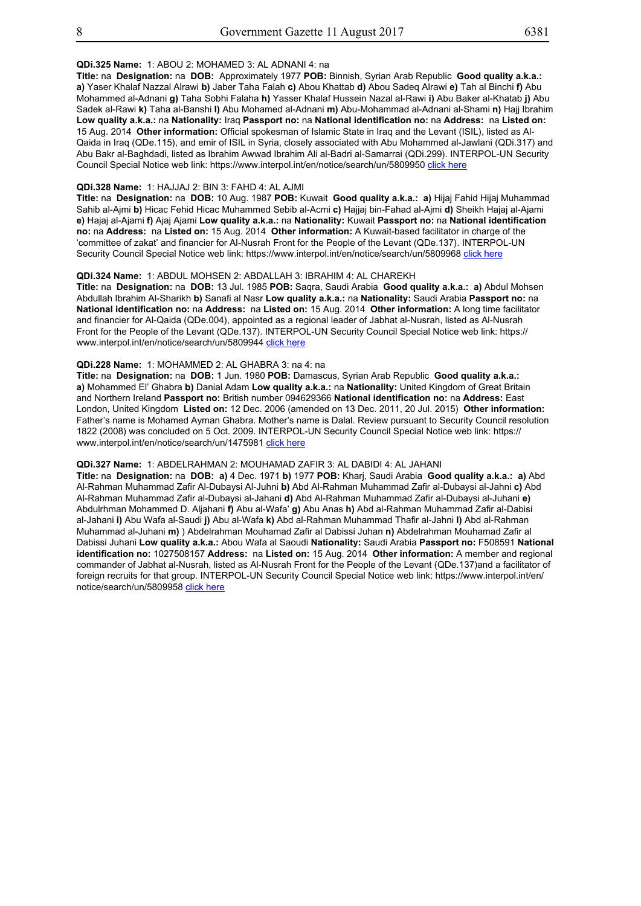## **QDi.325 Name:** 1: ABOU 2: MOHAMED 3: AL ADNANI 4: na

**Title:** na **Designation:** na **DOB:** Approximately 1977 **POB:** Binnish, Syrian Arab Republic **Good quality a.k.a.: a)** Yaser Khalaf Nazzal Alrawi **b)** Jaber Taha Falah **c)** Abou Khattab **d)** Abou Sadeq Alrawi **e)** Tah al Binchi **f)** Abu Mohammed al-Adnani **g)** Taha Sobhi Falaha **h)** Yasser Khalaf Hussein Nazal al-Rawi **i)** Abu Baker al-Khatab **j)** Abu Sadek al-Rawi **k)** Taha al-Banshi **l)** Abu Mohamed al-Adnani **m)** Abu-Mohammad al-Adnani al-Shami **n)** Hajj Ibrahim **Low quality a.k.a.:** na **Nationality:** Iraq **Passport no:** na **National identification no:** na **Address:** na **Listed on:** 15 Aug. 2014 **Other information:** Official spokesman of Islamic State in Iraq and the Levant (ISIL), listed as Al-Qaida in Iraq (QDe.115), and emir of ISIL in Syria, closely associated with Abu Mohammed al-Jawlani (QDi.317) and Abu Bakr al-Baghdadi, listed as Ibrahim Awwad Ibrahim Ali al-Badri al-Samarrai (QDi.299). INTERPOL-UN Security Council Special Notice web link: https://www.interpol.int/en/notice/search/un/5809950 click here

## **QDi.328 Name:** 1: HAJJAJ 2: BIN 3: FAHD 4: AL AJMI

**Title:** na **Designation:** na **DOB:** 10 Aug. 1987 **POB:** Kuwait **Good quality a.k.a.: a)** Hijaj Fahid Hijaj Muhammad Sahib al-Ajmi **b)** Hicac Fehid Hicac Muhammed Sebib al-Acmi **c)** Hajjaj bin-Fahad al-Ajmi **d)** Sheikh Hajaj al-Ajami **e)** Hajaj al-Ajami **f)** Ajaj Ajami **Low quality a.k.a.:** na **Nationality:** Kuwait **Passport no:** na **National identification no:** na **Address:** na **Listed on:** 15 Aug. 2014 **Other information:** A Kuwait-based facilitator in charge of the 'committee of zakat' and financier for Al-Nusrah Front for the People of the Levant (QDe.137). INTERPOL-UN Security Council Special Notice web link: https://www.interpol.int/en/notice/search/un/5809968 click here

## **QDi.324 Name:** 1: ABDUL MOHSEN 2: ABDALLAH 3: IBRAHIM 4: AL CHAREKH

**Title:** na **Designation:** na **DOB:** 13 Jul. 1985 **POB:** Saqra, Saudi Arabia **Good quality a.k.a.: a)** Abdul Mohsen Abdullah Ibrahim Al-Sharikh **b)** Sanafi al Nasr **Low quality a.k.a.:** na **Nationality:** Saudi Arabia **Passport no:** na **National identification no:** na **Address:** na **Listed on:** 15 Aug. 2014 **Other information:** A long time facilitator and financier for Al-Qaida (QDe.004), appointed as a regional leader of Jabhat al-Nusrah, listed as Al-Nusrah Front for the People of the Levant (QDe.137). INTERPOL-UN Security Council Special Notice web link: https:// www.interpol.int/en/notice/search/un/5809944 click here

#### **QDi.228 Name:** 1: MOHAMMED 2: AL GHABRA 3: na 4: na

**Title:** na **Designation:** na **DOB:** 1 Jun. 1980 **POB:** Damascus, Syrian Arab Republic **Good quality a.k.a.: a)** Mohammed El' Ghabra **b)** Danial Adam **Low quality a.k.a.:** na **Nationality:** United Kingdom of Great Britain and Northern Ireland **Passport no:** British number 094629366 **National identification no:** na **Address:** East London, United Kingdom **Listed on:** 12 Dec. 2006 (amended on 13 Dec. 2011, 20 Jul. 2015) **Other information:** Father's name is Mohamed Ayman Ghabra. Mother's name is Dalal. Review pursuant to Security Council resolution 1822 (2008) was concluded on 5 Oct. 2009. INTERPOL-UN Security Council Special Notice web link: https:// www.interpol.int/en/notice/search/un/1475981 click here

#### **QDi.327 Name:** 1: ABDELRAHMAN 2: MOUHAMAD ZAFIR 3: AL DABIDI 4: AL JAHANI

**Title:** na **Designation:** na **DOB: a)** 4 Dec. 1971 **b)** 1977 **POB:** Kharj, Saudi Arabia **Good quality a.k.a.: a)** Abd Al-Rahman Muhammad Zafir Al-Dubaysi Al-Juhni **b)** Abd Al-Rahman Muhammad Zafir al-Dubaysi al-Jahni **c)** Abd Al-Rahman Muhammad Zafir al-Dubaysi al-Jahani **d)** Abd Al-Rahman Muhammad Zafir al-Dubaysi al-Juhani **e)** Abdulrhman Mohammed D. Aljahani **f)** Abu al-Wafa' **g)** Abu Anas **h)** Abd al-Rahman Muhammad Zafir al-Dabisi al-Jahani **i)** Abu Wafa al-Saudi **j)** Abu al-Wafa **k)** Abd al-Rahman Muhammad Thafir al-Jahni **l)** Abd al-Rahman Muhammad al-Juhani **m)** ) Abdelrahman Mouhamad Zafir al Dabissi Juhan **n)** Abdelrahman Mouhamad Zafir al Dabissi Juhani **Low quality a.k.a.:** Abou Wafa al Saoudi **Nationality:** Saudi Arabia **Passport no:** F508591 **National identification no:** 1027508157 **Address:** na **Listed on:** 15 Aug. 2014 **Other information:** A member and regional commander of Jabhat al-Nusrah, listed as Al-Nusrah Front for the People of the Levant (QDe.137)and a facilitator of foreign recruits for that group. INTERPOL-UN Security Council Special Notice web link: https://www.interpol.int/en/ notice/search/un/5809958 click here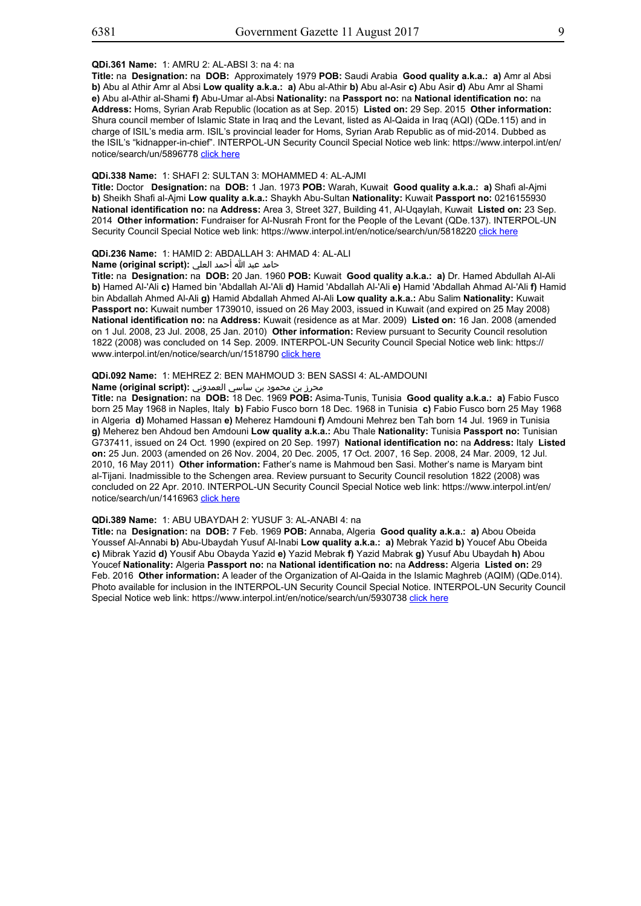#### **QDi.361 Name:** 1: AMRU 2: AL-ABSI 3: na 4: na

**Title:** na **Designation:** na **DOB:** Approximately 1979 **POB:** Saudi Arabia **Good quality a.k.a.: a)** Amr al Absi **b)** Abu al Athir Amr al Absi **Low quality a.k.a.: a)** Abu al-Athir **b)** Abu al-Asir **c)** Abu Asir **d)** Abu Amr al Shami **e)** Abu al-Athir al-Shami **f)** Abu-Umar al-Absi **Nationality:** na **Passport no:** na **National identification no:** na **Address:** Homs, Syrian Arab Republic (location as at Sep. 2015) **Listed on:** 29 Sep. 2015 **Other information:** Shura council member of Islamic State in Iraq and the Levant, listed as Al-Qaida in Iraq (AQI) (QDe.115) and in charge of ISIL's media arm. ISIL's provincial leader for Homs, Syrian Arab Republic as of mid-2014. Dubbed as the ISIL's "kidnapper-in-chief". INTERPOL-UN Security Council Special Notice web link: https://www.interpol.int/en/ notice/search/un/5896778 click here

## **QDi.338 Name:** 1: SHAFI 2: SULTAN 3: MOHAMMED 4: AL-AJMI

**Title:** Doctor **Designation:** na **DOB:** 1 Jan. 1973 **POB:** Warah, Kuwait **Good quality a.k.a.: a)** Shafi al-Ajmi **b)** Sheikh Shafi al-Ajmi **Low quality a.k.a.:** Shaykh Abu-Sultan **Nationality:** Kuwait **Passport no:** 0216155930 **National identification no:** na **Address:** Area 3, Street 327, Building 41, Al-Uqaylah, Kuwait **Listed on:** 23 Sep. 2014 **Other information:** Fundraiser for Al-Nusrah Front for the People of the Levant (QDe.137). INTERPOL-UN Security Council Special Notice web link: https://www.interpol.int/en/notice/search/un/5818220 click here

## **QDi.236 Name:** 1: HAMID 2: ABDALLAH 3: AHMAD 4: AL-ALI

حامد عبد الله أحمد العلي **:(script original (Name**

**Title:** na **Designation:** na **DOB:** 20 Jan. 1960 **POB:** Kuwait **Good quality a.k.a.: a)** Dr. Hamed Abdullah Al-Ali **b)** Hamed Al-'Ali **c)** Hamed bin 'Abdallah Al-'Ali **d)** Hamid 'Abdallah Al-'Ali **e)** Hamid 'Abdallah Ahmad Al-'Ali **f)** Hamid bin Abdallah Ahmed Al-Ali **g)** Hamid Abdallah Ahmed Al-Ali **Low quality a.k.a.:** Abu Salim **Nationality:** Kuwait **Passport no:** Kuwait number 1739010, issued on 26 May 2003, issued in Kuwait (and expired on 25 May 2008) **National identification no:** na **Address:** Kuwait (residence as at Mar. 2009) **Listed on:** 16 Jan. 2008 (amended on 1 Jul. 2008, 23 Jul. 2008, 25 Jan. 2010) **Other information:** Review pursuant to Security Council resolution 1822 (2008) was concluded on 14 Sep. 2009. INTERPOL-UN Security Council Special Notice web link: https:// www.interpol.int/en/notice/search/un/1518790 click here

## **QDi.092 Name:** 1: MEHREZ 2: BEN MAHMOUD 3: BEN SASSI 4: AL-AMDOUNI

# محرز بن محمود بن ساسي العمدوني **:(script original (Name**

**Title:** na **Designation:** na **DOB:** 18 Dec. 1969 **POB:** Asima-Tunis, Tunisia **Good quality a.k.a.: a)** Fabio Fusco born 25 May 1968 in Naples, Italy **b)** Fabio Fusco born 18 Dec. 1968 in Tunisia **c)** Fabio Fusco born 25 May 1968 in Algeria **d)** Mohamed Hassan **e)** Meherez Hamdouni **f)** Amdouni Mehrez ben Tah born 14 Jul. 1969 in Tunisia **g)** Meherez ben Ahdoud ben Amdouni **Low quality a.k.a.:** Abu Thale **Nationality:** Tunisia **Passport no:** Tunisian G737411, issued on 24 Oct. 1990 (expired on 20 Sep. 1997) **National identification no:** na **Address:** Italy **Listed on:** 25 Jun. 2003 (amended on 26 Nov. 2004, 20 Dec. 2005, 17 Oct. 2007, 16 Sep. 2008, 24 Mar. 2009, 12 Jul. 2010, 16 May 2011) **Other information:** Father's name is Mahmoud ben Sasi. Mother's name is Maryam bint al-Tijani. Inadmissible to the Schengen area. Review pursuant to Security Council resolution 1822 (2008) was concluded on 22 Apr. 2010. INTERPOL-UN Security Council Special Notice web link: https://www.interpol.int/en/ notice/search/un/1416963 click here

#### **QDi.389 Name:** 1: ABU UBAYDAH 2: YUSUF 3: AL-ANABI 4: na

**Title:** na **Designation:** na **DOB:** 7 Feb. 1969 **POB:** Annaba, Algeria **Good quality a.k.a.: a)** Abou Obeida Youssef Al-Annabi **b)** Abu-Ubaydah Yusuf Al-Inabi **Low quality a.k.a.: a)** Mebrak Yazid **b)** Youcef Abu Obeida **c)** Mibrak Yazid **d)** Yousif Abu Obayda Yazid **e)** Yazid Mebrak **f)** Yazid Mabrak **g)** Yusuf Abu Ubaydah **h)** Abou Youcef **Nationality:** Algeria **Passport no:** na **National identification no:** na **Address:** Algeria **Listed on:** 29 Feb. 2016 **Other information:** A leader of the Organization of Al-Qaida in the Islamic Maghreb (AQIM) (QDe.014). Photo available for inclusion in the INTERPOL-UN Security Council Special Notice. INTERPOL-UN Security Council Special Notice web link: https://www.interpol.int/en/notice/search/un/5930738 click here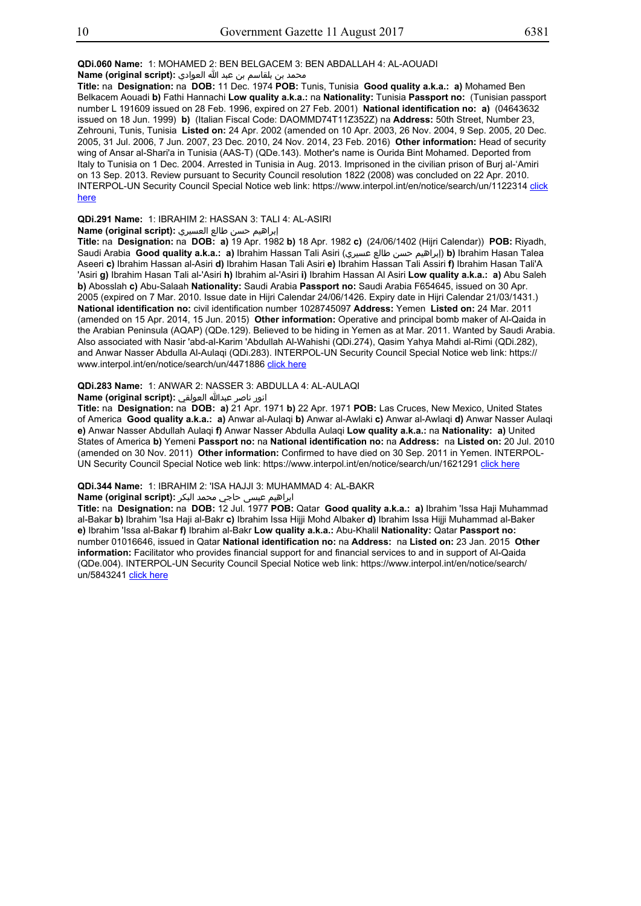# **QDi.060 Name:** 1: MOHAMED 2: BEN BELGACEM 3: BEN ABDALLAH 4: AL-AOUADI

محمد بن بلقاسم بن عبد الله العوادي **: Name (original script** 

**Title:** na **Designation:** na **DOB:** 11 Dec. 1974 **POB:** Tunis, Tunisia **Good quality a.k.a.: a)** Mohamed Ben Belkacem Aouadi **b)** Fathi Hannachi **Low quality a.k.a.:** na **Nationality:** Tunisia **Passport no:** (Tunisian passport number L 191609 issued on 28 Feb. 1996, expired on 27 Feb. 2001) **National identification no: a)** (04643632 issued on 18 Jun. 1999) **b)** (Italian Fiscal Code: DAOMMD74T11Z352Z) na **Address:** 50th Street, Number 23, Zehrouni, Tunis, Tunisia **Listed on:** 24 Apr. 2002 (amended on 10 Apr. 2003, 26 Nov. 2004, 9 Sep. 2005, 20 Dec. 2005, 31 Jul. 2006, 7 Jun. 2007, 23 Dec. 2010, 24 Nov. 2014, 23 Feb. 2016) **Other information:** Head of security wing of Ansar al-Shari'a in Tunisia (AAS-T) (QDe.143). Mother's name is Ourida Bint Mohamed. Deported from Italy to Tunisia on 1 Dec. 2004. Arrested in Tunisia in Aug. 2013. Imprisoned in the civilian prison of Burj al-'Amiri on 13 Sep. 2013. Review pursuant to Security Council resolution 1822 (2008) was concluded on 22 Apr. 2010. INTERPOL-UN Security Council Special Notice web link: https://www.interpol.int/en/notice/search/un/1122314 click here

## **QDi.291 Name:** 1: IBRAHIM 2: HASSAN 3: TALI 4: AL-ASIRI

إبراهيم حسن طالع العسيري **:(Name (original script** 

**Title:** na **Designation:** na **DOB: a)** 19 Apr. 1982 **b)** 18 Apr. 1982 **c)** (24/06/1402 (Hijri Calendar)) **POB:** Riyadh, Saudi Arabia **Good quality a.k.a.: a)** Ibrahim Hassan Tali Asiri (عسيري طالع حسن إبراهيم(**b)** Ibrahim Hasan Talea Aseeri **c)** Ibrahim Hassan al-Asiri **d)** Ibrahim Hasan Tali Asiri **e)** Ibrahim Hassan Tali Assiri **f)** Ibrahim Hasan Tali'A 'Asiri **g)** Ibrahim Hasan Tali al-'Asiri **h)** Ibrahim al-'Asiri **i)** Ibrahim Hassan Al Asiri **Low quality a.k.a.: a)** Abu Saleh **b)** Abosslah **c)** Abu-Salaah **Nationality:** Saudi Arabia **Passport no:** Saudi Arabia F654645, issued on 30 Apr. 2005 (expired on 7 Mar. 2010. Issue date in Hijri Calendar 24/06/1426. Expiry date in Hijri Calendar 21/03/1431.) **National identification no:** civil identification number 1028745097 **Address:** Yemen **Listed on:** 24 Mar. 2011 (amended on 15 Apr. 2014, 15 Jun. 2015) **Other information:** Operative and principal bomb maker of Al-Qaida in the Arabian Peninsula (AQAP) (QDe.129). Believed to be hiding in Yemen as at Mar. 2011. Wanted by Saudi Arabia. Also associated with Nasir 'abd-al-Karim 'Abdullah Al-Wahishi (QDi.274), Qasim Yahya Mahdi al-Rimi (QDi.282), and Anwar Nasser Abdulla Al-Aulaqi (QDi.283). INTERPOL-UN Security Council Special Notice web link: https:// www.interpol.int/en/notice/search/un/4471886 click here

## **QDi.283 Name:** 1: ANWAR 2: NASSER 3: ABDULLA 4: AL-AULAQI

انور ناصر عبدالله العولقي **:(script original (Name**

**Title:** na **Designation:** na **DOB: a)** 21 Apr. 1971 **b)** 22 Apr. 1971 **POB:** Las Cruces, New Mexico, United States of America **Good quality a.k.a.: a)** Anwar al-Aulaqi **b)** Anwar al-Awlaki **c)** Anwar al-Awlaqi **d)** Anwar Nasser Aulaqi **e)** Anwar Nasser Abdullah Aulaqi **f)** Anwar Nasser Abdulla Aulaqi **Low quality a.k.a.:** na **Nationality: a)** United States of America **b)** Yemeni **Passport no:** na **National identification no:** na **Address:** na **Listed on:** 20 Jul. 2010 (amended on 30 Nov. 2011) **Other information:** Confirmed to have died on 30 Sep. 2011 in Yemen. INTERPOL-UN Security Council Special Notice web link: https://www.interpol.int/en/notice/search/un/1621291 click here

**QDi.344 Name:** 1: IBRAHIM 2: 'ISA HAJJI 3: MUHAMMAD 4: AL-BAKR

ابراهیم عیسی حاجی محمد البکر **:Name (original script)** 

**Title:** na **Designation:** na **DOB:** 12 Jul. 1977 **POB:** Qatar **Good quality a.k.a.: a)** Ibrahim 'Issa Haji Muhammad al-Bakar **b)** Ibrahim 'Isa Haji al-Bakr **c)** Ibrahim Issa Hijji Mohd Albaker **d)** Ibrahim Issa Hijji Muhammad al-Baker **e)** Ibrahim 'Issa al-Bakar **f)** Ibrahim al-Bakr **Low quality a.k.a.:** Abu-Khalil **Nationality:** Qatar **Passport no:** number 01016646, issued in Qatar **National identification no:** na **Address:** na **Listed on:** 23 Jan. 2015 **Other information:** Facilitator who provides financial support for and financial services to and in support of Al-Qaida (QDe.004). INTERPOL-UN Security Council Special Notice web link: https://www.interpol.int/en/notice/search/ un/5843241 click here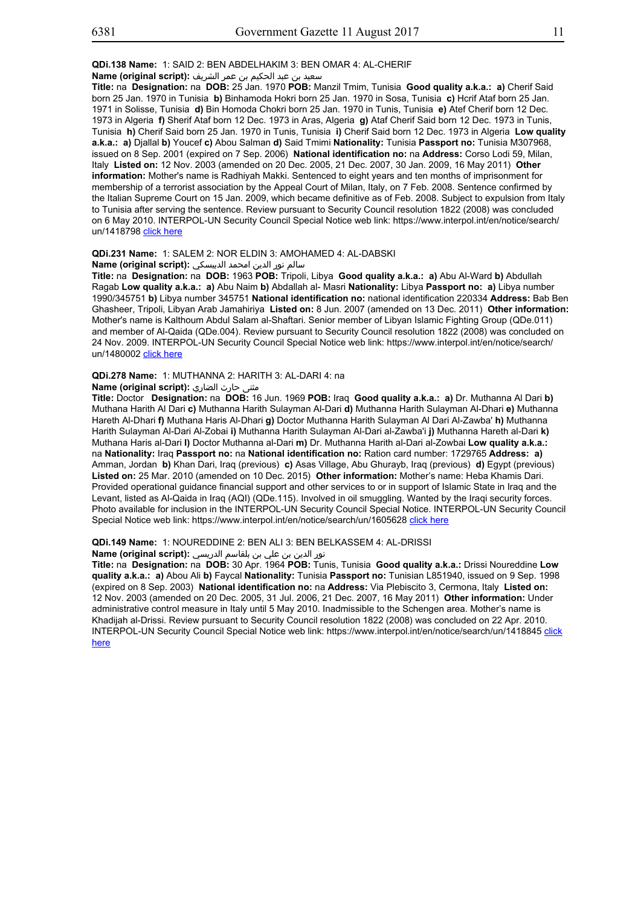سعيد بن عبد الحكيم بن عمر الشريف **:(script original (Name**

**Title:** na **Designation:** na **DOB:** 25 Jan. 1970 **POB:** Manzil Tmim, Tunisia **Good quality a.k.a.: a)** Cherif Said born 25 Jan. 1970 in Tunisia **b)** Binhamoda Hokri born 25 Jan. 1970 in Sosa, Tunisia **c)** Hcrif Ataf born 25 Jan. 1971 in Solisse, Tunisia **d)** Bin Homoda Chokri born 25 Jan. 1970 in Tunis, Tunisia **e)** Atef Cherif born 12 Dec. 1973 in Algeria **f)** Sherif Ataf born 12 Dec. 1973 in Aras, Algeria **g)** Ataf Cherif Said born 12 Dec. 1973 in Tunis, Tunisia **h)** Cherif Said born 25 Jan. 1970 in Tunis, Tunisia **i)** Cherif Said born 12 Dec. 1973 in Algeria **Low quality a.k.a.: a)** Djallal **b)** Youcef **c)** Abou Salman **d)** Said Tmimi **Nationality:** Tunisia **Passport no:** Tunisia M307968, issued on 8 Sep. 2001 (expired on 7 Sep. 2006) **National identification no:** na **Address:** Corso Lodi 59, Milan, Italy **Listed on:** 12 Nov. 2003 (amended on 20 Dec. 2005, 21 Dec. 2007, 30 Jan. 2009, 16 May 2011) **Other information:** Mother's name is Radhiyah Makki. Sentenced to eight years and ten months of imprisonment for membership of a terrorist association by the Appeal Court of Milan, Italy, on 7 Feb. 2008. Sentence confirmed by the Italian Supreme Court on 15 Jan. 2009, which became definitive as of Feb. 2008. Subject to expulsion from Italy to Tunisia after serving the sentence. Review pursuant to Security Council resolution 1822 (2008) was concluded on 6 May 2010. INTERPOL-UN Security Council Special Notice web link: https://www.interpol.int/en/notice/search/ un/1418798 click here

## **QDi.231 Name:** 1: SALEM 2: NOR ELDIN 3: AMOHAMED 4: AL-DABSKI

#### سالم نور الدين امحمد الدبيسكي **:(script original (Name**

**Title:** na **Designation:** na **DOB:** 1963 **POB:** Tripoli, Libya **Good quality a.k.a.: a)** Abu Al-Ward **b)** Abdullah Ragab **Low quality a.k.a.: a)** Abu Naim **b)** Abdallah al- Masri **Nationality:** Libya **Passport no: a)** Libya number 1990/345751 **b)** Libya number 345751 **National identification no:** national identification 220334 **Address:** Bab Ben Ghasheer, Tripoli, Libyan Arab Jamahiriya **Listed on:** 8 Jun. 2007 (amended on 13 Dec. 2011) **Other information:** Mother's name is Kalthoum Abdul Salam al-Shaftari. Senior member of Libyan Islamic Fighting Group (QDe.011) and member of Al-Qaida (QDe.004). Review pursuant to Security Council resolution 1822 (2008) was concluded on 24 Nov. 2009. INTERPOL-UN Security Council Special Notice web link: https://www.interpol.int/en/notice/search/ un/1480002 click here

## **QDi.278 Name:** 1: MUTHANNA 2: HARITH 3: AL-DARI 4: na

# مثنى حارث الضاري **:(script original (Name**

**Title:** Doctor **Designation:** na **DOB:** 16 Jun. 1969 **POB:** Iraq **Good quality a.k.a.: a)** Dr. Muthanna Al Dari **b)** Muthana Harith Al Dari **c)** Muthanna Harith Sulayman Al-Dari **d)** Muthanna Harith Sulayman Al-Dhari **e)** Muthanna Hareth Al-Dhari **f)** Muthana Haris Al-Dhari **g)** Doctor Muthanna Harith Sulayman Al Dari Al-Zawba' **h)** Muthanna Harith Sulayman Al-Dari Al-Zobai **i)** Muthanna Harith Sulayman Al-Dari al-Zawba'i **j)** Muthanna Hareth al-Dari **k)** Muthana Haris al-Dari **l)** Doctor Muthanna al-Dari **m)** Dr. Muthanna Harith al-Dari al-Zowbai **Low quality a.k.a.:** na **Nationality:** Iraq **Passport no:** na **National identification no:** Ration card number: 1729765 **Address: a)** Amman, Jordan **b)** Khan Dari, Iraq (previous) **c)** Asas Village, Abu Ghurayb, Iraq (previous) **d)** Egypt (previous) **Listed on:** 25 Mar. 2010 (amended on 10 Dec. 2015) **Other information:** Mother's name: Heba Khamis Dari. Provided operational guidance financial support and other services to or in support of Islamic State in Iraq and the Levant, listed as Al-Qaida in Iraq (AQI) (QDe.115). Involved in oil smuggling. Wanted by the Iraqi security forces. Photo available for inclusion in the INTERPOL-UN Security Council Special Notice. INTERPOL-UN Security Council Special Notice web link: https://www.interpol.int/en/notice/search/un/1605628 click here

#### **QDi.149 Name:** 1: NOUREDDINE 2: BEN ALI 3: BEN BELKASSEM 4: AL-DRISSI

نور الدين بن علي بن بلقاسم الدريسي **:(script original (Name**

**Title:** na **Designation:** na **DOB:** 30 Apr. 1964 **POB:** Tunis, Tunisia **Good quality a.k.a.:** Drissi Noureddine **Low quality a.k.a.: a)** Abou Ali **b)** Faycal **Nationality:** Tunisia **Passport no:** Tunisian L851940, issued on 9 Sep. 1998 (expired on 8 Sep. 2003) **National identification no:** na **Address:** Via Plebiscito 3, Cermona, Italy **Listed on:** 12 Nov. 2003 (amended on 20 Dec. 2005, 31 Jul. 2006, 21 Dec. 2007, 16 May 2011) **Other information:** Under administrative control measure in Italy until 5 May 2010. Inadmissible to the Schengen area. Mother's name is Khadijah al-Drissi. Review pursuant to Security Council resolution 1822 (2008) was concluded on 22 Apr. 2010. INTERPOL-UN Security Council Special Notice web link: https://www.interpol.int/en/notice/search/un/1418845 click here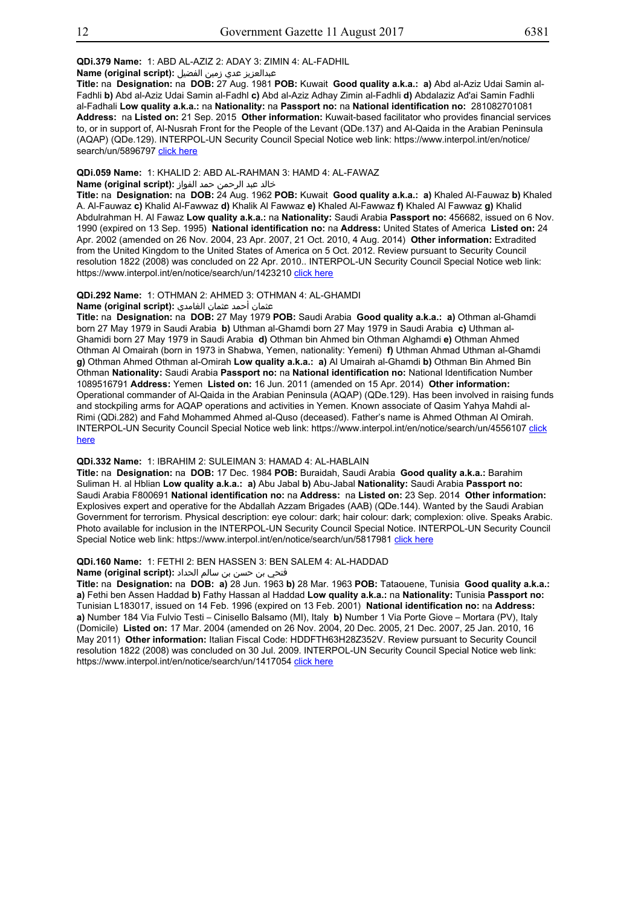**QDi.379 Name:** 1: ABD AL-AZIZ 2: ADAY 3: ZIMIN 4: AL-FADHIL

عبدالعزیز عدي زمین الفضیل **:(script original (Name**

**Title:** na **Designation:** na **DOB:** 27 Aug. 1981 **POB:** Kuwait **Good quality a.k.a.: a)** Abd al-Aziz Udai Samin al-Fadhli **b)** Abd al-Aziz Udai Samin al-Fadhl **c)** Abd al-Aziz Adhay Zimin al-Fadhli **d)** Abdalaziz Ad'ai Samin Fadhli al-Fadhali **Low quality a.k.a.:** na **Nationality:** na **Passport no:** na **National identification no:** 281082701081 **Address:** na **Listed on:** 21 Sep. 2015 **Other information:** Kuwait-based facilitator who provides financial services to, or in support of, Al-Nusrah Front for the People of the Levant (QDe.137) and Al-Qaida in the Arabian Peninsula (AQAP) (QDe.129). INTERPOL-UN Security Council Special Notice web link: https://www.interpol.int/en/notice/ search/un/5896797 click here

**QDi.059 Name:** 1: KHALID 2: ABD AL-RAHMAN 3: HAMD 4: AL-FAWAZ خالد عبد الرحمن حمد الفواز **:(script original (Name**

**Title:** na **Designation:** na **DOB:** 24 Aug. 1962 **POB:** Kuwait **Good quality a.k.a.: a)** Khaled Al-Fauwaz **b)** Khaled A. Al-Fauwaz **c)** Khalid Al-Fawwaz **d)** Khalik Al Fawwaz **e)** Khaled Al-Fawwaz **f)** Khaled Al Fawwaz **g)** Khalid Abdulrahman H. Al Fawaz **Low quality a.k.a.:** na **Nationality:** Saudi Arabia **Passport no:** 456682, issued on 6 Nov. 1990 (expired on 13 Sep. 1995) **National identification no:** na **Address:** United States of America **Listed on:** 24 Apr. 2002 (amended on 26 Nov. 2004, 23 Apr. 2007, 21 Oct. 2010, 4 Aug. 2014) **Other information:** Extradited from the United Kingdom to the United States of America on 5 Oct. 2012. Review pursuant to Security Council resolution 1822 (2008) was concluded on 22 Apr. 2010.. INTERPOL-UN Security Council Special Notice web link: https://www.interpol.int/en/notice/search/un/1423210 click here

#### **QDi.292 Name:** 1: OTHMAN 2: AHMED 3: OTHMAN 4: AL-GHAMDI

عثمان أحمد عثمان الغامدي **:(script original (Name**

**Title:** na **Designation:** na **DOB:** 27 May 1979 **POB:** Saudi Arabia **Good quality a.k.a.: a)** Othman al-Ghamdi born 27 May 1979 in Saudi Arabia **b)** Uthman al-Ghamdi born 27 May 1979 in Saudi Arabia **c)** Uthman al-Ghamidi born 27 May 1979 in Saudi Arabia **d)** Othman bin Ahmed bin Othman Alghamdi **e)** Othman Ahmed Othman Al Omairah (born in 1973 in Shabwa, Yemen, nationality: Yemeni) **f)** Uthman Ahmad Uthman al-Ghamdi **g)** Othman Ahmed Othman al-Omirah **Low quality a.k.a.: a)** Al Umairah al-Ghamdi **b)** Othman Bin Ahmed Bin Othman **Nationality:** Saudi Arabia **Passport no:** na **National identification no:** National Identification Number 1089516791 **Address:** Yemen **Listed on:** 16 Jun. 2011 (amended on 15 Apr. 2014) **Other information:** Operational commander of Al-Qaida in the Arabian Peninsula (AQAP) (QDe.129). Has been involved in raising funds and stockpiling arms for AQAP operations and activities in Yemen. Known associate of Qasim Yahya Mahdi al-Rimi (QDi.282) and Fahd Mohammed Ahmed al-Quso (deceased). Father's name is Ahmed Othman Al Omirah. INTERPOL-UN Security Council Special Notice web link: https://www.interpol.int/en/notice/search/un/4556107 click here

#### **QDi.332 Name:** 1: IBRAHIM 2: SULEIMAN 3: HAMAD 4: AL-HABLAIN

**Title:** na **Designation:** na **DOB:** 17 Dec. 1984 **POB:** Buraidah, Saudi Arabia **Good quality a.k.a.:** Barahim Suliman H. al Hblian **Low quality a.k.a.: a)** Abu Jabal **b)** Abu-Jabal **Nationality:** Saudi Arabia **Passport no:** Saudi Arabia F800691 **National identification no:** na **Address:** na **Listed on:** 23 Sep. 2014 **Other information:** Explosives expert and operative for the Abdallah Azzam Brigades (AAB) (QDe.144). Wanted by the Saudi Arabian Government for terrorism. Physical description: eye colour: dark; hair colour: dark; complexion: olive. Speaks Arabic. Photo available for inclusion in the INTERPOL-UN Security Council Special Notice. INTERPOL-UN Security Council Special Notice web link: https://www.interpol.int/en/notice/search/un/5817981 click here

#### **QDi.160 Name:** 1: FETHI 2: BEN HASSEN 3: BEN SALEM 4: AL-HADDAD

#### فتحي بن حسن بن سالم الحداد **:(script original (Name**

**Title:** na **Designation:** na **DOB: a)** 28 Jun. 1963 **b)** 28 Mar. 1963 **POB:** Tataouene, Tunisia **Good quality a.k.a.: a)** Fethi ben Assen Haddad **b)** Fathy Hassan al Haddad **Low quality a.k.a.:** na **Nationality:** Tunisia **Passport no:** Tunisian L183017, issued on 14 Feb. 1996 (expired on 13 Feb. 2001) **National identification no:** na **Address: a)** Number 184 Via Fulvio Testi – Cinisello Balsamo (MI), Italy **b)** Number 1 Via Porte Giove – Mortara (PV), Italy (Domicile) **Listed on:** 17 Mar. 2004 (amended on 26 Nov. 2004, 20 Dec. 2005, 21 Dec. 2007, 25 Jan. 2010, 16 May 2011) **Other information:** Italian Fiscal Code: HDDFTH63H28Z352V. Review pursuant to Security Council resolution 1822 (2008) was concluded on 30 Jul. 2009. INTERPOL-UN Security Council Special Notice web link: https://www.interpol.int/en/notice/search/un/1417054 click here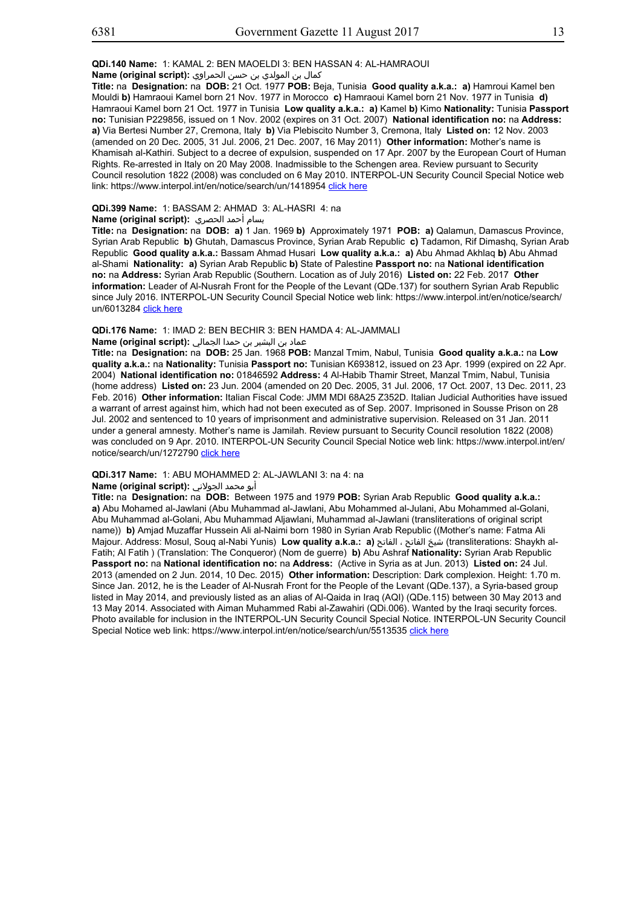# **QDi.140 Name:** 1: KAMAL 2: BEN MAOELDI 3: BEN HASSAN 4: AL-HAMRAOUI

كمال بن المولدي بن حسن الحمراوي **:(script original (Name**

**Title:** na **Designation:** na **DOB:** 21 Oct. 1977 **POB:** Beja, Tunisia **Good quality a.k.a.: a)** Hamroui Kamel ben Mouldi **b)** Hamraoui Kamel born 21 Nov. 1977 in Morocco **c)** Hamraoui Kamel born 21 Nov. 1977 in Tunisia **d)** Hamraoui Kamel born 21 Oct. 1977 in Tunisia **Low quality a.k.a.: a)** Kamel **b)** Kimo **Nationality:** Tunisia **Passport no:** Tunisian P229856, issued on 1 Nov. 2002 (expires on 31 Oct. 2007) **National identification no:** na **Address: a)** Via Bertesi Number 27, Cremona, Italy **b)** Via Plebiscito Number 3, Cremona, Italy **Listed on:** 12 Nov. 2003 (amended on 20 Dec. 2005, 31 Jul. 2006, 21 Dec. 2007, 16 May 2011) **Other information:** Mother's name is Khamisah al-Kathiri. Subject to a decree of expulsion, suspended on 17 Apr. 2007 by the European Court of Human Rights. Re-arrested in Italy on 20 May 2008. Inadmissible to the Schengen area. Review pursuant to Security Council resolution 1822 (2008) was concluded on 6 May 2010. INTERPOL-UN Security Council Special Notice web link: https://www.interpol.int/en/notice/search/un/1418954 click here

## **QDi.399 Name:** 1: BASSAM 2: AHMAD 3: AL-HASRI 4: na

#### بسام أحمد الحصري **:(script original (Name**

**Title:** na **Designation:** na **DOB: a)** 1 Jan. 1969 **b)** Approximately 1971 **POB: a)** Qalamun, Damascus Province, Syrian Arab Republic **b)** Ghutah, Damascus Province, Syrian Arab Republic **c)** Tadamon, Rif Dimashq, Syrian Arab Republic **Good quality a.k.a.:** Bassam Ahmad Husari **Low quality a.k.a.: a)** Abu Ahmad Akhlaq **b)** Abu Ahmad al-Shami **Nationality: a)** Syrian Arab Republic **b)** State of Palestine **Passport no:** na **National identification no:** na **Address:** Syrian Arab Republic (Southern. Location as of July 2016) **Listed on:** 22 Feb. 2017 **Other information:** Leader of Al-Nusrah Front for the People of the Levant (QDe.137) for southern Syrian Arab Republic since July 2016. INTERPOL-UN Security Council Special Notice web link: https://www.interpol.int/en/notice/search/ un/6013284 click here

#### **QDi.176 Name:** 1: IMAD 2: BEN BECHIR 3: BEN HAMDA 4: AL-JAMMALI

# عماد بن البشير بن حمدا الجمالي **:(script original (Name**

**Title:** na **Designation:** na **DOB:** 25 Jan. 1968 **POB:** Manzal Tmim, Nabul, Tunisia **Good quality a.k.a.:** na **Low quality a.k.a.:** na **Nationality:** Tunisia **Passport no:** Tunisian K693812, issued on 23 Apr. 1999 (expired on 22 Apr. 2004) **National identification no:** 01846592 **Address:** 4 Al-Habib Thamir Street, Manzal Tmim, Nabul, Tunisia (home address) **Listed on:** 23 Jun. 2004 (amended on 20 Dec. 2005, 31 Jul. 2006, 17 Oct. 2007, 13 Dec. 2011, 23 Feb. 2016) **Other information:** Italian Fiscal Code: JMM MDI 68A25 Z352D. Italian Judicial Authorities have issued a warrant of arrest against him, which had not been executed as of Sep. 2007. Imprisoned in Sousse Prison on 28 Jul. 2002 and sentenced to 10 years of imprisonment and administrative supervision. Released on 31 Jan. 2011 under a general amnesty. Mother's name is Jamilah. Review pursuant to Security Council resolution 1822 (2008) was concluded on 9 Apr. 2010. INTERPOL-UN Security Council Special Notice web link: https://www.interpol.int/en/ notice/search/un/1272790 click here

# **QDi.317 Name:** 1: ABU MOHAMMED 2: AL-JAWLANI 3: na 4: na

## أبو محمد الجولاني **:(script original (Name**

**Title:** na **Designation:** na **DOB:** Between 1975 and 1979 **POB:** Syrian Arab Republic **Good quality a.k.a.: a)** Abu Mohamed al-Jawlani (Abu Muhammad al-Jawlani, Abu Mohammed al-Julani, Abu Mohammed al-Golani, Abu Muhammad al-Golani, Abu Muhammad Aljawlani, Muhammad al-Jawlani (transliterations of original script name)) **b)** Amjad Muzaffar Hussein Ali al-Naimi born 1980 in Syrian Arab Republic ((Mother's name: Fatma Ali Majour. Address: Mosul, Souq al-Nabi Yunis) **Low quality a.k.a.: a)** الفاتح ، الفاتح شيخ) transliterations: Shaykh al-Fatih; Al Fatih ) (Translation: The Conqueror) (Nom de guerre) **b)** Abu Ashraf **Nationality:** Syrian Arab Republic **Passport no:** na **National identification no:** na **Address:** (Active in Syria as at Jun. 2013) **Listed on:** 24 Jul. 2013 (amended on 2 Jun. 2014, 10 Dec. 2015) **Other information:** Description: Dark complexion. Height: 1.70 m. Since Jan. 2012, he is the Leader of Al-Nusrah Front for the People of the Levant (QDe.137), a Syria-based group listed in May 2014, and previously listed as an alias of Al-Qaida in Iraq (AQI) (QDe.115) between 30 May 2013 and 13 May 2014. Associated with Aiman Muhammed Rabi al-Zawahiri (QDi.006). Wanted by the Iraqi security forces. Photo available for inclusion in the INTERPOL-UN Security Council Special Notice. INTERPOL-UN Security Council Special Notice web link: https://www.interpol.int/en/notice/search/un/5513535 click here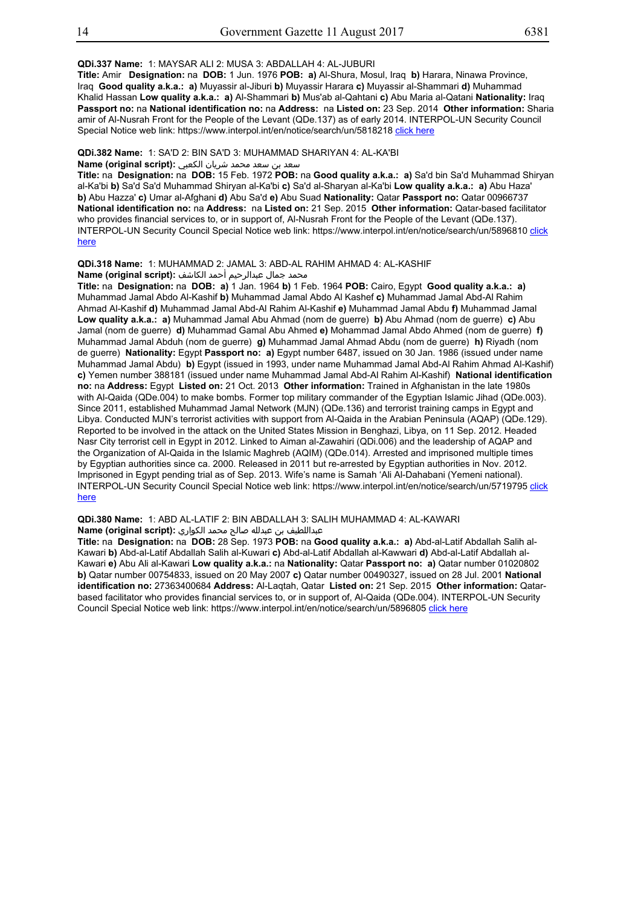**QDi.337 Name:** 1: MAYSAR ALI 2: MUSA 3: ABDALLAH 4: AL-JUBURI

**Title:** Amir **Designation:** na **DOB:** 1 Jun. 1976 **POB: a)** Al-Shura, Mosul, Iraq **b)** Harara, Ninawa Province, Iraq **Good quality a.k.a.: a)** Muyassir al-Jiburi **b)** Muyassir Harara **c)** Muyassir al-Shammari **d)** Muhammad Khalid Hassan **Low quality a.k.a.: a)** Al-Shammari **b)** Mus'ab al-Qahtani **c)** Abu Maria al-Qatani **Nationality:** Iraq **Passport no:** na **National identification no:** na **Address:** na **Listed on:** 23 Sep. 2014 **Other information:** Sharia amir of Al-Nusrah Front for the People of the Levant (QDe.137) as of early 2014. INTERPOL-UN Security Council Special Notice web link: https://www.interpol.int/en/notice/search/un/5818218 click here

**QDi.382 Name:** 1: SA'D 2: BIN SA'D 3: MUHAMMAD SHARIYAN 4: AL-KA'BI

# سعد بن سعد محمد شریان الكعبي **:(script original (Name**

**Title:** na **Designation:** na **DOB:** 15 Feb. 1972 **POB:** na **Good quality a.k.a.: a)** Sa'd bin Sa'd Muhammad Shiryan al-Ka'bi **b)** Sa'd Sa'd Muhammad Shiryan al-Ka'bi **c)** Sa'd al-Sharyan al-Ka'bi **Low quality a.k.a.: a)** Abu Haza' **b)** Abu Hazza' **c)** Umar al-Afghani **d)** Abu Sa'd **e)** Abu Suad **Nationality:** Qatar **Passport no:** Qatar 00966737 **National identification no:** na **Address:** na **Listed on:** 21 Sep. 2015 **Other information:** Qatar-based facilitator who provides financial services to, or in support of, Al-Nusrah Front for the People of the Levant (QDe.137). INTERPOL-UN Security Council Special Notice web link: https://www.interpol.int/en/notice/search/un/5896810 click here

## **QDi.318 Name:** 1: MUHAMMAD 2: JAMAL 3: ABD-AL RAHIM AHMAD 4: AL-KASHIF

محمد جمال عبدالرحيم أحمد الكاشف **:Name (original script**)

**Title:** na **Designation:** na **DOB: a)** 1 Jan. 1964 **b)** 1 Feb. 1964 **POB:** Cairo, Egypt **Good quality a.k.a.: a)** Muhammad Jamal Abdo Al-Kashif **b)** Muhammad Jamal Abdo Al Kashef **c)** Muhammad Jamal Abd-Al Rahim Ahmad Al-Kashif **d)** Muhammad Jamal Abd-Al Rahim Al-Kashif **e)** Muhammad Jamal Abdu **f)** Muhammad Jamal **Low quality a.k.a.: a)** Muhammad Jamal Abu Ahmad (nom de guerre) **b)** Abu Ahmad (nom de guerre) **c)** Abu Jamal (nom de guerre) **d)** Muhammad Gamal Abu Ahmed **e)** Mohammad Jamal Abdo Ahmed (nom de guerre) **f)** Muhammad Jamal Abduh (nom de guerre) **g)** Muhammad Jamal Ahmad Abdu (nom de guerre) **h)** Riyadh (nom de guerre) **Nationality:** Egypt **Passport no: a)** Egypt number 6487, issued on 30 Jan. 1986 (issued under name Muhammad Jamal Abdu) **b)** Egypt (issued in 1993, under name Muhammad Jamal Abd-Al Rahim Ahmad Al-Kashif) **c)** Yemen number 388181 (issued under name Muhammad Jamal Abd-Al Rahim Al-Kashif) **National identification no:** na **Address:** Egypt **Listed on:** 21 Oct. 2013 **Other information:** Trained in Afghanistan in the late 1980s with Al-Qaida (QDe.004) to make bombs. Former top military commander of the Egyptian Islamic Jihad (QDe.003). Since 2011, established Muhammad Jamal Network (MJN) (QDe.136) and terrorist training camps in Egypt and Libya. Conducted MJN's terrorist activities with support from Al-Qaida in the Arabian Peninsula (AQAP) (QDe.129). Reported to be involved in the attack on the United States Mission in Benghazi, Libya, on 11 Sep. 2012. Headed Nasr City terrorist cell in Egypt in 2012. Linked to Aiman al-Zawahiri (QDi.006) and the leadership of AQAP and the Organization of Al-Qaida in the Islamic Maghreb (AQIM) (QDe.014). Arrested and imprisoned multiple times by Egyptian authorities since ca. 2000. Released in 2011 but re-arrested by Egyptian authorities in Nov. 2012. Imprisoned in Egypt pending trial as of Sep. 2013. Wife's name is Samah 'Ali Al-Dahabani (Yemeni national). INTERPOL-UN Security Council Special Notice web link: https://www.interpol.int/en/notice/search/un/5719795 click here

#### **QDi.380 Name:** 1: ABD AL-LATIF 2: BIN ABDALLAH 3: SALIH MUHAMMAD 4: AL-KAWARI عبداللطیف بن عبدلله صالح محمد الكواري **:(script original (Name**

**Title:** na **Designation:** na **DOB:** 28 Sep. 1973 **POB:** na **Good quality a.k.a.: a)** Abd-al-Latif Abdallah Salih al-Kawari **b)** Abd-al-Latif Abdallah Salih al-Kuwari **c)** Abd-al-Latif Abdallah al-Kawwari **d)** Abd-al-Latif Abdallah al-Kawari **e)** Abu Ali al-Kawari **Low quality a.k.a.:** na **Nationality:** Qatar **Passport no: a)** Qatar number 01020802 **b)** Qatar number 00754833, issued on 20 May 2007 **c)** Qatar number 00490327, issued on 28 Jul. 2001 **National identification no:** 27363400684 **Address:** Al-Laqtah, Qatar **Listed on:** 21 Sep. 2015 **Other information:** Qatarbased facilitator who provides financial services to, or in support of, Al-Qaida (QDe.004). INTERPOL-UN Security Council Special Notice web link: https://www.interpol.int/en/notice/search/un/5896805 click here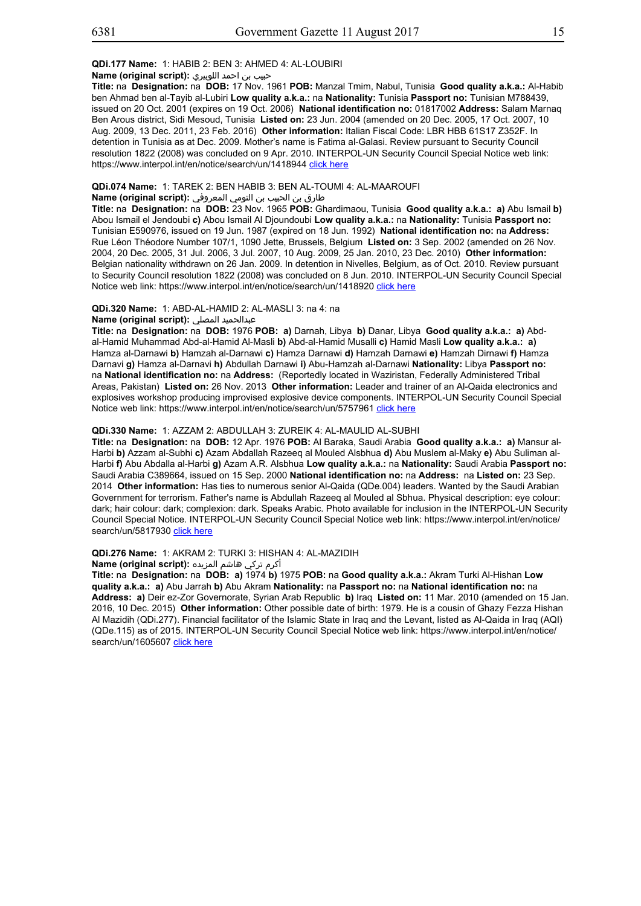## **QDi.177 Name:** 1: HABIB 2: BEN 3: AHMED 4: AL-LOUBIRI

## حبيب بن احمد اللوبيري **:(script original (Name**

**Title:** na **Designation:** na **DOB:** 17 Nov. 1961 **POB:** Manzal Tmim, Nabul, Tunisia **Good quality a.k.a.:** Al-Habib ben Ahmad ben al-Tayib al-Lubiri **Low quality a.k.a.:** na **Nationality:** Tunisia **Passport no:** Tunisian M788439, issued on 20 Oct. 2001 (expires on 19 Oct. 2006) **National identification no:** 01817002 **Address:** Salam Marnaq Ben Arous district, Sidi Mesoud, Tunisia **Listed on:** 23 Jun. 2004 (amended on 20 Dec. 2005, 17 Oct. 2007, 10 Aug. 2009, 13 Dec. 2011, 23 Feb. 2016) **Other information:** Italian Fiscal Code: LBR HBB 61S17 Z352F. In detention in Tunisia as at Dec. 2009. Mother's name is Fatima al-Galasi. Review pursuant to Security Council resolution 1822 (2008) was concluded on 9 Apr. 2010. INTERPOL-UN Security Council Special Notice web link: https://www.interpol.int/en/notice/search/un/1418944 click here

#### **QDi.074 Name:** 1: TAREK 2: BEN HABIB 3: BEN AL-TOUMI 4: AL-MAAROUFI

## طارق بن الحبيب بن التومي المعروفي **:(script original (Name**

**Title:** na **Designation:** na **DOB:** 23 Nov. 1965 **POB:** Ghardimaou, Tunisia **Good quality a.k.a.: a)** Abu Ismail **b)** Abou Ismail el Jendoubi **c)** Abou Ismail Al Djoundoubi **Low quality a.k.a.:** na **Nationality:** Tunisia **Passport no:** Tunisian E590976, issued on 19 Jun. 1987 (expired on 18 Jun. 1992) **National identification no:** na **Address:** Rue Léon Théodore Number 107/1, 1090 Jette, Brussels, Belgium **Listed on:** 3 Sep. 2002 (amended on 26 Nov. 2004, 20 Dec. 2005, 31 Jul. 2006, 3 Jul. 2007, 10 Aug. 2009, 25 Jan. 2010, 23 Dec. 2010) **Other information:** Belgian nationality withdrawn on 26 Jan. 2009. In detention in Nivelles, Belgium, as of Oct. 2010. Review pursuant to Security Council resolution 1822 (2008) was concluded on 8 Jun. 2010. INTERPOL-UN Security Council Special Notice web link: https://www.interpol.int/en/notice/search/un/1418920 click here

#### **QDi.320 Name:** 1: ABD-AL-HAMID 2: AL-MASLI 3: na 4: na

#### **Name (original script):** المصلي عبدالحميد

**Title:** na **Designation:** na **DOB:** 1976 **POB: a)** Darnah, Libya **b)** Danar, Libya **Good quality a.k.a.: a)** Abdal-Hamid Muhammad Abd-al-Hamid Al-Masli **b)** Abd-al-Hamid Musalli **c)** Hamid Masli **Low quality a.k.a.: a)** Hamza al-Darnawi **b)** Hamzah al-Darnawi **c)** Hamza Darnawi **d)** Hamzah Darnawi **e)** Hamzah Dirnawi **f)** Hamza Darnavi **g)** Hamza al-Darnavi **h)** Abdullah Darnawi **i)** Abu-Hamzah al-Darnawi **Nationality:** Libya **Passport no:** na **National identification no:** na **Address:** (Reportedly located in Waziristan, Federally Administered Tribal Areas, Pakistan) **Listed on:** 26 Nov. 2013 **Other information:** Leader and trainer of an Al-Qaida electronics and explosives workshop producing improvised explosive device components. INTERPOL-UN Security Council Special Notice web link: https://www.interpol.int/en/notice/search/un/5757961 click here

## **QDi.330 Name:** 1: AZZAM 2: ABDULLAH 3: ZUREIK 4: AL-MAULID AL-SUBHI

**Title:** na **Designation:** na **DOB:** 12 Apr. 1976 **POB:** Al Baraka, Saudi Arabia **Good quality a.k.a.: a)** Mansur al-Harbi **b)** Azzam al-Subhi **c)** Azam Abdallah Razeeq al Mouled Alsbhua **d)** Abu Muslem al-Maky **e)** Abu Suliman al-Harbi **f)** Abu Abdalla al-Harbi **g)** Azam A.R. Alsbhua **Low quality a.k.a.:** na **Nationality:** Saudi Arabia **Passport no:** Saudi Arabia C389664, issued on 15 Sep. 2000 **National identification no:** na **Address:** na **Listed on:** 23 Sep. 2014 **Other information:** Has ties to numerous senior Al-Qaida (QDe.004) leaders. Wanted by the Saudi Arabian Government for terrorism. Father's name is Abdullah Razeeq al Mouled al Sbhua. Physical description: eye colour: dark; hair colour: dark; complexion: dark. Speaks Arabic. Photo available for inclusion in the INTERPOL-UN Security Council Special Notice. INTERPOL-UN Security Council Special Notice web link: https://www.interpol.int/en/notice/ search/un/5817930 click here

## **QDi.276 Name:** 1: AKRAM 2: TURKI 3: HISHAN 4: AL-MAZIDIH

أكرم تركي هاشم المزيده **:(script original (Name**

**Title:** na **Designation:** na **DOB: a)** 1974 **b)** 1975 **POB:** na **Good quality a.k.a.:** Akram Turki Al-Hishan **Low quality a.k.a.: a)** Abu Jarrah **b)** Abu Akram **Nationality:** na **Passport no:** na **National identification no:** na **Address: a)** Deir ez-Zor Governorate, Syrian Arab Republic **b)** Iraq **Listed on:** 11 Mar. 2010 (amended on 15 Jan. 2016, 10 Dec. 2015) **Other information:** Other possible date of birth: 1979. He is a cousin of Ghazy Fezza Hishan Al Mazidih (QDi.277). Financial facilitator of the Islamic State in Iraq and the Levant, listed as Al-Qaida in Iraq (AQI) (QDe.115) as of 2015. INTERPOL-UN Security Council Special Notice web link: https://www.interpol.int/en/notice/ search/un/1605607 click here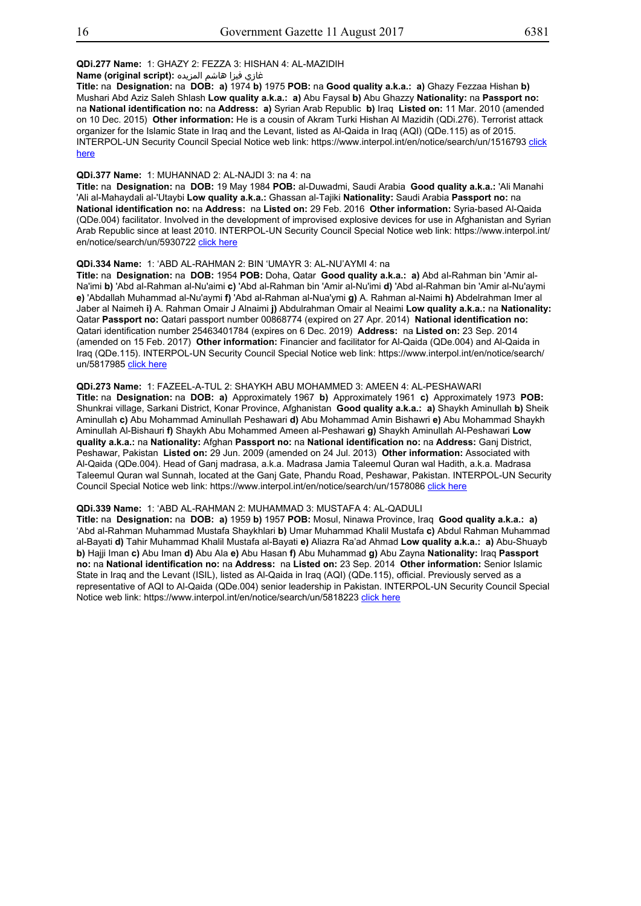## **QDi.277 Name:** 1: GHAZY 2: FEZZA 3: HISHAN 4: AL-MAZIDIH

غازي فيزا هاشم المزيده **:(script original (Name**

**Title:** na **Designation:** na **DOB: a)** 1974 **b)** 1975 **POB:** na **Good quality a.k.a.: a)** Ghazy Fezzaa Hishan **b)** Mushari Abd Aziz Saleh Shlash **Low quality a.k.a.: a)** Abu Faysal **b)** Abu Ghazzy **Nationality:** na **Passport no:** na **National identification no:** na **Address: a)** Syrian Arab Republic **b)** Iraq **Listed on:** 11 Mar. 2010 (amended on 10 Dec. 2015) **Other information:** He is a cousin of Akram Turki Hishan Al Mazidih (QDi.276). Terrorist attack organizer for the Islamic State in Iraq and the Levant, listed as Al-Qaida in Iraq (AQI) (QDe.115) as of 2015. INTERPOL-UN Security Council Special Notice web link: https://www.interpol.int/en/notice/search/un/1516793 click here

## **QDi.377 Name:** 1: MUHANNAD 2: AL-NAJDI 3: na 4: na

**Title:** na **Designation:** na **DOB:** 19 May 1984 **POB:** al-Duwadmi, Saudi Arabia **Good quality a.k.a.:** 'Ali Manahi 'Ali al-Mahaydali al-'Utaybi **Low quality a.k.a.:** Ghassan al-Tajiki **Nationality:** Saudi Arabia **Passport no:** na **National identification no:** na **Address:** na **Listed on:** 29 Feb. 2016 **Other information:** Syria-based Al-Qaida (QDe.004) facilitator. Involved in the development of improvised explosive devices for use in Afghanistan and Syrian Arab Republic since at least 2010. INTERPOL-UN Security Council Special Notice web link: https://www.interpol.int/ en/notice/search/un/5930722 click here

## **QDi.334 Name:** 1: 'ABD AL-RAHMAN 2: BIN 'UMAYR 3: AL-NU'AYMI 4: na

**Title:** na **Designation:** na **DOB:** 1954 **POB:** Doha, Qatar **Good quality a.k.a.: a)** Abd al-Rahman bin 'Amir al-Na'imi **b)** 'Abd al-Rahman al-Nu'aimi **c)** 'Abd al-Rahman bin 'Amir al-Nu'imi **d)** 'Abd al-Rahman bin 'Amir al-Nu'aymi **e)** 'Abdallah Muhammad al-Nu'aymi **f)** 'Abd al-Rahman al-Nua'ymi **g)** A. Rahman al-Naimi **h)** Abdelrahman Imer al Jaber al Naimeh **i)** A. Rahman Omair J Alnaimi **j)** Abdulrahman Omair al Neaimi **Low quality a.k.a.:** na **Nationality:** Qatar **Passport no:** Qatari passport number 00868774 (expired on 27 Apr. 2014) **National identification no:** Qatari identification number 25463401784 (expires on 6 Dec. 2019) **Address:** na **Listed on:** 23 Sep. 2014 (amended on 15 Feb. 2017) **Other information:** Financier and facilitator for Al-Qaida (QDe.004) and Al-Qaida in Iraq (QDe.115). INTERPOL-UN Security Council Special Notice web link: https://www.interpol.int/en/notice/search/ un/5817985 click here

#### **QDi.273 Name:** 1: FAZEEL-A-TUL 2: SHAYKH ABU MOHAMMED 3: AMEEN 4: AL-PESHAWARI

**Title:** na **Designation:** na **DOB: a)** Approximately 1967 **b)** Approximately 1961 **c)** Approximately 1973 **POB:** Shunkrai village, Sarkani District, Konar Province, Afghanistan **Good quality a.k.a.: a)** Shaykh Aminullah **b)** Sheik Aminullah **c)** Abu Mohammad Aminullah Peshawari **d)** Abu Mohammad Amin Bishawri **e)** Abu Mohammad Shaykh Aminullah Al-Bishauri **f)** Shaykh Abu Mohammed Ameen al-Peshawari **g)** Shaykh Aminullah Al-Peshawari **Low quality a.k.a.:** na **Nationality:** Afghan **Passport no:** na **National identification no:** na **Address:** Ganj District, Peshawar, Pakistan **Listed on:** 29 Jun. 2009 (amended on 24 Jul. 2013) **Other information:** Associated with Al-Qaida (QDe.004). Head of Ganj madrasa, a.k.a. Madrasa Jamia Taleemul Quran wal Hadith, a.k.a. Madrasa Taleemul Quran wal Sunnah, located at the Ganj Gate, Phandu Road, Peshawar, Pakistan. INTERPOL-UN Security Council Special Notice web link: https://www.interpol.int/en/notice/search/un/1578086 click here

## **QDi.339 Name:** 1: 'ABD AL-RAHMAN 2: MUHAMMAD 3: MUSTAFA 4: AL-QADULI

**Title:** na **Designation:** na **DOB: a)** 1959 **b)** 1957 **POB:** Mosul, Ninawa Province, Iraq **Good quality a.k.a.: a)** 'Abd al-Rahman Muhammad Mustafa Shaykhlari **b)** Umar Muhammad Khalil Mustafa **c)** Abdul Rahman Muhammad al-Bayati **d)** Tahir Muhammad Khalil Mustafa al-Bayati **e)** Aliazra Ra'ad Ahmad **Low quality a.k.a.: a)** Abu-Shuayb **b)** Hajji Iman **c)** Abu Iman **d)** Abu Ala **e)** Abu Hasan **f)** Abu Muhammad **g)** Abu Zayna **Nationality:** Iraq **Passport no:** na **National identification no:** na **Address:** na **Listed on:** 23 Sep. 2014 **Other information:** Senior Islamic State in Iraq and the Levant (ISIL), listed as Al-Qaida in Iraq (AQI) (QDe.115), official. Previously served as a representative of AQI to Al-Qaida (QDe.004) senior leadership in Pakistan. INTERPOL-UN Security Council Special Notice web link: https://www.interpol.int/en/notice/search/un/5818223 click here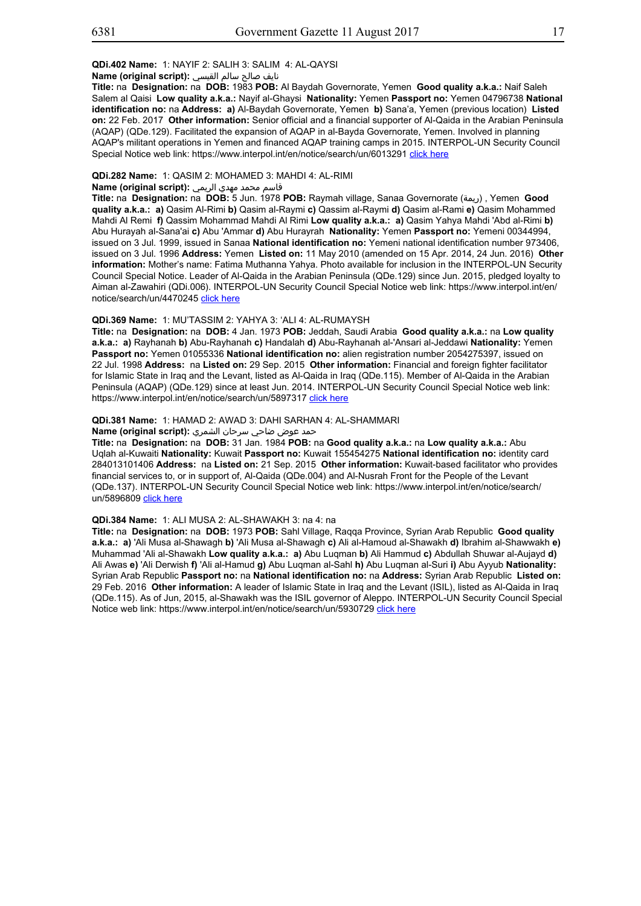## **QDi.402 Name:** 1: NAYIF 2: SALIH 3: SALIM 4: AL-QAYSI

## نايف صالح سالم القيسي **:(script original (Name**

**Title:** na **Designation:** na **DOB:** 1983 **POB:** Al Baydah Governorate, Yemen **Good quality a.k.a.:** Naif Saleh Salem al Qaisi **Low quality a.k.a.:** Nayif al-Ghaysi **Nationality:** Yemen **Passport no:** Yemen 04796738 **National identification no:** na **Address: a)** Al-Baydah Governorate, Yemen **b)** Sana'a, Yemen (previous location) **Listed on:** 22 Feb. 2017 **Other information:** Senior official and a financial supporter of Al-Qaida in the Arabian Peninsula (AQAP) (QDe.129). Facilitated the expansion of AQAP in al-Bayda Governorate, Yemen. Involved in planning AQAP's militant operations in Yemen and financed AQAP training camps in 2015. INTERPOL-UN Security Council Special Notice web link: https://www.interpol.int/en/notice/search/un/6013291 click here

## **QDi.282 Name:** 1: QASIM 2: MOHAMED 3: MAHDI 4: AL-RIMI

#### قاسم محمد مهدي الريمي **:(script original (Name**

**Title:** na **Designation:** na **DOB:** 5 Jun. 1978 **POB:** Raymah village, Sanaa Governorate (ريمة (, Yemen **Good quality a.k.a.: a)** Qasim Al-Rimi **b)** Qasim al-Raymi **c)** Qassim al-Raymi **d)** Qasim al-Rami **e)** Qasim Mohammed Mahdi Al Remi **f)** Qassim Mohammad Mahdi Al Rimi **Low quality a.k.a.: a)** Qasim Yahya Mahdi 'Abd al-Rimi **b)** Abu Hurayah al-Sana'ai **c)** Abu 'Ammar **d)** Abu Hurayrah **Nationality:** Yemen **Passport no:** Yemeni 00344994, issued on 3 Jul. 1999, issued in Sanaa **National identification no:** Yemeni national identification number 973406, issued on 3 Jul. 1996 **Address:** Yemen **Listed on:** 11 May 2010 (amended on 15 Apr. 2014, 24 Jun. 2016) **Other information:** Mother's name: Fatima Muthanna Yahya. Photo available for inclusion in the INTERPOL-UN Security Council Special Notice. Leader of Al-Qaida in the Arabian Peninsula (QDe.129) since Jun. 2015, pledged loyalty to Aiman al-Zawahiri (QDi.006). INTERPOL-UN Security Council Special Notice web link: https://www.interpol.int/en/ notice/search/un/4470245 click here

## **QDi.369 Name:** 1: MU'TASSIM 2: YAHYA 3: 'ALI 4: AL-RUMAYSH

**Title:** na **Designation:** na **DOB:** 4 Jan. 1973 **POB:** Jeddah, Saudi Arabia **Good quality a.k.a.:** na **Low quality a.k.a.: a)** Rayhanah **b)** Abu-Rayhanah **c)** Handalah **d)** Abu-Rayhanah al-'Ansari al-Jeddawi **Nationality:** Yemen **Passport no:** Yemen 01055336 **National identification no:** alien registration number 2054275397, issued on 22 Jul. 1998 **Address:** na **Listed on:** 29 Sep. 2015 **Other information:** Financial and foreign fighter facilitator for Islamic State in Iraq and the Levant, listed as Al-Qaida in Iraq (QDe.115). Member of Al-Qaida in the Arabian Peninsula (AQAP) (QDe.129) since at least Jun. 2014. INTERPOL-UN Security Council Special Notice web link: https://www.interpol.int/en/notice/search/un/5897317 click here

## **QDi.381 Name:** 1: HAMAD 2: AWAD 3: DAHI SARHAN 4: AL-SHAMMARI

## حمد عوض ضاحي سرحان الشمري **:(script original (Name**

**Title:** na **Designation:** na **DOB:** 31 Jan. 1984 **POB:** na **Good quality a.k.a.:** na **Low quality a.k.a.:** Abu Uqlah al-Kuwaiti **Nationality:** Kuwait **Passport no:** Kuwait 155454275 **National identification no:** identity card 284013101406 **Address:** na **Listed on:** 21 Sep. 2015 **Other information:** Kuwait-based facilitator who provides financial services to, or in support of, Al-Qaida (QDe.004) and Al-Nusrah Front for the People of the Levant (QDe.137). INTERPOL-UN Security Council Special Notice web link: https://www.interpol.int/en/notice/search/ un/5896809 click here

#### **QDi.384 Name:** 1: ALI MUSA 2: AL-SHAWAKH 3: na 4: na

**Title:** na **Designation:** na **DOB:** 1973 **POB:** Sahl Village, Raqqa Province, Syrian Arab Republic **Good quality a.k.a.: a)** 'Ali Musa al-Shawagh **b)** 'Ali Musa al-Shawagh **c)** Ali al-Hamoud al-Shawakh **d)** Ibrahim al-Shawwakh **e)** Muhammad 'Ali al-Shawakh **Low quality a.k.a.: a)** Abu Luqman **b)** Ali Hammud **c)** Abdullah Shuwar al-Aujayd **d)** Ali Awas **e)** 'Ali Derwish **f)** 'Ali al-Hamud **g)** Abu Luqman al-Sahl **h)** Abu Luqman al-Suri **i)** Abu Ayyub **Nationality:** Syrian Arab Republic **Passport no:** na **National identification no:** na **Address:** Syrian Arab Republic **Listed on:** 29 Feb. 2016 **Other information:** A leader of Islamic State in Iraq and the Levant (ISIL), listed as Al-Qaida in Iraq (QDe.115). As of Jun, 2015, al-Shawakh was the ISIL governor of Aleppo. INTERPOL-UN Security Council Special Notice web link: https://www.interpol.int/en/notice/search/un/5930729 click here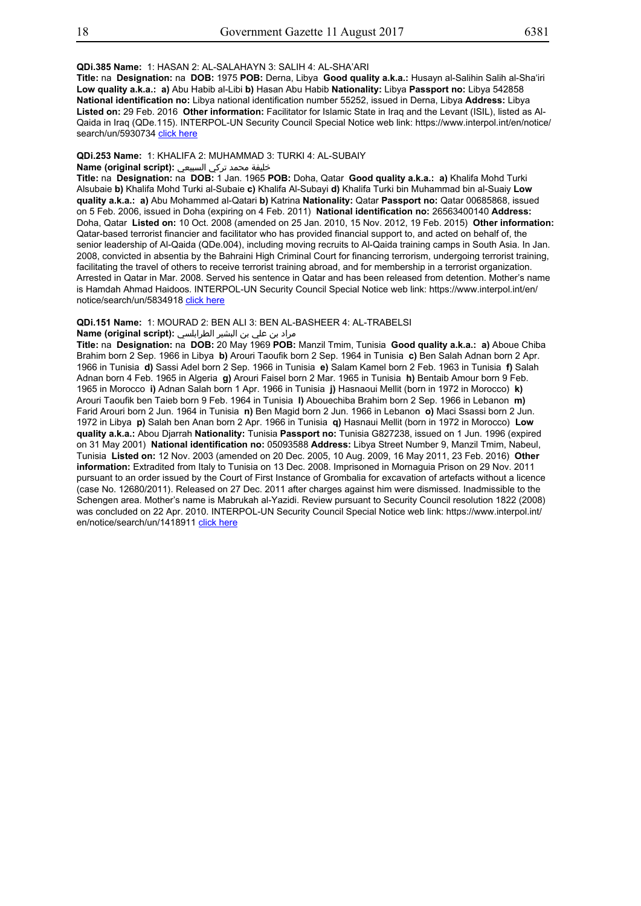## **QDi.385 Name:** 1: HASAN 2: AL-SALAHAYN 3: SALIH 4: AL-SHA'ARI

**Title:** na **Designation:** na **DOB:** 1975 **POB:** Derna, Libya **Good quality a.k.a.:** Husayn al-Salihin Salih al-Sha'iri **Low quality a.k.a.: a)** Abu Habib al-Libi **b)** Hasan Abu Habib **Nationality:** Libya **Passport no:** Libya 542858 **National identification no:** Libya national identification number 55252, issued in Derna, Libya **Address:** Libya **Listed on:** 29 Feb. 2016 **Other information:** Facilitator for Islamic State in Iraq and the Levant (ISIL), listed as Al-Qaida in Iraq (QDe.115). INTERPOL-UN Security Council Special Notice web link: https://www.interpol.int/en/notice/ search/un/5930734 click here

#### **QDi.253 Name:** 1: KHALIFA 2: MUHAMMAD 3: TURKI 4: AL-SUBAIY

## خليفة محمد تركي السبيعي **:(script original (Name**

**Title:** na **Designation:** na **DOB:** 1 Jan. 1965 **POB:** Doha, Qatar **Good quality a.k.a.: a)** Khalifa Mohd Turki Alsubaie **b)** Khalifa Mohd Turki al-Subaie **c)** Khalifa Al-Subayi **d)** Khalifa Turki bin Muhammad bin al-Suaiy **Low quality a.k.a.: a)** Abu Mohammed al-Qatari **b)** Katrina **Nationality:** Qatar **Passport no:** Qatar 00685868, issued on 5 Feb. 2006, issued in Doha (expiring on 4 Feb. 2011) **National identification no:** 26563400140 **Address:** Doha, Qatar **Listed on:** 10 Oct. 2008 (amended on 25 Jan. 2010, 15 Nov. 2012, 19 Feb. 2015) **Other information:** Qatar-based terrorist financier and facilitator who has provided financial support to, and acted on behalf of, the senior leadership of Al-Qaida (QDe.004), including moving recruits to Al-Qaida training camps in South Asia. In Jan. 2008, convicted in absentia by the Bahraini High Criminal Court for financing terrorism, undergoing terrorist training, facilitating the travel of others to receive terrorist training abroad, and for membership in a terrorist organization. Arrested in Qatar in Mar. 2008. Served his sentence in Qatar and has been released from detention. Mother's name is Hamdah Ahmad Haidoos. INTERPOL-UN Security Council Special Notice web link: https://www.interpol.int/en/ notice/search/un/5834918 click here

#### **QDi.151 Name:** 1: MOURAD 2: BEN ALI 3: BEN AL-BASHEER 4: AL-TRABELSI

#### مراد بن علي بن البشير الطرابلسي **:(script original (Name**

**Title:** na **Designation:** na **DOB:** 20 May 1969 **POB:** Manzil Tmim, Tunisia **Good quality a.k.a.: a)** Aboue Chiba Brahim born 2 Sep. 1966 in Libya **b)** Arouri Taoufik born 2 Sep. 1964 in Tunisia **c)** Ben Salah Adnan born 2 Apr. 1966 in Tunisia **d)** Sassi Adel born 2 Sep. 1966 in Tunisia **e)** Salam Kamel born 2 Feb. 1963 in Tunisia **f)** Salah Adnan born 4 Feb. 1965 in Algeria **g)** Arouri Faisel born 2 Mar. 1965 in Tunisia **h)** Bentaib Amour born 9 Feb. 1965 in Morocco **i)** Adnan Salah born 1 Apr. 1966 in Tunisia **j)** Hasnaoui Mellit (born in 1972 in Morocco) **k)** Arouri Taoufik ben Taieb born 9 Feb. 1964 in Tunisia **l)** Abouechiba Brahim born 2 Sep. 1966 in Lebanon **m)** Farid Arouri born 2 Jun. 1964 in Tunisia **n)** Ben Magid born 2 Jun. 1966 in Lebanon **o)** Maci Ssassi born 2 Jun. 1972 in Libya **p)** Salah ben Anan born 2 Apr. 1966 in Tunisia **q)** Hasnaui Mellit (born in 1972 in Morocco) **Low quality a.k.a.:** Abou Djarrah **Nationality:** Tunisia **Passport no:** Tunisia G827238, issued on 1 Jun. 1996 (expired on 31 May 2001) **National identification no:** 05093588 **Address:** Libya Street Number 9, Manzil Tmim, Nabeul, Tunisia **Listed on:** 12 Nov. 2003 (amended on 20 Dec. 2005, 10 Aug. 2009, 16 May 2011, 23 Feb. 2016) **Other information:** Extradited from Italy to Tunisia on 13 Dec. 2008. Imprisoned in Mornaguia Prison on 29 Nov. 2011 pursuant to an order issued by the Court of First Instance of Grombalia for excavation of artefacts without a licence (case No. 12680/2011). Released on 27 Dec. 2011 after charges against him were dismissed. Inadmissible to the Schengen area. Mother's name is Mabrukah al-Yazidi. Review pursuant to Security Council resolution 1822 (2008) was concluded on 22 Apr. 2010. INTERPOL-UN Security Council Special Notice web link: https://www.interpol.int/ en/notice/search/un/1418911 click here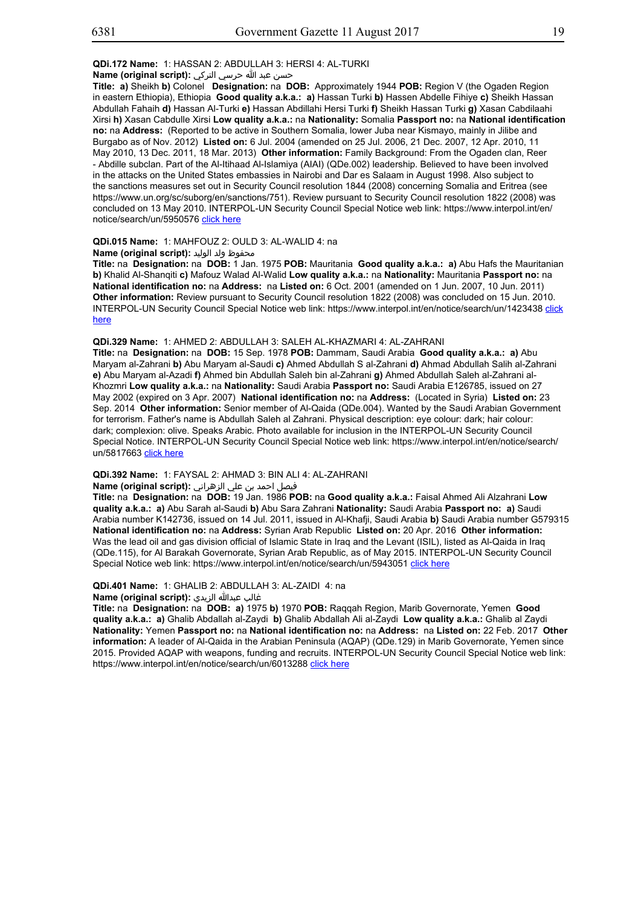## **QDi.172 Name:** 1: HASSAN 2: ABDULLAH 3: HERSI 4: AL-TURKI

حسن عبد الله حرسي التركي **:(script original (Name**

**Title: a)** Sheikh **b)** Colonel **Designation:** na **DOB:** Approximately 1944 **POB:** Region V (the Ogaden Region in eastern Ethiopia), Ethiopia **Good quality a.k.a.: a)** Hassan Turki **b)** Hassen Abdelle Fihiye **c)** Sheikh Hassan Abdullah Fahaih **d)** Hassan Al-Turki **e)** Hassan Abdillahi Hersi Turki **f)** Sheikh Hassan Turki **g)** Xasan Cabdilaahi Xirsi **h)** Xasan Cabdulle Xirsi **Low quality a.k.a.:** na **Nationality:** Somalia **Passport no:** na **National identification no:** na **Address:** (Reported to be active in Southern Somalia, lower Juba near Kismayo, mainly in Jilibe and Burgabo as of Nov. 2012) **Listed on:** 6 Jul. 2004 (amended on 25 Jul. 2006, 21 Dec. 2007, 12 Apr. 2010, 11 May 2010, 13 Dec. 2011, 18 Mar. 2013) **Other information:** Family Background: From the Ogaden clan, Reer - Abdille subclan. Part of the Al-Itihaad Al-Islamiya (AIAI) (QDe.002) leadership. Believed to have been involved in the attacks on the United States embassies in Nairobi and Dar es Salaam in August 1998. Also subject to the sanctions measures set out in Security Council resolution 1844 (2008) concerning Somalia and Eritrea (see https://www.un.org/sc/suborg/en/sanctions/751). Review pursuant to Security Council resolution 1822 (2008) was concluded on 13 May 2010. INTERPOL-UN Security Council Special Notice web link: https://www.interpol.int/en/ notice/search/un/5950576 click here

## **QDi.015 Name:** 1: MAHFOUZ 2: OULD 3: AL-WALID 4: na

محفوظ ولد الوليد :**Name (original script)** 

**Title:** na **Designation:** na **DOB:** 1 Jan. 1975 **POB:** Mauritania **Good quality a.k.a.: a)** Abu Hafs the Mauritanian **b)** Khalid Al-Shanqiti **c)** Mafouz Walad Al-Walid **Low quality a.k.a.:** na **Nationality:** Mauritania **Passport no:** na **National identification no:** na **Address:** na **Listed on:** 6 Oct. 2001 (amended on 1 Jun. 2007, 10 Jun. 2011) **Other information:** Review pursuant to Security Council resolution 1822 (2008) was concluded on 15 Jun. 2010. INTERPOL-UN Security Council Special Notice web link: https://www.interpol.int/en/notice/search/un/1423438 click here

## **QDi.329 Name:** 1: AHMED 2: ABDULLAH 3: SALEH AL-KHAZMARI 4: AL-ZAHRANI

**Title:** na **Designation:** na **DOB:** 15 Sep. 1978 **POB:** Dammam, Saudi Arabia **Good quality a.k.a.: a)** Abu Maryam al-Zahrani **b)** Abu Maryam al-Saudi **c)** Ahmed Abdullah S al-Zahrani **d)** Ahmad Abdullah Salih al-Zahrani **e)** Abu Maryam al-Azadi **f)** Ahmed bin Abdullah Saleh bin al-Zahrani **g)** Ahmed Abdullah Saleh al-Zahrani al-Khozmri **Low quality a.k.a.:** na **Nationality:** Saudi Arabia **Passport no:** Saudi Arabia E126785, issued on 27 May 2002 (expired on 3 Apr. 2007) **National identification no:** na **Address:** (Located in Syria) **Listed on:** 23 Sep. 2014 **Other information:** Senior member of Al-Qaida (QDe.004). Wanted by the Saudi Arabian Government for terrorism. Father's name is Abdullah Saleh al Zahrani. Physical description: eye colour: dark; hair colour: dark; complexion: olive. Speaks Arabic. Photo available for inclusion in the INTERPOL-UN Security Council Special Notice. INTERPOL-UN Security Council Special Notice web link: https://www.interpol.int/en/notice/search/ un/5817663 click here

# **QDi.392 Name:** 1: FAYSAL 2: AHMAD 3: BIN ALI 4: AL-ZAHRANI

#### فيصل احمد بن علي الزهراني **:(script original (Name**

**Title:** na **Designation:** na **DOB:** 19 Jan. 1986 **POB:** na **Good quality a.k.a.:** Faisal Ahmed Ali Alzahrani **Low quality a.k.a.: a)** Abu Sarah al-Saudi **b)** Abu Sara Zahrani **Nationality:** Saudi Arabia **Passport no: a)** Saudi Arabia number K142736, issued on 14 Jul. 2011, issued in Al-Khafji, Saudi Arabia **b)** Saudi Arabia number G579315 **National identification no:** na **Address:** Syrian Arab Republic **Listed on:** 20 Apr. 2016 **Other information:** Was the lead oil and gas division official of Islamic State in Iraq and the Levant (ISIL), listed as Al-Qaida in Iraq (QDe.115), for Al Barakah Governorate, Syrian Arab Republic, as of May 2015. INTERPOL-UN Security Council Special Notice web link: https://www.interpol.int/en/notice/search/un/5943051 click here

# **QDi.401 Name:** 1: GHALIB 2: ABDULLAH 3: AL-ZAIDI 4: na

# غالب عبدالله الزيدي **:(script original (Name**

**Title:** na **Designation:** na **DOB: a)** 1975 **b)** 1970 **POB:** Raqqah Region, Marib Governorate, Yemen **Good quality a.k.a.: a)** Ghalib Abdallah al-Zaydi **b)** Ghalib Abdallah Ali al-Zaydi **Low quality a.k.a.:** Ghalib al Zaydi **Nationality:** Yemen **Passport no:** na **National identification no:** na **Address:** na **Listed on:** 22 Feb. 2017 **Other information:** A leader of Al-Qaida in the Arabian Peninsula (AQAP) (QDe.129) in Marib Governorate, Yemen since 2015. Provided AQAP with weapons, funding and recruits. INTERPOL-UN Security Council Special Notice web link: https://www.interpol.int/en/notice/search/un/6013288 click here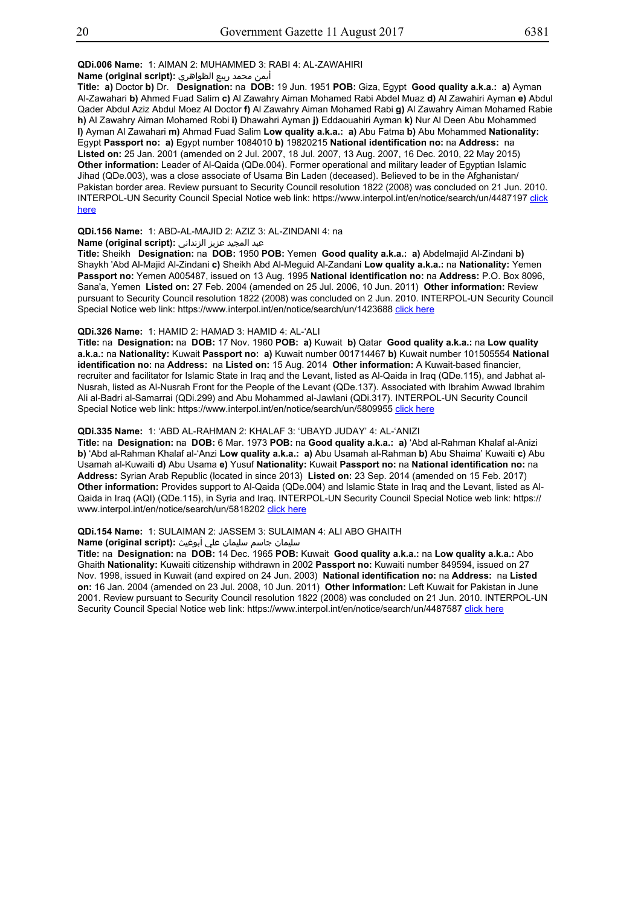## **QDi.006 Name:** 1: AIMAN 2: MUHAMMED 3: RABI 4: AL-ZAWAHIRI

أيمن محمد ربيع الظواهري **:(script original (Name**

**Title: a)** Doctor **b)** Dr. **Designation:** na **DOB:** 19 Jun. 1951 **POB:** Giza, Egypt **Good quality a.k.a.: a)** Ayman Al-Zawahari **b)** Ahmed Fuad Salim **c)** Al Zawahry Aiman Mohamed Rabi Abdel Muaz **d)** Al Zawahiri Ayman **e)** Abdul Qader Abdul Aziz Abdul Moez Al Doctor **f)** Al Zawahry Aiman Mohamed Rabi **g)** Al Zawahry Aiman Mohamed Rabie **h)** Al Zawahry Aiman Mohamed Robi **i)** Dhawahri Ayman **j)** Eddaouahiri Ayman **k)** Nur Al Deen Abu Mohammed **l)** Ayman Al Zawahari **m)** Ahmad Fuad Salim **Low quality a.k.a.: a)** Abu Fatma **b)** Abu Mohammed **Nationality:** Egypt **Passport no: a)** Egypt number 1084010 **b)** 19820215 **National identification no:** na **Address:** na **Listed on:** 25 Jan. 2001 (amended on 2 Jul. 2007, 18 Jul. 2007, 13 Aug. 2007, 16 Dec. 2010, 22 May 2015) **Other information:** Leader of Al-Qaida (QDe.004). Former operational and military leader of Egyptian Islamic Jihad (QDe.003), was a close associate of Usama Bin Laden (deceased). Believed to be in the Afghanistan/ Pakistan border area. Review pursuant to Security Council resolution 1822 (2008) was concluded on 21 Jun. 2010. INTERPOL-UN Security Council Special Notice web link: https://www.interpol.int/en/notice/search/un/4487197 click here

## **QDi.156 Name:** 1: ABD-AL-MAJID 2: AZIZ 3: AL-ZINDANI 4: na

عبد المجيد عزيز الزنداني **:(script original (Name**

**Title:** Sheikh **Designation:** na **DOB:** 1950 **POB:** Yemen **Good quality a.k.a.: a)** Abdelmajid Al-Zindani **b)** Shaykh 'Abd Al-Majid Al-Zindani **c)** Sheikh Abd Al-Meguid Al-Zandani **Low quality a.k.a.:** na **Nationality:** Yemen **Passport no:** Yemen A005487, issued on 13 Aug. 1995 **National identification no:** na **Address:** P.O. Box 8096, Sana'a, Yemen **Listed on:** 27 Feb. 2004 (amended on 25 Jul. 2006, 10 Jun. 2011) **Other information:** Review pursuant to Security Council resolution 1822 (2008) was concluded on 2 Jun. 2010. INTERPOL-UN Security Council Special Notice web link: https://www.interpol.int/en/notice/search/un/1423688 click here

## **QDi.326 Name:** 1: HAMID 2: HAMAD 3: HAMID 4: AL-'ALI

**Title:** na **Designation:** na **DOB:** 17 Nov. 1960 **POB: a)** Kuwait **b)** Qatar **Good quality a.k.a.:** na **Low quality a.k.a.:** na **Nationality:** Kuwait **Passport no: a)** Kuwait number 001714467 **b)** Kuwait number 101505554 **National identification no:** na **Address:** na **Listed on:** 15 Aug. 2014 **Other information:** A Kuwait-based financier, recruiter and facilitator for Islamic State in Iraq and the Levant, listed as Al-Qaida in Iraq (QDe.115), and Jabhat al-Nusrah, listed as Al-Nusrah Front for the People of the Levant (QDe.137). Associated with Ibrahim Awwad Ibrahim Ali al-Badri al-Samarrai (QDi.299) and Abu Mohammed al-Jawlani (QDi.317). INTERPOL-UN Security Council Special Notice web link: https://www.interpol.int/en/notice/search/un/5809955 click here

## **QDi.335 Name:** 1: 'ABD AL-RAHMAN 2: KHALAF 3: 'UBAYD JUDAY' 4: AL-'ANIZI

**Title:** na **Designation:** na **DOB:** 6 Mar. 1973 **POB:** na **Good quality a.k.a.: a)** 'Abd al-Rahman Khalaf al-Anizi **b)** 'Abd al-Rahman Khalaf al-'Anzi **Low quality a.k.a.: a)** Abu Usamah al-Rahman **b)** Abu Shaima' Kuwaiti **c)** Abu Usamah al-Kuwaiti **d)** Abu Usama **e)** Yusuf **Nationality:** Kuwait **Passport no:** na **National identification no:** na **Address:** Syrian Arab Republic (located in since 2013) **Listed on:** 23 Sep. 2014 (amended on 15 Feb. 2017) **Other information:** Provides support to Al-Qaida (QDe.004) and Islamic State in Iraq and the Levant, listed as Al-Qaida in Iraq (AQI) (QDe.115), in Syria and Iraq. INTERPOL-UN Security Council Special Notice web link: https:// www.interpol.int/en/notice/search/un/5818202 click here

## **QDi.154 Name:** 1: SULAIMAN 2: JASSEM 3: SULAIMAN 4: ALI ABO GHAITH

سليمان جاسم سليمان علي أبوغيث **:(script original (Name**

**Title:** na **Designation:** na **DOB:** 14 Dec. 1965 **POB:** Kuwait **Good quality a.k.a.:** na **Low quality a.k.a.:** Abo Ghaith **Nationality:** Kuwaiti citizenship withdrawn in 2002 **Passport no:** Kuwaiti number 849594, issued on 27 Nov. 1998, issued in Kuwait (and expired on 24 Jun. 2003) **National identification no:** na **Address:** na **Listed on:** 16 Jan. 2004 (amended on 23 Jul. 2008, 10 Jun. 2011) **Other information:** Left Kuwait for Pakistan in June 2001. Review pursuant to Security Council resolution 1822 (2008) was concluded on 21 Jun. 2010. INTERPOL-UN Security Council Special Notice web link: https://www.interpol.int/en/notice/search/un/4487587 click here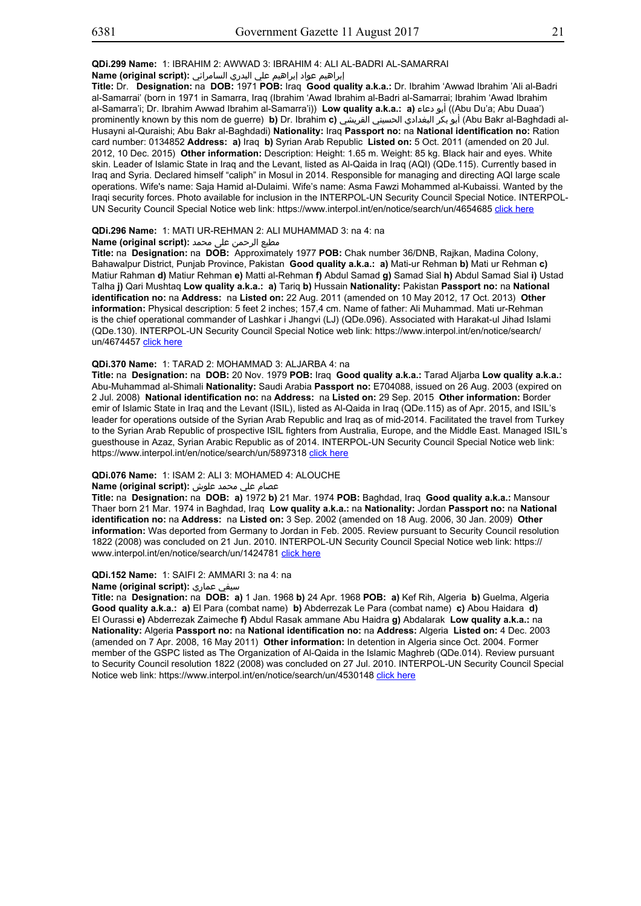**QDi.299 Name:** 1: IBRAHIM 2: AWWAD 3: IBRAHIM 4: ALI AL-BADRI AL-SAMARRAI

إبراهيم عواد إبراهيم علي البدري السامرائي **:(script original (Name**

**Title:** Dr. **Designation:** na **DOB:** 1971 **POB:** Iraq **Good quality a.k.a.:** Dr. Ibrahim 'Awwad Ibrahim 'Ali al-Badri al-Samarrai' (born in 1971 in Samarra, Iraq (Ibrahim 'Awad Ibrahim al-Badri al-Samarrai; Ibrahim 'Awad Ibrahim al-Samarra'i; Dr. Ibrahim Awwad Ibrahim al-Samarra'i)) **Low quality a.k.a.: a)** دعاء أبو)) Abu Du'a; Abu Duaa') prominently known by this nom de guerre) **b)** Dr. Ibrahim **c)** القريشي الحسيني البغدادي بكر أبو) Abu Bakr al-Baghdadi al-Husayni al-Quraishi; Abu Bakr al-Baghdadi) **Nationality:** Iraq **Passport no:** na **National identification no:** Ration card number: 0134852 **Address: a)** Iraq **b)** Syrian Arab Republic **Listed on:** 5 Oct. 2011 (amended on 20 Jul. 2012, 10 Dec. 2015) **Other information:** Description: Height: 1.65 m. Weight: 85 kg. Black hair and eyes. White skin. Leader of Islamic State in Iraq and the Levant, listed as Al-Qaida in Iraq (AQI) (QDe.115). Currently based in Iraq and Syria. Declared himself "caliph" in Mosul in 2014. Responsible for managing and directing AQI large scale operations. Wife's name: Saja Hamid al-Dulaimi. Wife's name: Asma Fawzi Mohammed al-Kubaissi. Wanted by the Iraqi security forces. Photo available for inclusion in the INTERPOL-UN Security Council Special Notice. INTERPOL-UN Security Council Special Notice web link: https://www.interpol.int/en/notice/search/un/4654685 click here

## **QDi.296 Name:** 1: MATI UR-REHMAN 2: ALI MUHAMMAD 3: na 4: na

## مطیع الرحمن علی محمد **:(Name (original script**

**Title:** na **Designation:** na **DOB:** Approximately 1977 **POB:** Chak number 36/DNB, Rajkan, Madina Colony, Bahawalpur District, Punjab Province, Pakistan **Good quality a.k.a.: a)** Mati-ur Rehman **b)** Mati ur Rehman **c)** Matiur Rahman **d)** Matiur Rehman **e)** Matti al-Rehman **f)** Abdul Samad **g)** Samad Sial **h)** Abdul Samad Sial **i)** Ustad Talha **j)** Qari Mushtaq **Low quality a.k.a.: a)** Tariq **b)** Hussain **Nationality:** Pakistan **Passport no:** na **National identification no:** na **Address:** na **Listed on:** 22 Aug. 2011 (amended on 10 May 2012, 17 Oct. 2013) **Other information:** Physical description: 5 feet 2 inches; 157,4 cm. Name of father: Ali Muhammad. Mati ur-Rehman is the chief operational commander of Lashkar i Jhangvi (LJ) (QDe.096). Associated with Harakat-ul Jihad Islami (QDe.130). INTERPOL-UN Security Council Special Notice web link: https://www.interpol.int/en/notice/search/ un/4674457 click here

## **QDi.370 Name:** 1: TARAD 2: MOHAMMAD 3: ALJARBA 4: na

**Title:** na **Designation:** na **DOB:** 20 Nov. 1979 **POB:** Iraq **Good quality a.k.a.:** Tarad Aljarba **Low quality a.k.a.:** Abu-Muhammad al-Shimali **Nationality:** Saudi Arabia **Passport no:** E704088, issued on 26 Aug. 2003 (expired on 2 Jul. 2008) **National identification no:** na **Address:** na **Listed on:** 29 Sep. 2015 **Other information:** Border emir of Islamic State in Iraq and the Levant (ISIL), listed as Al-Qaida in Iraq (QDe.115) as of Apr. 2015, and ISIL's leader for operations outside of the Syrian Arab Republic and Iraq as of mid-2014. Facilitated the travel from Turkey to the Syrian Arab Republic of prospective ISIL fighters from Australia, Europe, and the Middle East. Managed ISIL's guesthouse in Azaz, Syrian Arabic Republic as of 2014. INTERPOL-UN Security Council Special Notice web link: https://www.interpol.int/en/notice/search/un/5897318 click here

## **QDi.076 Name:** 1: ISAM 2: ALI 3: MOHAMED 4: ALOUCHE

## عصام علي محمد علوش **:(script original (Name**

**Title:** na **Designation:** na **DOB: a)** 1972 **b)** 21 Mar. 1974 **POB:** Baghdad, Iraq **Good quality a.k.a.:** Mansour Thaer born 21 Mar. 1974 in Baghdad, Iraq **Low quality a.k.a.:** na **Nationality:** Jordan **Passport no:** na **National identification no:** na **Address:** na **Listed on:** 3 Sep. 2002 (amended on 18 Aug. 2006, 30 Jan. 2009) **Other information:** Was deported from Germany to Jordan in Feb. 2005. Review pursuant to Security Council resolution 1822 (2008) was concluded on 21 Jun. 2010. INTERPOL-UN Security Council Special Notice web link: https:// www.interpol.int/en/notice/search/un/1424781 click here

#### **QDi.152 Name:** 1: SAIFI 2: AMMARI 3: na 4: na

# **Name (original script):** عماري سيفي

**Title:** na **Designation:** na **DOB: a)** 1 Jan. 1968 **b)** 24 Apr. 1968 **POB: a)** Kef Rih, Algeria **b)** Guelma, Algeria **Good quality a.k.a.: a)** El Para (combat name) **b)** Abderrezak Le Para (combat name) **c)** Abou Haidara **d)** El Ourassi **e)** Abderrezak Zaimeche **f)** Abdul Rasak ammane Abu Haidra **g)** Abdalarak **Low quality a.k.a.:** na **Nationality:** Algeria **Passport no:** na **National identification no:** na **Address:** Algeria **Listed on:** 4 Dec. 2003 (amended on 7 Apr. 2008, 16 May 2011) **Other information:** In detention in Algeria since Oct. 2004. Former member of the GSPC listed as The Organization of Al-Qaida in the Islamic Maghreb (QDe.014). Review pursuant to Security Council resolution 1822 (2008) was concluded on 27 Jul. 2010. INTERPOL-UN Security Council Special Notice web link: https://www.interpol.int/en/notice/search/un/4530148 click here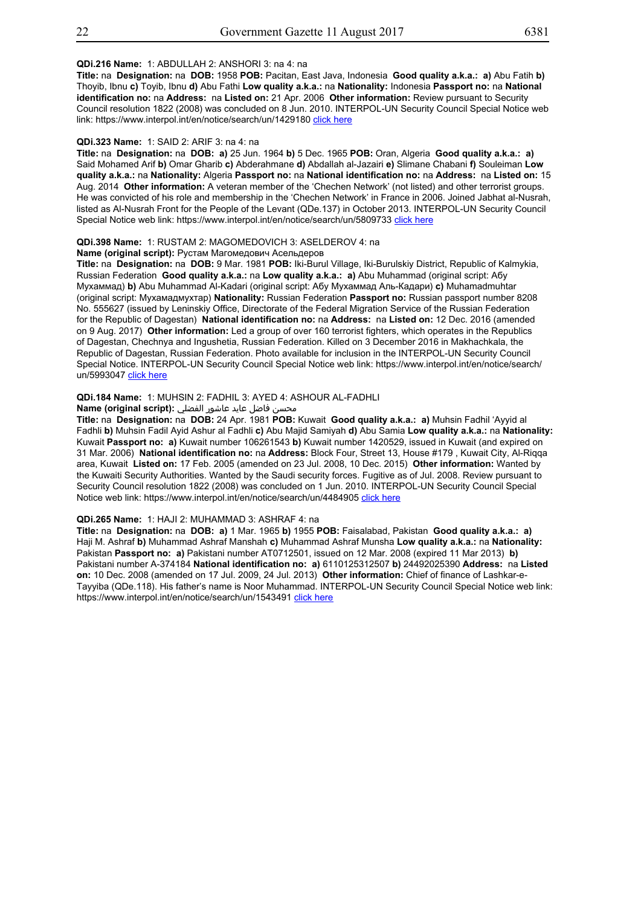## **QDi.216 Name:** 1: ABDULLAH 2: ANSHORI 3: na 4: na

**Title:** na **Designation:** na **DOB:** 1958 **POB:** Pacitan, East Java, Indonesia **Good quality a.k.a.: a)** Abu Fatih **b)** Thoyib, Ibnu **c)** Toyib, Ibnu **d)** Abu Fathi **Low quality a.k.a.:** na **Nationality:** Indonesia **Passport no:** na **National identification no:** na **Address:** na **Listed on:** 21 Apr. 2006 **Other information:** Review pursuant to Security Council resolution 1822 (2008) was concluded on 8 Jun. 2010. INTERPOL-UN Security Council Special Notice web link: https://www.interpol.int/en/notice/search/un/1429180 click here

#### **QDi.323 Name:** 1: SAID 2: ARIF 3: na 4: na

**Title:** na **Designation:** na **DOB: a)** 25 Jun. 1964 **b)** 5 Dec. 1965 **POB:** Oran, Algeria **Good quality a.k.a.: a)** Said Mohamed Arif **b)** Omar Gharib **c)** Abderahmane **d)** Abdallah al-Jazairi **e)** Slimane Chabani **f)** Souleiman **Low quality a.k.a.:** na **Nationality:** Algeria **Passport no:** na **National identification no:** na **Address:** na **Listed on:** 15 Aug. 2014 **Other information:** A veteran member of the 'Chechen Network' (not listed) and other terrorist groups. He was convicted of his role and membership in the 'Chechen Network' in France in 2006. Joined Jabhat al-Nusrah, listed as Al-Nusrah Front for the People of the Levant (QDe.137) in October 2013. INTERPOL-UN Security Council Special Notice web link: https://www.interpol.int/en/notice/search/un/5809733 click here

#### **QDi.398 Name:** 1: RUSTAM 2: MAGOMEDOVICH 3: ASELDEROV 4: na

**Name (original script):** Рустам Магомедович Асельдеров

**Title:** na **Designation:** na **DOB:** 9 Mar. 1981 **POB:** Iki-Burul Village, Iki-Burulskiy District, Republic of Kalmykia, Russian Federation **Good quality a.k.a.:** na **Low quality a.k.a.: a)** Abu Muhammad (original script: Абу Мухаммад) **b)** Abu Muhammad Al-Kadari (original script: Абу Мухаммад Аль-Кадари) **c)** Muhamadmuhtar (original script: Мухамадмухтар) **Nationality:** Russian Federation **Passport no:** Russian passport number 8208 No. 555627 (issued by Leninskiy Office, Directorate of the Federal Migration Service of the Russian Federation for the Republic of Dagestan) **National identification no:** na **Address:** na **Listed on:** 12 Dec. 2016 (amended on 9 Aug. 2017) **Other information:** Led a group of over 160 terrorist fighters, which operates in the Republics of Dagestan, Chechnya and Ingushetia, Russian Federation. Killed on 3 December 2016 in Makhachkala, the Republic of Dagestan, Russian Federation. Photo available for inclusion in the INTERPOL-UN Security Council Special Notice. INTERPOL-UN Security Council Special Notice web link: https://www.interpol.int/en/notice/search/ un/5993047 click here

## **QDi.184 Name:** 1: MUHSIN 2: FADHIL 3: AYED 4: ASHOUR AL-FADHLI

## محسن فاضل عايد عاشور الفضلي **:Name (original script)**

**Title:** na **Designation:** na **DOB:** 24 Apr. 1981 **POB:** Kuwait **Good quality a.k.a.: a)** Muhsin Fadhil 'Ayyid al Fadhli **b)** Muhsin Fadil Ayid Ashur al Fadhli **c)** Abu Majid Samiyah **d)** Abu Samia **Low quality a.k.a.:** na **Nationality:** Kuwait **Passport no: a)** Kuwait number 106261543 **b)** Kuwait number 1420529, issued in Kuwait (and expired on 31 Mar. 2006) **National identification no:** na **Address:** Block Four, Street 13, House #179 , Kuwait City, Al-Riqqa area, Kuwait **Listed on:** 17 Feb. 2005 (amended on 23 Jul. 2008, 10 Dec. 2015) **Other information:** Wanted by the Kuwaiti Security Authorities. Wanted by the Saudi security forces. Fugitive as of Jul. 2008. Review pursuant to Security Council resolution 1822 (2008) was concluded on 1 Jun. 2010. INTERPOL-UN Security Council Special Notice web link: https://www.interpol.int/en/notice/search/un/4484905 click here

#### **QDi.265 Name:** 1: HAJI 2: MUHAMMAD 3: ASHRAF 4: na

**Title:** na **Designation:** na **DOB: a)** 1 Mar. 1965 **b)** 1955 **POB:** Faisalabad, Pakistan **Good quality a.k.a.: a)** Haji M. Ashraf **b)** Muhammad Ashraf Manshah **c)** Muhammad Ashraf Munsha **Low quality a.k.a.:** na **Nationality:** Pakistan **Passport no: a)** Pakistani number AT0712501, issued on 12 Mar. 2008 (expired 11 Mar 2013) **b)** Pakistani number A-374184 **National identification no: a)** 6110125312507 **b)** 24492025390 **Address:** na **Listed on:** 10 Dec. 2008 (amended on 17 Jul. 2009, 24 Jul. 2013) **Other information:** Chief of finance of Lashkar-e-Tayyiba (QDe.118). His father's name is Noor Muhammad. INTERPOL-UN Security Council Special Notice web link: https://www.interpol.int/en/notice/search/un/1543491 click here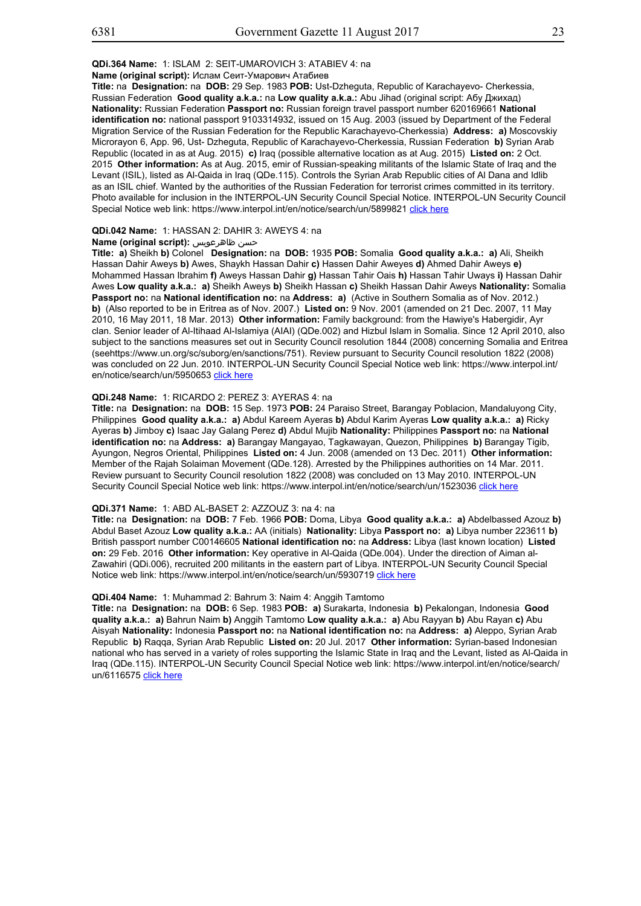## **Name (original script):** Ислам Сеит-Умарович Атабиев

**Title:** na **Designation:** na **DOB:** 29 Sep. 1983 **POB:** Ust-Dzheguta, Republic of Karachayevo- Cherkessia, Russian Federation **Good quality a.k.a.:** na **Low quality a.k.a.:** Abu Jihad (original script: Абу Джихад) **Nationality:** Russian Federation **Passport no:** Russian foreign travel passport number 620169661 **National identification no:** national passport 9103314932, issued on 15 Aug. 2003 (issued by Department of the Federal Migration Service of the Russian Federation for the Republic Karachayevo-Cherkessia) **Address: a)** Moscovskiy Microrayon 6, App. 96, Ust- Dzheguta, Republic of Karachayevo-Cherkessia, Russian Federation **b)** Syrian Arab Republic (located in as at Aug. 2015) **c)** Iraq (possible alternative location as at Aug. 2015) **Listed on:** 2 Oct. 2015 **Other information:** As at Aug. 2015, emir of Russian-speaking militants of the Islamic State of Iraq and the Levant (ISIL), listed as Al-Qaida in Iraq (QDe.115). Controls the Syrian Arab Republic cities of Al Dana and Idlib as an ISIL chief. Wanted by the authorities of the Russian Federation for terrorist crimes committed in its territory. Photo available for inclusion in the INTERPOL-UN Security Council Special Notice. INTERPOL-UN Security Council Special Notice web link: https://www.interpol.int/en/notice/search/un/5899821 click here

#### **QDi.042 Name:** 1: HASSAN 2: DAHIR 3: AWEYS 4: na

## **Name (original script):** ظاهرعويس حسن

**Title: a)** Sheikh **b)** Colonel **Designation:** na **DOB:** 1935 **POB:** Somalia **Good quality a.k.a.: a)** Ali, Sheikh Hassan Dahir Aweys **b)** Awes, Shaykh Hassan Dahir **c)** Hassen Dahir Aweyes **d)** Ahmed Dahir Aweys **e)** Mohammed Hassan Ibrahim **f)** Aweys Hassan Dahir **g)** Hassan Tahir Oais **h)** Hassan Tahir Uways **i)** Hassan Dahir Awes **Low quality a.k.a.: a)** Sheikh Aweys **b)** Sheikh Hassan **c)** Sheikh Hassan Dahir Aweys **Nationality:** Somalia **Passport no:** na **National identification no:** na **Address: a)** (Active in Southern Somalia as of Nov. 2012.) **b)** (Also reported to be in Eritrea as of Nov. 2007.) **Listed on:** 9 Nov. 2001 (amended on 21 Dec. 2007, 11 May 2010, 16 May 2011, 18 Mar. 2013) **Other information:** Family background: from the Hawiye's Habergidir, Ayr clan. Senior leader of Al-Itihaad Al-Islamiya (AIAI) (QDe.002) and Hizbul Islam in Somalia. Since 12 April 2010, also subject to the sanctions measures set out in Security Council resolution 1844 (2008) concerning Somalia and Eritrea (seehttps://www.un.org/sc/suborg/en/sanctions/751). Review pursuant to Security Council resolution 1822 (2008) was concluded on 22 Jun. 2010. INTERPOL-UN Security Council Special Notice web link: https://www.interpol.int/ en/notice/search/un/5950653 click here

#### **QDi.248 Name:** 1: RICARDO 2: PEREZ 3: AYERAS 4: na

**Title:** na **Designation:** na **DOB:** 15 Sep. 1973 **POB:** 24 Paraiso Street, Barangay Poblacion, Mandaluyong City, Philippines **Good quality a.k.a.: a)** Abdul Kareem Ayeras **b)** Abdul Karim Ayeras **Low quality a.k.a.: a)** Ricky Ayeras **b)** Jimboy **c)** Isaac Jay Galang Perez **d)** Abdul Mujib **Nationality:** Philippines **Passport no:** na **National identification no:** na **Address: a)** Barangay Mangayao, Tagkawayan, Quezon, Philippines **b)** Barangay Tigib, Ayungon, Negros Oriental, Philippines **Listed on:** 4 Jun. 2008 (amended on 13 Dec. 2011) **Other information:** Member of the Rajah Solaiman Movement (QDe.128). Arrested by the Philippines authorities on 14 Mar. 2011. Review pursuant to Security Council resolution 1822 (2008) was concluded on 13 May 2010. INTERPOL-UN Security Council Special Notice web link: https://www.interpol.int/en/notice/search/un/1523036 click here

## **QDi.371 Name:** 1: ABD AL-BASET 2: AZZOUZ 3: na 4: na

**Title:** na **Designation:** na **DOB:** 7 Feb. 1966 **POB:** Doma, Libya **Good quality a.k.a.: a)** Abdelbassed Azouz **b)** Abdul Baset Azouz **Low quality a.k.a.:** AA (initials) **Nationality:** Libya **Passport no: a)** Libya number 223611 **b)** British passport number C00146605 **National identification no:** na **Address:** Libya (last known location) **Listed on:** 29 Feb. 2016 **Other information:** Key operative in Al-Qaida (QDe.004). Under the direction of Aiman al-Zawahiri (QDi.006), recruited 200 militants in the eastern part of Libya. INTERPOL-UN Security Council Special Notice web link: https://www.interpol.int/en/notice/search/un/5930719 click here

#### **QDi.404 Name:** 1: Muhammad 2: Bahrum 3: Naim 4: Anggih Tamtomo

**Title:** na **Designation:** na **DOB:** 6 Sep. 1983 **POB: a)** Surakarta, Indonesia **b)** Pekalongan, Indonesia **Good quality a.k.a.: a)** Bahrun Naim **b)** Anggih Tamtomo **Low quality a.k.a.: a)** Abu Rayyan **b)** Abu Rayan **c)** Abu Aisyah **Nationality:** Indonesia **Passport no:** na **National identification no:** na **Address: a)** Aleppo, Syrian Arab Republic **b)** Raqqa, Syrian Arab Republic **Listed on:** 20 Jul. 2017 **Other information:** Syrian-based Indonesian national who has served in a variety of roles supporting the Islamic State in Iraq and the Levant, listed as Al-Qaida in Iraq (QDe.115). INTERPOL-UN Security Council Special Notice web link: https://www.interpol.int/en/notice/search/ un/6116575 click here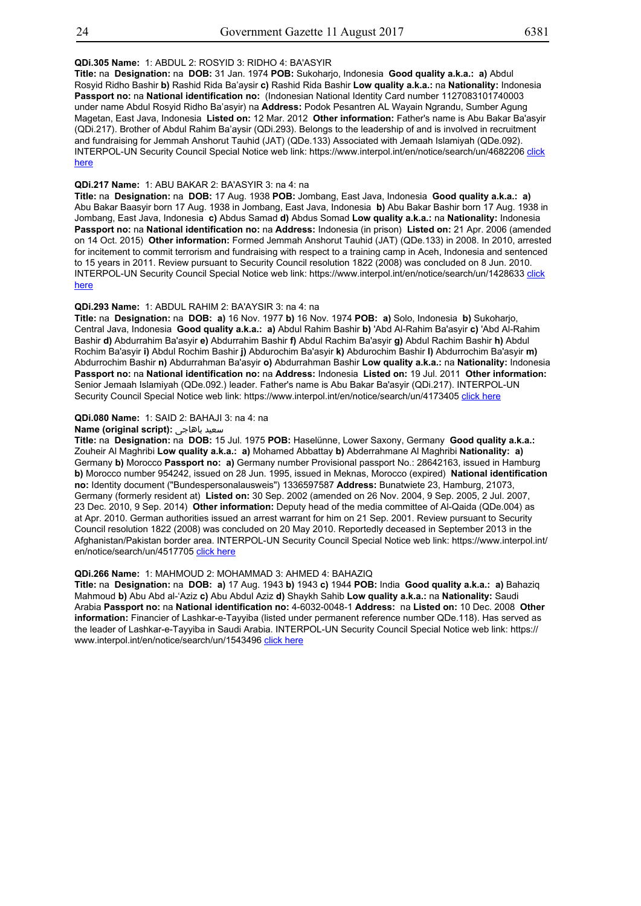## **QDi.305 Name:** 1: ABDUL 2: ROSYID 3: RIDHO 4: BA'ASYIR

**Title:** na **Designation:** na **DOB:** 31 Jan. 1974 **POB:** Sukoharjo, Indonesia **Good quality a.k.a.: a)** Abdul Rosyid Ridho Bashir **b)** Rashid Rida Ba'aysir **c)** Rashid Rida Bashir **Low quality a.k.a.:** na **Nationality:** Indonesia **Passport no:** na **National identification no:** (Indonesian National Identity Card number 1127083101740003 under name Abdul Rosyid Ridho Ba'asyir) na **Address:** Podok Pesantren AL Wayain Ngrandu, Sumber Agung Magetan, East Java, Indonesia **Listed on:** 12 Mar. 2012 **Other information:** Father's name is Abu Bakar Ba'asyir (QDi.217). Brother of Abdul Rahim Ba'aysir (QDi.293). Belongs to the leadership of and is involved in recruitment and fundraising for Jemmah Anshorut Tauhid (JAT) (QDe.133) Associated with Jemaah Islamiyah (QDe.092). INTERPOL-UN Security Council Special Notice web link: https://www.interpol.int/en/notice/search/un/4682206 click here

## **QDi.217 Name:** 1: ABU BAKAR 2: BA'ASYIR 3: na 4: na

**Title:** na **Designation:** na **DOB:** 17 Aug. 1938 **POB:** Jombang, East Java, Indonesia **Good quality a.k.a.: a)** Abu Bakar Baasyir born 17 Aug. 1938 in Jombang, East Java, Indonesia **b)** Abu Bakar Bashir born 17 Aug. 1938 in Jombang, East Java, Indonesia **c)** Abdus Samad **d)** Abdus Somad **Low quality a.k.a.:** na **Nationality:** Indonesia **Passport no:** na **National identification no:** na **Address:** Indonesia (in prison) **Listed on:** 21 Apr. 2006 (amended on 14 Oct. 2015) **Other information:** Formed Jemmah Anshorut Tauhid (JAT) (QDe.133) in 2008. In 2010, arrested for incitement to commit terrorism and fundraising with respect to a training camp in Aceh, Indonesia and sentenced to 15 years in 2011. Review pursuant to Security Council resolution 1822 (2008) was concluded on 8 Jun. 2010. INTERPOL-UN Security Council Special Notice web link: https://www.interpol.int/en/notice/search/un/1428633 click here

## **QDi.293 Name:** 1: ABDUL RAHIM 2: BA'AYSIR 3: na 4: na

**Title:** na **Designation:** na **DOB: a)** 16 Nov. 1977 **b)** 16 Nov. 1974 **POB: a)** Solo, Indonesia **b)** Sukoharjo, Central Java, Indonesia **Good quality a.k.a.: a)** Abdul Rahim Bashir **b)** 'Abd Al-Rahim Ba'asyir **c)** 'Abd Al-Rahim Bashir **d)** Abdurrahim Ba'asyir **e)** Abdurrahim Bashir **f)** Abdul Rachim Ba'asyir **g)** Abdul Rachim Bashir **h)** Abdul Rochim Ba'asyir **i)** Abdul Rochim Bashir **j)** Abdurochim Ba'asyir **k)** Abdurochim Bashir **l)** Abdurrochim Ba'asyir **m)** Abdurrochim Bashir **n)** Abdurrahman Ba'asyir **o)** Abdurrahman Bashir **Low quality a.k.a.:** na **Nationality:** Indonesia **Passport no:** na **National identification no:** na **Address:** Indonesia **Listed on:** 19 Jul. 2011 **Other information:** Senior Jemaah Islamiyah (QDe.092.) leader. Father's name is Abu Bakar Ba'asyir (QDi.217). INTERPOL-UN Security Council Special Notice web link: https://www.interpol.int/en/notice/search/un/4173405 click here

#### **QDi.080 Name:** 1: SAID 2: BAHAJI 3: na 4: na

## **Name (original script):** باهاجى سعيد

**Title:** na **Designation:** na **DOB:** 15 Jul. 1975 **POB:** Haselünne, Lower Saxony, Germany **Good quality a.k.a.:** Zouheir Al Maghribi **Low quality a.k.a.: a)** Mohamed Abbattay **b)** Abderrahmane Al Maghribi **Nationality: a)** Germany **b)** Morocco **Passport no: a)** Germany number Provisional passport No.: 28642163, issued in Hamburg **b)** Morocco number 954242, issued on 28 Jun. 1995, issued in Meknas, Morocco (expired) **National identification no:** Identity document ("Bundespersonalausweis") 1336597587 **Address:** Bunatwiete 23, Hamburg, 21073, Germany (formerly resident at) **Listed on:** 30 Sep. 2002 (amended on 26 Nov. 2004, 9 Sep. 2005, 2 Jul. 2007, 23 Dec. 2010, 9 Sep. 2014) **Other information:** Deputy head of the media committee of Al-Qaida (QDe.004) as at Apr. 2010. German authorities issued an arrest warrant for him on 21 Sep. 2001. Review pursuant to Security Council resolution 1822 (2008) was concluded on 20 May 2010. Reportedly deceased in September 2013 in the Afghanistan/Pakistan border area. INTERPOL-UN Security Council Special Notice web link: https://www.interpol.int/ en/notice/search/un/4517705 click here

## **QDi.266 Name:** 1: MAHMOUD 2: MOHAMMAD 3: AHMED 4: BAHAZIQ

**Title:** na **Designation:** na **DOB: a)** 17 Aug. 1943 **b)** 1943 **c)** 1944 **POB:** India **Good quality a.k.a.: a)** Bahaziq Mahmoud **b)** Abu Abd al-'Aziz **c)** Abu Abdul Aziz **d)** Shaykh Sahib **Low quality a.k.a.:** na **Nationality:** Saudi Arabia **Passport no:** na **National identification no:** 4-6032-0048-1 **Address:** na **Listed on:** 10 Dec. 2008 **Other information:** Financier of Lashkar-e-Tayyiba (listed under permanent reference number QDe.118). Has served as the leader of Lashkar-e-Tayyiba in Saudi Arabia. INTERPOL-UN Security Council Special Notice web link: https:// www.interpol.int/en/notice/search/un/1543496 click here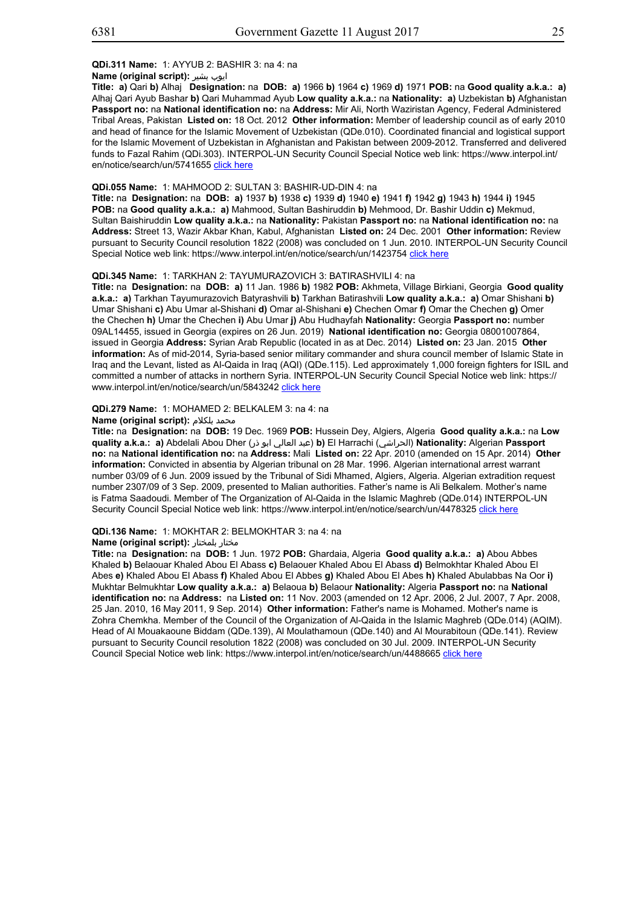## **QDi.311 Name:** 1: AYYUB 2: BASHIR 3: na 4: na

## **Name (original script):** بشیر ایوب

**Title: a)** Qari **b)** Alhaj **Designation:** na **DOB: a)** 1966 **b)** 1964 **c)** 1969 **d)** 1971 **POB:** na **Good quality a.k.a.: a)** Alhaj Qari Ayub Bashar **b)** Qari Muhammad Ayub **Low quality a.k.a.:** na **Nationality: a)** Uzbekistan **b)** Afghanistan **Passport no:** na **National identification no:** na **Address:** Mir Ali, North Waziristan Agency, Federal Administered Tribal Areas, Pakistan **Listed on:** 18 Oct. 2012 **Other information:** Member of leadership council as of early 2010 and head of finance for the Islamic Movement of Uzbekistan (QDe.010). Coordinated financial and logistical support for the Islamic Movement of Uzbekistan in Afghanistan and Pakistan between 2009-2012. Transferred and delivered funds to Fazal Rahim (QDi.303). INTERPOL-UN Security Council Special Notice web link: https://www.interpol.int/ en/notice/search/un/5741655 click here

## **QDi.055 Name:** 1: MAHMOOD 2: SULTAN 3: BASHIR-UD-DIN 4: na

**Title:** na **Designation:** na **DOB: a)** 1937 **b)** 1938 **c)** 1939 **d)** 1940 **e)** 1941 **f)** 1942 **g)** 1943 **h)** 1944 **i)** 1945 **POB:** na **Good quality a.k.a.: a)** Mahmood, Sultan Bashiruddin **b)** Mehmood, Dr. Bashir Uddin **c)** Mekmud, Sultan Baishiruddin **Low quality a.k.a.:** na **Nationality:** Pakistan **Passport no:** na **National identification no:** na **Address:** Street 13, Wazir Akbar Khan, Kabul, Afghanistan **Listed on:** 24 Dec. 2001 **Other information:** Review pursuant to Security Council resolution 1822 (2008) was concluded on 1 Jun. 2010. INTERPOL-UN Security Council Special Notice web link: https://www.interpol.int/en/notice/search/un/1423754 click here

## **QDi.345 Name:** 1: TARKHAN 2: TAYUMURAZOVICH 3: BATIRASHVILI 4: na

**Title:** na **Designation:** na **DOB: a)** 11 Jan. 1986 **b)** 1982 **POB:** Akhmeta, Village Birkiani, Georgia **Good quality a.k.a.: a)** Tarkhan Tayumurazovich Batyrashvili **b)** Tarkhan Batirashvili **Low quality a.k.a.: a)** Omar Shishani **b)** Umar Shishani **c)** Abu Umar al-Shishani **d)** Omar al-Shishani **e)** Chechen Omar **f)** Omar the Chechen **g)** Omer the Chechen **h)** Umar the Chechen **i)** Abu Umar **j)** Abu Hudhayfah **Nationality:** Georgia **Passport no:** number 09AL14455, issued in Georgia (expires on 26 Jun. 2019) **National identification no:** Georgia 08001007864, issued in Georgia **Address:** Syrian Arab Republic (located in as at Dec. 2014) **Listed on:** 23 Jan. 2015 **Other information:** As of mid-2014, Syria-based senior military commander and shura council member of Islamic State in Iraq and the Levant, listed as Al-Qaida in Iraq (AQI) (QDe.115). Led approximately 1,000 foreign fighters for ISIL and committed a number of attacks in northern Syria. INTERPOL-UN Security Council Special Notice web link: https:// www.interpol.int/en/notice/search/un/5843242 click here

#### **QDi.279 Name:** 1: MOHAMED 2: BELKALEM 3: na 4: na

#### **Name (original script):** بلكلام محمد

**Title:** na **Designation:** na **DOB:** 19 Dec. 1969 **POB:** Hussein Dey, Algiers, Algeria **Good quality a.k.a.:** na **Low quality a.k.a.: a)** Abdelali Abou Dher (ذر ابو العالي عبد(**b)** El Harrachi (الحراشي(**Nationality:** Algerian **Passport no:** na **National identification no:** na **Address:** Mali **Listed on:** 22 Apr. 2010 (amended on 15 Apr. 2014) **Other information:** Convicted in absentia by Algerian tribunal on 28 Mar. 1996. Algerian international arrest warrant number 03/09 of 6 Jun. 2009 issued by the Tribunal of Sidi Mhamed, Algiers, Algeria. Algerian extradition request number 2307/09 of 3 Sep. 2009, presented to Malian authorities. Father's name is Ali Belkalem. Mother's name is Fatma Saadoudi. Member of The Organization of Al-Qaida in the Islamic Maghreb (QDe.014) INTERPOL-UN Security Council Special Notice web link: https://www.interpol.int/en/notice/search/un/4478325 click here

#### **QDi.136 Name:** 1: MOKHTAR 2: BELMOKHTAR 3: na 4: na

#### **Name (original script):** بلمختار مختار

**Title:** na **Designation:** na **DOB:** 1 Jun. 1972 **POB:** Ghardaia, Algeria **Good quality a.k.a.: a)** Abou Abbes Khaled **b)** Belaouar Khaled Abou El Abass **c)** Belaouer Khaled Abou El Abass **d)** Belmokhtar Khaled Abou El Abes **e)** Khaled Abou El Abass **f)** Khaled Abou El Abbes **g)** Khaled Abou El Abes **h)** Khaled Abulabbas Na Oor **i)** Mukhtar Belmukhtar **Low quality a.k.a.: a)** Belaoua **b)** Belaour **Nationality:** Algeria **Passport no:** na **National identification no:** na **Address:** na **Listed on:** 11 Nov. 2003 (amended on 12 Apr. 2006, 2 Jul. 2007, 7 Apr. 2008, 25 Jan. 2010, 16 May 2011, 9 Sep. 2014) **Other information:** Father's name is Mohamed. Mother's name is Zohra Chemkha. Member of the Council of the Organization of Al-Qaida in the Islamic Maghreb (QDe.014) (AQIM). Head of Al Mouakaoune Biddam (QDe.139), Al Moulathamoun (QDe.140) and Al Mourabitoun (QDe.141). Review pursuant to Security Council resolution 1822 (2008) was concluded on 30 Jul. 2009. INTERPOL-UN Security Council Special Notice web link: https://www.interpol.int/en/notice/search/un/4488665 click here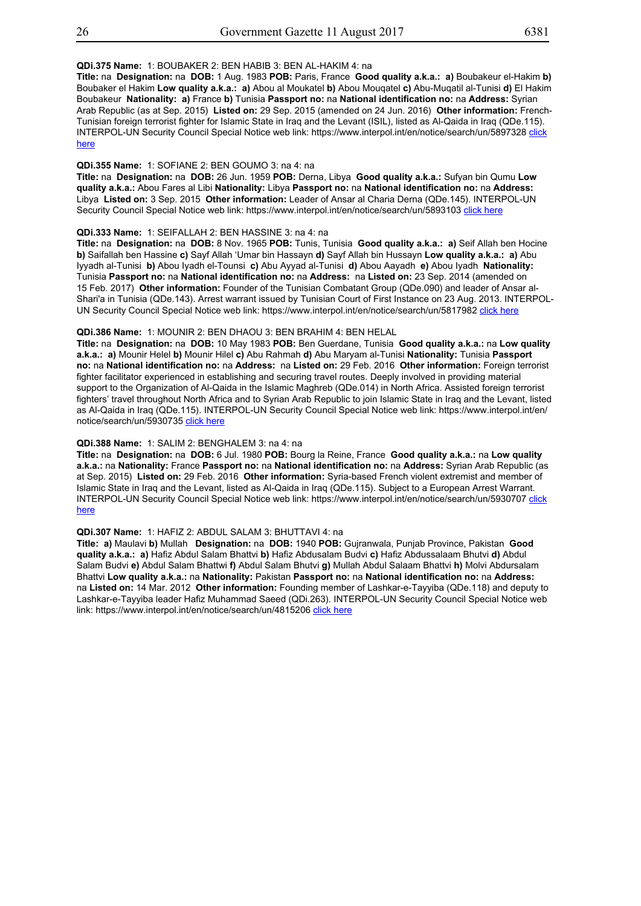## **QDi.375 Name:** 1: BOUBAKER 2: BEN HABIB 3: BEN AL-HAKIM 4: na

**Title:** na **Designation:** na **DOB:** 1 Aug. 1983 **POB:** Paris, France **Good quality a.k.a.: a)** Boubakeur el-Hakim **b)** Boubaker el Hakim **Low quality a.k.a.: a)** Abou al Moukatel **b)** Abou Mouqatel **c)** Abu-Muqatil al-Tunisi **d)** El Hakim Boubakeur **Nationality: a)** France **b)** Tunisia **Passport no:** na **National identification no:** na **Address:** Syrian Arab Republic (as at Sep. 2015) **Listed on:** 29 Sep. 2015 (amended on 24 Jun. 2016) **Other information:** French-Tunisian foreign terrorist fighter for Islamic State in Iraq and the Levant (ISIL), listed as Al-Qaida in Iraq (QDe.115). INTERPOL-UN Security Council Special Notice web link: https://www.interpol.int/en/notice/search/un/5897328 click here

## **QDi.355 Name:** 1: SOFIANE 2: BEN GOUMO 3: na 4: na

**Title:** na **Designation:** na **DOB:** 26 Jun. 1959 **POB:** Derna, Libya **Good quality a.k.a.:** Sufyan bin Qumu **Low quality a.k.a.:** Abou Fares al Libi **Nationality:** Libya **Passport no:** na **National identification no:** na **Address:** Libya **Listed on:** 3 Sep. 2015 **Other information:** Leader of Ansar al Charia Derna (QDe.145). INTERPOL-UN Security Council Special Notice web link: https://www.interpol.int/en/notice/search/un/5893103 click here

## **QDi.333 Name:** 1: SEIFALLAH 2: BEN HASSINE 3: na 4: na

**Title:** na **Designation:** na **DOB:** 8 Nov. 1965 **POB:** Tunis, Tunisia **Good quality a.k.a.: a)** Seif Allah ben Hocine **b)** Saifallah ben Hassine **c)** Sayf Allah 'Umar bin Hassayn **d)** Sayf Allah bin Hussayn **Low quality a.k.a.: a)** Abu Iyyadh al-Tunisi **b)** Abou Iyadh el-Tounsi **c)** Abu Ayyad al-Tunisi **d)** Abou Aayadh **e)** Abou Iyadh **Nationality:** Tunisia **Passport no:** na **National identification no:** na **Address:** na **Listed on:** 23 Sep. 2014 (amended on 15 Feb. 2017) **Other information:** Founder of the Tunisian Combatant Group (QDe.090) and leader of Ansar al-Shari'a in Tunisia (QDe.143). Arrest warrant issued by Tunisian Court of First Instance on 23 Aug. 2013. INTERPOL-UN Security Council Special Notice web link: https://www.interpol.int/en/notice/search/un/5817982 click here

## **QDi.386 Name:** 1: MOUNIR 2: BEN DHAOU 3: BEN BRAHIM 4: BEN HELAL

**Title:** na **Designation:** na **DOB:** 10 May 1983 **POB:** Ben Guerdane, Tunisia **Good quality a.k.a.:** na **Low quality a.k.a.: a)** Mounir Helel **b)** Mounir Hilel **c)** Abu Rahmah **d)** Abu Maryam al-Tunisi **Nationality:** Tunisia **Passport no:** na **National identification no:** na **Address:** na **Listed on:** 29 Feb. 2016 **Other information:** Foreign terrorist fighter facilitator experienced in establishing and securing travel routes. Deeply involved in providing material support to the Organization of Al-Qaida in the Islamic Maghreb (QDe.014) in North Africa. Assisted foreign terrorist fighters' travel throughout North Africa and to Syrian Arab Republic to join Islamic State in Iraq and the Levant, listed as Al-Qaida in Iraq (QDe.115). INTERPOL-UN Security Council Special Notice web link: https://www.interpol.int/en/ notice/search/un/5930735 click here

## **QDi.388 Name:** 1: SALIM 2: BENGHALEM 3: na 4: na

**Title:** na **Designation:** na **DOB:** 6 Jul. 1980 **POB:** Bourg la Reine, France **Good quality a.k.a.:** na **Low quality a.k.a.:** na **Nationality:** France **Passport no:** na **National identification no:** na **Address:** Syrian Arab Republic (as at Sep. 2015) **Listed on:** 29 Feb. 2016 **Other information:** Syria-based French violent extremist and member of Islamic State in Iraq and the Levant, listed as Al-Qaida in Iraq (QDe.115). Subject to a European Arrest Warrant. INTERPOL-UN Security Council Special Notice web link: https://www.interpol.int/en/notice/search/un/5930707 click here

## **QDi.307 Name:** 1: HAFIZ 2: ABDUL SALAM 3: BHUTTAVI 4: na

**Title: a)** Maulavi **b)** Mullah **Designation:** na **DOB:** 1940 **POB:** Gujranwala, Punjab Province, Pakistan **Good quality a.k.a.: a)** Hafiz Abdul Salam Bhattvi **b)** Hafiz Abdusalam Budvi **c)** Hafiz Abdussalaam Bhutvi **d)** Abdul Salam Budvi **e)** Abdul Salam Bhattwi **f)** Abdul Salam Bhutvi **g)** Mullah Abdul Salaam Bhattvi **h)** Molvi Abdursalam Bhattvi **Low quality a.k.a.:** na **Nationality:** Pakistan **Passport no:** na **National identification no:** na **Address:**  na **Listed on:** 14 Mar. 2012 **Other information:** Founding member of Lashkar-e-Tayyiba (QDe.118) and deputy to Lashkar-e-Tayyiba leader Hafiz Muhammad Saeed (QDi.263). INTERPOL-UN Security Council Special Notice web link: https://www.interpol.int/en/notice/search/un/4815206 click here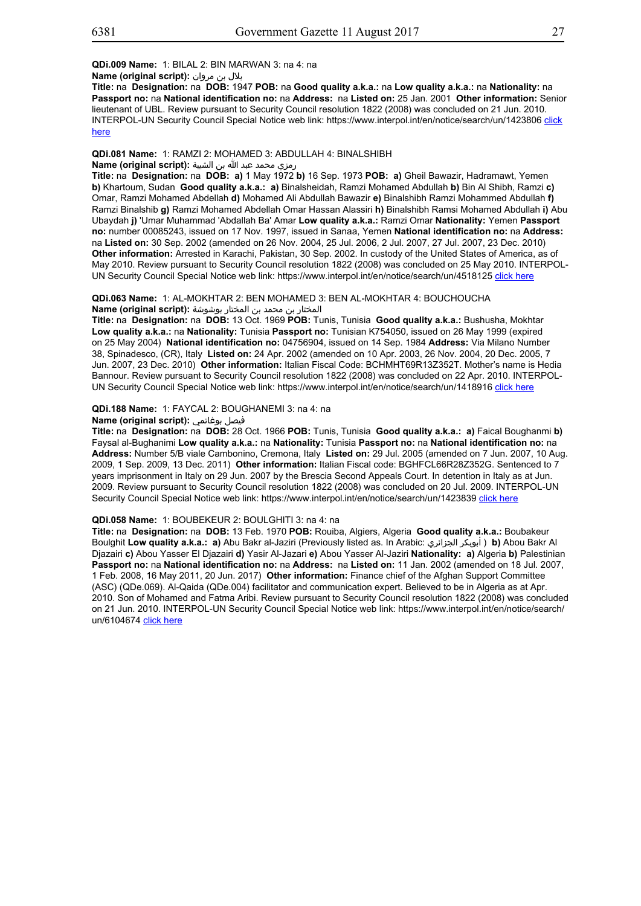بلال بن مروان **:(script original (Name**

**Title:** na **Designation:** na **DOB:** 1947 **POB:** na **Good quality a.k.a.:** na **Low quality a.k.a.:** na **Nationality:** na **Passport no:** na **National identification no:** na **Address:** na **Listed on:** 25 Jan. 2001 **Other information:** Senior lieutenant of UBL. Review pursuant to Security Council resolution 1822 (2008) was concluded on 21 Jun. 2010. INTERPOL-UN Security Council Special Notice web link: https://www.interpol.int/en/notice/search/un/1423806 click here

## **QDi.081 Name:** 1: RAMZI 2: MOHAMED 3: ABDULLAH 4: BINALSHIBH

## رمزي محمد عبد الله بن الشيبة **:(script original (Name**

**Title:** na **Designation:** na **DOB: a)** 1 May 1972 **b)** 16 Sep. 1973 **POB: a)** Gheil Bawazir, Hadramawt, Yemen **b)** Khartoum, Sudan **Good quality a.k.a.: a)** Binalsheidah, Ramzi Mohamed Abdullah **b)** Bin Al Shibh, Ramzi **c)** Omar, Ramzi Mohamed Abdellah **d)** Mohamed Ali Abdullah Bawazir **e)** Binalshibh Ramzi Mohammed Abdullah **f)** Ramzi Binalshib **g)** Ramzi Mohamed Abdellah Omar Hassan Alassiri **h)** Binalshibh Ramsi Mohamed Abdullah **i)** Abu Ubaydah **j)** 'Umar Muhammad 'Abdallah Ba' Amar **Low quality a.k.a.:** Ramzi Omar **Nationality:** Yemen **Passport no:** number 00085243, issued on 17 Nov. 1997, issued in Sanaa, Yemen **National identification no:** na **Address:**  na **Listed on:** 30 Sep. 2002 (amended on 26 Nov. 2004, 25 Jul. 2006, 2 Jul. 2007, 27 Jul. 2007, 23 Dec. 2010) **Other information:** Arrested in Karachi, Pakistan, 30 Sep. 2002. In custody of the United States of America, as of May 2010. Review pursuant to Security Council resolution 1822 (2008) was concluded on 25 May 2010. INTERPOL-UN Security Council Special Notice web link: https://www.interpol.int/en/notice/search/un/4518125 click here

**QDi.063 Name:** 1: AL-MOKHTAR 2: BEN MOHAMED 3: BEN AL-MOKHTAR 4: BOUCHOUCHA المختار بن محمد بن المختار بوشوشة **:(script original (Name**

**Title:** na **Designation:** na **DOB:** 13 Oct. 1969 **POB:** Tunis, Tunisia **Good quality a.k.a.:** Bushusha, Mokhtar **Low quality a.k.a.:** na **Nationality:** Tunisia **Passport no:** Tunisian K754050, issued on 26 May 1999 (expired on 25 May 2004) **National identification no:** 04756904, issued on 14 Sep. 1984 **Address:** Via Milano Number 38, Spinadesco, (CR), Italy **Listed on:** 24 Apr. 2002 (amended on 10 Apr. 2003, 26 Nov. 2004, 20 Dec. 2005, 7 Jun. 2007, 23 Dec. 2010) **Other information:** Italian Fiscal Code: BCHMHT69R13Z352T. Mother's name is Hedia Bannour. Review pursuant to Security Council resolution 1822 (2008) was concluded on 22 Apr. 2010. INTERPOL-UN Security Council Special Notice web link: https://www.interpol.int/en/notice/search/un/1418916 click here

## **QDi.188 Name:** 1: FAYCAL 2: BOUGHANEMI 3: na 4: na

## **Name (original script):** بوغانمي فيصل

**Title:** na **Designation:** na **DOB:** 28 Oct. 1966 **POB:** Tunis, Tunisia **Good quality a.k.a.: a)** Faical Boughanmi **b)** Faysal al-Bughanimi **Low quality a.k.a.:** na **Nationality:** Tunisia **Passport no:** na **National identification no:** na **Address:** Number 5/B viale Cambonino, Cremona, Italy **Listed on:** 29 Jul. 2005 (amended on 7 Jun. 2007, 10 Aug. 2009, 1 Sep. 2009, 13 Dec. 2011) **Other information:** Italian Fiscal code: BGHFCL66R28Z352G. Sentenced to 7 years imprisonment in Italy on 29 Jun. 2007 by the Brescia Second Appeals Court. In detention in Italy as at Jun. 2009. Review pursuant to Security Council resolution 1822 (2008) was concluded on 20 Jul. 2009. INTERPOL-UN Security Council Special Notice web link: https://www.interpol.int/en/notice/search/un/1423839 click here

## **QDi.058 Name:** 1: BOUBEKEUR 2: BOULGHITI 3: na 4: na

**Title:** na **Designation:** na **DOB:** 13 Feb. 1970 **POB:** Rouiba, Algiers, Algeria **Good quality a.k.a.:** Boubakeur Boulghit **Low quality a.k.a.: a)** Abu Bakr al-Jaziri (Previously listed as. In Arabic: الجزائري أبوبكر ( **b)** Abou Bakr Al Djazairi **c)** Abou Yasser El Djazairi **d)** Yasir Al-Jazari **e)** Abou Yasser Al-Jaziri **Nationality: a)** Algeria **b)** Palestinian **Passport no:** na **National identification no:** na **Address:** na **Listed on:** 11 Jan. 2002 (amended on 18 Jul. 2007, 1 Feb. 2008, 16 May 2011, 20 Jun. 2017) **Other information:** Finance chief of the Afghan Support Committee (ASC) (QDe.069). Al-Qaida (QDe.004) facilitator and communication expert. Believed to be in Algeria as at Apr. 2010. Son of Mohamed and Fatma Aribi. Review pursuant to Security Council resolution 1822 (2008) was concluded on 21 Jun. 2010. INTERPOL-UN Security Council Special Notice web link: https://www.interpol.int/en/notice/search/ un/6104674 click here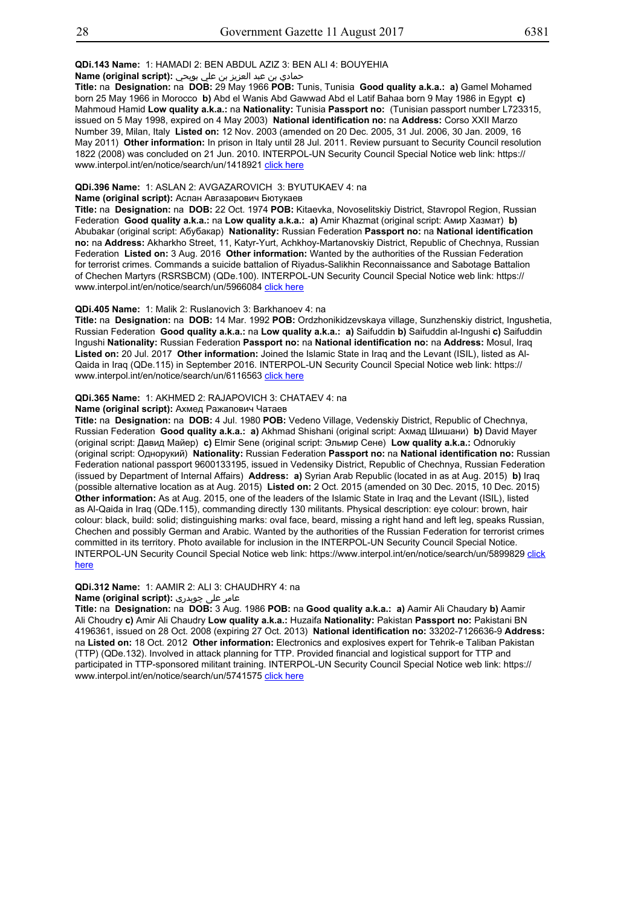#### **QDi.143 Name:** 1: HAMADI 2: BEN ABDUL AZIZ 3: BEN ALI 4: BOUYEHIA

## حمادي بن عبد العزيز بن علي بويحي **:(script original (Name**

**Title:** na **Designation:** na **DOB:** 29 May 1966 **POB:** Tunis, Tunisia **Good quality a.k.a.: a)** Gamel Mohamed born 25 May 1966 in Morocco **b)** Abd el Wanis Abd Gawwad Abd el Latif Bahaa born 9 May 1986 in Egypt **c)** Mahmoud Hamid **Low quality a.k.a.:** na **Nationality:** Tunisia **Passport no:** (Tunisian passport number L723315, issued on 5 May 1998, expired on 4 May 2003) **National identification no:** na **Address:** Corso XXII Marzo Number 39, Milan, Italy **Listed on:** 12 Nov. 2003 (amended on 20 Dec. 2005, 31 Jul. 2006, 30 Jan. 2009, 16 May 2011) **Other information:** In prison in Italy until 28 Jul. 2011. Review pursuant to Security Council resolution 1822 (2008) was concluded on 21 Jun. 2010. INTERPOL-UN Security Council Special Notice web link: https:// www.interpol.int/en/notice/search/un/1418921 click here

## **QDi.396 Name:** 1: ASLAN 2: AVGAZAROVICH 3: BYUTUKAEV 4: na

#### **Name (original script):** Аслан Авгазарович Бютукаев

**Title:** na **Designation:** na **DOB:** 22 Oct. 1974 **POB:** Kitaevka, Novoselitskiy District, Stavropol Region, Russian Federation **Good quality a.k.a.:** na **Low quality a.k.a.: a)** Amir Khazmat (original script: Амир Хазмат) **b)** Abubakar (original script: Абубакар) **Nationality:** Russian Federation **Passport no:** na **National identification no:** na **Address:** Akharkho Street, 11, Katyr-Yurt, Achkhoy-Martanovskiy District, Republic of Chechnya, Russian Federation **Listed on:** 3 Aug. 2016 **Other information:** Wanted by the authorities of the Russian Federation for terrorist crimes. Commands a suicide battalion of Riyadus-Salikhin Reconnaissance and Sabotage Battalion of Chechen Martyrs (RSRSBCM) (QDe.100). INTERPOL-UN Security Council Special Notice web link: https:// www.interpol.int/en/notice/search/un/5966084 click here

#### **QDi.405 Name:** 1: Malik 2: Ruslanovich 3: Barkhanoev 4: na

**Title:** na **Designation:** na **DOB:** 14 Mar. 1992 **POB:** Ordzhonikidzevskaya village, Sunzhenskiy district, Ingushetia, Russian Federation **Good quality a.k.a.:** na **Low quality a.k.a.: a)** Saifuddin **b)** Saifuddin al-Ingushi **c)** Saifuddin Ingushi **Nationality:** Russian Federation **Passport no:** na **National identification no:** na **Address:** Mosul, Iraq **Listed on:** 20 Jul. 2017 **Other information:** Joined the Islamic State in Iraq and the Levant (ISIL), listed as Al-Qaida in Iraq (QDe.115) in September 2016. INTERPOL-UN Security Council Special Notice web link: https:// www.interpol.int/en/notice/search/un/6116563 click here

## **QDi.365 Name:** 1: AKHMED 2: RAJAPOVICH 3: CHATAEV 4: na

## **Name (original script):** Ахмед Ражапович Чатаев

**Title:** na **Designation:** na **DOB:** 4 Jul. 1980 **POB:** Vedeno Village, Vedenskiy District, Republic of Chechnya, Russian Federation **Good quality a.k.a.: a)** Akhmad Shishani (original script: Ахмад Шишани) **b)** David Mayer (original script: Давид Майер) **c)** Elmir Sene (original script: Эльмир Сене) **Low quality a.k.a.:** Odnorukiy (original script: Однорукий) **Nationality:** Russian Federation **Passport no:** na **National identification no:** Russian Federation national passport 9600133195, issued in Vedensiky District, Republic of Chechnya, Russian Federation (issued by Department of Internal Affairs) **Address: a)** Syrian Arab Republic (located in as at Aug. 2015) **b)** Iraq (possible alternative location as at Aug. 2015) **Listed on:** 2 Oct. 2015 (amended on 30 Dec. 2015, 10 Dec. 2015) **Other information:** As at Aug. 2015, one of the leaders of the Islamic State in Iraq and the Levant (ISIL), listed as Al-Qaida in Iraq (QDe.115), commanding directly 130 militants. Physical description: eye colour: brown, hair colour: black, build: solid; distinguishing marks: oval face, beard, missing a right hand and left leg, speaks Russian, Chechen and possibly German and Arabic. Wanted by the authorities of the Russian Federation for terrorist crimes committed in its territory. Photo available for inclusion in the INTERPOL-UN Security Council Special Notice. INTERPOL-UN Security Council Special Notice web link: https://www.interpol.int/en/notice/search/un/5899829 click here

## **QDi.312 Name:** 1: AAMIR 2: ALI 3: CHAUDHRY 4: na

## عامر علی چوہدری **:(script original (Name**

**Title:** na **Designation:** na **DOB:** 3 Aug. 1986 **POB:** na **Good quality a.k.a.: a)** Aamir Ali Chaudary **b)** Aamir Ali Choudry **c)** Amir Ali Chaudry **Low quality a.k.a.:** Huzaifa **Nationality:** Pakistan **Passport no:** Pakistani BN 4196361, issued on 28 Oct. 2008 (expiring 27 Oct. 2013) **National identification no:** 33202-7126636-9 **Address:**  na **Listed on:** 18 Oct. 2012 **Other information:** Electronics and explosives expert for Tehrik-e Taliban Pakistan (TTP) (QDe.132). Involved in attack planning for TTP. Provided financial and logistical support for TTP and participated in TTP-sponsored militant training. INTERPOL-UN Security Council Special Notice web link: https:// www.interpol.int/en/notice/search/un/5741575 click here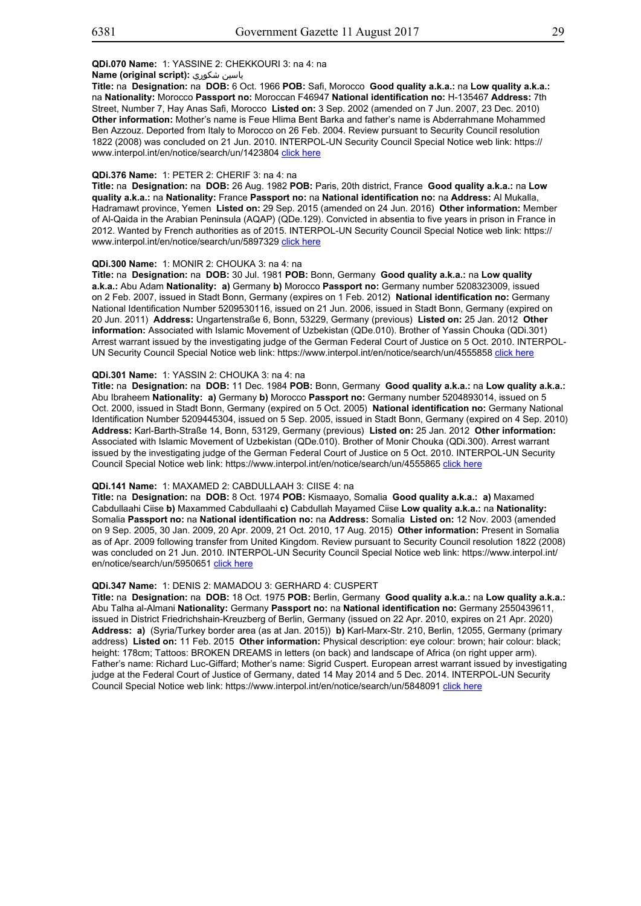## **Name (original script):** شكوري ياسين

**Title:** na **Designation:** na **DOB:** 6 Oct. 1966 **POB:** Safi, Morocco **Good quality a.k.a.:** na **Low quality a.k.a.:** na **Nationality:** Morocco **Passport no:** Moroccan F46947 **National identification no:** H-135467 **Address:** 7th Street, Number 7, Hay Anas Safi, Morocco **Listed on:** 3 Sep. 2002 (amended on 7 Jun. 2007, 23 Dec. 2010) **Other information:** Mother's name is Feue Hlima Bent Barka and father's name is Abderrahmane Mohammed Ben Azzouz. Deported from Italy to Morocco on 26 Feb. 2004. Review pursuant to Security Council resolution 1822 (2008) was concluded on 21 Jun. 2010. INTERPOL-UN Security Council Special Notice web link: https:// www.interpol.int/en/notice/search/un/1423804 click here

#### **QDi.376 Name:** 1: PETER 2: CHERIF 3: na 4: na

**Title:** na **Designation:** na **DOB:** 26 Aug. 1982 **POB:** Paris, 20th district, France **Good quality a.k.a.:** na **Low quality a.k.a.:** na **Nationality:** France **Passport no:** na **National identification no:** na **Address:** Al Mukalla, Hadramawt province, Yemen **Listed on:** 29 Sep. 2015 (amended on 24 Jun. 2016) **Other information:** Member of Al-Qaida in the Arabian Peninsula (AQAP) (QDe.129). Convicted in absentia to five years in prison in France in 2012. Wanted by French authorities as of 2015. INTERPOL-UN Security Council Special Notice web link: https:// www.interpol.int/en/notice/search/un/5897329 click here

## **QDi.300 Name:** 1: MONIR 2: CHOUKA 3: na 4: na

**Title:** na **Designation:** na **DOB:** 30 Jul. 1981 **POB:** Bonn, Germany **Good quality a.k.a.:** na **Low quality a.k.a.:** Abu Adam **Nationality: a)** Germany **b)** Morocco **Passport no:** Germany number 5208323009, issued on 2 Feb. 2007, issued in Stadt Bonn, Germany (expires on 1 Feb. 2012) **National identification no:** Germany National Identification Number 5209530116, issued on 21 Jun. 2006, issued in Stadt Bonn, Germany (expired on 20 Jun. 2011) **Address:** Ungartenstraße 6, Bonn, 53229, Germany (previous) **Listed on:** 25 Jan. 2012 **Other information:** Associated with Islamic Movement of Uzbekistan (QDe.010). Brother of Yassin Chouka (QDi.301) Arrest warrant issued by the investigating judge of the German Federal Court of Justice on 5 Oct. 2010. INTERPOL-UN Security Council Special Notice web link: https://www.interpol.int/en/notice/search/un/4555858 click here

## **QDi.301 Name:** 1: YASSIN 2: CHOUKA 3: na 4: na

**Title:** na **Designation:** na **DOB:** 11 Dec. 1984 **POB:** Bonn, Germany **Good quality a.k.a.:** na **Low quality a.k.a.:** Abu Ibraheem **Nationality: a)** Germany **b)** Morocco **Passport no:** Germany number 5204893014, issued on 5 Oct. 2000, issued in Stadt Bonn, Germany (expired on 5 Oct. 2005) **National identification no:** Germany National Identification Number 5209445304, issued on 5 Sep. 2005, issued in Stadt Bonn, Germany (expired on 4 Sep. 2010) **Address:** Karl-Barth-Straße 14, Bonn, 53129, Germany (previous) **Listed on:** 25 Jan. 2012 **Other information:** Associated with Islamic Movement of Uzbekistan (QDe.010). Brother of Monir Chouka (QDi.300). Arrest warrant issued by the investigating judge of the German Federal Court of Justice on 5 Oct. 2010. INTERPOL-UN Security Council Special Notice web link: https://www.interpol.int/en/notice/search/un/4555865 click here

## **QDi.141 Name:** 1: MAXAMED 2: CABDULLAAH 3: CIISE 4: na

**Title:** na **Designation:** na **DOB:** 8 Oct. 1974 **POB:** Kismaayo, Somalia **Good quality a.k.a.: a)** Maxamed Cabdullaahi Ciise **b)** Maxammed Cabdullaahi **c)** Cabdullah Mayamed Ciise **Low quality a.k.a.:** na **Nationality:** Somalia **Passport no:** na **National identification no:** na **Address:** Somalia **Listed on:** 12 Nov. 2003 (amended on 9 Sep. 2005, 30 Jan. 2009, 20 Apr. 2009, 21 Oct. 2010, 17 Aug. 2015) **Other information:** Present in Somalia as of Apr. 2009 following transfer from United Kingdom. Review pursuant to Security Council resolution 1822 (2008) was concluded on 21 Jun. 2010. INTERPOL-UN Security Council Special Notice web link: https://www.interpol.int/ en/notice/search/un/5950651 click here

## **QDi.347 Name:** 1: DENIS 2: MAMADOU 3: GERHARD 4: CUSPERT

**Title:** na **Designation:** na **DOB:** 18 Oct. 1975 **POB:** Berlin, Germany **Good quality a.k.a.:** na **Low quality a.k.a.:** Abu Talha al-Almani **Nationality:** Germany **Passport no:** na **National identification no:** Germany 2550439611, issued in District Friedrichshain-Kreuzberg of Berlin, Germany (issued on 22 Apr. 2010, expires on 21 Apr. 2020) **Address: a)** (Syria/Turkey border area (as at Jan. 2015)) **b)** Karl-Marx-Str. 210, Berlin, 12055, Germany (primary address) **Listed on:** 11 Feb. 2015 **Other information:** Physical description: eye colour: brown; hair colour: black; height: 178cm; Tattoos: BROKEN DREAMS in letters (on back) and landscape of Africa (on right upper arm). Father's name: Richard Luc-Giffard; Mother's name: Sigrid Cuspert. European arrest warrant issued by investigating judge at the Federal Court of Justice of Germany, dated 14 May 2014 and 5 Dec. 2014. INTERPOL-UN Security Council Special Notice web link: https://www.interpol.int/en/notice/search/un/5848091 click here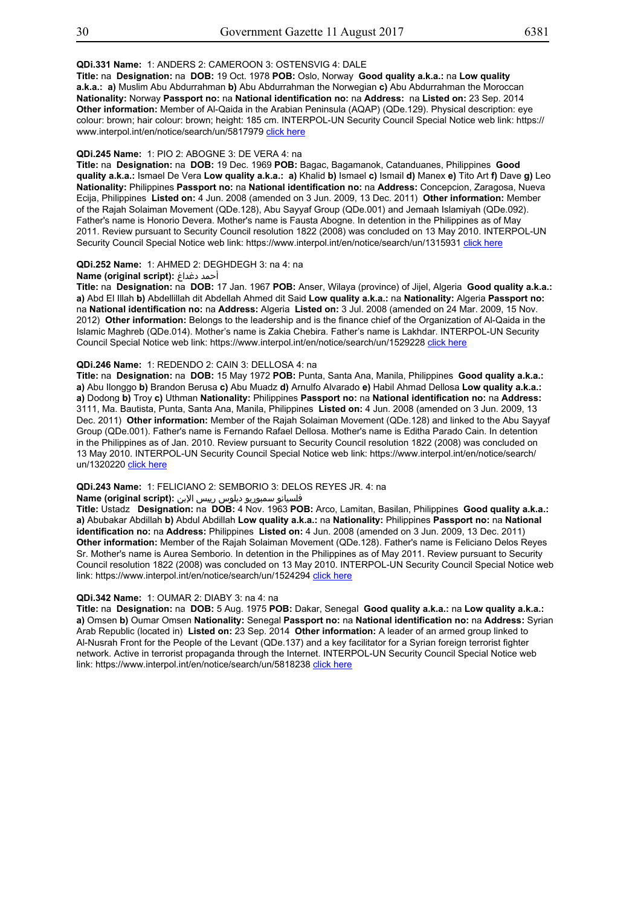## **QDi.331 Name:** 1: ANDERS 2: CAMEROON 3: OSTENSVIG 4: DALE

**Title:** na **Designation:** na **DOB:** 19 Oct. 1978 **POB:** Oslo, Norway **Good quality a.k.a.:** na **Low quality a.k.a.: a)** Muslim Abu Abdurrahman **b)** Abu Abdurrahman the Norwegian **c)** Abu Abdurrahman the Moroccan **Nationality:** Norway **Passport no:** na **National identification no:** na **Address:** na **Listed on:** 23 Sep. 2014 **Other information:** Member of Al-Qaida in the Arabian Peninsula (AQAP) (QDe.129). Physical description: eye colour: brown; hair colour: brown; height: 185 cm. INTERPOL-UN Security Council Special Notice web link: https:// www.interpol.int/en/notice/search/un/5817979 click here

#### **QDi.245 Name:** 1: PIO 2: ABOGNE 3: DE VERA 4: na

**Title:** na **Designation:** na **DOB:** 19 Dec. 1969 **POB:** Bagac, Bagamanok, Catanduanes, Philippines **Good quality a.k.a.:** Ismael De Vera **Low quality a.k.a.: a)** Khalid **b)** Ismael **c)** Ismail **d)** Manex **e)** Tito Art **f)** Dave **g)** Leo **Nationality:** Philippines **Passport no:** na **National identification no:** na **Address:** Concepcion, Zaragosa, Nueva Ecija, Philippines **Listed on:** 4 Jun. 2008 (amended on 3 Jun. 2009, 13 Dec. 2011) **Other information:** Member of the Rajah Solaiman Movement (QDe.128), Abu Sayyaf Group (QDe.001) and Jemaah Islamiyah (QDe.092). Father's name is Honorio Devera. Mother's name is Fausta Abogne. In detention in the Philippines as of May 2011. Review pursuant to Security Council resolution 1822 (2008) was concluded on 13 May 2010. INTERPOL-UN Security Council Special Notice web link: https://www.interpol.int/en/notice/search/un/1315931 click here

#### **QDi.252 Name:** 1: AHMED 2: DEGHDEGH 3: na 4: na

# **Name (original script):** دغداغ أحمد

**Title:** na **Designation:** na **DOB:** 17 Jan. 1967 **POB:** Anser, Wilaya (province) of Jijel, Algeria **Good quality a.k.a.: a)** Abd El Illah **b)** Abdellillah dit Abdellah Ahmed dit Said **Low quality a.k.a.:** na **Nationality:** Algeria **Passport no:** na **National identification no:** na **Address:** Algeria **Listed on:** 3 Jul. 2008 (amended on 24 Mar. 2009, 15 Nov. 2012) **Other information:** Belongs to the leadership and is the finance chief of the Organization of Al-Qaida in the Islamic Maghreb (QDe.014). Mother's name is Zakia Chebira. Father's name is Lakhdar. INTERPOL-UN Security Council Special Notice web link: https://www.interpol.int/en/notice/search/un/1529228 click here

#### **QDi.246 Name:** 1: REDENDO 2: CAIN 3: DELLOSA 4: na

**Title:** na **Designation:** na **DOB:** 15 May 1972 **POB:** Punta, Santa Ana, Manila, Philippines **Good quality a.k.a.: a)** Abu Ilonggo **b)** Brandon Berusa **c)** Abu Muadz **d)** Arnulfo Alvarado **e)** Habil Ahmad Dellosa **Low quality a.k.a.: a)** Dodong **b)** Troy **c)** Uthman **Nationality:** Philippines **Passport no:** na **National identification no:** na **Address:** 3111, Ma. Bautista, Punta, Santa Ana, Manila, Philippines **Listed on:** 4 Jun. 2008 (amended on 3 Jun. 2009, 13 Dec. 2011) **Other information:** Member of the Rajah Solaiman Movement (QDe.128) and linked to the Abu Sayyaf Group (QDe.001). Father's name is Fernando Rafael Dellosa. Mother's name is Editha Parado Cain. In detention in the Philippines as of Jan. 2010. Review pursuant to Security Council resolution 1822 (2008) was concluded on 13 May 2010. INTERPOL-UN Security Council Special Notice web link: https://www.interpol.int/en/notice/search/ un/1320220 click here

## **QDi.243 Name:** 1: FELICIANO 2: SEMBORIO 3: DELOS REYES JR. 4: na

## فلسيانو سمبوريو ديلوس رييس الإبن **:(script original (Name**

**Title:** Ustadz **Designation:** na **DOB:** 4 Nov. 1963 **POB:** Arco, Lamitan, Basilan, Philippines **Good quality a.k.a.: a)** Abubakar Abdillah **b)** Abdul Abdillah **Low quality a.k.a.:** na **Nationality:** Philippines **Passport no:** na **National identification no:** na **Address:** Philippines **Listed on:** 4 Jun. 2008 (amended on 3 Jun. 2009, 13 Dec. 2011) **Other information:** Member of the Rajah Solaiman Movement (QDe.128). Father's name is Feliciano Delos Reyes Sr. Mother's name is Aurea Semborio. In detention in the Philippines as of May 2011. Review pursuant to Security Council resolution 1822 (2008) was concluded on 13 May 2010. INTERPOL-UN Security Council Special Notice web link: https://www.interpol.int/en/notice/search/un/1524294 click here

#### **QDi.342 Name:** 1: OUMAR 2: DIABY 3: na 4: na

**Title:** na **Designation:** na **DOB:** 5 Aug. 1975 **POB:** Dakar, Senegal **Good quality a.k.a.:** na **Low quality a.k.a.: a)** Omsen **b)** Oumar Omsen **Nationality:** Senegal **Passport no:** na **National identification no:** na **Address:** Syrian Arab Republic (located in) **Listed on:** 23 Sep. 2014 **Other information:** A leader of an armed group linked to Al-Nusrah Front for the People of the Levant (QDe.137) and a key facilitator for a Syrian foreign terrorist fighter network. Active in terrorist propaganda through the Internet. INTERPOL-UN Security Council Special Notice web link: https://www.interpol.int/en/notice/search/un/5818238 click here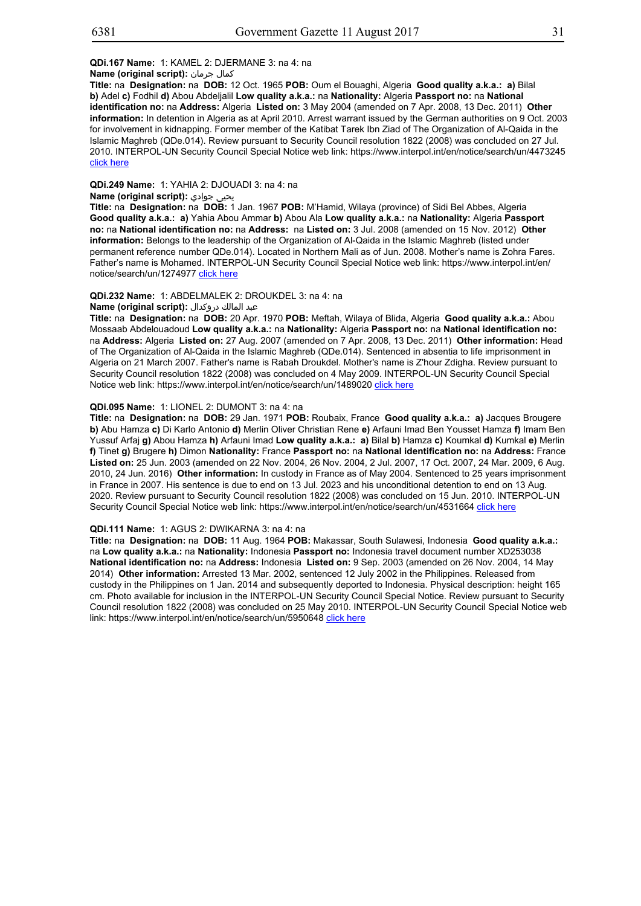## **QDi.167 Name:** 1: KAMEL 2: DJERMANE 3: na 4: na

**Name (original script):** جرمان كمال

**Title:** na **Designation:** na **DOB:** 12 Oct. 1965 **POB:** Oum el Bouaghi, Algeria **Good quality a.k.a.: a)** Bilal **b)** Adel **c)** Fodhil **d)** Abou Abdeljalil **Low quality a.k.a.:** na **Nationality:** Algeria **Passport no:** na **National identification no:** na **Address:** Algeria **Listed on:** 3 May 2004 (amended on 7 Apr. 2008, 13 Dec. 2011) **Other information:** In detention in Algeria as at April 2010. Arrest warrant issued by the German authorities on 9 Oct. 2003 for involvement in kidnapping. Former member of the Katibat Tarek Ibn Ziad of The Organization of Al-Qaida in the Islamic Maghreb (QDe.014). Review pursuant to Security Council resolution 1822 (2008) was concluded on 27 Jul. 2010. INTERPOL-UN Security Council Special Notice web link: https://www.interpol.int/en/notice/search/un/4473245 click here

## **QDi.249 Name:** 1: YAHIA 2: DJOUADI 3: na 4: na

## **Name (original script):** جوادي يحيى

**Title:** na **Designation:** na **DOB:** 1 Jan. 1967 **POB:** M'Hamid, Wilaya (province) of Sidi Bel Abbes, Algeria **Good quality a.k.a.: a)** Yahia Abou Ammar **b)** Abou Ala **Low quality a.k.a.:** na **Nationality:** Algeria **Passport no:** na **National identification no:** na **Address:** na **Listed on:** 3 Jul. 2008 (amended on 15 Nov. 2012) **Other information:** Belongs to the leadership of the Organization of Al-Qaida in the Islamic Maghreb (listed under permanent reference number QDe.014). Located in Northern Mali as of Jun. 2008. Mother's name is Zohra Fares. Father's name is Mohamed. INTERPOL-UN Security Council Special Notice web link: https://www.interpol.int/en/ notice/search/un/1274977 click here

## **QDi.232 Name:** 1: ABDELMALEK 2: DROUKDEL 3: na 4: na

#### عبد المالك دروكدال **:(script original (Name**

**Title:** na **Designation:** na **DOB:** 20 Apr. 1970 **POB:** Meftah, Wilaya of Blida, Algeria **Good quality a.k.a.:** Abou Mossaab Abdelouadoud **Low quality a.k.a.:** na **Nationality:** Algeria **Passport no:** na **National identification no:** na **Address:** Algeria **Listed on:** 27 Aug. 2007 (amended on 7 Apr. 2008, 13 Dec. 2011) **Other information:** Head of The Organization of Al-Qaida in the Islamic Maghreb (QDe.014). Sentenced in absentia to life imprisonment in Algeria on 21 March 2007. Father's name is Rabah Droukdel. Mother's name is Z'hour Zdigha. Review pursuant to Security Council resolution 1822 (2008) was concluded on 4 May 2009. INTERPOL-UN Security Council Special Notice web link: https://www.interpol.int/en/notice/search/un/1489020 click here

#### **QDi.095 Name:** 1: LIONEL 2: DUMONT 3: na 4: na

**Title:** na **Designation:** na **DOB:** 29 Jan. 1971 **POB:** Roubaix, France **Good quality a.k.a.: a)** Jacques Brougere **b)** Abu Hamza **c)** Di Karlo Antonio **d)** Merlin Oliver Christian Rene **e)** Arfauni Imad Ben Yousset Hamza **f)** Imam Ben Yussuf Arfaj **g)** Abou Hamza **h)** Arfauni Imad **Low quality a.k.a.: a)** Bilal **b)** Hamza **c)** Koumkal **d)** Kumkal **e)** Merlin **f)** Tinet **g)** Brugere **h)** Dimon **Nationality:** France **Passport no:** na **National identification no:** na **Address:** France **Listed on:** 25 Jun. 2003 (amended on 22 Nov. 2004, 26 Nov. 2004, 2 Jul. 2007, 17 Oct. 2007, 24 Mar. 2009, 6 Aug. 2010, 24 Jun. 2016) **Other information:** In custody in France as of May 2004. Sentenced to 25 years imprisonment in France in 2007. His sentence is due to end on 13 Jul. 2023 and his unconditional detention to end on 13 Aug. 2020. Review pursuant to Security Council resolution 1822 (2008) was concluded on 15 Jun. 2010. INTERPOL-UN Security Council Special Notice web link: https://www.interpol.int/en/notice/search/un/4531664 click here

## **QDi.111 Name:** 1: AGUS 2: DWIKARNA 3: na 4: na

**Title:** na **Designation:** na **DOB:** 11 Aug. 1964 **POB:** Makassar, South Sulawesi, Indonesia **Good quality a.k.a.:** na **Low quality a.k.a.:** na **Nationality:** Indonesia **Passport no:** Indonesia travel document number XD253038 **National identification no:** na **Address:** Indonesia **Listed on:** 9 Sep. 2003 (amended on 26 Nov. 2004, 14 May 2014) **Other information:** Arrested 13 Mar. 2002, sentenced 12 July 2002 in the Philippines. Released from custody in the Philippines on 1 Jan. 2014 and subsequently deported to Indonesia. Physical description: height 165 cm. Photo available for inclusion in the INTERPOL-UN Security Council Special Notice. Review pursuant to Security Council resolution 1822 (2008) was concluded on 25 May 2010. INTERPOL-UN Security Council Special Notice web link: https://www.interpol.int/en/notice/search/un/5950648 click here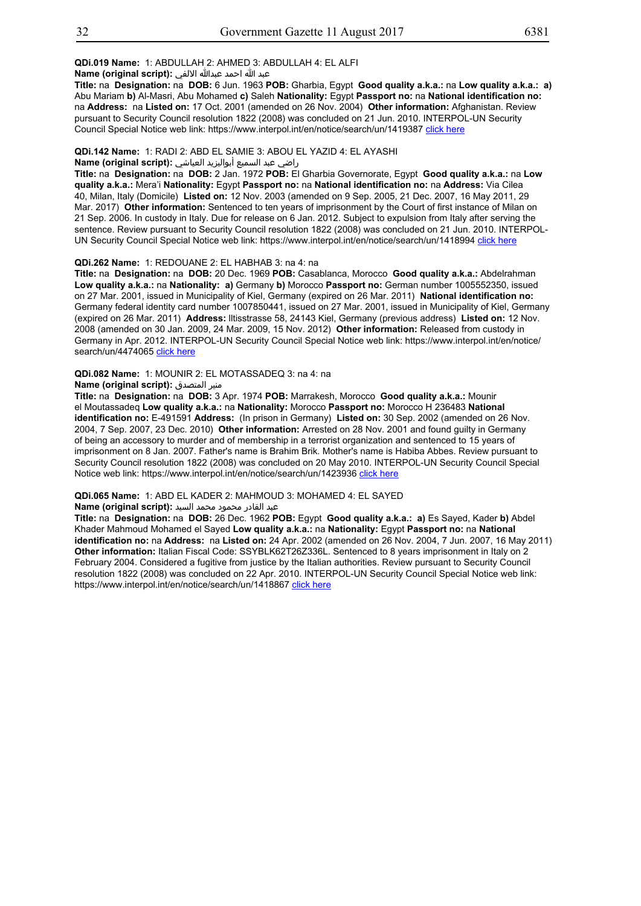## **QDi.019 Name:** 1: ABDULLAH 2: AHMED 3: ABDULLAH 4: EL ALFI

عبد الله احمد عبدالله الالفي **:(script original (Name**

**Title:** na **Designation:** na **DOB:** 6 Jun. 1963 **POB:** Gharbia, Egypt **Good quality a.k.a.:** na **Low quality a.k.a.: a)** Abu Mariam **b)** Al-Masri, Abu Mohamed **c)** Saleh **Nationality:** Egypt **Passport no:** na **National identification no:** na **Address:** na **Listed on:** 17 Oct. 2001 (amended on 26 Nov. 2004) **Other information:** Afghanistan. Review pursuant to Security Council resolution 1822 (2008) was concluded on 21 Jun. 2010. INTERPOL-UN Security Council Special Notice web link: https://www.interpol.int/en/notice/search/un/1419387 click here

**QDi.142 Name:** 1: RADI 2: ABD EL SAMIE 3: ABOU EL YAZID 4: EL AYASHI

#### راضي عبد السميع أبواليزيد العياشي **:(script original (Name**

**Title:** na **Designation:** na **DOB:** 2 Jan. 1972 **POB:** El Gharbia Governorate, Egypt **Good quality a.k.a.:** na **Low quality a.k.a.:** Mera'i **Nationality:** Egypt **Passport no:** na **National identification no:** na **Address:** Via Cilea 40, Milan, Italy (Domicile) **Listed on:** 12 Nov. 2003 (amended on 9 Sep. 2005, 21 Dec. 2007, 16 May 2011, 29 Mar. 2017) **Other information:** Sentenced to ten years of imprisonment by the Court of first instance of Milan on 21 Sep. 2006. In custody in Italy. Due for release on 6 Jan. 2012. Subject to expulsion from Italy after serving the sentence. Review pursuant to Security Council resolution 1822 (2008) was concluded on 21 Jun. 2010. INTERPOL-UN Security Council Special Notice web link: https://www.interpol.int/en/notice/search/un/1418994 click here

## **QDi.262 Name:** 1: REDOUANE 2: EL HABHAB 3: na 4: na

**Title:** na **Designation:** na **DOB:** 20 Dec. 1969 **POB:** Casablanca, Morocco **Good quality a.k.a.:** Abdelrahman **Low quality a.k.a.:** na **Nationality: a)** Germany **b)** Morocco **Passport no:** German number 1005552350, issued on 27 Mar. 2001, issued in Municipality of Kiel, Germany (expired on 26 Mar. 2011) **National identification no:** Germany federal identity card number 1007850441, issued on 27 Mar. 2001, issued in Municipality of Kiel, Germany (expired on 26 Mar. 2011) **Address:** lltisstrasse 58, 24143 Kiel, Germany (previous address) **Listed on:** 12 Nov. 2008 (amended on 30 Jan. 2009, 24 Mar. 2009, 15 Nov. 2012) **Other information:** Released from custody in Germany in Apr. 2012. INTERPOL-UN Security Council Special Notice web link: https://www.interpol.int/en/notice/ search/un/4474065 click here

## **QDi.082 Name:** 1: MOUNIR 2: EL MOTASSADEQ 3: na 4: na

## **Name (original script):** المتصدق منير

**Title:** na **Designation:** na **DOB:** 3 Apr. 1974 **POB:** Marrakesh, Morocco **Good quality a.k.a.:** Mounir el Moutassadeq **Low quality a.k.a.:** na **Nationality:** Morocco **Passport no:** Morocco H 236483 **National identification no:** E-491591 **Address:** (In prison in Germany) **Listed on:** 30 Sep. 2002 (amended on 26 Nov. 2004, 7 Sep. 2007, 23 Dec. 2010) **Other information:** Arrested on 28 Nov. 2001 and found guilty in Germany of being an accessory to murder and of membership in a terrorist organization and sentenced to 15 years of imprisonment on 8 Jan. 2007. Father's name is Brahim Brik. Mother's name is Habiba Abbes. Review pursuant to Security Council resolution 1822 (2008) was concluded on 20 May 2010. INTERPOL-UN Security Council Special Notice web link: https://www.interpol.int/en/notice/search/un/1423936 click here

**QDi.065 Name:** 1: ABD EL KADER 2: MAHMOUD 3: MOHAMED 4: EL SAYED

عبد القادر محمود محمد السيد **:(script original (Name**

**Title:** na **Designation:** na **DOB:** 26 Dec. 1962 **POB:** Egypt **Good quality a.k.a.: a)** Es Sayed, Kader **b)** Abdel Khader Mahmoud Mohamed el Sayed **Low quality a.k.a.:** na **Nationality:** Egypt **Passport no:** na **National identification no:** na **Address:** na **Listed on:** 24 Apr. 2002 (amended on 26 Nov. 2004, 7 Jun. 2007, 16 May 2011) **Other information:** Italian Fiscal Code: SSYBLK62T26Z336L. Sentenced to 8 years imprisonment in Italy on 2 February 2004. Considered a fugitive from justice by the Italian authorities. Review pursuant to Security Council resolution 1822 (2008) was concluded on 22 Apr. 2010. INTERPOL-UN Security Council Special Notice web link: https://www.interpol.int/en/notice/search/un/1418867 click here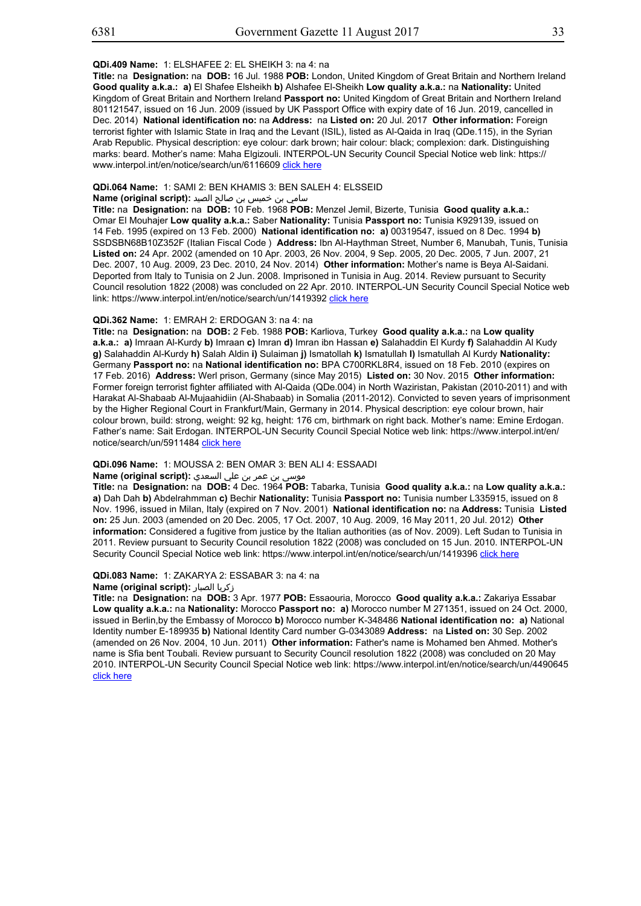#### **QDi.409 Name:** 1: ELSHAFEE 2: EL SHEIKH 3: na 4: na

**Title:** na **Designation:** na **DOB:** 16 Jul. 1988 **POB:** London, United Kingdom of Great Britain and Northern Ireland **Good quality a.k.a.: a)** El Shafee Elsheikh **b)** Alshafee El-Sheikh **Low quality a.k.a.:** na **Nationality:** United Kingdom of Great Britain and Northern Ireland **Passport no:** United Kingdom of Great Britain and Northern Ireland 801121547, issued on 16 Jun. 2009 (issued by UK Passport Office with expiry date of 16 Jun. 2019, cancelled in Dec. 2014) **National identification no:** na **Address:** na **Listed on:** 20 Jul. 2017 **Other information:** Foreign terrorist fighter with Islamic State in Iraq and the Levant (ISIL), listed as Al-Qaida in Iraq (QDe.115), in the Syrian Arab Republic. Physical description: eye colour: dark brown; hair colour: black; complexion: dark. Distinguishing marks: beard. Mother's name: Maha Elgizouli. INTERPOL-UN Security Council Special Notice web link: https:// www.interpol.int/en/notice/search/un/6116609 click here

## **QDi.064 Name:** 1: SAMI 2: BEN KHAMIS 3: BEN SALEH 4: ELSSEID

## سامي بن خميس بن صالح الصيد **:(script original (Name**

**Title:** na **Designation:** na **DOB:** 10 Feb. 1968 **POB:** Menzel Jemil, Bizerte, Tunisia **Good quality a.k.a.:** Omar El Mouhajer **Low quality a.k.a.:** Saber **Nationality:** Tunisia **Passport no:** Tunisia K929139, issued on 14 Feb. 1995 (expired on 13 Feb. 2000) **National identification no: a)** 00319547, issued on 8 Dec. 1994 **b)** SSDSBN68B10Z352F (Italian Fiscal Code ) **Address:** Ibn Al-Haythman Street, Number 6, Manubah, Tunis, Tunisia **Listed on:** 24 Apr. 2002 (amended on 10 Apr. 2003, 26 Nov. 2004, 9 Sep. 2005, 20 Dec. 2005, 7 Jun. 2007, 21 Dec. 2007, 10 Aug. 2009, 23 Dec. 2010, 24 Nov. 2014) **Other information:** Mother's name is Beya Al-Saidani. Deported from Italy to Tunisia on 2 Jun. 2008. Imprisoned in Tunisia in Aug. 2014. Review pursuant to Security Council resolution 1822 (2008) was concluded on 22 Apr. 2010. INTERPOL-UN Security Council Special Notice web link: https://www.interpol.int/en/notice/search/un/1419392 click here

## **QDi.362 Name:** 1: EMRAH 2: ERDOGAN 3: na 4: na

**Title:** na **Designation:** na **DOB:** 2 Feb. 1988 **POB:** Karliova, Turkey **Good quality a.k.a.:** na **Low quality a.k.a.: a)** Imraan Al-Kurdy **b)** Imraan **c)** Imran **d)** Imran ibn Hassan **e)** Salahaddin El Kurdy **f)** Salahaddin Al Kudy **g)** Salahaddin Al-Kurdy **h)** Salah Aldin **i)** Sulaiman **j)** Ismatollah **k)** Ismatullah **l)** Ismatullah Al Kurdy **Nationality:** Germany **Passport no:** na **National identification no:** BPA C700RKL8R4, issued on 18 Feb. 2010 (expires on 17 Feb. 2016) **Address:** Werl prison, Germany (since May 2015) **Listed on:** 30 Nov. 2015 **Other information:**  Former foreign terrorist fighter affiliated with Al-Qaida (QDe.004) in North Waziristan, Pakistan (2010-2011) and with Harakat Al-Shabaab Al-Mujaahidiin (Al-Shabaab) in Somalia (2011-2012). Convicted to seven years of imprisonment by the Higher Regional Court in Frankfurt/Main, Germany in 2014. Physical description: eye colour brown, hair colour brown, build: strong, weight: 92 kg, height: 176 cm, birthmark on right back. Mother's name: Emine Erdogan. Father's name: Sait Erdogan. INTERPOL-UN Security Council Special Notice web link: https://www.interpol.int/en/ notice/search/un/5911484 click here

#### **QDi.096 Name:** 1: MOUSSA 2: BEN OMAR 3: BEN ALI 4: ESSAADI

## موسى بن عمر بن علي السعدي **:Name (original script)**

**Title:** na **Designation:** na **DOB:** 4 Dec. 1964 **POB:** Tabarka, Tunisia **Good quality a.k.a.:** na **Low quality a.k.a.: a)** Dah Dah **b)** Abdelrahmman **c)** Bechir **Nationality:** Tunisia **Passport no:** Tunisia number L335915, issued on 8 Nov. 1996, issued in Milan, Italy (expired on 7 Nov. 2001) **National identification no:** na **Address:** Tunisia **Listed on:** 25 Jun. 2003 (amended on 20 Dec. 2005, 17 Oct. 2007, 10 Aug. 2009, 16 May 2011, 20 Jul. 2012) **Other information:** Considered a fugitive from justice by the Italian authorities (as of Nov. 2009). Left Sudan to Tunisia in 2011. Review pursuant to Security Council resolution 1822 (2008) was concluded on 15 Jun. 2010. INTERPOL-UN Security Council Special Notice web link: https://www.interpol.int/en/notice/search/un/1419396 click here

#### **QDi.083 Name:** 1: ZAKARYA 2: ESSABAR 3: na 4: na

#### **Name (original script):** الصبار زكريا

**Title:** na **Designation:** na **DOB:** 3 Apr. 1977 **POB:** Essaouria, Morocco **Good quality a.k.a.:** Zakariya Essabar **Low quality a.k.a.:** na **Nationality:** Morocco **Passport no: a)** Morocco number M 271351, issued on 24 Oct. 2000, issued in Berlin,by the Embassy of Morocco **b)** Morocco number K-348486 **National identification no: a)** National Identity number E-189935 **b)** National Identity Card number G-0343089 **Address:** na **Listed on:** 30 Sep. 2002 (amended on 26 Nov. 2004, 10 Jun. 2011) **Other information:** Father's name is Mohamed ben Ahmed. Mother's name is Sfia bent Toubali. Review pursuant to Security Council resolution 1822 (2008) was concluded on 20 May 2010. INTERPOL-UN Security Council Special Notice web link: https://www.interpol.int/en/notice/search/un/4490645 click here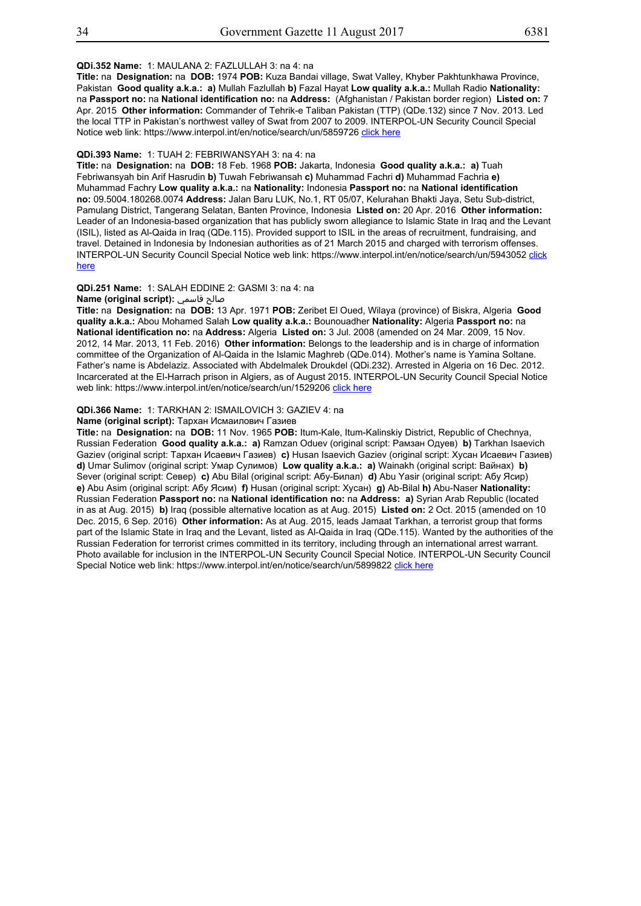## **QDi.352 Name:** 1: MAULANA 2: FAZLULLAH 3: na 4: na

**Title:** na **Designation:** na **DOB:** 1974 **POB:** Kuza Bandai village, Swat Valley, Khyber Pakhtunkhawa Province, Pakistan **Good quality a.k.a.: a)** Mullah Fazlullah **b)** Fazal Hayat **Low quality a.k.a.:** Mullah Radio **Nationality:** na **Passport no:** na **National identification no:** na **Address:** (Afghanistan / Pakistan border region) **Listed on:** 7 Apr. 2015 **Other information:** Commander of Tehrik-e Taliban Pakistan (TTP) (QDe.132) since 7 Nov. 2013. Led the local TTP in Pakistan's northwest valley of Swat from 2007 to 2009. INTERPOL-UN Security Council Special Notice web link: https://www.interpol.int/en/notice/search/un/5859726 click here

## **QDi.393 Name:** 1: TUAH 2: FEBRIWANSYAH 3: na 4: na

**Title:** na **Designation:** na **DOB:** 18 Feb. 1968 **POB:** Jakarta, Indonesia **Good quality a.k.a.: a)** Tuah Febriwansyah bin Arif Hasrudin **b)** Tuwah Febriwansah **c)** Muhammad Fachri **d)** Muhammad Fachria **e)** Muhammad Fachry **Low quality a.k.a.:** na **Nationality:** Indonesia **Passport no:** na **National identification no:** 09.5004.180268.0074 **Address:** Jalan Baru LUK, No.1, RT 05/07, Kelurahan Bhakti Jaya, Setu Sub-district, Pamulang District, Tangerang Selatan, Banten Province, Indonesia **Listed on:** 20 Apr. 2016 **Other information:** Leader of an Indonesia-based organization that has publicly sworn allegiance to Islamic State in Iraq and the Levant (ISIL), listed as Al-Qaida in Iraq (QDe.115). Provided support to ISIL in the areas of recruitment, fundraising, and travel. Detained in Indonesia by Indonesian authorities as of 21 March 2015 and charged with terrorism offenses. INTERPOL-UN Security Council Special Notice web link: https://www.interpol.int/en/notice/search/un/5943052 click here

### **QDi.251 Name:** 1: SALAH EDDINE 2: GASMI 3: na 4: na

## **Name (original script):** قاسمي صالح

**Title:** na **Designation:** na **DOB:** 13 Apr. 1971 **POB:** Zeribet El Oued, Wilaya (province) of Biskra, Algeria **Good quality a.k.a.:** Abou Mohamed Salah **Low quality a.k.a.:** Bounouadher **Nationality:** Algeria **Passport no:** na **National identification no:** na **Address:** Algeria **Listed on:** 3 Jul. 2008 (amended on 24 Mar. 2009, 15 Nov. 2012, 14 Mar. 2013, 11 Feb. 2016) **Other information:** Belongs to the leadership and is in charge of information committee of the Organization of Al-Qaida in the Islamic Maghreb (QDe.014). Mother's name is Yamina Soltane. Father's name is Abdelaziz. Associated with Abdelmalek Droukdel (QDi.232). Arrested in Algeria on 16 Dec. 2012. Incarcerated at the El-Harrach prison in Algiers, as of August 2015. INTERPOL-UN Security Council Special Notice web link: https://www.interpol.int/en/notice/search/un/1529206 click here

#### **QDi.366 Name:** 1: TARKHAN 2: ISMAILOVICH 3: GAZIEV 4: na

#### **Name (original script):** Тархан Исмаилович Газиев

**Title:** na **Designation:** na **DOB:** 11 Nov. 1965 **POB:** Itum-Kale, Itum-Kalinskiy District, Republic of Chechnya, Russian Federation **Good quality a.k.a.: a)** Ramzan Oduev (original script: Рамзан Одуев) **b)** Tarkhan Isaevich Gaziev (original script: Тархан Исаевич Газиев) **c)** Husan Isaevich Gaziev (original script: Хусан Исаевич Газиев) **d)** Umar Sulimov (original script: Умар Сулимов) **Low quality a.k.a.: a)** Wainakh (original script: Вайнах) **b)** Sever (original script: Север) **c)** Abu Bilal (original script: Абу-Билал) **d)** Abu Yasir (original script: Абу Ясир) **e)** Abu Asim (original script: Абу Ясим) **f)** Husan (original script: Хусан) **g)** Ab-Bilal **h)** Abu-Naser **Nationality:** Russian Federation **Passport no:** na **National identification no:** na **Address: a)** Syrian Arab Republic (located in as at Aug. 2015) **b)** Iraq (possible alternative location as at Aug. 2015) **Listed on:** 2 Oct. 2015 (amended on 10 Dec. 2015, 6 Sep. 2016) **Other information:** As at Aug. 2015, leads Jamaat Tarkhan, a terrorist group that forms part of the Islamic State in Iraq and the Levant, listed as Al-Qaida in Iraq (QDe.115). Wanted by the authorities of the Russian Federation for terrorist crimes committed in its territory, including through an international arrest warrant. Photo available for inclusion in the INTERPOL-UN Security Council Special Notice. INTERPOL-UN Security Council Special Notice web link: https://www.interpol.int/en/notice/search/un/5899822 click here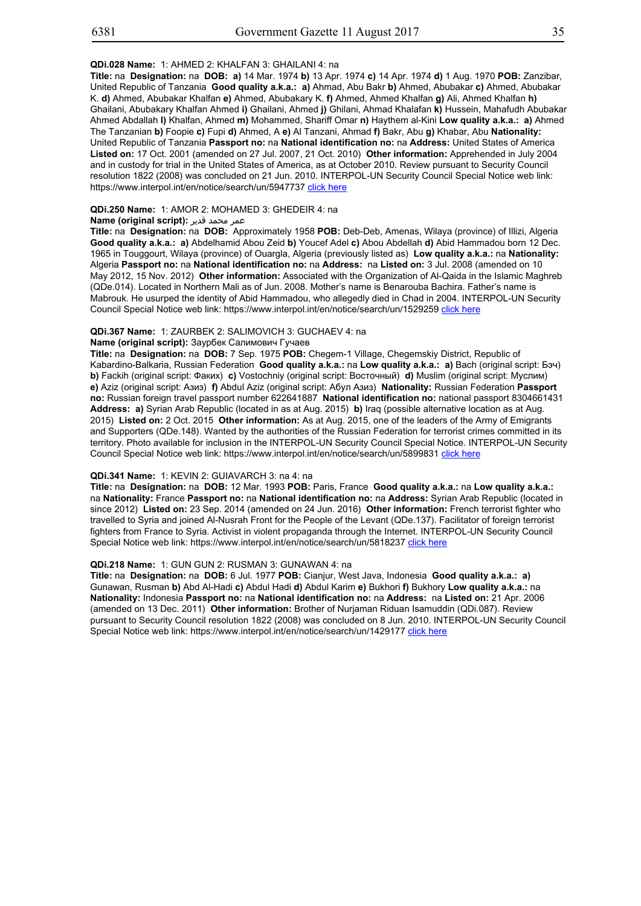## **QDi.028 Name:** 1: AHMED 2: KHALFAN 3: GHAILANI 4: na

**Title:** na **Designation:** na **DOB: a)** 14 Mar. 1974 **b)** 13 Apr. 1974 **c)** 14 Apr. 1974 **d)** 1 Aug. 1970 **POB:** Zanzibar, United Republic of Tanzania **Good quality a.k.a.: a)** Ahmad, Abu Bakr **b)** Ahmed, Abubakar **c)** Ahmed, Abubakar K. **d)** Ahmed, Abubakar Khalfan **e)** Ahmed, Abubakary K. **f)** Ahmed, Ahmed Khalfan **g)** Ali, Ahmed Khalfan **h)** Ghailani, Abubakary Khalfan Ahmed **i)** Ghailani, Ahmed **j)** Ghilani, Ahmad Khalafan **k)** Hussein, Mahafudh Abubakar Ahmed Abdallah **l)** Khalfan, Ahmed **m)** Mohammed, Shariff Omar **n)** Haythem al-Kini **Low quality a.k.a.: a)** Ahmed The Tanzanian **b)** Foopie **c)** Fupi **d)** Ahmed, A **e)** Al Tanzani, Ahmad **f)** Bakr, Abu **g)** Khabar, Abu **Nationality:** United Republic of Tanzania **Passport no:** na **National identification no:** na **Address:** United States of America **Listed on:** 17 Oct. 2001 (amended on 27 Jul. 2007, 21 Oct. 2010) **Other information:** Apprehended in July 2004 and in custody for trial in the United States of America, as at October 2010. Review pursuant to Security Council resolution 1822 (2008) was concluded on 21 Jun. 2010. INTERPOL-UN Security Council Special Notice web link: https://www.interpol.int/en/notice/search/un/5947737 click here

## **QDi.250 Name:** 1: AMOR 2: MOHAMED 3: GHEDEIR 4: na

# عمر محمد قدير **: Name (original script)**

**Title:** na **Designation:** na **DOB:** Approximately 1958 **POB:** Deb-Deb, Amenas, Wilaya (province) of Illizi, Algeria **Good quality a.k.a.: a)** Abdelhamid Abou Zeid **b)** Youcef Adel **c)** Abou Abdellah **d)** Abid Hammadou born 12 Dec. 1965 in Touggourt, Wilaya (province) of Ouargla, Algeria (previously listed as) **Low quality a.k.a.:** na **Nationality:** Algeria **Passport no:** na **National identification no:** na **Address:** na **Listed on:** 3 Jul. 2008 (amended on 10 May 2012, 15 Nov. 2012) **Other information:** Associated with the Organization of Al-Qaida in the Islamic Maghreb (QDe.014). Located in Northern Mali as of Jun. 2008. Mother's name is Benarouba Bachira. Father's name is Mabrouk. He usurped the identity of Abid Hammadou, who allegedly died in Chad in 2004. INTERPOL-UN Security Council Special Notice web link: https://www.interpol.int/en/notice/search/un/1529259 click here

#### **QDi.367 Name:** 1: ZAURBEK 2: SALIMOVICH 3: GUCHAEV 4: na

#### **Name (original script):** Заурбек Салимович Гучаев

**Title:** na **Designation:** na **DOB:** 7 Sep. 1975 **POB:** Chegem-1 Village, Chegemskiy District, Republic of Kabardino-Balkaria, Russian Federation **Good quality a.k.a.:** na **Low quality a.k.a.: a)** Bach (original script: Бэч) **b)** Fackih (original script: Факих) **c)** Vostochniy (original script: Восточный) **d)** Muslim (original script: Муслим) **e)** Aziz (original script: Азиз) **f)** Abdul Aziz (original script: Абул Азиз) **Nationality:** Russian Federation **Passport no:** Russian foreign travel passport number 622641887 **National identification no:** national passport 8304661431 **Address: a)** Syrian Arab Republic (located in as at Aug. 2015) **b)** Iraq (possible alternative location as at Aug. 2015) **Listed on:** 2 Oct. 2015 **Other information:** As at Aug. 2015, one of the leaders of the Army of Emigrants and Supporters (QDe.148). Wanted by the authorities of the Russian Federation for terrorist crimes committed in its territory. Photo available for inclusion in the INTERPOL-UN Security Council Special Notice. INTERPOL-UN Security Council Special Notice web link: https://www.interpol.int/en/notice/search/un/5899831 click here

#### **QDi.341 Name:** 1: KEVIN 2: GUIAVARCH 3: na 4: na

**Title:** na **Designation:** na **DOB:** 12 Mar. 1993 **POB:** Paris, France **Good quality a.k.a.:** na **Low quality a.k.a.:** na **Nationality:** France **Passport no:** na **National identification no:** na **Address:** Syrian Arab Republic (located in since 2012) **Listed on:** 23 Sep. 2014 (amended on 24 Jun. 2016) **Other information:** French terrorist fighter who travelled to Syria and joined Al-Nusrah Front for the People of the Levant (QDe.137). Facilitator of foreign terrorist fighters from France to Syria. Activist in violent propaganda through the Internet. INTERPOL-UN Security Council Special Notice web link: https://www.interpol.int/en/notice/search/un/5818237 click here

#### **QDi.218 Name:** 1: GUN GUN 2: RUSMAN 3: GUNAWAN 4: na

**Title:** na **Designation:** na **DOB:** 6 Jul. 1977 **POB:** Cianjur, West Java, Indonesia **Good quality a.k.a.: a)** Gunawan, Rusman **b)** Abd Al-Hadi **c)** Abdul Hadi **d)** Abdul Karim **e)** Bukhori **f)** Bukhory **Low quality a.k.a.:** na **Nationality:** Indonesia **Passport no:** na **National identification no:** na **Address:** na **Listed on:** 21 Apr. 2006 (amended on 13 Dec. 2011) **Other information:** Brother of Nurjaman Riduan Isamuddin (QDi.087). Review pursuant to Security Council resolution 1822 (2008) was concluded on 8 Jun. 2010. INTERPOL-UN Security Council Special Notice web link: https://www.interpol.int/en/notice/search/un/1429177 click here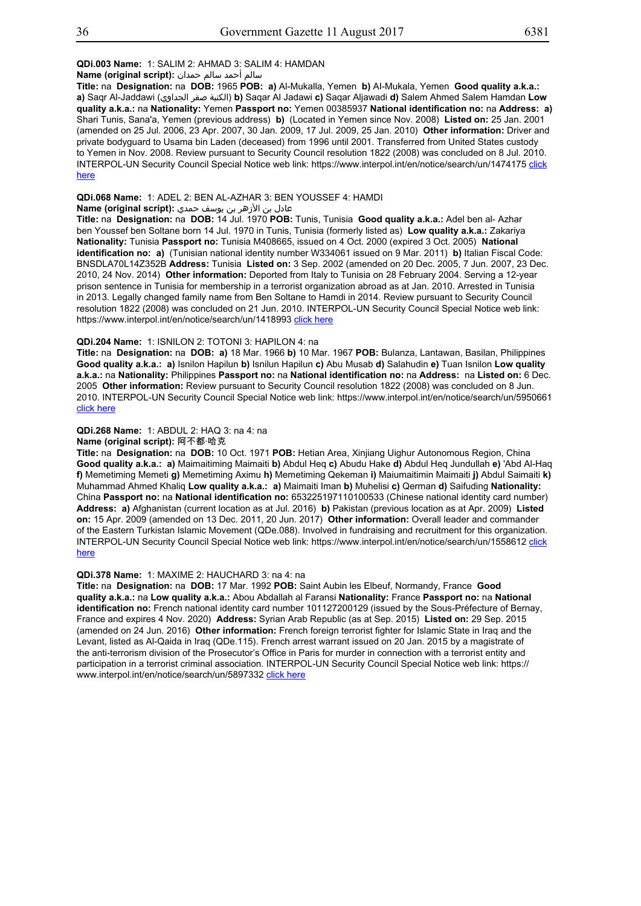## **QDi.003 Name:** 1: SALIM 2: AHMAD 3: SALIM 4: HAMDAN

سالم أحمد سالم حمدان **:(script original (Name**

**Title:** na **Designation:** na **DOB:** 1965 **POB: a)** Al-Mukalla, Yemen **b)** AI-Mukala, Yemen **Good quality a.k.a.: a)** Saqr Al-Jaddawi (الجداوي صقر الكنية(**b)** Saqar Al Jadawi **c)** Saqar Aljawadi **d)** Salem Ahmed Salem Hamdan **Low quality a.k.a.:** na **Nationality:** Yemen **Passport no:** Yemen 00385937 **National identification no:** na **Address: a)** Shari Tunis, Sana'a, Yemen (previous address) **b)** (Located in Yemen since Nov. 2008) **Listed on:** 25 Jan. 2001 (amended on 25 Jul. 2006, 23 Apr. 2007, 30 Jan. 2009, 17 Jul. 2009, 25 Jan. 2010) **Other information:** Driver and private bodyguard to Usama bin Laden (deceased) from 1996 until 2001. Transferred from United States custody to Yemen in Nov. 2008. Review pursuant to Security Council resolution 1822 (2008) was concluded on 8 Jul. 2010. INTERPOL-UN Security Council Special Notice web link: https://www.interpol.int/en/notice/search/un/1474175 click here

#### **QDi.068 Name:** 1: ADEL 2: BEN AL-AZHAR 3: BEN YOUSSEF 4: HAMDI

عادل بن الأزهر بن يوسف حمدي **:(script original (Name**

**Title:** na **Designation:** na **DOB:** 14 Jul. 1970 **POB:** Tunis, Tunisia **Good quality a.k.a.:** Adel ben al- Azhar ben Youssef ben Soltane born 14 Jul. 1970 in Tunis, Tunisia (formerly listed as) **Low quality a.k.a.:** Zakariya **Nationality:** Tunisia **Passport no:** Tunisia M408665, issued on 4 Oct. 2000 (expired 3 Oct. 2005) **National identification no: a)** (Tunisian national identity number W334061 issued on 9 Mar. 2011) **b)** Italian Fiscal Code: BNSDLA70L14Z352B **Address:** Tunisia **Listed on:** 3 Sep. 2002 (amended on 20 Dec. 2005, 7 Jun. 2007, 23 Dec. 2010, 24 Nov. 2014) **Other information:** Deported from Italy to Tunisia on 28 February 2004. Serving a 12-year prison sentence in Tunisia for membership in a terrorist organization abroad as at Jan. 2010. Arrested in Tunisia in 2013. Legally changed family name from Ben Soltane to Hamdi in 2014. Review pursuant to Security Council resolution 1822 (2008) was concluded on 21 Jun. 2010. INTERPOL-UN Security Council Special Notice web link: https://www.interpol.int/en/notice/search/un/1418993 click here

#### **QDi.204 Name:** 1: ISNILON 2: TOTONI 3: HAPILON 4: na

**Title:** na **Designation:** na **DOB: a)** 18 Mar. 1966 **b)** 10 Mar. 1967 **POB:** Bulanza, Lantawan, Basilan, Philippines **Good quality a.k.a.: a)** Isnilon Hapilun **b)** Isnilun Hapilun **c)** Abu Musab **d)** Salahudin **e)** Tuan Isnilon **Low quality a.k.a.:** na **Nationality:** Philippines **Passport no:** na **National identification no:** na **Address:** na **Listed on:** 6 Dec. 2005 **Other information:** Review pursuant to Security Council resolution 1822 (2008) was concluded on 8 Jun. 2010. INTERPOL-UN Security Council Special Notice web link: https://www.interpol.int/en/notice/search/un/5950661 click here

## **QDi.268 Name:** 1: ABDUL 2: HAQ 3: na 4: na

## **Name (original script):** 阿不都·哈克

**Title:** na **Designation:** na **DOB:** 10 Oct. 1971 **POB:** Hetian Area, Xinjiang Uighur Autonomous Region, China **Good quality a.k.a.: a)** Maimaitiming Maimaiti **b)** Abdul Heq **c)** Abudu Hake **d)** Abdul Heq Jundullah **e)** 'Abd Al-Haq **f)** Memetiming Memeti **g)** Memetiming Aximu **h)** Memetiming Qekeman **i)** Maiumaitimin Maimaiti **j)** Abdul Saimaiti **k)** Muhammad Ahmed Khaliq **Low quality a.k.a.: a)** Maimaiti Iman **b)** Muhelisi **c)** Qerman **d)** Saifuding **Nationality:** China **Passport no:** na **National identification no:** 653225197110100533 (Chinese national identity card number) **Address: a)** Afghanistan (current location as at Jul. 2016) **b)** Pakistan (previous location as at Apr. 2009) **Listed on:** 15 Apr. 2009 (amended on 13 Dec. 2011, 20 Jun. 2017) **Other information:** Overall leader and commander of the Eastern Turkistan Islamic Movement (QDe.088). Involved in fundraising and recruitment for this organization. INTERPOL-UN Security Council Special Notice web link: https://www.interpol.int/en/notice/search/un/1558612 click here

#### **QDi.378 Name:** 1: MAXIME 2: HAUCHARD 3: na 4: na

**Title:** na **Designation:** na **DOB:** 17 Mar. 1992 **POB:** Saint Aubin les Elbeuf, Normandy, France **Good quality a.k.a.:** na **Low quality a.k.a.:** Abou Abdallah al Faransi **Nationality:** France **Passport no:** na **National identification no:** French national identity card number 101127200129 (issued by the Sous-Préfecture of Bernay, France and expires 4 Nov. 2020) **Address:** Syrian Arab Republic (as at Sep. 2015) **Listed on:** 29 Sep. 2015 (amended on 24 Jun. 2016) **Other information:** French foreign terrorist fighter for Islamic State in Iraq and the Levant, listed as Al-Qaida in Iraq (QDe.115). French arrest warrant issued on 20 Jan. 2015 by a magistrate of the anti-terrorism division of the Prosecutor's Office in Paris for murder in connection with a terrorist entity and participation in a terrorist criminal association. INTERPOL-UN Security Council Special Notice web link: https:// www.interpol.int/en/notice/search/un/5897332 click here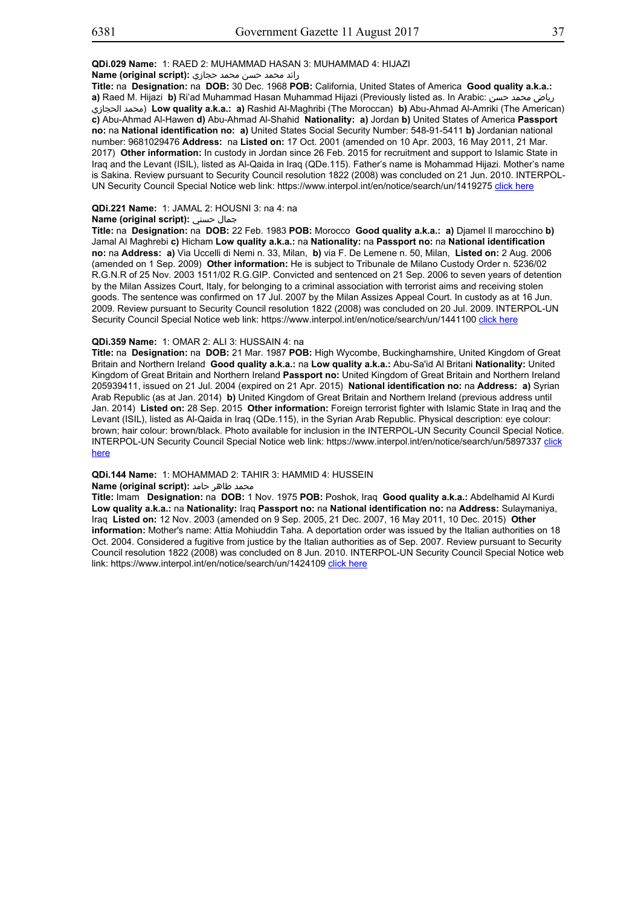## رائد محمد حسن محمد حجازي **:Name (original script)**

**Title:** na **Designation:** na **DOB:** 30 Dec. 1968 **POB:** California, United States of America **Good quality a.k.a.: a)** Raed M. Hijazi **b)** Ri'ad Muhammad Hasan Muhammad Hijazi (Previously listed as. In Arabic: حسن محمد رياض الحجازي محمد (**Low quality a.k.a.: a)** Rashid Al-Maghribi (The Moroccan) **b)** Abu-Ahmad Al-Amriki (The American) **c)** Abu-Ahmad Al-Hawen **d)** Abu-Ahmad Al-Shahid **Nationality: a)** Jordan **b)** United States of America **Passport no:** na **National identification no: a)** United States Social Security Number: 548-91-5411 **b)** Jordanian national number: 9681029476 **Address:** na **Listed on:** 17 Oct. 2001 (amended on 10 Apr. 2003, 16 May 2011, 21 Mar. 2017) **Other information:** In custody in Jordan since 26 Feb. 2015 for recruitment and support to Islamic State in Iraq and the Levant (ISIL), listed as Al-Qaida in Iraq (QDe.115). Father's name is Mohammad Hijazi. Mother's name is Sakina. Review pursuant to Security Council resolution 1822 (2008) was concluded on 21 Jun. 2010. INTERPOL-UN Security Council Special Notice web link: https://www.interpol.int/en/notice/search/un/1419275 click here

## **QDi.221 Name:** 1: JAMAL 2: HOUSNI 3: na 4: na

#### **Name (original script):** حسني جمال

**Title:** na **Designation:** na **DOB:** 22 Feb. 1983 **POB:** Morocco **Good quality a.k.a.: a)** Djamel Il marocchino **b)** Jamal Al Maghrebi **c)** Hicham **Low quality a.k.a.:** na **Nationality:** na **Passport no:** na **National identification no:** na **Address: a)** Via Uccelli di Nemi n. 33, Milan, **b)** via F. De Lemene n. 50, Milan, **Listed on:** 2 Aug. 2006 (amended on 1 Sep. 2009) **Other information:** He is subject to Tribunale de Milano Custody Order n. 5236/02 R.G.N.R of 25 Nov. 2003 1511/02 R.G.GIP. Convicted and sentenced on 21 Sep. 2006 to seven years of detention by the Milan Assizes Court, Italy, for belonging to a criminal association with terrorist aims and receiving stolen goods. The sentence was confirmed on 17 Jul. 2007 by the Milan Assizes Appeal Court. In custody as at 16 Jun. 2009. Review pursuant to Security Council resolution 1822 (2008) was concluded on 20 Jul. 2009. INTERPOL-UN Security Council Special Notice web link: https://www.interpol.int/en/notice/search/un/1441100 click here

## **QDi.359 Name:** 1: OMAR 2: ALI 3: HUSSAIN 4: na

**Title:** na **Designation:** na **DOB:** 21 Mar. 1987 **POB:** High Wycombe, Buckinghamshire, United Kingdom of Great Britain and Northern Ireland **Good quality a.k.a.:** na **Low quality a.k.a.:** Abu-Sa'id Al Britani **Nationality:** United Kingdom of Great Britain and Northern Ireland **Passport no:** United Kingdom of Great Britain and Northern Ireland 205939411, issued on 21 Jul. 2004 (expired on 21 Apr. 2015) **National identification no:** na **Address: a)** Syrian Arab Republic (as at Jan. 2014) **b)** United Kingdom of Great Britain and Northern Ireland (previous address until Jan. 2014) **Listed on:** 28 Sep. 2015 **Other information:** Foreign terrorist fighter with Islamic State in Iraq and the Levant (ISIL), listed as Al-Qaida in Iraq (QDe.115), in the Syrian Arab Republic. Physical description: eye colour: brown; hair colour: brown/black. Photo available for inclusion in the INTERPOL-UN Security Council Special Notice. INTERPOL-UN Security Council Special Notice web link: https://www.interpol.int/en/notice/search/un/5897337 click here

#### **QDi.144 Name:** 1: MOHAMMAD 2: TAHIR 3: HAMMID 4: HUSSEIN

## **Mame (original script): محمد طاهر حامد**

**Title:** Imam **Designation:** na **DOB:** 1 Nov. 1975 **POB:** Poshok, Iraq **Good quality a.k.a.:** Abdelhamid Al Kurdi **Low quality a.k.a.:** na **Nationality:** Iraq **Passport no:** na **National identification no:** na **Address:** Sulaymaniya, Iraq **Listed on:** 12 Nov. 2003 (amended on 9 Sep. 2005, 21 Dec. 2007, 16 May 2011, 10 Dec. 2015) **Other information:** Mother's name: Attia Mohiuddin Taha. A deportation order was issued by the Italian authorities on 18 Oct. 2004. Considered a fugitive from justice by the Italian authorities as of Sep. 2007. Review pursuant to Security Council resolution 1822 (2008) was concluded on 8 Jun. 2010. INTERPOL-UN Security Council Special Notice web link: https://www.interpol.int/en/notice/search/un/1424109 click here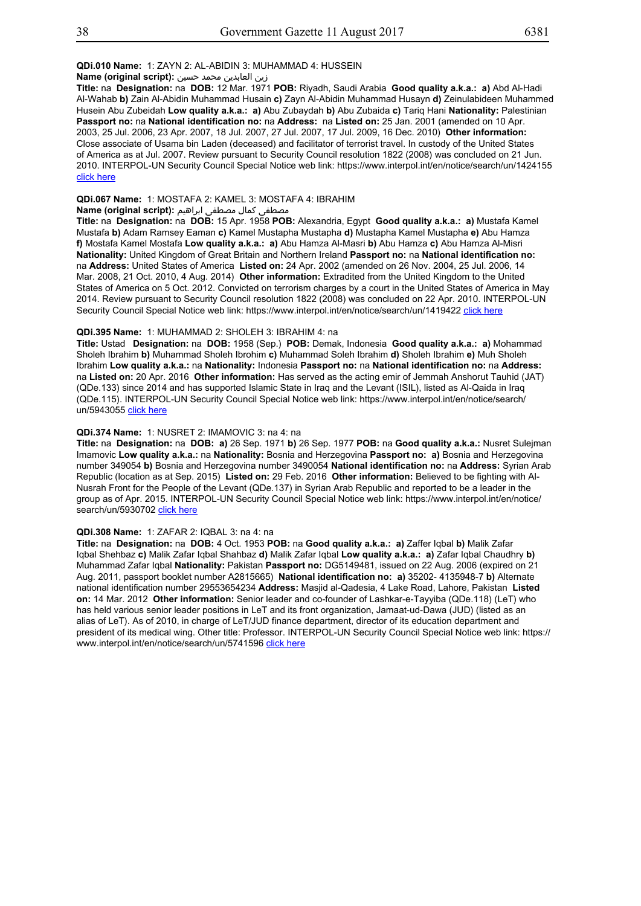## **QDi.010 Name:** 1: ZAYN 2: AL-ABIDIN 3: MUHAMMAD 4: HUSSEIN

زين العابدين محمد حسين **:(script original (Name**

**Title:** na **Designation:** na **DOB:** 12 Mar. 1971 **POB:** Riyadh, Saudi Arabia **Good quality a.k.a.: a)** Abd Al-Hadi Al-Wahab **b)** Zain Al-Abidin Muhammad Husain **c)** Zayn Al-Abidin Muhammad Husayn **d)** Zeinulabideen Muhammed Husein Abu Zubeidah **Low quality a.k.a.: a)** Abu Zubaydah **b)** Abu Zubaida **c)** Tariq Hani **Nationality:** Palestinian **Passport no:** na **National identification no:** na **Address:** na **Listed on:** 25 Jan. 2001 (amended on 10 Apr. 2003, 25 Jul. 2006, 23 Apr. 2007, 18 Jul. 2007, 27 Jul. 2007, 17 Jul. 2009, 16 Dec. 2010) **Other information:** Close associate of Usama bin Laden (deceased) and facilitator of terrorist travel. In custody of the United States of America as at Jul. 2007. Review pursuant to Security Council resolution 1822 (2008) was concluded on 21 Jun. 2010. INTERPOL-UN Security Council Special Notice web link: https://www.interpol.int/en/notice/search/un/1424155 click here

## **QDi.067 Name:** 1: MOSTAFA 2: KAMEL 3: MOSTAFA 4: IBRAHIM

مصطفى كمال مصطفى ابراهيم **:Name (original script)** 

**Title:** na **Designation:** na **DOB:** 15 Apr. 1958 **POB:** Alexandria, Egypt **Good quality a.k.a.: a)** Mustafa Kamel Mustafa **b)** Adam Ramsey Eaman **c)** Kamel Mustapha Mustapha **d)** Mustapha Kamel Mustapha **e)** Abu Hamza **f)** Mostafa Kamel Mostafa **Low quality a.k.a.: a)** Abu Hamza Al-Masri **b)** Abu Hamza **c)** Abu Hamza Al-Misri **Nationality:** United Kingdom of Great Britain and Northern Ireland **Passport no:** na **National identification no:** na **Address:** United States of America **Listed on:** 24 Apr. 2002 (amended on 26 Nov. 2004, 25 Jul. 2006, 14 Mar. 2008, 21 Oct. 2010, 4 Aug. 2014) **Other information:** Extradited from the United Kingdom to the United States of America on 5 Oct. 2012. Convicted on terrorism charges by a court in the United States of America in May 2014. Review pursuant to Security Council resolution 1822 (2008) was concluded on 22 Apr. 2010. INTERPOL-UN Security Council Special Notice web link: https://www.interpol.int/en/notice/search/un/1419422 click here

#### **QDi.395 Name:** 1: MUHAMMAD 2: SHOLEH 3: IBRAHIM 4: na

**Title:** Ustad **Designation:** na **DOB:** 1958 (Sep.) **POB:** Demak, Indonesia **Good quality a.k.a.: a)** Mohammad Sholeh Ibrahim **b)** Muhammad Sholeh Ibrohim **c)** Muhammad Soleh Ibrahim **d)** Sholeh Ibrahim **e)** Muh Sholeh Ibrahim **Low quality a.k.a.:** na **Nationality:** Indonesia **Passport no:** na **National identification no:** na **Address:**  na **Listed on:** 20 Apr. 2016 **Other information:** Has served as the acting emir of Jemmah Anshorut Tauhid (JAT) (QDe.133) since 2014 and has supported Islamic State in Iraq and the Levant (ISIL), listed as Al-Qaida in Iraq (QDe.115). INTERPOL-UN Security Council Special Notice web link: https://www.interpol.int/en/notice/search/ un/5943055 click here

## **QDi.374 Name:** 1: NUSRET 2: IMAMOVIC 3: na 4: na

**Title:** na **Designation:** na **DOB: a)** 26 Sep. 1971 **b)** 26 Sep. 1977 **POB:** na **Good quality a.k.a.:** Nusret Sulejman Imamovic **Low quality a.k.a.:** na **Nationality:** Bosnia and Herzegovina **Passport no: a)** Bosnia and Herzegovina number 349054 **b)** Bosnia and Herzegovina number 3490054 **National identification no:** na **Address:** Syrian Arab Republic (location as at Sep. 2015) **Listed on:** 29 Feb. 2016 **Other information:** Believed to be fighting with Al-Nusrah Front for the People of the Levant (QDe.137) in Syrian Arab Republic and reported to be a leader in the group as of Apr. 2015. INTERPOL-UN Security Council Special Notice web link: https://www.interpol.int/en/notice/ search/un/5930702 click here

## **QDi.308 Name:** 1: ZAFAR 2: IQBAL 3: na 4: na

**Title:** na **Designation:** na **DOB:** 4 Oct. 1953 **POB:** na **Good quality a.k.a.: a)** Zaffer Iqbal **b)** Malik Zafar Iqbal Shehbaz **c)** Malik Zafar Iqbal Shahbaz **d)** Malik Zafar Iqbal **Low quality a.k.a.: a)** Zafar Iqbal Chaudhry **b)** Muhammad Zafar Iqbal **Nationality:** Pakistan **Passport no:** DG5149481, issued on 22 Aug. 2006 (expired on 21 Aug. 2011, passport booklet number A2815665) **National identification no: a)** 35202- 4135948-7 **b)** Alternate national identification number 29553654234 **Address:** Masjid al-Qadesia, 4 Lake Road, Lahore, Pakistan **Listed on:** 14 Mar. 2012 **Other information:** Senior leader and co-founder of Lashkar-e-Tayyiba (QDe.118) (LeT) who has held various senior leader positions in LeT and its front organization, Jamaat-ud-Dawa (JUD) (listed as an alias of LeT). As of 2010, in charge of LeT/JUD finance department, director of its education department and president of its medical wing. Other title: Professor. INTERPOL-UN Security Council Special Notice web link: https:// www.interpol.int/en/notice/search/un/5741596 click here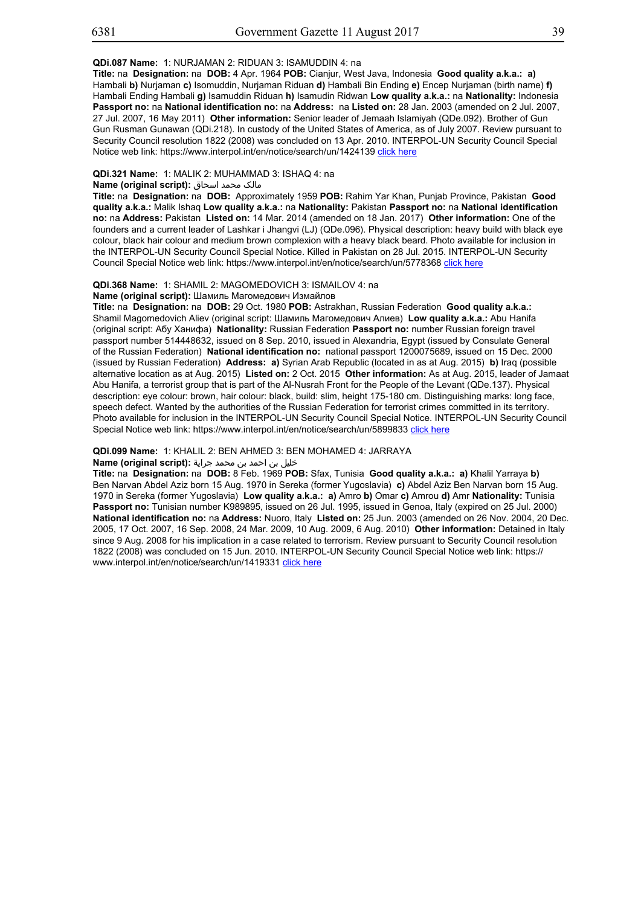## **QDi.087 Name:** 1: NURJAMAN 2: RIDUAN 3: ISAMUDDIN 4: na

**Title:** na **Designation:** na **DOB:** 4 Apr. 1964 **POB:** Cianjur, West Java, Indonesia **Good quality a.k.a.: a)** Hambali **b)** Nurjaman **c)** Isomuddin, Nurjaman Riduan **d)** Hambali Bin Ending **e)** Encep Nurjaman (birth name) **f)** Hambali Ending Hambali **g)** Isamuddin Riduan **h)** Isamudin Ridwan **Low quality a.k.a.:** na **Nationality:** Indonesia **Passport no:** na **National identification no:** na **Address:** na **Listed on:** 28 Jan. 2003 (amended on 2 Jul. 2007, 27 Jul. 2007, 16 May 2011) **Other information:** Senior leader of Jemaah Islamiyah (QDe.092). Brother of Gun Gun Rusman Gunawan (QDi.218). In custody of the United States of America, as of July 2007. Review pursuant to Security Council resolution 1822 (2008) was concluded on 13 Apr. 2010. INTERPOL-UN Security Council Special Notice web link: https://www.interpol.int/en/notice/search/un/1424139 click here

## **QDi.321 Name:** 1: MALIK 2: MUHAMMAD 3: ISHAQ 4: na

## مالک محمد اسحاق **:(script original (Name**

**Title:** na **Designation:** na **DOB:** Approximately 1959 **POB:** Rahim Yar Khan, Punjab Province, Pakistan **Good quality a.k.a.:** Malik Ishaq **Low quality a.k.a.:** na **Nationality:** Pakistan **Passport no:** na **National identification no:** na **Address:** Pakistan **Listed on:** 14 Mar. 2014 (amended on 18 Jan. 2017) **Other information:** One of the founders and a current leader of Lashkar i Jhangvi (LJ) (QDe.096). Physical description: heavy build with black eye colour, black hair colour and medium brown complexion with a heavy black beard. Photo available for inclusion in the INTERPOL-UN Security Council Special Notice. Killed in Pakistan on 28 Jul. 2015. INTERPOL-UN Security Council Special Notice web link: https://www.interpol.int/en/notice/search/un/5778368 click here

## **QDi.368 Name:** 1: SHAMIL 2: MAGOMEDOVICH 3: ISMAILOV 4: na

#### **Name (original script):** Шамиль Магомедович Измайлов

**Title:** na **Designation:** na **DOB:** 29 Oct. 1980 **POB:** Astrakhan, Russian Federation **Good quality a.k.a.:** Shamil Magomedovich Aliev (original script: Шамиль Магомедович Алиев) **Low quality a.k.a.:** Abu Hanifa (original script: Абу Ханифа) **Nationality:** Russian Federation **Passport no:** number Russian foreign travel passport number 514448632, issued on 8 Sep. 2010, issued in Alexandria, Egypt (issued by Consulate General of the Russian Federation) **National identification no:** national passport 1200075689, issued on 15 Dec. 2000 (issued by Russian Federation) **Address: a)** Syrian Arab Republic (located in as at Aug. 2015) **b)** Iraq (possible alternative location as at Aug. 2015) **Listed on:** 2 Oct. 2015 **Other information:** As at Aug. 2015, leader of Jamaat Abu Hanifa, a terrorist group that is part of the Al-Nusrah Front for the People of the Levant (QDe.137). Physical description: eye colour: brown, hair colour: black, build: slim, height 175-180 cm. Distinguishing marks: long face, speech defect. Wanted by the authorities of the Russian Federation for terrorist crimes committed in its territory. Photo available for inclusion in the INTERPOL-UN Security Council Special Notice. INTERPOL-UN Security Council Special Notice web link: https://www.interpol.int/en/notice/search/un/5899833 click here

#### **QDi.099 Name:** 1: KHALIL 2: BEN AHMED 3: BEN MOHAMED 4: JARRAYA

# خليل بن احمد بن محمد جراية **:(script original (Name**

**Title:** na **Designation:** na **DOB:** 8 Feb. 1969 **POB:** Sfax, Tunisia **Good quality a.k.a.: a)** Khalil Yarraya **b)** Ben Narvan Abdel Aziz born 15 Aug. 1970 in Sereka (former Yugoslavia) **c)** Abdel Aziz Ben Narvan born 15 Aug. 1970 in Sereka (former Yugoslavia) **Low quality a.k.a.: a)** Amro **b)** Omar **c)** Amrou **d)** Amr **Nationality:** Tunisia **Passport no:** Tunisian number K989895, issued on 26 Jul. 1995, issued in Genoa, Italy (expired on 25 Jul. 2000) **National identification no:** na **Address:** Nuoro, Italy **Listed on:** 25 Jun. 2003 (amended on 26 Nov. 2004, 20 Dec. 2005, 17 Oct. 2007, 16 Sep. 2008, 24 Mar. 2009, 10 Aug. 2009, 6 Aug. 2010) **Other information:** Detained in Italy since 9 Aug. 2008 for his implication in a case related to terrorism. Review pursuant to Security Council resolution 1822 (2008) was concluded on 15 Jun. 2010. INTERPOL-UN Security Council Special Notice web link: https:// www.interpol.int/en/notice/search/un/1419331 click here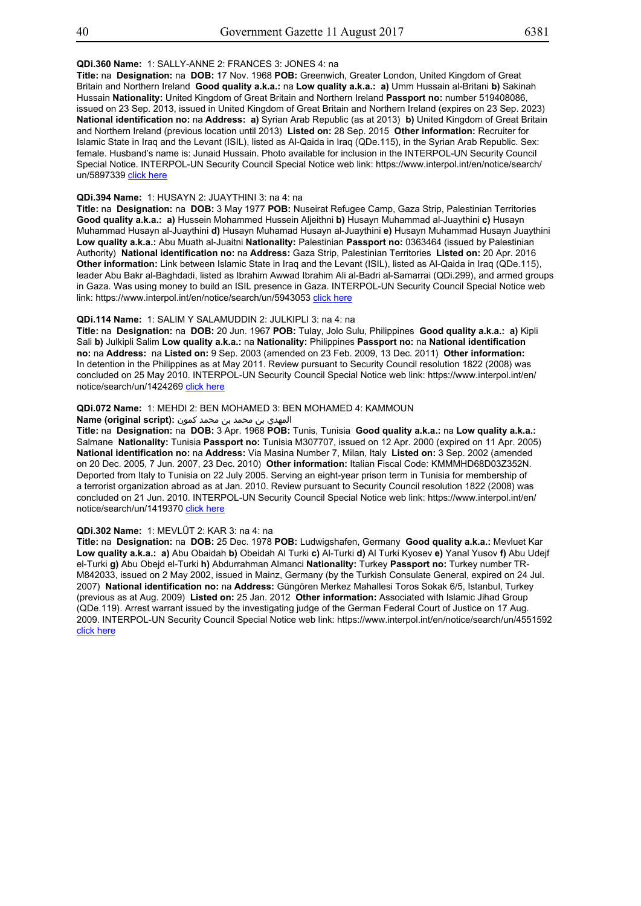## **QDi.360 Name:** 1: SALLY-ANNE 2: FRANCES 3: JONES 4: na

**Title:** na **Designation:** na **DOB:** 17 Nov. 1968 **POB:** Greenwich, Greater London, United Kingdom of Great Britain and Northern Ireland **Good quality a.k.a.:** na **Low quality a.k.a.: a)** Umm Hussain al-Britani **b)** Sakinah Hussain **Nationality:** United Kingdom of Great Britain and Northern Ireland **Passport no:** number 519408086, issued on 23 Sep. 2013, issued in United Kingdom of Great Britain and Northern Ireland (expires on 23 Sep. 2023) **National identification no:** na **Address: a)** Syrian Arab Republic (as at 2013) **b)** United Kingdom of Great Britain and Northern Ireland (previous location until 2013) **Listed on:** 28 Sep. 2015 **Other information:** Recruiter for Islamic State in Iraq and the Levant (ISIL), listed as Al-Qaida in Iraq (QDe.115), in the Syrian Arab Republic. Sex: female. Husband's name is: Junaid Hussain. Photo available for inclusion in the INTERPOL-UN Security Council Special Notice. INTERPOL-UN Security Council Special Notice web link: https://www.interpol.int/en/notice/search/ un/5897339 click here

## **QDi.394 Name:** 1: HUSAYN 2: JUAYTHINI 3: na 4: na

**Title:** na **Designation:** na **DOB:** 3 May 1977 **POB:** Nuseirat Refugee Camp, Gaza Strip, Palestinian Territories **Good quality a.k.a.: a)** Hussein Mohammed Hussein Aljeithni **b)** Husayn Muhammad al-Juaythini **c)** Husayn Muhammad Husayn al-Juaythini **d)** Husayn Muhamad Husayn al-Juaythini **e)** Husayn Muhammad Husayn Juaythini **Low quality a.k.a.:** Abu Muath al-Juaitni **Nationality:** Palestinian **Passport no:** 0363464 (issued by Palestinian Authority) **National identification no:** na **Address:** Gaza Strip, Palestinian Territories **Listed on:** 20 Apr. 2016 **Other information:** Link between Islamic State in Iraq and the Levant (ISIL), listed as Al-Qaida in Iraq (QDe.115), leader Abu Bakr al-Baghdadi, listed as Ibrahim Awwad Ibrahim Ali al-Badri al-Samarrai (QDi.299), and armed groups in Gaza. Was using money to build an ISIL presence in Gaza. INTERPOL-UN Security Council Special Notice web link: https://www.interpol.int/en/notice/search/un/5943053 click here

#### **QDi.114 Name:** 1: SALIM Y SALAMUDDIN 2: JULKIPLI 3: na 4: na

**Title:** na **Designation:** na **DOB:** 20 Jun. 1967 **POB:** Tulay, Jolo Sulu, Philippines **Good quality a.k.a.: a)** Kipli Sali **b)** Julkipli Salim **Low quality a.k.a.:** na **Nationality:** Philippines **Passport no:** na **National identification no:** na **Address:** na **Listed on:** 9 Sep. 2003 (amended on 23 Feb. 2009, 13 Dec. 2011) **Other information:** In detention in the Philippines as at May 2011. Review pursuant to Security Council resolution 1822 (2008) was concluded on 25 May 2010. INTERPOL-UN Security Council Special Notice web link: https://www.interpol.int/en/ notice/search/un/1424269 click here

#### **QDi.072 Name:** 1: MEHDI 2: BEN MOHAMED 3: BEN MOHAMED 4: KAMMOUN

المهدي بن محمد بن محمد كمون **:(script original (Name**

**Title:** na **Designation:** na **DOB:** 3 Apr. 1968 **POB:** Tunis, Tunisia **Good quality a.k.a.:** na **Low quality a.k.a.:** Salmane **Nationality:** Tunisia **Passport no:** Tunisia M307707, issued on 12 Apr. 2000 (expired on 11 Apr. 2005) **National identification no:** na **Address:** Via Masina Number 7, Milan, Italy **Listed on:** 3 Sep. 2002 (amended on 20 Dec. 2005, 7 Jun. 2007, 23 Dec. 2010) **Other information:** Italian Fiscal Code: KMMMHD68D03Z352N. Deported from Italy to Tunisia on 22 July 2005. Serving an eight-year prison term in Tunisia for membership of a terrorist organization abroad as at Jan. 2010. Review pursuant to Security Council resolution 1822 (2008) was concluded on 21 Jun. 2010. INTERPOL-UN Security Council Special Notice web link: https://www.interpol.int/en/ notice/search/un/1419370 click here

#### **QDi.302 Name:** 1: MEVLÜT 2: KAR 3: na 4: na

**Title:** na **Designation:** na **DOB:** 25 Dec. 1978 **POB:** Ludwigshafen, Germany **Good quality a.k.a.:** Mevluet Kar **Low quality a.k.a.: a)** Abu Obaidah **b)** Obeidah Al Turki **c)** Al-Turki **d)** Al Turki Kyosev **e)** Yanal Yusov **f)** Abu Udejf el-Turki **g)** Abu Obejd el-Turki **h)** Abdurrahman Almanci **Nationality:** Turkey **Passport no:** Turkey number TR-M842033, issued on 2 May 2002, issued in Mainz, Germany (by the Turkish Consulate General, expired on 24 Jul. 2007) **National identification no:** na **Address:** Güngören Merkez Mahallesi Toros Sokak 6/5, Istanbul, Turkey (previous as at Aug. 2009) **Listed on:** 25 Jan. 2012 **Other information:** Associated with Islamic Jihad Group (QDe.119). Arrest warrant issued by the investigating judge of the German Federal Court of Justice on 17 Aug. 2009. INTERPOL-UN Security Council Special Notice web link: https://www.interpol.int/en/notice/search/un/4551592 click here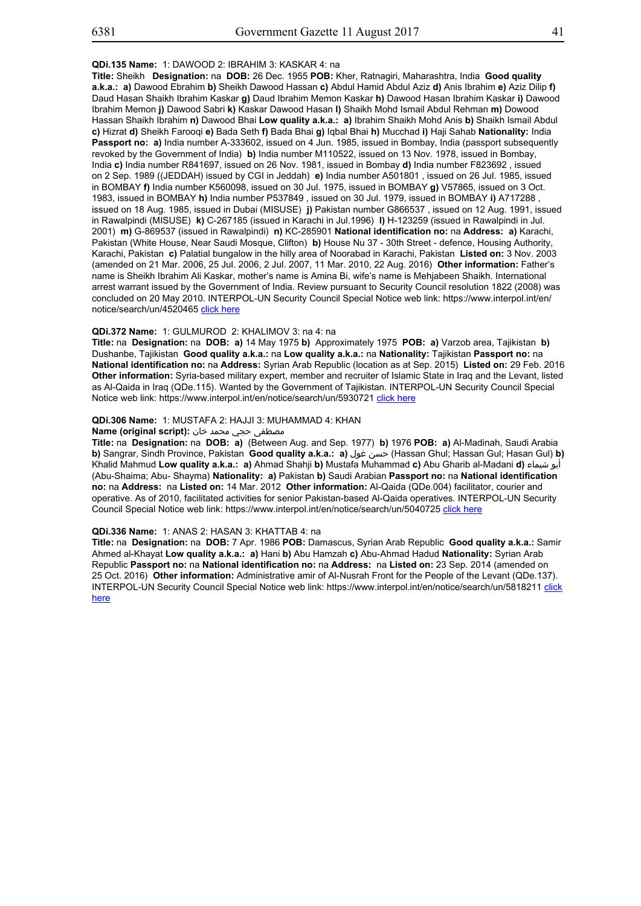## **QDi.135 Name:** 1: DAWOOD 2: IBRAHIM 3: KASKAR 4: na

**Title:** Sheikh **Designation:** na **DOB:** 26 Dec. 1955 **POB:** Kher, Ratnagiri, Maharashtra, India **Good quality a.k.a.: a)** Dawood Ebrahim **b)** Sheikh Dawood Hassan **c)** Abdul Hamid Abdul Aziz **d)** Anis Ibrahim **e)** Aziz Dilip **f)** Daud Hasan Shaikh Ibrahim Kaskar **g)** Daud Ibrahim Memon Kaskar **h)** Dawood Hasan Ibrahim Kaskar **i)** Dawood Ibrahim Memon **j)** Dawood Sabri **k)** Kaskar Dawood Hasan **l)** Shaikh Mohd Ismail Abdul Rehman **m)** Dowood Hassan Shaikh Ibrahim **n)** Dawood Bhai **Low quality a.k.a.: a)** Ibrahim Shaikh Mohd Anis **b)** Shaikh Ismail Abdul **c)** Hizrat **d)** Sheikh Farooqi **e)** Bada Seth **f)** Bada Bhai **g)** Iqbal Bhai **h)** Mucchad **i)** Haji Sahab **Nationality:** India Passport no: a) India number A-333602, issued on 4 Jun. 1985, issued in Bombay, India (passport subsequently revoked by the Government of India) **b)** India number M110522, issued on 13 Nov. 1978, issued in Bombay, India **c)** India number R841697, issued on 26 Nov. 1981, issued in Bombay **d)** India number F823692 , issued on 2 Sep. 1989 ((JEDDAH) issued by CGI in Jeddah) **e)** India number A501801 , issued on 26 Jul. 1985, issued in BOMBAY **f)** India number K560098, issued on 30 Jul. 1975, issued in BOMBAY **g)** V57865, issued on 3 Oct. 1983, issued in BOMBAY **h)** India number P537849 , issued on 30 Jul. 1979, issued in BOMBAY **i)** A717288 , issued on 18 Aug. 1985, issued in Dubai (MISUSE) **j)** Pakistan number G866537 , issued on 12 Aug. 1991, issued in Rawalpindi (MISUSE) **k)** C-267185 (issued in Karachi in Jul.1996) **l)** H-123259 (issued in Rawalpindi in Jul. 2001) **m)** G-869537 (issued in Rawalpindi) **n)** KC-285901 **National identification no:** na **Address: a)** Karachi, Pakistan (White House, Near Saudi Mosque, Clifton) **b)** House Nu 37 - 30th Street - defence, Housing Authority, Karachi, Pakistan **c)** Palatial bungalow in the hilly area of Noorabad in Karachi, Pakistan **Listed on:** 3 Nov. 2003 (amended on 21 Mar. 2006, 25 Jul. 2006, 2 Jul. 2007, 11 Mar. 2010, 22 Aug. 2016) **Other information:** Father's name is Sheikh Ibrahim Ali Kaskar, mother's name is Amina Bi, wife's name is Mehjabeen Shaikh. International arrest warrant issued by the Government of India. Review pursuant to Security Council resolution 1822 (2008) was concluded on 20 May 2010. INTERPOL-UN Security Council Special Notice web link: https://www.interpol.int/en/ notice/search/un/4520465 click here

#### **QDi.372 Name:** 1: GULMUROD 2: KHALIMOV 3: na 4: na

**Title:** na **Designation:** na **DOB: a)** 14 May 1975 **b)** Approximately 1975 **POB: a)** Varzob area, Tajikistan **b)** Dushanbe, Tajikistan **Good quality a.k.a.:** na **Low quality a.k.a.:** na **Nationality:** Tajikistan **Passport no:** na **National identification no:** na **Address:** Syrian Arab Republic (location as at Sep. 2015) **Listed on:** 29 Feb. 2016 **Other information:** Syria-based military expert, member and recruiter of Islamic State in Iraq and the Levant, listed as Al-Qaida in Iraq (QDe.115). Wanted by the Government of Tajikistan. INTERPOL-UN Security Council Special Notice web link: https://www.interpol.int/en/notice/search/un/5930721 click here

#### **QDi.306 Name:** 1: MUSTAFA 2: HAJJI 3: MUHAMMAD 4: KHAN

#### **مصطفى حجى محمد خان :Name (original script)**

**Title:** na **Designation:** na **DOB: a)** (Between Aug. and Sep. 1977) **b)** 1976 **POB: a)** Al-Madinah, Saudi Arabia **b)** Sangrar, Sindh Province, Pakistan **Good quality a.k.a.: a)** غول حسن) Hassan Ghul; Hassan Gul; Hasan Gul) **b)** Khalid Mahmud **Low quality a.k.a.: a)** Ahmad Shahji **b)** Mustafa Muhammad **c)** Abu Gharib al-Madani **d)** شيماء أبو (Abu-Shaima; Abu- Shayma) **Nationality: a)** Pakistan **b)** Saudi Arabian **Passport no:** na **National identification no:** na **Address:** na **Listed on:** 14 Mar. 2012 **Other information:** Al-Qaida (QDe.004) facilitator, courier and operative. As of 2010, facilitated activities for senior Pakistan-based Al-Qaida operatives. INTERPOL-UN Security Council Special Notice web link: https://www.interpol.int/en/notice/search/un/5040725 click here

## **QDi.336 Name:** 1: ANAS 2: HASAN 3: KHATTAB 4: na

**Title:** na **Designation:** na **DOB:** 7 Apr. 1986 **POB:** Damascus, Syrian Arab Republic **Good quality a.k.a.:** Samir Ahmed al-Khayat **Low quality a.k.a.: a)** Hani **b)** Abu Hamzah **c)** Abu-Ahmad Hadud **Nationality:** Syrian Arab Republic **Passport no:** na **National identification no:** na **Address:** na **Listed on:** 23 Sep. 2014 (amended on 25 Oct. 2016) **Other information:** Administrative amir of Al-Nusrah Front for the People of the Levant (QDe.137). INTERPOL-UN Security Council Special Notice web link: https://www.interpol.int/en/notice/search/un/5818211 click here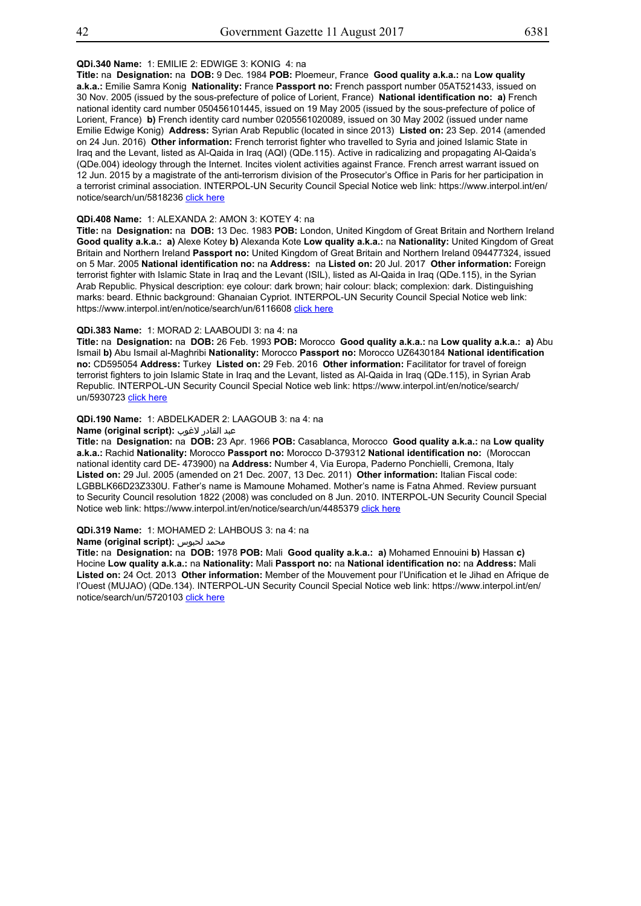## **QDi.340 Name:** 1: EMILIE 2: EDWIGE 3: KONIG 4: na

**Title:** na **Designation:** na **DOB:** 9 Dec. 1984 **POB:** Ploemeur, France **Good quality a.k.a.:** na **Low quality a.k.a.:** Emilie Samra Konig **Nationality:** France **Passport no:** French passport number 05AT521433, issued on 30 Nov. 2005 (issued by the sous-prefecture of police of Lorient, France) **National identification no: a)** French national identity card number 050456101445, issued on 19 May 2005 (issued by the sous-prefecture of police of Lorient, France) **b)** French identity card number 0205561020089, issued on 30 May 2002 (issued under name Emilie Edwige Konig) **Address:** Syrian Arab Republic (located in since 2013) **Listed on:** 23 Sep. 2014 (amended on 24 Jun. 2016) **Other information:** French terrorist fighter who travelled to Syria and joined Islamic State in Iraq and the Levant, listed as Al-Qaida in Iraq (AQI) (QDe.115). Active in radicalizing and propagating Al-Qaida's (QDe.004) ideology through the Internet. Incites violent activities against France. French arrest warrant issued on 12 Jun. 2015 by a magistrate of the anti-terrorism division of the Prosecutor's Office in Paris for her participation in a terrorist criminal association. INTERPOL-UN Security Council Special Notice web link: https://www.interpol.int/en/ notice/search/un/5818236 click here

## **QDi.408 Name:** 1: ALEXANDA 2: AMON 3: KOTEY 4: na

**Title:** na **Designation:** na **DOB:** 13 Dec. 1983 **POB:** London, United Kingdom of Great Britain and Northern Ireland **Good quality a.k.a.: a)** Alexe Kotey **b)** Alexanda Kote **Low quality a.k.a.:** na **Nationality:** United Kingdom of Great Britain and Northern Ireland **Passport no:** United Kingdom of Great Britain and Northern Ireland 094477324, issued on 5 Mar. 2005 **National identification no:** na **Address:** na **Listed on:** 20 Jul. 2017 **Other information:** Foreign terrorist fighter with Islamic State in Iraq and the Levant (ISIL), listed as Al-Qaida in Iraq (QDe.115), in the Syrian Arab Republic. Physical description: eye colour: dark brown; hair colour: black; complexion: dark. Distinguishing marks: beard. Ethnic background: Ghanaian Cypriot. INTERPOL-UN Security Council Special Notice web link: https://www.interpol.int/en/notice/search/un/6116608 click here

#### **QDi.383 Name:** 1: MORAD 2: LAABOUDI 3: na 4: na

**Title:** na **Designation:** na **DOB:** 26 Feb. 1993 **POB:** Morocco **Good quality a.k.a.:** na **Low quality a.k.a.: a)** Abu Ismail **b)** Abu Ismail al-Maghribi **Nationality:** Morocco **Passport no:** Morocco UZ6430184 **National identification no:** CD595054 **Address:** Turkey **Listed on:** 29 Feb. 2016 **Other information:** Facilitator for travel of foreign terrorist fighters to join Islamic State in Iraq and the Levant, listed as Al-Qaida in Iraq (QDe.115), in Syrian Arab Republic. INTERPOL-UN Security Council Special Notice web link: https://www.interpol.int/en/notice/search/ un/5930723 click here

## **QDi.190 Name:** 1: ABDELKADER 2: LAAGOUB 3: na 4: na

## عبد القادر لاغوب **:(script original (Name**

**Title:** na **Designation:** na **DOB:** 23 Apr. 1966 **POB:** Casablanca, Morocco **Good quality a.k.a.:** na **Low quality a.k.a.:** Rachid **Nationality:** Morocco **Passport no:** Morocco D-379312 **National identification no:** (Moroccan national identity card DE- 473900) na **Address:** Number 4, Via Europa, Paderno Ponchielli, Cremona, Italy **Listed on:** 29 Jul. 2005 (amended on 21 Dec. 2007, 13 Dec. 2011) **Other information:** Italian Fiscal code: LGBBLK66D23Z330U. Father's name is Mamoune Mohamed. Mother's name is Fatna Ahmed. Review pursuant to Security Council resolution 1822 (2008) was concluded on 8 Jun. 2010. INTERPOL-UN Security Council Special Notice web link: https://www.interpol.int/en/notice/search/un/4485379 click here

#### **QDi.319 Name:** 1: MOHAMED 2: LAHBOUS 3: na 4: na

# **Name (original script):** لحبوس محمد

**Title:** na **Designation:** na **DOB:** 1978 **POB:** Mali **Good quality a.k.a.: a)** Mohamed Ennouini **b)** Hassan **c)** Hocine **Low quality a.k.a.:** na **Nationality:** Mali **Passport no:** na **National identification no:** na **Address:** Mali **Listed on:** 24 Oct. 2013 **Other information:** Member of the Mouvement pour l'Unification et le Jihad en Afrique de l'Ouest (MUJAO) (QDe.134). INTERPOL-UN Security Council Special Notice web link: https://www.interpol.int/en/ notice/search/un/5720103 click here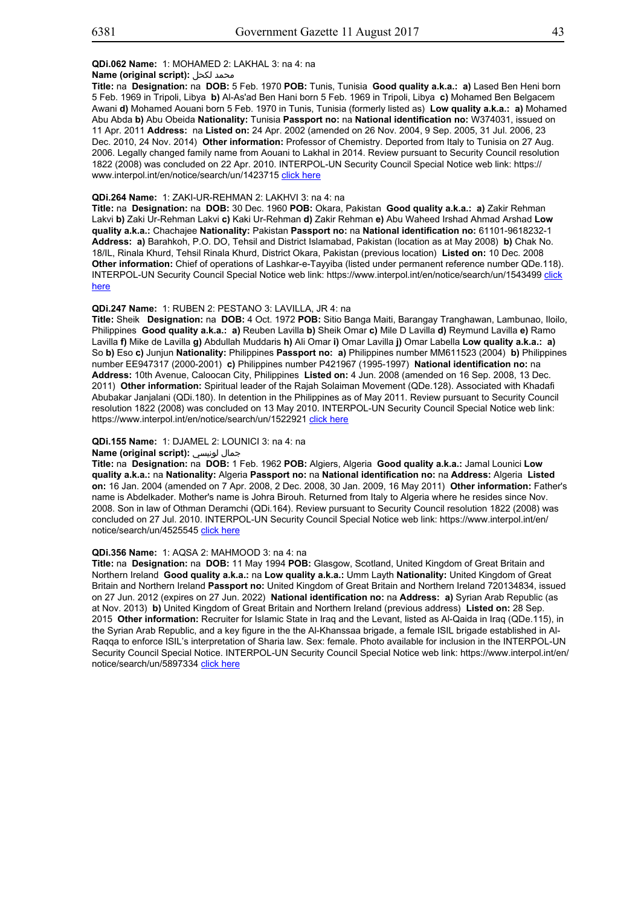## **QDi.062 Name:** 1: MOHAMED 2: LAKHAL 3: na 4: na

#### **Name (original script):** لكحل محمد

**Title:** na **Designation:** na **DOB:** 5 Feb. 1970 **POB:** Tunis, Tunisia **Good quality a.k.a.: a)** Lased Ben Heni born 5 Feb. 1969 in Tripoli, Libya **b)** Al-As'ad Ben Hani born 5 Feb. 1969 in Tripoli, Libya **c)** Mohamed Ben Belgacem Awani **d)** Mohamed Aouani born 5 Feb. 1970 in Tunis, Tunisia (formerly listed as) **Low quality a.k.a.: a)** Mohamed Abu Abda **b)** Abu Obeida **Nationality:** Tunisia **Passport no:** na **National identification no:** W374031, issued on 11 Apr. 2011 **Address:** na **Listed on:** 24 Apr. 2002 (amended on 26 Nov. 2004, 9 Sep. 2005, 31 Jul. 2006, 23 Dec. 2010, 24 Nov. 2014) **Other information:** Professor of Chemistry. Deported from Italy to Tunisia on 27 Aug. 2006. Legally changed family name from Aouani to Lakhal in 2014. Review pursuant to Security Council resolution 1822 (2008) was concluded on 22 Apr. 2010. INTERPOL-UN Security Council Special Notice web link: https:// www.interpol.int/en/notice/search/un/1423715 click here

#### **QDi.264 Name:** 1: ZAKI-UR-REHMAN 2: LAKHVI 3: na 4: na

**Title:** na **Designation:** na **DOB:** 30 Dec. 1960 **POB:** Okara, Pakistan **Good quality a.k.a.: a)** Zakir Rehman Lakvi **b)** Zaki Ur-Rehman Lakvi **c)** Kaki Ur-Rehman **d)** Zakir Rehman **e)** Abu Waheed Irshad Ahmad Arshad **Low quality a.k.a.:** Chachajee **Nationality:** Pakistan **Passport no:** na **National identification no:** 61101-9618232-1 **Address: a)** Barahkoh, P.O. DO, Tehsil and District Islamabad, Pakistan (location as at May 2008) **b)** Chak No. 18/IL, Rinala Khurd, Tehsil Rinala Khurd, District Okara, Pakistan (previous location) **Listed on:** 10 Dec. 2008 **Other information:** Chief of operations of Lashkar-e-Tayyiba (listed under permanent reference number QDe.118). INTERPOL-UN Security Council Special Notice web link: https://www.interpol.int/en/notice/search/un/1543499 click here

#### **QDi.247 Name:** 1: RUBEN 2: PESTANO 3: LAVILLA, JR 4: na

**Title:** Sheik **Designation:** na **DOB:** 4 Oct. 1972 **POB:** Sitio Banga Maiti, Barangay Tranghawan, Lambunao, Iloilo, Philippines **Good quality a.k.a.: a)** Reuben Lavilla **b)** Sheik Omar **c)** Mile D Lavilla **d)** Reymund Lavilla **e)** Ramo Lavilla **f)** Mike de Lavilla **g)** Abdullah Muddaris **h)** Ali Omar **i)** Omar Lavilla **j)** Omar Labella **Low quality a.k.a.: a)** So **b)** Eso **c)** Junjun **Nationality:** Philippines **Passport no: a)** Philippines number MM611523 (2004) **b)** Philippines number EE947317 (2000-2001) **c)** Philippines number P421967 (1995-1997) **National identification no:** na **Address:** 10th Avenue, Caloocan City, Philippines **Listed on:** 4 Jun. 2008 (amended on 16 Sep. 2008, 13 Dec. 2011) **Other information:** Spiritual leader of the Rajah Solaiman Movement (QDe.128). Associated with Khadafi Abubakar Janjalani (QDi.180). In detention in the Philippines as of May 2011. Review pursuant to Security Council resolution 1822 (2008) was concluded on 13 May 2010. INTERPOL-UN Security Council Special Notice web link: https://www.interpol.int/en/notice/search/un/1522921 click here

## **QDi.155 Name:** 1: DJAMEL 2: LOUNICI 3: na 4: na

#### **Name (original script):** لونيسي جمال

**Title:** na **Designation:** na **DOB:** 1 Feb. 1962 **POB:** Algiers, Algeria **Good quality a.k.a.:** Jamal Lounici **Low quality a.k.a.:** na **Nationality:** Algeria **Passport no:** na **National identification no:** na **Address:** Algeria **Listed on:** 16 Jan. 2004 (amended on 7 Apr. 2008, 2 Dec. 2008, 30 Jan. 2009, 16 May 2011) **Other information:** Father's name is Abdelkader. Mother's name is Johra Birouh. Returned from Italy to Algeria where he resides since Nov. 2008. Son in law of Othman Deramchi (QDi.164). Review pursuant to Security Council resolution 1822 (2008) was concluded on 27 Jul. 2010. INTERPOL-UN Security Council Special Notice web link: https://www.interpol.int/en/ notice/search/un/4525545 click here

#### **QDi.356 Name:** 1: AQSA 2: MAHMOOD 3: na 4: na

**Title:** na **Designation:** na **DOB:** 11 May 1994 **POB:** Glasgow, Scotland, United Kingdom of Great Britain and Northern Ireland **Good quality a.k.a.:** na **Low quality a.k.a.:** Umm Layth **Nationality:** United Kingdom of Great Britain and Northern Ireland **Passport no:** United Kingdom of Great Britain and Northern Ireland 720134834, issued on 27 Jun. 2012 (expires on 27 Jun. 2022) **National identification no:** na **Address: a)** Syrian Arab Republic (as at Nov. 2013) **b)** United Kingdom of Great Britain and Northern Ireland (previous address) **Listed on:** 28 Sep. 2015 **Other information:** Recruiter for Islamic State in Iraq and the Levant, listed as Al-Qaida in Iraq (QDe.115), in the Syrian Arab Republic, and a key figure in the the Al-Khanssaa brigade, a female ISIL brigade established in Al-Raqqa to enforce ISIL's interpretation of Sharia law. Sex: female. Photo available for inclusion in the INTERPOL-UN Security Council Special Notice. INTERPOL-UN Security Council Special Notice web link: https://www.interpol.int/en/ notice/search/un/5897334 click here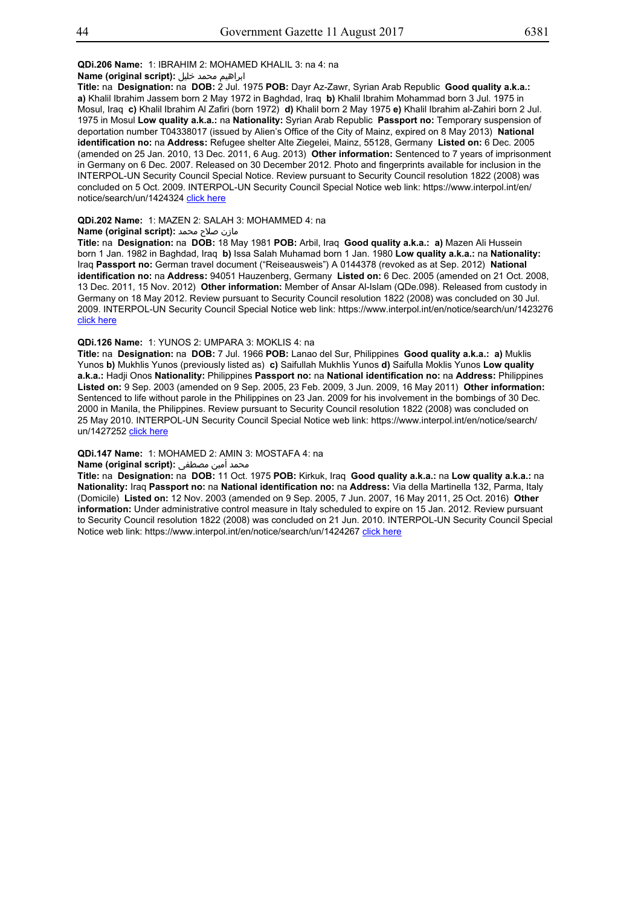## **QDi.206 Name:** 1: IBRAHIM 2: MOHAMED KHALIL 3: na 4: na

#### ابراهيم محمد خليل **:(script original (Name**

**Title:** na **Designation:** na **DOB:** 2 Jul. 1975 **POB:** Dayr Az-Zawr, Syrian Arab Republic **Good quality a.k.a.: a)** Khalil Ibrahim Jassem born 2 May 1972 in Baghdad, Iraq **b)** Khalil Ibrahim Mohammad born 3 Jul. 1975 in Mosul, Iraq **c)** Khalil Ibrahim Al Zafiri (born 1972) **d)** Khalil born 2 May 1975 **e)** Khalil Ibrahim al-Zahiri born 2 Jul. 1975 in Mosul **Low quality a.k.a.:** na **Nationality:** Syrian Arab Republic **Passport no:** Temporary suspension of deportation number T04338017 (issued by Alien's Office of the City of Mainz, expired on 8 May 2013) **National identification no:** na **Address:** Refugee shelter Alte Ziegelei, Mainz, 55128, Germany **Listed on:** 6 Dec. 2005 (amended on 25 Jan. 2010, 13 Dec. 2011, 6 Aug. 2013) **Other information:** Sentenced to 7 years of imprisonment in Germany on 6 Dec. 2007. Released on 30 December 2012. Photo and fingerprints available for inclusion in the INTERPOL-UN Security Council Special Notice. Review pursuant to Security Council resolution 1822 (2008) was concluded on 5 Oct. 2009. INTERPOL-UN Security Council Special Notice web link: https://www.interpol.int/en/ notice/search/un/1424324 click here

## **QDi.202 Name:** 1: MAZEN 2: SALAH 3: MOHAMMED 4: na

#### مازن صلاح محمد **:(Name (original script**

**Title:** na **Designation:** na **DOB:** 18 May 1981 **POB:** Arbil, Iraq **Good quality a.k.a.: a)** Mazen Ali Hussein born 1 Jan. 1982 in Baghdad, Iraq **b)** Issa Salah Muhamad born 1 Jan. 1980 **Low quality a.k.a.:** na **Nationality:** Iraq **Passport no:** German travel document ("Reiseausweis") A 0144378 (revoked as at Sep. 2012) **National identification no:** na **Address:** 94051 Hauzenberg, Germany **Listed on:** 6 Dec. 2005 (amended on 21 Oct. 2008, 13 Dec. 2011, 15 Nov. 2012) **Other information:** Member of Ansar Al-Islam (QDe.098). Released from custody in Germany on 18 May 2012. Review pursuant to Security Council resolution 1822 (2008) was concluded on 30 Jul. 2009. INTERPOL-UN Security Council Special Notice web link: https://www.interpol.int/en/notice/search/un/1423276 click here

#### **QDi.126 Name:** 1: YUNOS 2: UMPARA 3: MOKLIS 4: na

**Title:** na **Designation:** na **DOB:** 7 Jul. 1966 **POB:** Lanao del Sur, Philippines **Good quality a.k.a.: a)** Muklis Yunos **b)** Mukhlis Yunos (previously listed as) **c)** Saifullah Mukhlis Yunos **d)** Saifulla Moklis Yunos **Low quality a.k.a.:** Hadji Onos **Nationality:** Philippines **Passport no:** na **National identification no:** na **Address:** Philippines **Listed on:** 9 Sep. 2003 (amended on 9 Sep. 2005, 23 Feb. 2009, 3 Jun. 2009, 16 May 2011) **Other information:** Sentenced to life without parole in the Philippines on 23 Jan. 2009 for his involvement in the bombings of 30 Dec. 2000 in Manila, the Philippines. Review pursuant to Security Council resolution 1822 (2008) was concluded on 25 May 2010. INTERPOL-UN Security Council Special Notice web link: https://www.interpol.int/en/notice/search/ un/1427252 click here

## **QDi.147 Name:** 1: MOHAMED 2: AMIN 3: MOSTAFA 4: na

## محمد أمين مصطفى :**Name (original script)**

**Title:** na **Designation:** na **DOB:** 11 Oct. 1975 **POB:** Kirkuk, Iraq **Good quality a.k.a.:** na **Low quality a.k.a.:** na **Nationality:** Iraq **Passport no:** na **National identification no:** na **Address:** Via della Martinella 132, Parma, Italy (Domicile) **Listed on:** 12 Nov. 2003 (amended on 9 Sep. 2005, 7 Jun. 2007, 16 May 2011, 25 Oct. 2016) **Other information:** Under administrative control measure in Italy scheduled to expire on 15 Jan. 2012. Review pursuant to Security Council resolution 1822 (2008) was concluded on 21 Jun. 2010. INTERPOL-UN Security Council Special Notice web link: https://www.interpol.int/en/notice/search/un/1424267 click here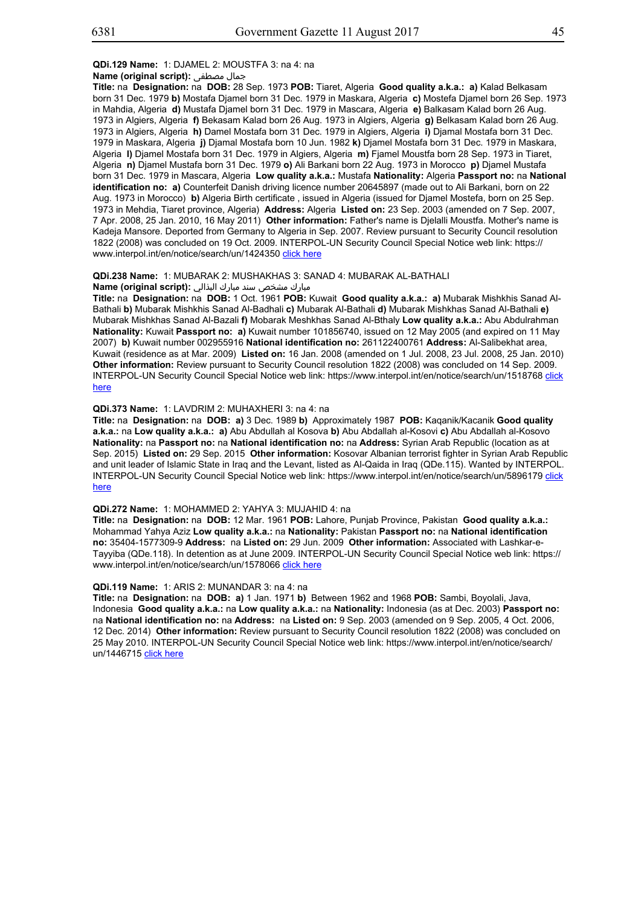## **QDi.129 Name:** 1: DJAMEL 2: MOUSTFA 3: na 4: na

## **Name (original script):** مصطفى جمال

**Title:** na **Designation:** na **DOB:** 28 Sep. 1973 **POB:** Tiaret, Algeria **Good quality a.k.a.: a)** Kalad Belkasam born 31 Dec. 1979 **b)** Mostafa Djamel born 31 Dec. 1979 in Maskara, Algeria **c)** Mostefa Djamel born 26 Sep. 1973 in Mahdia, Algeria **d)** Mustafa Djamel born 31 Dec. 1979 in Mascara, Algeria **e)** Balkasam Kalad born 26 Aug. 1973 in Algiers, Algeria **f)** Bekasam Kalad born 26 Aug. 1973 in Algiers, Algeria **g)** Belkasam Kalad born 26 Aug. 1973 in Algiers, Algeria **h)** Damel Mostafa born 31 Dec. 1979 in Algiers, Algeria **i)** Djamal Mostafa born 31 Dec. 1979 in Maskara, Algeria **j)** Djamal Mostafa born 10 Jun. 1982 **k)** Djamel Mostafa born 31 Dec. 1979 in Maskara, Algeria **l)** Djamel Mostafa born 31 Dec. 1979 in Algiers, Algeria **m)** Fjamel Moustfa born 28 Sep. 1973 in Tiaret, Algeria **n)** Djamel Mustafa born 31 Dec. 1979 **o)** Ali Barkani born 22 Aug. 1973 in Morocco **p)** Djamel Mustafa born 31 Dec. 1979 in Mascara, Algeria **Low quality a.k.a.:** Mustafa **Nationality:** Algeria **Passport no:** na **National identification no: a)** Counterfeit Danish driving licence number 20645897 (made out to Ali Barkani, born on 22 Aug. 1973 in Morocco) **b)** Algeria Birth certificate , issued in Algeria (issued for Djamel Mostefa, born on 25 Sep. 1973 in Mehdia, Tiaret province, Algeria) **Address:** Algeria **Listed on:** 23 Sep. 2003 (amended on 7 Sep. 2007, 7 Apr. 2008, 25 Jan. 2010, 16 May 2011) **Other information:** Father's name is Djelalli Moustfa. Mother's name is Kadeja Mansore. Deported from Germany to Algeria in Sep. 2007. Review pursuant to Security Council resolution 1822 (2008) was concluded on 19 Oct. 2009. INTERPOL-UN Security Council Special Notice web link: https:// www.interpol.int/en/notice/search/un/1424350 click here

# **QDi.238 Name:** 1: MUBARAK 2: MUSHAKHAS 3: SANAD 4: MUBARAK AL-BATHALI

## مبارك مشخص سند مبارك البذالي **:(script original (Name**

**Title:** na **Designation:** na **DOB:** 1 Oct. 1961 **POB:** Kuwait **Good quality a.k.a.: a)** Mubarak Mishkhis Sanad Al-Bathali **b)** Mubarak Mishkhis Sanad Al-Badhali **c)** Mubarak Al-Bathali **d)** Mubarak Mishkhas Sanad Al-Bathali **e)** Mubarak Mishkhas Sanad Al-Bazali **f)** Mobarak Meshkhas Sanad Al-Bthaly **Low quality a.k.a.:** Abu Abdulrahman **Nationality:** Kuwait **Passport no: a)** Kuwait number 101856740, issued on 12 May 2005 (and expired on 11 May 2007) **b)** Kuwait number 002955916 **National identification no:** 261122400761 **Address:** Al-Salibekhat area, Kuwait (residence as at Mar. 2009) **Listed on:** 16 Jan. 2008 (amended on 1 Jul. 2008, 23 Jul. 2008, 25 Jan. 2010) **Other information:** Review pursuant to Security Council resolution 1822 (2008) was concluded on 14 Sep. 2009. INTERPOL-UN Security Council Special Notice web link: https://www.interpol.int/en/notice/search/un/1518768 click here

#### **QDi.373 Name:** 1: LAVDRIM 2: MUHAXHERI 3: na 4: na

**Title:** na **Designation:** na **DOB: a)** 3 Dec. 1989 **b)** Approximately 1987 **POB:** Kaqanik/Kacanik **Good quality a.k.a.:** na **Low quality a.k.a.: a)** Abu Abdullah al Kosova **b)** Abu Abdallah al-Kosovi **c)** Abu Abdallah al-Kosovo **Nationality:** na **Passport no:** na **National identification no:** na **Address:** Syrian Arab Republic (location as at Sep. 2015) **Listed on:** 29 Sep. 2015 **Other information:** Kosovar Albanian terrorist fighter in Syrian Arab Republic and unit leader of Islamic State in Iraq and the Levant, listed as Al-Qaida in Iraq (QDe.115). Wanted by INTERPOL. INTERPOL-UN Security Council Special Notice web link: https://www.interpol.int/en/notice/search/un/5896179 click here

#### **QDi.272 Name:** 1: MOHAMMED 2: YAHYA 3: MUJAHID 4: na

**Title:** na **Designation:** na **DOB:** 12 Mar. 1961 **POB:** Lahore, Punjab Province, Pakistan **Good quality a.k.a.:** Mohammad Yahya Aziz **Low quality a.k.a.:** na **Nationality:** Pakistan **Passport no:** na **National identification no:** 35404-1577309-9 **Address:** na **Listed on:** 29 Jun. 2009 **Other information:** Associated with Lashkar-e-Tayyiba (QDe.118). In detention as at June 2009. INTERPOL-UN Security Council Special Notice web link: https:// www.interpol.int/en/notice/search/un/1578066 click here

## **QDi.119 Name:** 1: ARIS 2: MUNANDAR 3: na 4: na

**Title:** na **Designation:** na **DOB: a)** 1 Jan. 1971 **b)** Between 1962 and 1968 **POB:** Sambi, Boyolali, Java, Indonesia **Good quality a.k.a.:** na **Low quality a.k.a.:** na **Nationality:** Indonesia (as at Dec. 2003) **Passport no:** na **National identification no:** na **Address:** na **Listed on:** 9 Sep. 2003 (amended on 9 Sep. 2005, 4 Oct. 2006, 12 Dec. 2014) **Other information:** Review pursuant to Security Council resolution 1822 (2008) was concluded on 25 May 2010. INTERPOL-UN Security Council Special Notice web link: https://www.interpol.int/en/notice/search/ un/1446715 click here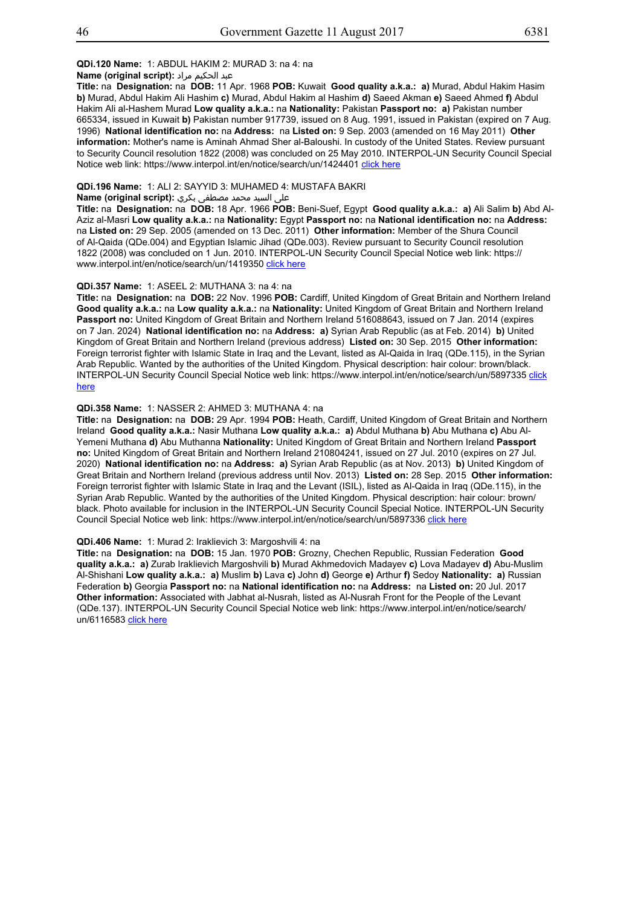## **QDi.120 Name:** 1: ABDUL HAKIM 2: MURAD 3: na 4: na

#### عبد الحكيم مراد **:(script original (Name**

**Title:** na **Designation:** na **DOB:** 11 Apr. 1968 **POB:** Kuwait **Good quality a.k.a.: a)** Murad, Abdul Hakim Hasim **b)** Murad, Abdul Hakim Ali Hashim **c)** Murad, Abdul Hakim al Hashim **d)** Saeed Akman **e)** Saeed Ahmed **f)** Abdul Hakim Ali al-Hashem Murad **Low quality a.k.a.:** na **Nationality:** Pakistan **Passport no: a)** Pakistan number 665334, issued in Kuwait **b)** Pakistan number 917739, issued on 8 Aug. 1991, issued in Pakistan (expired on 7 Aug. 1996) **National identification no:** na **Address:** na **Listed on:** 9 Sep. 2003 (amended on 16 May 2011) **Other information:** Mother's name is Aminah Ahmad Sher al-Baloushi. In custody of the United States. Review pursuant to Security Council resolution 1822 (2008) was concluded on 25 May 2010. INTERPOL-UN Security Council Special Notice web link: https://www.interpol.int/en/notice/search/un/1424401 click here

## **QDi.196 Name:** 1: ALI 2: SAYYID 3: MUHAMED 4: MUSTAFA BAKRI

#### على السيد محمد مصطفى بكري **:(script original (Name**

**Title:** na **Designation:** na **DOB:** 18 Apr. 1966 **POB:** Beni-Suef, Egypt **Good quality a.k.a.: a)** Ali Salim **b)** Abd Al-Aziz al-Masri **Low quality a.k.a.:** na **Nationality:** Egypt **Passport no:** na **National identification no:** na **Address:**  na **Listed on:** 29 Sep. 2005 (amended on 13 Dec. 2011) **Other information:** Member of the Shura Council of Al-Qaida (QDe.004) and Egyptian Islamic Jihad (QDe.003). Review pursuant to Security Council resolution 1822 (2008) was concluded on 1 Jun. 2010. INTERPOL-UN Security Council Special Notice web link: https:// www.interpol.int/en/notice/search/un/1419350 click here

#### **QDi.357 Name:** 1: ASEEL 2: MUTHANA 3: na 4: na

**Title:** na **Designation:** na **DOB:** 22 Nov. 1996 **POB:** Cardiff, United Kingdom of Great Britain and Northern Ireland **Good quality a.k.a.:** na **Low quality a.k.a.:** na **Nationality:** United Kingdom of Great Britain and Northern Ireland **Passport no:** United Kingdom of Great Britain and Northern Ireland 516088643, issued on 7 Jan. 2014 (expires on 7 Jan. 2024) **National identification no:** na **Address: a)** Syrian Arab Republic (as at Feb. 2014) **b)** United Kingdom of Great Britain and Northern Ireland (previous address) **Listed on:** 30 Sep. 2015 **Other information:** Foreign terrorist fighter with Islamic State in Iraq and the Levant, listed as Al-Qaida in Iraq (QDe.115), in the Syrian Arab Republic. Wanted by the authorities of the United Kingdom. Physical description: hair colour: brown/black. INTERPOL-UN Security Council Special Notice web link: https://www.interpol.int/en/notice/search/un/5897335 click here

#### **QDi.358 Name:** 1: NASSER 2: AHMED 3: MUTHANA 4: na

**Title:** na **Designation:** na **DOB:** 29 Apr. 1994 **POB:** Heath, Cardiff, United Kingdom of Great Britain and Northern Ireland **Good quality a.k.a.:** Nasir Muthana **Low quality a.k.a.: a)** Abdul Muthana **b)** Abu Muthana **c)** Abu Al-Yemeni Muthana **d)** Abu Muthanna **Nationality:** United Kingdom of Great Britain and Northern Ireland **Passport no:** United Kingdom of Great Britain and Northern Ireland 210804241, issued on 27 Jul. 2010 (expires on 27 Jul. 2020) **National identification no:** na **Address: a)** Syrian Arab Republic (as at Nov. 2013) **b)** United Kingdom of Great Britain and Northern Ireland (previous address until Nov. 2013) **Listed on:** 28 Sep. 2015 **Other information:** Foreign terrorist fighter with Islamic State in Iraq and the Levant (ISIL), listed as Al-Qaida in Iraq (QDe.115), in the Syrian Arab Republic. Wanted by the authorities of the United Kingdom. Physical description: hair colour: brown/ black. Photo available for inclusion in the INTERPOL-UN Security Council Special Notice. INTERPOL-UN Security Council Special Notice web link: https://www.interpol.int/en/notice/search/un/5897336 click here

#### **QDi.406 Name:** 1: Murad 2: Iraklievich 3: Margoshvili 4: na

**Title:** na **Designation:** na **DOB:** 15 Jan. 1970 **POB:** Grozny, Chechen Republic, Russian Federation **Good quality a.k.a.: a)** Zurab Iraklievich Margoshvili **b)** Murad Akhmedovich Madayev **c)** Lova Madayev **d)** Abu-Muslim Al-Shishani **Low quality a.k.a.: a)** Muslim **b)** Lava **c)** John **d)** George **e)** Arthur **f)** Sedoy **Nationality: a)** Russian Federation **b)** Georgia **Passport no:** na **National identification no:** na **Address:** na **Listed on:** 20 Jul. 2017 **Other information:** Associated with Jabhat al-Nusrah, listed as Al-Nusrah Front for the People of the Levant (QDe.137). INTERPOL-UN Security Council Special Notice web link: https://www.interpol.int/en/notice/search/ un/6116583 click here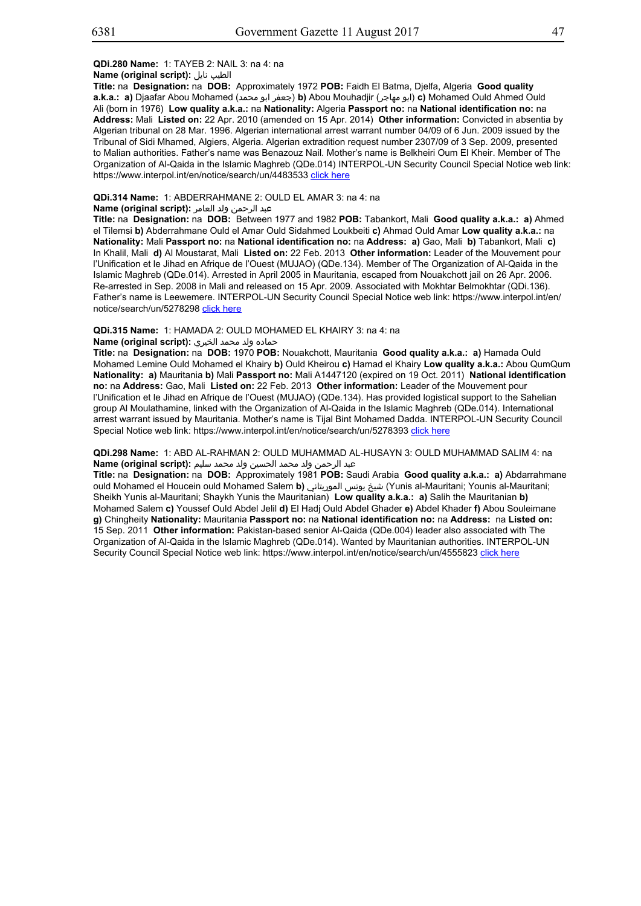## **Name (original script):** نايل الطيب

**Title:** na **Designation:** na **DOB:** Approximately 1972 **POB:** Faidh El Batma, Djelfa, Algeria **Good quality a.k.a.: a)** Djaafar Abou Mohamed (محمد ابو جعفر(**b)** Abou Mouhadjir (مهاجر ابو(**c)** Mohamed Ould Ahmed Ould Ali (born in 1976) **Low quality a.k.a.:** na **Nationality:** Algeria **Passport no:** na **National identification no:** na **Address:** Mali **Listed on:** 22 Apr. 2010 (amended on 15 Apr. 2014) **Other information:** Convicted in absentia by Algerian tribunal on 28 Mar. 1996. Algerian international arrest warrant number 04/09 of 6 Jun. 2009 issued by the Tribunal of Sidi Mhamed, Algiers, Algeria. Algerian extradition request number 2307/09 of 3 Sep. 2009, presented to Malian authorities. Father's name was Benazouz Nail. Mother's name is Belkheiri Oum El Kheir. Member of The Organization of Al-Qaida in the Islamic Maghreb (QDe.014) INTERPOL-UN Security Council Special Notice web link: https://www.interpol.int/en/notice/search/un/4483533 click here

## **QDi.314 Name:** 1: ABDERRAHMANE 2: OULD EL AMAR 3: na 4: na

#### عبد الرحمن ولد العامر **:(script original (Name**

**Title:** na **Designation:** na **DOB:** Between 1977 and 1982 **POB:** Tabankort, Mali **Good quality a.k.a.: a)** Ahmed el Tilemsi **b)** Abderrahmane Ould el Amar Ould Sidahmed Loukbeiti **c)** Ahmad Ould Amar **Low quality a.k.a.:** na **Nationality:** Mali **Passport no:** na **National identification no:** na **Address: a)** Gao, Mali **b)** Tabankort, Mali **c)** In Khalil, Mali **d)** Al Moustarat, Mali **Listed on:** 22 Feb. 2013 **Other information:** Leader of the Mouvement pour l'Unification et le Jihad en Afrique de l'Ouest (MUJAO) (QDe.134). Member of The Organization of Al-Qaida in the Islamic Maghreb (QDe.014). Arrested in April 2005 in Mauritania, escaped from Nouakchott jail on 26 Apr. 2006. Re-arrested in Sep. 2008 in Mali and released on 15 Apr. 2009. Associated with Mokhtar Belmokhtar (QDi.136). Father's name is Leewemere. INTERPOL-UN Security Council Special Notice web link: https://www.interpol.int/en/ notice/search/un/5278298 click here

## **QDi.315 Name:** 1: HAMADA 2: OULD MOHAMED EL KHAIRY 3: na 4: na

# حماده ولد محمد الخيري **:(script original (Name**

**Title:** na **Designation:** na **DOB:** 1970 **POB:** Nouakchott, Mauritania **Good quality a.k.a.: a)** Hamada Ould Mohamed Lemine Ould Mohamed el Khairy **b)** Ould Kheirou **c)** Hamad el Khairy **Low quality a.k.a.:** Abou QumQum **Nationality: a)** Mauritania **b)** Mali **Passport no:** Mali A1447120 (expired on 19 Oct. 2011) **National identification no:** na **Address:** Gao, Mali **Listed on:** 22 Feb. 2013 **Other information:** Leader of the Mouvement pour l'Unification et le Jihad en Afrique de l'Ouest (MUJAO) (QDe.134). Has provided logistical support to the Sahelian group Al Moulathamine, linked with the Organization of Al-Qaida in the Islamic Maghreb (QDe.014). International arrest warrant issued by Mauritania. Mother's name is Tijal Bint Mohamed Dadda. INTERPOL-UN Security Council Special Notice web link: https://www.interpol.int/en/notice/search/un/5278393 click here

## **QDi.298 Name:** 1: ABD AL-RAHMAN 2: OULD MUHAMMAD AL-HUSAYN 3: OULD MUHAMMAD SALIM 4: na عبد الرحمن ولد محمد الحسين ولد محمد سليم **:(script original (Name**

**Title:** na **Designation:** na **DOB:** Approximately 1981 **POB:** Saudi Arabia **Good quality a.k.a.: a)** Abdarrahmane ould Mohamed el Houcein ould Mohamed Salem **b)** الموريتاني يونس شيخ) Yunis al-Mauritani; Younis al-Mauritani; Sheikh Yunis al-Mauritani; Shaykh Yunis the Mauritanian) **Low quality a.k.a.: a)** Salih the Mauritanian **b)** Mohamed Salem **c)** Youssef Ould Abdel Jelil **d)** El Hadj Ould Abdel Ghader **e)** Abdel Khader **f)** Abou Souleimane **g)** Chingheity **Nationality:** Mauritania **Passport no:** na **National identification no:** na **Address:** na **Listed on:** 15 Sep. 2011 **Other information:** Pakistan-based senior Al-Qaida (QDe.004) leader also associated with The Organization of Al-Qaida in the Islamic Maghreb (QDe.014). Wanted by Mauritanian authorities. INTERPOL-UN Security Council Special Notice web link: https://www.interpol.int/en/notice/search/un/4555823 click here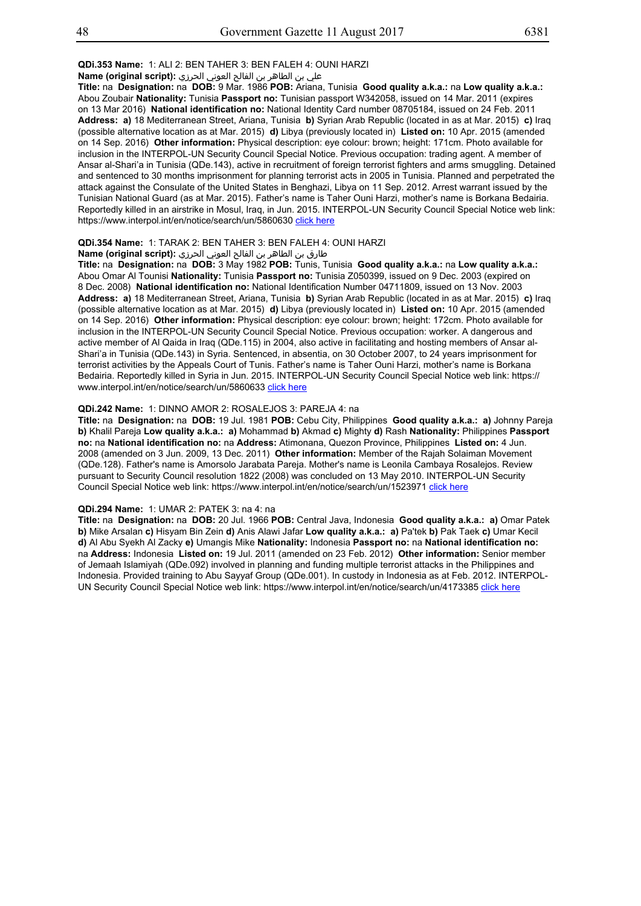**QDi.353 Name:** 1: ALI 2: BEN TAHER 3: BEN FALEH 4: OUNI HARZI

علي بن الطاھر بن الفالح العوني الحرزي **:(script original (Name**

**Title:** na **Designation:** na **DOB:** 9 Mar. 1986 **POB:** Ariana, Tunisia **Good quality a.k.a.:** na **Low quality a.k.a.:** Abou Zoubair **Nationality:** Tunisia **Passport no:** Tunisian passport W342058, issued on 14 Mar. 2011 (expires on 13 Mar 2016) **National identification no:** National Identity Card number 08705184, issued on 24 Feb. 2011 **Address: a)** 18 Mediterranean Street, Ariana, Tunisia **b)** Syrian Arab Republic (located in as at Mar. 2015) **c)** Iraq (possible alternative location as at Mar. 2015) **d)** Libya (previously located in) **Listed on:** 10 Apr. 2015 (amended on 14 Sep. 2016) **Other information:** Physical description: eye colour: brown; height: 171cm. Photo available for inclusion in the INTERPOL-UN Security Council Special Notice. Previous occupation: trading agent. A member of Ansar al-Shari'a in Tunisia (QDe.143), active in recruitment of foreign terrorist fighters and arms smuggling. Detained and sentenced to 30 months imprisonment for planning terrorist acts in 2005 in Tunisia. Planned and perpetrated the attack against the Consulate of the United States in Benghazi, Libya on 11 Sep. 2012. Arrest warrant issued by the Tunisian National Guard (as at Mar. 2015). Father's name is Taher Ouni Harzi, mother's name is Borkana Bedairia. Reportedly killed in an airstrike in Mosul, Iraq, in Jun. 2015. INTERPOL-UN Security Council Special Notice web link: https://www.interpol.int/en/notice/search/un/5860630 click here

## **QDi.354 Name:** 1: TARAK 2: BEN TAHER 3: BEN FALEH 4: OUNI HARZI

## طارق بن الطاھر بن الفالح العوني الحرزي **:(script original (Name**

**Title:** na **Designation:** na **DOB:** 3 May 1982 **POB:** Tunis, Tunisia **Good quality a.k.a.:** na **Low quality a.k.a.:** Abou Omar Al Tounisi **Nationality:** Tunisia **Passport no:** Tunisia Z050399, issued on 9 Dec. 2003 (expired on 8 Dec. 2008) **National identification no:** National Identification Number 04711809, issued on 13 Nov. 2003 **Address: a)** 18 Mediterranean Street, Ariana, Tunisia **b)** Syrian Arab Republic (located in as at Mar. 2015) **c)** Iraq (possible alternative location as at Mar. 2015) **d)** Libya (previously located in) **Listed on:** 10 Apr. 2015 (amended on 14 Sep. 2016) **Other information:** Physical description: eye colour: brown; height: 172cm. Photo available for inclusion in the INTERPOL-UN Security Council Special Notice. Previous occupation: worker. A dangerous and active member of Al Qaida in Iraq (QDe.115) in 2004, also active in facilitating and hosting members of Ansar al-Shari'a in Tunisia (QDe.143) in Syria. Sentenced, in absentia, on 30 October 2007, to 24 years imprisonment for terrorist activities by the Appeals Court of Tunis. Father's name is Taher Ouni Harzi, mother's name is Borkana Bedairia. Reportedly killed in Syria in Jun. 2015. INTERPOL-UN Security Council Special Notice web link: https:// www.interpol.int/en/notice/search/un/5860633 click here

## **QDi.242 Name:** 1: DINNO AMOR 2: ROSALEJOS 3: PAREJA 4: na

**Title:** na **Designation:** na **DOB:** 19 Jul. 1981 **POB:** Cebu City, Philippines **Good quality a.k.a.: a)** Johnny Pareja **b)** Khalil Pareja **Low quality a.k.a.: a)** Mohammad **b)** Akmad **c)** Mighty **d)** Rash **Nationality:** Philippines **Passport no:** na **National identification no:** na **Address:** Atimonana, Quezon Province, Philippines **Listed on:** 4 Jun. 2008 (amended on 3 Jun. 2009, 13 Dec. 2011) **Other information:** Member of the Rajah Solaiman Movement (QDe.128). Father's name is Amorsolo Jarabata Pareja. Mother's name is Leonila Cambaya Rosalejos. Review pursuant to Security Council resolution 1822 (2008) was concluded on 13 May 2010. INTERPOL-UN Security Council Special Notice web link: https://www.interpol.int/en/notice/search/un/1523971 click here

#### **QDi.294 Name:** 1: UMAR 2: PATEK 3: na 4: na

**Title:** na **Designation:** na **DOB:** 20 Jul. 1966 **POB:** Central Java, Indonesia **Good quality a.k.a.: a)** Omar Patek **b)** Mike Arsalan **c)** Hisyam Bin Zein **d)** Anis Alawi Jafar **Low quality a.k.a.: a)** Pa'tek **b)** Pak Taek **c)** Umar Kecil **d)** Al Abu Syekh Al Zacky **e)** Umangis Mike **Nationality:** Indonesia **Passport no:** na **National identification no:** na **Address:** Indonesia **Listed on:** 19 Jul. 2011 (amended on 23 Feb. 2012) **Other information:** Senior member of Jemaah Islamiyah (QDe.092) involved in planning and funding multiple terrorist attacks in the Philippines and Indonesia. Provided training to Abu Sayyaf Group (QDe.001). In custody in Indonesia as at Feb. 2012. INTERPOL-UN Security Council Special Notice web link: https://www.interpol.int/en/notice/search/un/4173385 click here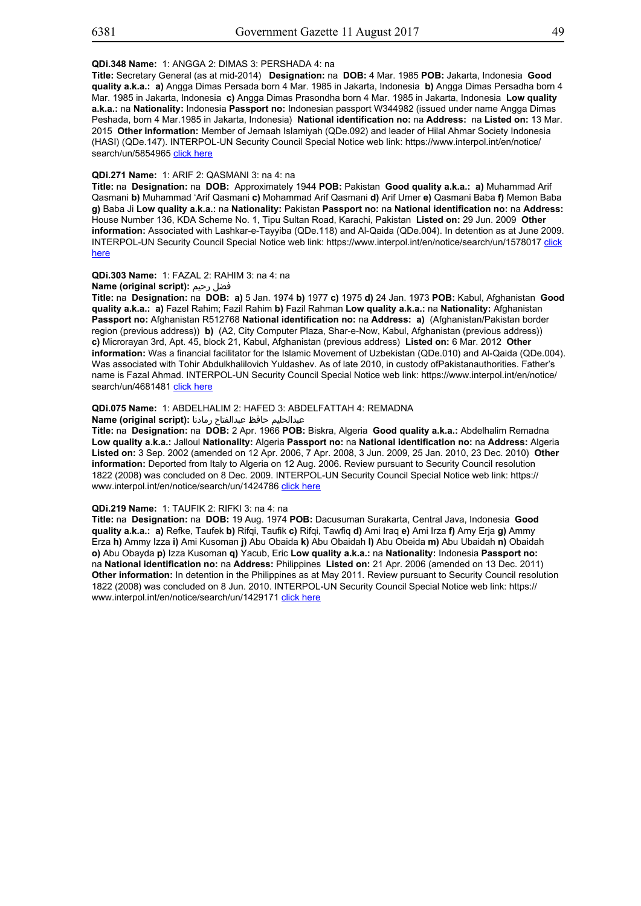## **QDi.348 Name:** 1: ANGGA 2: DIMAS 3: PERSHADA 4: na

**Title:** Secretary General (as at mid-2014) **Designation:** na **DOB:** 4 Mar. 1985 **POB:** Jakarta, Indonesia **Good quality a.k.a.: a)** Angga Dimas Persada born 4 Mar. 1985 in Jakarta, Indonesia **b)** Angga Dimas Persadha born 4 Mar. 1985 in Jakarta, Indonesia **c)** Angga Dimas Prasondha born 4 Mar. 1985 in Jakarta, Indonesia **Low quality a.k.a.:** na **Nationality:** Indonesia **Passport no:** Indonesian passport W344982 (issued under name Angga Dimas Peshada, born 4 Mar.1985 in Jakarta, Indonesia) **National identification no:** na **Address:** na **Listed on:** 13 Mar. 2015 **Other information:** Member of Jemaah Islamiyah (QDe.092) and leader of Hilal Ahmar Society Indonesia (HASI) (QDe.147). INTERPOL-UN Security Council Special Notice web link: https://www.interpol.int/en/notice/ search/un/5854965 click here

## **QDi.271 Name:** 1: ARIF 2: QASMANI 3: na 4: na

**Title:** na **Designation:** na **DOB:** Approximately 1944 **POB:** Pakistan **Good quality a.k.a.: a)** Muhammad Arif Qasmani **b)** Muhammad 'Arif Qasmani **c)** Mohammad Arif Qasmani **d)** Arif Umer **e)** Qasmani Baba **f)** Memon Baba **g)** Baba Ji **Low quality a.k.a.:** na **Nationality:** Pakistan **Passport no:** na **National identification no:** na **Address:** House Number 136, KDA Scheme No. 1, Tipu Sultan Road, Karachi, Pakistan **Listed on:** 29 Jun. 2009 **Other information:** Associated with Lashkar-e-Tayyiba (QDe.118) and Al-Qaida (QDe.004). In detention as at June 2009. INTERPOL-UN Security Council Special Notice web link: https://www.interpol.int/en/notice/search/un/1578017 click here

## **QDi.303 Name:** 1: FAZAL 2: RAHIM 3: na 4: na

**Name (original script):** رحيم فضل

**Title:** na **Designation:** na **DOB: a)** 5 Jan. 1974 **b)** 1977 **c)** 1975 **d)** 24 Jan. 1973 **POB:** Kabul, Afghanistan **Good quality a.k.a.: a)** Fazel Rahim; Fazil Rahim **b)** Fazil Rahman **Low quality a.k.a.:** na **Nationality:** Afghanistan **Passport no:** Afghanistan R512768 **National identification no:** na **Address: a)** (Afghanistan/Pakistan border region (previous address)) **b)** (A2, City Computer Plaza, Shar-e-Now, Kabul, Afghanistan (previous address)) **c)** Microrayan 3rd, Apt. 45, block 21, Kabul, Afghanistan (previous address) **Listed on:** 6 Mar. 2012 **Other information:** Was a financial facilitator for the Islamic Movement of Uzbekistan (QDe.010) and Al-Qaida (QDe.004). Was associated with Tohir Abdulkhalilovich Yuldashev. As of late 2010, in custody ofPakistanauthorities. Father's name is Fazal Ahmad. INTERPOL-UN Security Council Special Notice web link: https://www.interpol.int/en/notice/ search/un/4681481 click here

#### **QDi.075 Name:** 1: ABDELHALIM 2: HAFED 3: ABDELFATTAH 4: REMADNA

## عبدالحليم حافظ عبدالفتاح رمادنا **:(script original (Name**

**Title:** na **Designation:** na **DOB:** 2 Apr. 1966 **POB:** Biskra, Algeria **Good quality a.k.a.:** Abdelhalim Remadna **Low quality a.k.a.:** Jalloul **Nationality:** Algeria **Passport no:** na **National identification no:** na **Address:** Algeria **Listed on:** 3 Sep. 2002 (amended on 12 Apr. 2006, 7 Apr. 2008, 3 Jun. 2009, 25 Jan. 2010, 23 Dec. 2010) **Other information:** Deported from Italy to Algeria on 12 Aug. 2006. Review pursuant to Security Council resolution 1822 (2008) was concluded on 8 Dec. 2009. INTERPOL-UN Security Council Special Notice web link: https:// www.interpol.int/en/notice/search/un/1424786 click here

## **QDi.219 Name:** 1: TAUFIK 2: RIFKI 3: na 4: na

**Title:** na **Designation:** na **DOB:** 19 Aug. 1974 **POB:** Dacusuman Surakarta, Central Java, Indonesia **Good quality a.k.a.: a)** Refke, Taufek **b)** Rifqi, Taufik **c)** Rifqi, Tawfiq **d)** Ami Iraq **e)** Ami Irza **f)** Amy Erja **g)** Ammy Erza **h)** Ammy Izza **i)** Ami Kusoman **j)** Abu Obaida **k)** Abu Obaidah **l)** Abu Obeida **m)** Abu Ubaidah **n)** Obaidah **o)** Abu Obayda **p)** Izza Kusoman **q)** Yacub, Eric **Low quality a.k.a.:** na **Nationality:** Indonesia **Passport no:** na **National identification no:** na **Address:** Philippines **Listed on:** 21 Apr. 2006 (amended on 13 Dec. 2011) **Other information:** In detention in the Philippines as at May 2011. Review pursuant to Security Council resolution 1822 (2008) was concluded on 8 Jun. 2010. INTERPOL-UN Security Council Special Notice web link: https:// www.interpol.int/en/notice/search/un/1429171 click here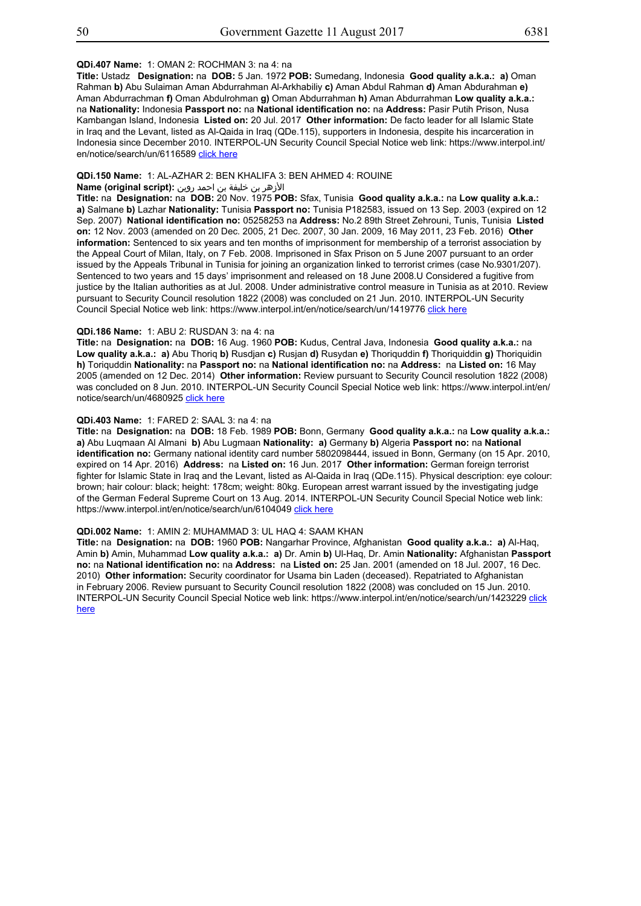## **QDi.407 Name:** 1: OMAN 2: ROCHMAN 3: na 4: na

**Title:** Ustadz **Designation:** na **DOB:** 5 Jan. 1972 **POB:** Sumedang, Indonesia **Good quality a.k.a.: a)** Oman Rahman **b)** Abu Sulaiman Aman Abdurrahman Al-Arkhabiliy **c)** Aman Abdul Rahman **d)** Aman Abdurahman **e)** Aman Abdurrachman **f)** Oman Abdulrohman **g)** Oman Abdurrahman **h)** Aman Abdurrahman **Low quality a.k.a.:** na **Nationality:** Indonesia **Passport no:** na **National identification no:** na **Address:** Pasir Putih Prison, Nusa Kambangan Island, Indonesia **Listed on:** 20 Jul. 2017 **Other information:** De facto leader for all Islamic State in Iraq and the Levant, listed as Al-Qaida in Iraq (QDe.115), supporters in Indonesia, despite his incarceration in Indonesia since December 2010. INTERPOL-UN Security Council Special Notice web link: https://www.interpol.int/ en/notice/search/un/6116589 click here

## **QDi.150 Name:** 1: AL-AZHAR 2: BEN KHALIFA 3: BEN AHMED 4: ROUINE

## الأزهر بن خليفة بن احمد روين **:(script original (Name**

**Title:** na **Designation:** na **DOB:** 20 Nov. 1975 **POB:** Sfax, Tunisia **Good quality a.k.a.:** na **Low quality a.k.a.: a)** Salmane **b)** Lazhar **Nationality:** Tunisia **Passport no:** Tunisia P182583, issued on 13 Sep. 2003 (expired on 12 Sep. 2007) **National identification no:** 05258253 na **Address:** No.2 89th Street Zehrouni, Tunis, Tunisia **Listed on:** 12 Nov. 2003 (amended on 20 Dec. 2005, 21 Dec. 2007, 30 Jan. 2009, 16 May 2011, 23 Feb. 2016) **Other information:** Sentenced to six years and ten months of imprisonment for membership of a terrorist association by the Appeal Court of Milan, Italy, on 7 Feb. 2008. Imprisoned in Sfax Prison on 5 June 2007 pursuant to an order issued by the Appeals Tribunal in Tunisia for joining an organization linked to terrorist crimes (case No.9301/207). Sentenced to two years and 15 days' imprisonment and released on 18 June 2008.U Considered a fugitive from justice by the Italian authorities as at Jul. 2008. Under administrative control measure in Tunisia as at 2010. Review pursuant to Security Council resolution 1822 (2008) was concluded on 21 Jun. 2010. INTERPOL-UN Security Council Special Notice web link: https://www.interpol.int/en/notice/search/un/1419776 click here

#### **QDi.186 Name:** 1: ABU 2: RUSDAN 3: na 4: na

**Title:** na **Designation:** na **DOB:** 16 Aug. 1960 **POB:** Kudus, Central Java, Indonesia **Good quality a.k.a.:** na **Low quality a.k.a.: a)** Abu Thoriq **b)** Rusdjan **c)** Rusjan **d)** Rusydan **e)** Thoriquddin **f)** Thoriquiddin **g)** Thoriquidin **h)** Toriquddin **Nationality:** na **Passport no:** na **National identification no:** na **Address:** na **Listed on:** 16 May 2005 (amended on 12 Dec. 2014) **Other information:** Review pursuant to Security Council resolution 1822 (2008) was concluded on 8 Jun. 2010. INTERPOL-UN Security Council Special Notice web link: https://www.interpol.int/en/ notice/search/un/4680925 click here

## **QDi.403 Name:** 1: FARED 2: SAAL 3: na 4: na

**Title:** na **Designation:** na **DOB:** 18 Feb. 1989 **POB:** Bonn, Germany **Good quality a.k.a.:** na **Low quality a.k.a.: a)** Abu Luqmaan Al Almani **b)** Abu Lugmaan **Nationality: a)** Germany **b)** Algeria **Passport no:** na **National identification no:** Germany national identity card number 5802098444, issued in Bonn, Germany (on 15 Apr. 2010, expired on 14 Apr. 2016) **Address:** na **Listed on:** 16 Jun. 2017 **Other information:** German foreign terrorist fighter for Islamic State in Iraq and the Levant, listed as Al-Qaida in Iraq (QDe.115). Physical description: eye colour: brown; hair colour: black; height: 178cm; weight: 80kg. European arrest warrant issued by the investigating judge of the German Federal Supreme Court on 13 Aug. 2014. INTERPOL-UN Security Council Special Notice web link: https://www.interpol.int/en/notice/search/un/6104049 click here

## **QDi.002 Name:** 1: AMIN 2: MUHAMMAD 3: UL HAQ 4: SAAM KHAN

**Title:** na **Designation:** na **DOB:** 1960 **POB:** Nangarhar Province, Afghanistan **Good quality a.k.a.: a)** Al-Haq, Amin **b)** Amin, Muhammad **Low quality a.k.a.: a)** Dr. Amin **b)** Ul-Haq, Dr. Amin **Nationality:** Afghanistan **Passport no:** na **National identification no:** na **Address:** na **Listed on:** 25 Jan. 2001 (amended on 18 Jul. 2007, 16 Dec. 2010) **Other information:** Security coordinator for Usama bin Laden (deceased). Repatriated to Afghanistan in February 2006. Review pursuant to Security Council resolution 1822 (2008) was concluded on 15 Jun. 2010. INTERPOL-UN Security Council Special Notice web link: https://www.interpol.int/en/notice/search/un/1423229 click here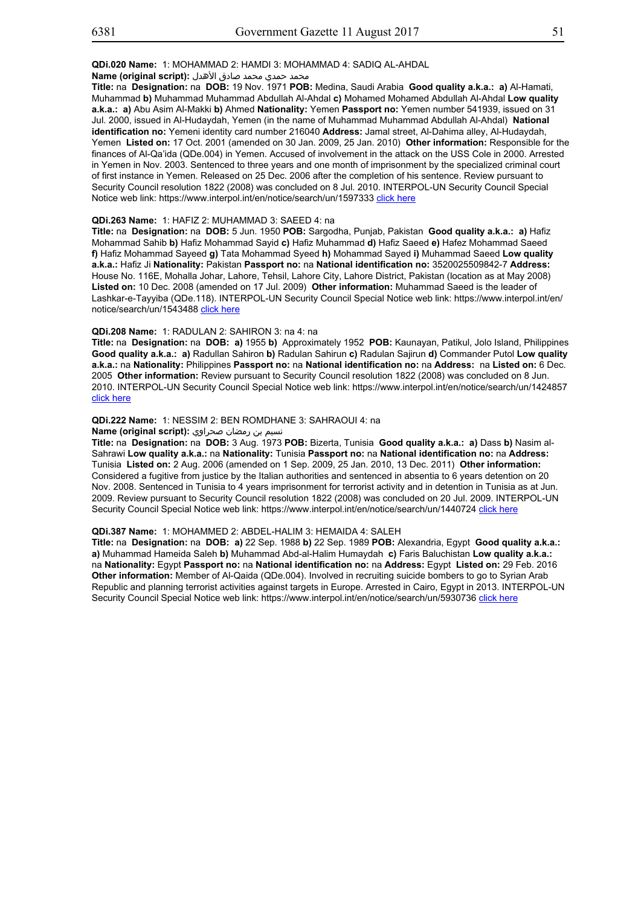## محمد حمدي محمد صادق الأهدل **:Name (original script)**

**Title:** na **Designation:** na **DOB:** 19 Nov. 1971 **POB:** Medina, Saudi Arabia **Good quality a.k.a.: a)** Al-Hamati, Muhammad **b)** Muhammad Muhammad Abdullah Al-Ahdal **c)** Mohamed Mohamed Abdullah Al-Ahdal **Low quality a.k.a.: a)** Abu Asim Al-Makki **b)** Ahmed **Nationality:** Yemen **Passport no:** Yemen number 541939, issued on 31 Jul. 2000, issued in Al-Hudaydah, Yemen (in the name of Muhammad Muhammad Abdullah Al-Ahdal) **National identification no:** Yemeni identity card number 216040 **Address:** Jamal street, Al-Dahima alley, Al-Hudaydah, Yemen **Listed on:** 17 Oct. 2001 (amended on 30 Jan. 2009, 25 Jan. 2010) **Other information:** Responsible for the finances of Al-Qa'ida (QDe.004) in Yemen. Accused of involvement in the attack on the USS Cole in 2000. Arrested in Yemen in Nov. 2003. Sentenced to three years and one month of imprisonment by the specialized criminal court of first instance in Yemen. Released on 25 Dec. 2006 after the completion of his sentence. Review pursuant to Security Council resolution 1822 (2008) was concluded on 8 Jul. 2010. INTERPOL-UN Security Council Special Notice web link: https://www.interpol.int/en/notice/search/un/1597333 click here

## **QDi.263 Name:** 1: HAFIZ 2: MUHAMMAD 3: SAEED 4: na

**Title:** na **Designation:** na **DOB:** 5 Jun. 1950 **POB:** Sargodha, Punjab, Pakistan **Good quality a.k.a.: a)** Hafiz Mohammad Sahib **b)** Hafiz Mohammad Sayid **c)** Hafiz Muhammad **d)** Hafiz Saeed **e)** Hafez Mohammad Saeed **f)** Hafiz Mohammad Sayeed **g)** Tata Mohammad Syeed **h)** Mohammad Sayed **i)** Muhammad Saeed **Low quality a.k.a.:** Hafiz Ji **Nationality:** Pakistan **Passport no:** na **National identification no:** 3520025509842-7 **Address:** House No. 116E, Mohalla Johar, Lahore, Tehsil, Lahore City, Lahore District, Pakistan (location as at May 2008) **Listed on:** 10 Dec. 2008 (amended on 17 Jul. 2009) **Other information:** Muhammad Saeed is the leader of Lashkar-e-Tayyiba (QDe.118). INTERPOL-UN Security Council Special Notice web link: https://www.interpol.int/en/ notice/search/un/1543488 click here

#### **QDi.208 Name:** 1: RADULAN 2: SAHIRON 3: na 4: na

**Title:** na **Designation:** na **DOB: a)** 1955 **b)** Approximately 1952 **POB:** Kaunayan, Patikul, Jolo Island, Philippines **Good quality a.k.a.: a)** Radullan Sahiron **b)** Radulan Sahirun **c)** Radulan Sajirun **d)** Commander Putol **Low quality a.k.a.:** na **Nationality:** Philippines **Passport no:** na **National identification no:** na **Address:** na **Listed on:** 6 Dec. 2005 **Other information:** Review pursuant to Security Council resolution 1822 (2008) was concluded on 8 Jun. 2010. INTERPOL-UN Security Council Special Notice web link: https://www.interpol.int/en/notice/search/un/1424857 click here

## **QDi.222 Name:** 1: NESSIM 2: BEN ROMDHANE 3: SAHRAOUI 4: na

# نسيم بن رمضان صحراوي **:(script original (Name**

**Title:** na **Designation:** na **DOB:** 3 Aug. 1973 **POB:** Bizerta, Tunisia **Good quality a.k.a.: a)** Dass **b)** Nasim al-Sahrawi **Low quality a.k.a.:** na **Nationality:** Tunisia **Passport no:** na **National identification no:** na **Address:** Tunisia **Listed on:** 2 Aug. 2006 (amended on 1 Sep. 2009, 25 Jan. 2010, 13 Dec. 2011) **Other information:** Considered a fugitive from justice by the Italian authorities and sentenced in absentia to 6 years detention on 20 Nov. 2008. Sentenced in Tunisia to 4 years imprisonment for terrorist activity and in detention in Tunisia as at Jun. 2009. Review pursuant to Security Council resolution 1822 (2008) was concluded on 20 Jul. 2009. INTERPOL-UN Security Council Special Notice web link: https://www.interpol.int/en/notice/search/un/1440724 click here

## **QDi.387 Name:** 1: MOHAMMED 2: ABDEL-HALIM 3: HEMAIDA 4: SALEH

**Title:** na **Designation:** na **DOB: a)** 22 Sep. 1988 **b)** 22 Sep. 1989 **POB:** Alexandria, Egypt **Good quality a.k.a.: a)** Muhammad Hameida Saleh **b)** Muhammad Abd-al-Halim Humaydah **c)** Faris Baluchistan **Low quality a.k.a.:** na **Nationality:** Egypt **Passport no:** na **National identification no:** na **Address:** Egypt **Listed on:** 29 Feb. 2016 **Other information:** Member of Al-Qaida (QDe.004). Involved in recruiting suicide bombers to go to Syrian Arab Republic and planning terrorist activities against targets in Europe. Arrested in Cairo, Egypt in 2013. INTERPOL-UN Security Council Special Notice web link: https://www.interpol.int/en/notice/search/un/5930736 click here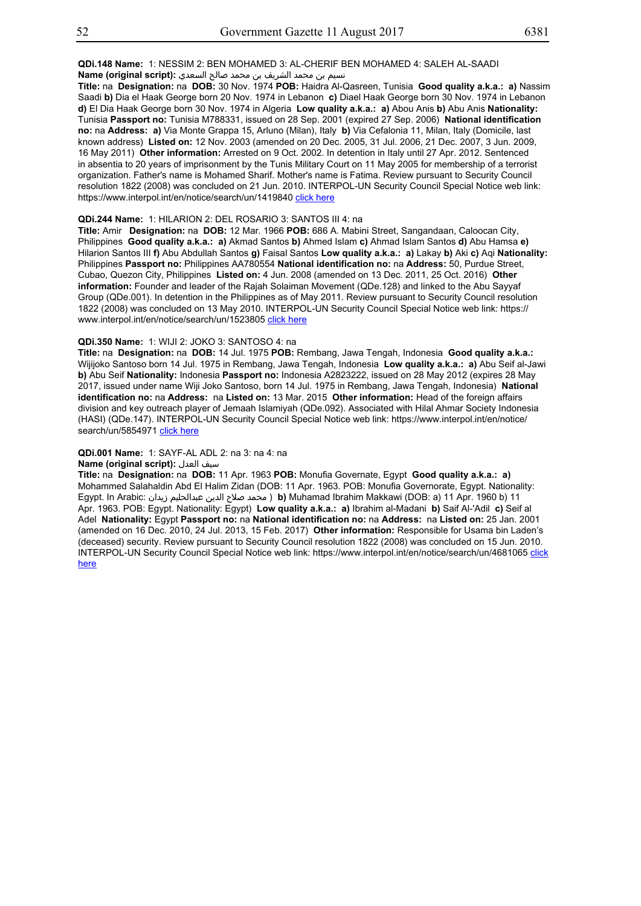**QDi.148 Name:** 1: NESSIM 2: BEN MOHAMED 3: AL-CHERIF BEN MOHAMED 4: SALEH AL-SAADI نسيم بن محمد الشريف بن محمد صالح السعدي **:(script original (Name**

**Title:** na **Designation:** na **DOB:** 30 Nov. 1974 **POB:** Haidra Al-Qasreen, Tunisia **Good quality a.k.a.: a)** Nassim Saadi **b)** Dia el Haak George born 20 Nov. 1974 in Lebanon **c)** Diael Haak George born 30 Nov. 1974 in Lebanon **d)** El Dia Haak George born 30 Nov. 1974 in Algeria **Low quality a.k.a.: a)** Abou Anis **b)** Abu Anis **Nationality:** Tunisia **Passport no:** Tunisia M788331, issued on 28 Sep. 2001 (expired 27 Sep. 2006) **National identification no:** na **Address: a)** Via Monte Grappa 15, Arluno (Milan), Italy **b)** Via Cefalonia 11, Milan, Italy (Domicile, last known address) **Listed on:** 12 Nov. 2003 (amended on 20 Dec. 2005, 31 Jul. 2006, 21 Dec. 2007, 3 Jun. 2009, 16 May 2011) **Other information:** Arrested on 9 Oct. 2002. In detention in Italy until 27 Apr. 2012. Sentenced in absentia to 20 years of imprisonment by the Tunis Military Court on 11 May 2005 for membership of a terrorist organization. Father's name is Mohamed Sharif. Mother's name is Fatima. Review pursuant to Security Council resolution 1822 (2008) was concluded on 21 Jun. 2010. INTERPOL-UN Security Council Special Notice web link: https://www.interpol.int/en/notice/search/un/1419840 click here

## **QDi.244 Name:** 1: HILARION 2: DEL ROSARIO 3: SANTOS III 4: na

**Title:** Amir **Designation:** na **DOB:** 12 Mar. 1966 **POB:** 686 A. Mabini Street, Sangandaan, Caloocan City, Philippines **Good quality a.k.a.: a)** Akmad Santos **b)** Ahmed Islam **c)** Ahmad Islam Santos **d)** Abu Hamsa **e)** Hilarion Santos III **f)** Abu Abdullah Santos **g)** Faisal Santos **Low quality a.k.a.: a)** Lakay **b)** Aki **c)** Aqi **Nationality:** Philippines **Passport no:** Philippines AA780554 **National identification no:** na **Address:** 50, Purdue Street, Cubao, Quezon City, Philippines **Listed on:** 4 Jun. 2008 (amended on 13 Dec. 2011, 25 Oct. 2016) **Other information:** Founder and leader of the Rajah Solaiman Movement (QDe.128) and linked to the Abu Sayyaf Group (QDe.001). In detention in the Philippines as of May 2011. Review pursuant to Security Council resolution 1822 (2008) was concluded on 13 May 2010. INTERPOL-UN Security Council Special Notice web link: https:// www.interpol.int/en/notice/search/un/1523805 click here

#### **QDi.350 Name:** 1: WIJI 2: JOKO 3: SANTOSO 4: na

**Title:** na **Designation:** na **DOB:** 14 Jul. 1975 **POB:** Rembang, Jawa Tengah, Indonesia **Good quality a.k.a.:** Wijijoko Santoso born 14 Jul. 1975 in Rembang, Jawa Tengah, Indonesia **Low quality a.k.a.: a)** Abu Seif al-Jawi **b)** Abu Seif **Nationality:** Indonesia **Passport no:** Indonesia A2823222, issued on 28 May 2012 (expires 28 May 2017, issued under name Wiji Joko Santoso, born 14 Jul. 1975 in Rembang, Jawa Tengah, Indonesia) **National identification no:** na **Address:** na **Listed on:** 13 Mar. 2015 **Other information:** Head of the foreign affairs division and key outreach player of Jemaah Islamiyah (QDe.092). Associated with Hilal Ahmar Society Indonesia (HASI) (QDe.147). INTERPOL-UN Security Council Special Notice web link: https://www.interpol.int/en/notice/ search/un/5854971 click here

## **QDi.001 Name:** 1: SAYF-AL ADL 2: na 3: na 4: na

## **Name (original script):** العدل سيف

**Title:** na **Designation:** na **DOB:** 11 Apr. 1963 **POB:** Monufia Governate, Egypt **Good quality a.k.a.: a)** Mohammed Salahaldin Abd El Halim Zidan (DOB: 11 Apr. 1963. POB: Monufia Governorate, Egypt. Nationality: Egypt. In Arabic: زيدان عبدالحليم الدين صلاح محمد ( **b)** Muhamad Ibrahim Makkawi (DOB: a) 11 Apr. 1960 b) 11 Apr. 1963. POB: Egypt. Nationality: Egypt) **Low quality a.k.a.: a)** Ibrahim al-Madani **b)** Saif Al-'Adil **c)** Seif al Adel **Nationality:** Egypt **Passport no:** na **National identification no:** na **Address:** na **Listed on:** 25 Jan. 2001 (amended on 16 Dec. 2010, 24 Jul. 2013, 15 Feb. 2017) **Other information:** Responsible for Usama bin Laden's (deceased) security. Review pursuant to Security Council resolution 1822 (2008) was concluded on 15 Jun. 2010. INTERPOL-UN Security Council Special Notice web link: https://www.interpol.int/en/notice/search/un/4681065 click here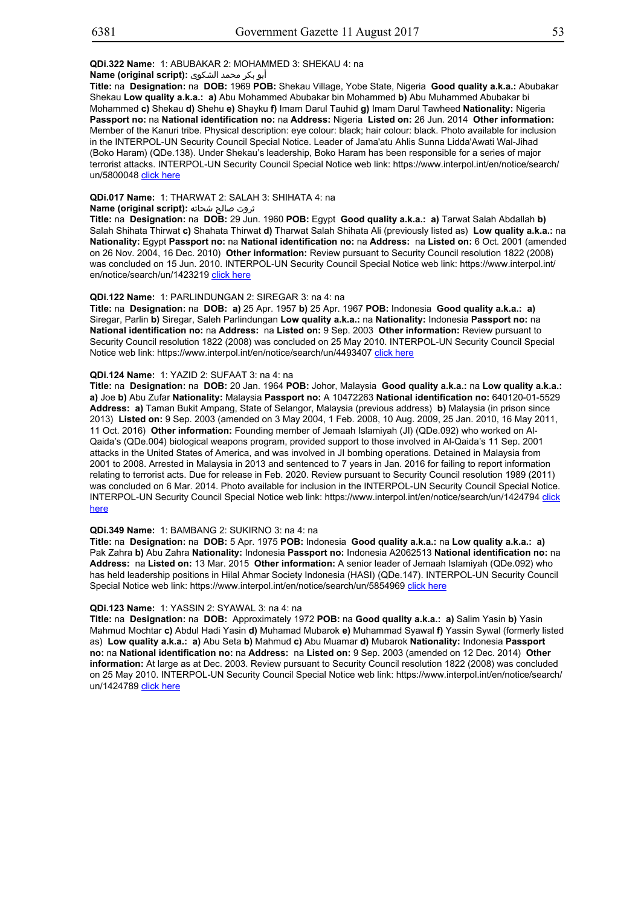## **QDi.322 Name:** 1: ABUBAKAR 2: MOHAMMED 3: SHEKAU 4: na

أبو بكر محمد الشكوى **:(script original (Name**

**Title:** na **Designation:** na **DOB:** 1969 **POB:** Shekau Village, Yobe State, Nigeria **Good quality a.k.a.:** Abubakar Shekau **Low quality a.k.a.: a)** Abu Mohammed Abubakar bin Mohammed **b)** Abu Muhammed Abubakar bi Mohammed **c)** Shekau **d)** Shehu **e)** Shayku **f)** Imam Darul Tauhid **g)** Imam Darul Tawheed **Nationality:** Nigeria **Passport no:** na **National identification no:** na **Address:** Nigeria **Listed on:** 26 Jun. 2014 **Other information:** Member of the Kanuri tribe. Physical description: eye colour: black; hair colour: black. Photo available for inclusion in the INTERPOL-UN Security Council Special Notice. Leader of Jama'atu Ahlis Sunna Lidda'Awati Wal-Jihad (Boko Haram) (QDe.138). Under Shekau's leadership, Boko Haram has been responsible for a series of major terrorist attacks. INTERPOL-UN Security Council Special Notice web link: https://www.interpol.int/en/notice/search/ un/5800048 click here

## **QDi.017 Name:** 1: THARWAT 2: SALAH 3: SHIHATA 4: na

## ثروت صالح شحاته **:(script original (Name**

**Title:** na **Designation:** na **DOB:** 29 Jun. 1960 **POB:** Egypt **Good quality a.k.a.: a)** Tarwat Salah Abdallah **b)** Salah Shihata Thirwat **c)** Shahata Thirwat **d)** Tharwat Salah Shihata Ali (previously listed as) **Low quality a.k.a.:** na **Nationality:** Egypt **Passport no:** na **National identification no:** na **Address:** na **Listed on:** 6 Oct. 2001 (amended on 26 Nov. 2004, 16 Dec. 2010) **Other information:** Review pursuant to Security Council resolution 1822 (2008) was concluded on 15 Jun. 2010. INTERPOL-UN Security Council Special Notice web link: https://www.interpol.int/ en/notice/search/un/1423219 click here

## **QDi.122 Name:** 1: PARLINDUNGAN 2: SIREGAR 3: na 4: na

**Title:** na **Designation:** na **DOB: a)** 25 Apr. 1957 **b)** 25 Apr. 1967 **POB:** Indonesia **Good quality a.k.a.: a)** Siregar, Parlin **b)** Siregar, Saleh Parlindungan **Low quality a.k.a.:** na **Nationality:** Indonesia **Passport no:** na **National identification no:** na **Address:** na **Listed on:** 9 Sep. 2003 **Other information:** Review pursuant to Security Council resolution 1822 (2008) was concluded on 25 May 2010. INTERPOL-UN Security Council Special Notice web link: https://www.interpol.int/en/notice/search/un/4493407 click here

## **QDi.124 Name:** 1: YAZID 2: SUFAAT 3: na 4: na

**Title:** na **Designation:** na **DOB:** 20 Jan. 1964 **POB:** Johor, Malaysia **Good quality a.k.a.:** na **Low quality a.k.a.: a)** Joe **b)** Abu Zufar **Nationality:** Malaysia **Passport no:** A 10472263 **National identification no:** 640120-01-5529 **Address: a)** Taman Bukit Ampang, State of Selangor, Malaysia (previous address) **b)** Malaysia (in prison since 2013) **Listed on:** 9 Sep. 2003 (amended on 3 May 2004, 1 Feb. 2008, 10 Aug. 2009, 25 Jan. 2010, 16 May 2011, 11 Oct. 2016) **Other information:** Founding member of Jemaah Islamiyah (JI) (QDe.092) who worked on Al-Qaida's (QDe.004) biological weapons program, provided support to those involved in Al-Qaida's 11 Sep. 2001 attacks in the United States of America, and was involved in JI bombing operations. Detained in Malaysia from 2001 to 2008. Arrested in Malaysia in 2013 and sentenced to 7 years in Jan. 2016 for failing to report information relating to terrorist acts. Due for release in Feb. 2020. Review pursuant to Security Council resolution 1989 (2011) was concluded on 6 Mar. 2014. Photo available for inclusion in the INTERPOL-UN Security Council Special Notice. INTERPOL-UN Security Council Special Notice web link: https://www.interpol.int/en/notice/search/un/1424794 click here

#### **QDi.349 Name:** 1: BAMBANG 2: SUKIRNO 3: na 4: na

**Title:** na **Designation:** na **DOB:** 5 Apr. 1975 **POB:** Indonesia **Good quality a.k.a.:** na **Low quality a.k.a.: a)** Pak Zahra **b)** Abu Zahra **Nationality:** Indonesia **Passport no:** Indonesia A2062513 **National identification no:** na **Address:** na **Listed on:** 13 Mar. 2015 **Other information:** A senior leader of Jemaah Islamiyah (QDe.092) who has held leadership positions in Hilal Ahmar Society Indonesia (HASI) (QDe.147). INTERPOL-UN Security Council Special Notice web link: https://www.interpol.int/en/notice/search/un/5854969 click here

## **QDi.123 Name:** 1: YASSIN 2: SYAWAL 3: na 4: na

**Title:** na **Designation:** na **DOB:** Approximately 1972 **POB:** na **Good quality a.k.a.: a)** Salim Yasin **b)** Yasin Mahmud Mochtar **c)** Abdul Hadi Yasin **d)** Muhamad Mubarok **e)** Muhammad Syawal **f)** Yassin Sywal (formerly listed as) **Low quality a.k.a.: a)** Abu Seta **b)** Mahmud **c)** Abu Muamar **d)** Mubarok **Nationality:** Indonesia **Passport no:** na **National identification no:** na **Address:** na **Listed on:** 9 Sep. 2003 (amended on 12 Dec. 2014) **Other information:** At large as at Dec. 2003. Review pursuant to Security Council resolution 1822 (2008) was concluded on 25 May 2010. INTERPOL-UN Security Council Special Notice web link: https://www.interpol.int/en/notice/search/ un/1424789 click here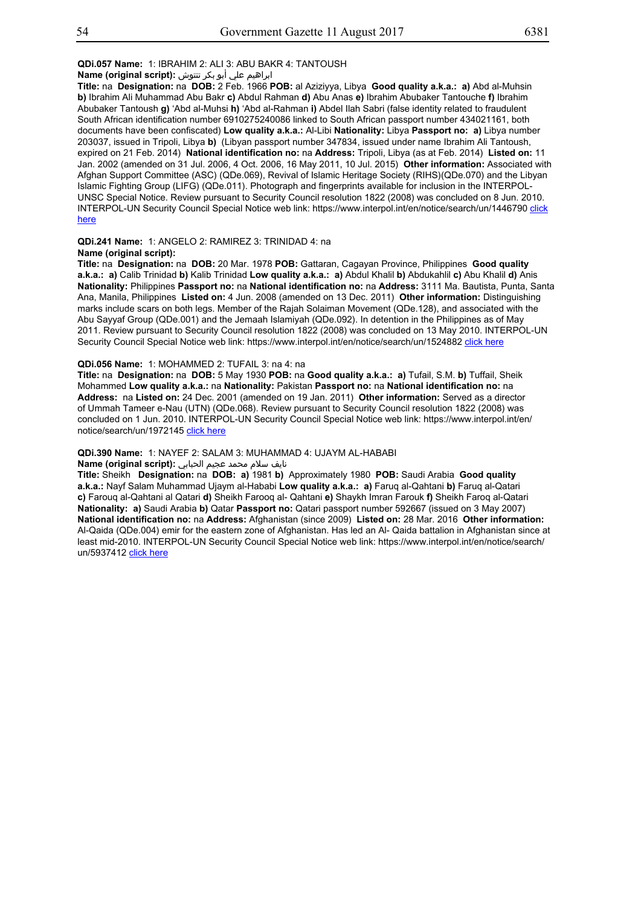## **QDi.057 Name:** 1: IBRAHIM 2: ALI 3: ABU BAKR 4: TANTOUSH

## ابراهيم علي أبو بكر تنتوش **:(script original (Name**

**Title:** na **Designation:** na **DOB:** 2 Feb. 1966 **POB:** al Aziziyya, Libya **Good quality a.k.a.: a)** Abd al-Muhsin **b)** Ibrahim Ali Muhammad Abu Bakr **c)** Abdul Rahman **d)** Abu Anas **e)** Ibrahim Abubaker Tantouche **f)** Ibrahim Abubaker Tantoush **g)** 'Abd al-Muhsi **h)** 'Abd al-Rahman **i)** Abdel Ilah Sabri (false identity related to fraudulent South African identification number 6910275240086 linked to South African passport number 434021161, both documents have been confiscated) **Low quality a.k.a.:** Al-Libi **Nationality:** Libya **Passport no: a)** Libya number 203037, issued in Tripoli, Libya **b)** (Libyan passport number 347834, issued under name Ibrahim Ali Tantoush, expired on 21 Feb. 2014) **National identification no:** na **Address:** Tripoli, Libya (as at Feb. 2014) **Listed on:** 11 Jan. 2002 (amended on 31 Jul. 2006, 4 Oct. 2006, 16 May 2011, 10 Jul. 2015) **Other information:** Associated with Afghan Support Committee (ASC) (QDe.069), Revival of Islamic Heritage Society (RIHS)(QDe.070) and the Libyan Islamic Fighting Group (LIFG) (QDe.011). Photograph and fingerprints available for inclusion in the INTERPOL-UNSC Special Notice. Review pursuant to Security Council resolution 1822 (2008) was concluded on 8 Jun. 2010. INTERPOL-UN Security Council Special Notice web link: https://www.interpol.int/en/notice/search/un/1446790 click here

#### **QDi.241 Name:** 1: ANGELO 2: RAMIREZ 3: TRINIDAD 4: na **Name (original script):**

**Title:** na **Designation:** na **DOB:** 20 Mar. 1978 **POB:** Gattaran, Cagayan Province, Philippines **Good quality a.k.a.: a)** Calib Trinidad **b)** Kalib Trinidad **Low quality a.k.a.: a)** Abdul Khalil **b)** Abdukahlil **c)** Abu Khalil **d)** Anis **Nationality:** Philippines **Passport no:** na **National identification no:** na **Address:** 3111 Ma. Bautista, Punta, Santa Ana, Manila, Philippines **Listed on:** 4 Jun. 2008 (amended on 13 Dec. 2011) **Other information:** Distinguishing marks include scars on both legs. Member of the Rajah Solaiman Movement (QDe.128), and associated with the Abu Sayyaf Group (QDe.001) and the Jemaah Islamiyah (QDe.092). In detention in the Philippines as of May 2011. Review pursuant to Security Council resolution 1822 (2008) was concluded on 13 May 2010. INTERPOL-UN Security Council Special Notice web link: https://www.interpol.int/en/notice/search/un/1524882 click here

## **QDi.056 Name:** 1: MOHAMMED 2: TUFAIL 3: na 4: na

**Title:** na **Designation:** na **DOB:** 5 May 1930 **POB:** na **Good quality a.k.a.: a)** Tufail, S.M. **b)** Tuffail, Sheik Mohammed **Low quality a.k.a.:** na **Nationality:** Pakistan **Passport no:** na **National identification no:** na **Address:** na **Listed on:** 24 Dec. 2001 (amended on 19 Jan. 2011) **Other information:** Served as a director of Ummah Tameer e-Nau (UTN) (QDe.068). Review pursuant to Security Council resolution 1822 (2008) was concluded on 1 Jun. 2010. INTERPOL-UN Security Council Special Notice web link: https://www.interpol.int/en/ notice/search/un/1972145 click here

#### **QDi.390 Name:** 1: NAYEF 2: SALAM 3: MUHAMMAD 4: UJAYM AL-HABABI

#### نایف سلام محمد عجیم الحبابي **:(script original (Name**

**Title:** Sheikh **Designation:** na **DOB: a)** 1981 **b)** Approximately 1980 **POB:** Saudi Arabia **Good quality a.k.a.:** Nayf Salam Muhammad Ujaym al-Hababi **Low quality a.k.a.: a)** Faruq al-Qahtani **b)** Faruq al-Qatari **c)** Farouq al-Qahtani al Qatari **d)** Sheikh Farooq al- Qahtani **e)** Shaykh Imran Farouk **f)** Sheikh Faroq al-Qatari **Nationality: a)** Saudi Arabia **b)** Qatar **Passport no:** Qatari passport number 592667 (issued on 3 May 2007) **National identification no:** na **Address:** Afghanistan (since 2009) **Listed on:** 28 Mar. 2016 **Other information:** Al-Qaida (QDe.004) emir for the eastern zone of Afghanistan. Has led an Al- Qaida battalion in Afghanistan since at least mid-2010. INTERPOL-UN Security Council Special Notice web link: https://www.interpol.int/en/notice/search/ un/5937412 click here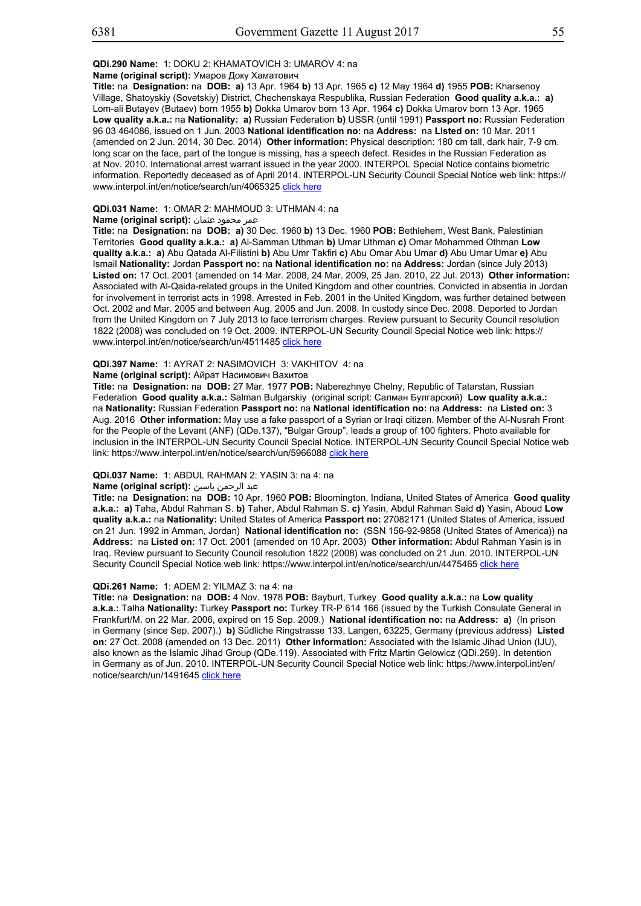#### **Name (original script):** Умаров Доку Хаматович

**Title:** na **Designation:** na **DOB: a)** 13 Apr. 1964 **b)** 13 Apr. 1965 **c)** 12 May 1964 **d)** 1955 **POB:** Kharsenoy Village, Shatoyskiy (Sovetskiy) District, Chechenskaya Respublika, Russian Federation **Good quality a.k.a.: a)** Lom-ali Butayev (Butaev) born 1955 **b)** Dokka Umarov born 13 Apr. 1964 **c)** Dokka Umarov born 13 Apr. 1965 **Low quality a.k.a.:** na **Nationality: a)** Russian Federation **b)** USSR (until 1991) **Passport no:** Russian Federation 96 03 464086, issued on 1 Jun. 2003 **National identification no:** na **Address:** na **Listed on:** 10 Mar. 2011 (amended on 2 Jun. 2014, 30 Dec. 2014) **Other information:** Physical description: 180 cm tall, dark hair, 7-9 cm. long scar on the face, part of the tongue is missing, has a speech defect. Resides in the Russian Federation as at Nov. 2010. International arrest warrant issued in the year 2000. INTERPOL Special Notice contains biometric information. Reportedly deceased as of April 2014. INTERPOL-UN Security Council Special Notice web link: https:// www.interpol.int/en/notice/search/un/4065325 click here

## **QDi.031 Name:** 1: OMAR 2: MAHMOUD 3: UTHMAN 4: na

## عمر محمود عثمان **:(script original (Name**

**Title:** na **Designation:** na **DOB: a)** 30 Dec. 1960 **b)** 13 Dec. 1960 **POB:** Bethlehem, West Bank, Palestinian Territories **Good quality a.k.a.: a)** Al-Samman Uthman **b)** Umar Uthman **c)** Omar Mohammed Othman **Low quality a.k.a.: a)** Abu Qatada Al-Filistini **b)** Abu Umr Takfiri **c)** Abu Omar Abu Umar **d)** Abu Umar Umar **e)** Abu Ismail **Nationality:** Jordan **Passport no:** na **National identification no:** na **Address:** Jordan (since July 2013) **Listed on:** 17 Oct. 2001 (amended on 14 Mar. 2008, 24 Mar. 2009, 25 Jan. 2010, 22 Jul. 2013) **Other information:** Associated with Al-Qaida-related groups in the United Kingdom and other countries. Convicted in absentia in Jordan for involvement in terrorist acts in 1998. Arrested in Feb. 2001 in the United Kingdom, was further detained between Oct. 2002 and Mar. 2005 and between Aug. 2005 and Jun. 2008. In custody since Dec. 2008. Deported to Jordan from the United Kingdom on 7 July 2013 to face terrorism charges. Review pursuant to Security Council resolution 1822 (2008) was concluded on 19 Oct. 2009. INTERPOL-UN Security Council Special Notice web link: https:// www.interpol.int/en/notice/search/un/4511485 click here

## **QDi.397 Name:** 1: AYRAT 2: NASIMOVICH 3: VAKHITOV 4: na

# **Name (original script):** Айрат Насимович Вахитов

**Title:** na **Designation:** na **DOB:** 27 Mar. 1977 **POB:** Naberezhnye Chelny, Republic of Tatarstan, Russian Federation **Good quality a.k.a.:** Salman Bulgarskiy (original script: Салман Булгарский) **Low quality a.k.a.:** na **Nationality:** Russian Federation **Passport no:** na **National identification no:** na **Address:** na **Listed on:** 3 Aug. 2016 **Other information:** May use a fake passport of a Syrian or Iraqi citizen. Member of the Al-Nusrah Front for the People of the Levant (ANF) (QDe.137), "Bulgar Group", leads a group of 100 fighters. Photo available for inclusion in the INTERPOL-UN Security Council Special Notice. INTERPOL-UN Security Council Special Notice web link: https://www.interpol.int/en/notice/search/un/5966088 click here

#### **QDi.037 Name:** 1: ABDUL RAHMAN 2: YASIN 3: na 4: na

## عبد الرحمن ياسين **:(script original (Name**

**Title:** na **Designation:** na **DOB:** 10 Apr. 1960 **POB:** Bloomington, Indiana, United States of America **Good quality a.k.a.: a)** Taha, Abdul Rahman S. **b)** Taher, Abdul Rahman S. **c)** Yasin, Abdul Rahman Said **d)** Yasin, Aboud **Low quality a.k.a.:** na **Nationality:** United States of America **Passport no:** 27082171 (United States of America, issued on 21 Jun. 1992 in Amman, Jordan) **National identification no:** (SSN 156-92-9858 (United States of America)) na **Address:** na **Listed on:** 17 Oct. 2001 (amended on 10 Apr. 2003) **Other information:** Abdul Rahman Yasin is in Iraq. Review pursuant to Security Council resolution 1822 (2008) was concluded on 21 Jun. 2010. INTERPOL-UN Security Council Special Notice web link: https://www.interpol.int/en/notice/search/un/4475465 click here

## **QDi.261 Name:** 1: ADEM 2: YILMAZ 3: na 4: na

**Title:** na **Designation:** na **DOB:** 4 Nov. 1978 **POB:** Bayburt, Turkey **Good quality a.k.a.:** na **Low quality a.k.a.:** Talha **Nationality:** Turkey **Passport no:** Turkey TR-P 614 166 (issued by the Turkish Consulate General in Frankfurt/M. on 22 Mar. 2006, expired on 15 Sep. 2009.) **National identification no:** na **Address: a)** (In prison in Germany (since Sep. 2007).) **b)** Südliche Ringstrasse 133, Langen, 63225, Germany (previous address) **Listed on:** 27 Oct. 2008 (amended on 13 Dec. 2011) **Other information:** Associated with the Islamic Jihad Union (IJU), also known as the Islamic Jihad Group (QDe.119). Associated with Fritz Martin Gelowicz (QDi.259). In detention in Germany as of Jun. 2010. INTERPOL-UN Security Council Special Notice web link: https://www.interpol.int/en/ notice/search/un/1491645 click here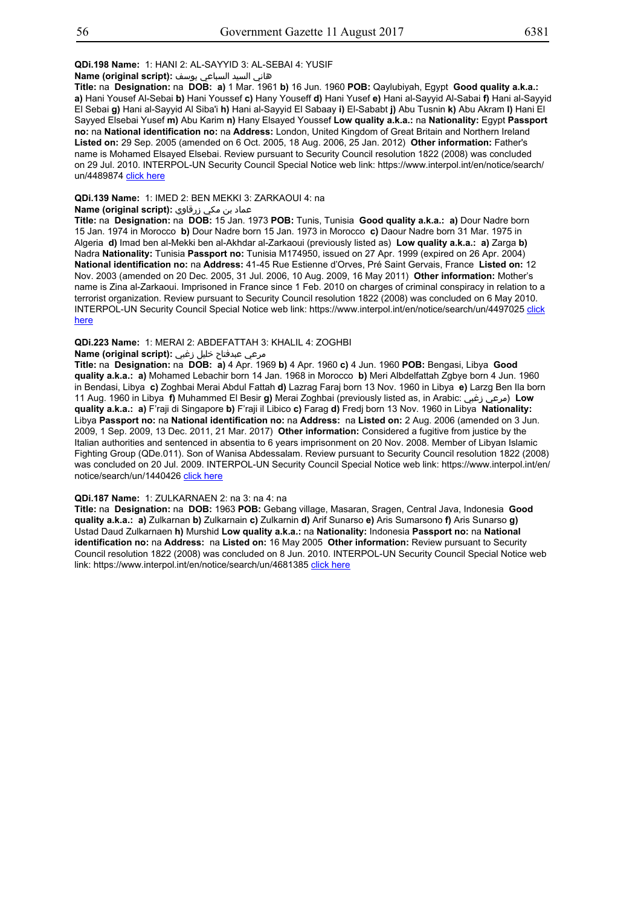#### **QDi.198 Name:** 1: HANI 2: AL-SAYYID 3: AL-SEBAI 4: YUSIF

هاني السيد السباعي يوسف **:(script original (Name**

**Title:** na **Designation:** na **DOB: a)** 1 Mar. 1961 **b)** 16 Jun. 1960 **POB:** Qaylubiyah, Egypt **Good quality a.k.a.: a)** Hani Yousef Al-Sebai **b)** Hani Youssef **c)** Hany Youseff **d)** Hani Yusef **e)** Hani al-Sayyid Al-Sabai **f)** Hani al-Sayyid El Sebai **g)** Hani al-Sayyid Al Siba'i **h)** Hani al-Sayyid El Sabaay **i)** El-Sababt **j)** Abu Tusnin **k)** Abu Akram **l)** Hani El Sayyed Elsebai Yusef **m)** Abu Karim **n)** Hany Elsayed Youssef **Low quality a.k.a.:** na **Nationality:** Egypt **Passport no:** na **National identification no:** na **Address:** London, United Kingdom of Great Britain and Northern Ireland **Listed on:** 29 Sep. 2005 (amended on 6 Oct. 2005, 18 Aug. 2006, 25 Jan. 2012) **Other information:** Father's name is Mohamed Elsayed Elsebai. Review pursuant to Security Council resolution 1822 (2008) was concluded on 29 Jul. 2010. INTERPOL-UN Security Council Special Notice web link: https://www.interpol.int/en/notice/search/ un/4489874 click here

#### **QDi.139 Name:** 1: IMED 2: BEN MEKKI 3: ZARKAOUI 4: na

#### عماد بن مكي زرقاوي **:(script original (Name**

**Title:** na **Designation:** na **DOB:** 15 Jan. 1973 **POB:** Tunis, Tunisia **Good quality a.k.a.: a)** Dour Nadre born 15 Jan. 1974 in Morocco **b)** Dour Nadre born 15 Jan. 1973 in Morocco **c)** Daour Nadre born 31 Mar. 1975 in Algeria **d)** Imad ben al-Mekki ben al-Akhdar al-Zarkaoui (previously listed as) **Low quality a.k.a.: a)** Zarga **b)** Nadra **Nationality:** Tunisia **Passport no:** Tunisia M174950, issued on 27 Apr. 1999 (expired on 26 Apr. 2004) **National identification no:** na **Address:** 41-45 Rue Estienne d'Orves, Pré Saint Gervais, France **Listed on:** 12 Nov. 2003 (amended on 20 Dec. 2005, 31 Jul. 2006, 10 Aug. 2009, 16 May 2011) **Other information:** Mother's name is Zina al-Zarkaoui. Imprisoned in France since 1 Feb. 2010 on charges of criminal conspiracy in relation to a terrorist organization. Review pursuant to Security Council resolution 1822 (2008) was concluded on 6 May 2010. INTERPOL-UN Security Council Special Notice web link: https://www.interpol.int/en/notice/search/un/4497025 click here

#### **QDi.223 Name:** 1: MERAI 2: ABDEFATTAH 3: KHALIL 4: ZOGHBI

#### مرعي عبدفتاح خليل زغبي **:(script original (Name**

**Title:** na **Designation:** na **DOB: a)** 4 Apr. 1969 **b)** 4 Apr. 1960 **c)** 4 Jun. 1960 **POB:** Bengasi, Libya **Good quality a.k.a.: a)** Mohamed Lebachir born 14 Jan. 1968 in Morocco **b)** Meri Albdelfattah Zgbye born 4 Jun. 1960 in Bendasi, Libya **c)** Zoghbai Merai Abdul Fattah **d)** Lazrag Faraj born 13 Nov. 1960 in Libya **e)** Larzg Ben Ila born 11 Aug. 1960 in Libya **f)** Muhammed El Besir **g)** Merai Zoghbai (previously listed as, in Arabic: زغبي مرعي (**Low quality a.k.a.: a)** F'raji di Singapore **b)** F'raji il Libico **c)** Farag **d)** Fredj born 13 Nov. 1960 in Libya **Nationality:** Libya **Passport no:** na **National identification no:** na **Address:** na **Listed on:** 2 Aug. 2006 (amended on 3 Jun. 2009, 1 Sep. 2009, 13 Dec. 2011, 21 Mar. 2017) **Other information:** Considered a fugitive from justice by the Italian authorities and sentenced in absentia to 6 years imprisonment on 20 Nov. 2008. Member of Libyan Islamic Fighting Group (QDe.011). Son of Wanisa Abdessalam. Review pursuant to Security Council resolution 1822 (2008) was concluded on 20 Jul. 2009. INTERPOL-UN Security Council Special Notice web link: https://www.interpol.int/en/ notice/search/un/1440426 click here

## **QDi.187 Name:** 1: ZULKARNAEN 2: na 3: na 4: na

**Title:** na **Designation:** na **DOB:** 1963 **POB:** Gebang village, Masaran, Sragen, Central Java, Indonesia **Good quality a.k.a.: a)** Zulkarnan **b)** Zulkarnain **c)** Zulkarnin **d)** Arif Sunarso **e)** Aris Sumarsono **f)** Aris Sunarso **g)** Ustad Daud Zulkarnaen **h)** Murshid **Low quality a.k.a.:** na **Nationality:** Indonesia **Passport no:** na **National identification no:** na **Address:** na **Listed on:** 16 May 2005 **Other information:** Review pursuant to Security Council resolution 1822 (2008) was concluded on 8 Jun. 2010. INTERPOL-UN Security Council Special Notice web link: https://www.interpol.int/en/notice/search/un/4681385 click here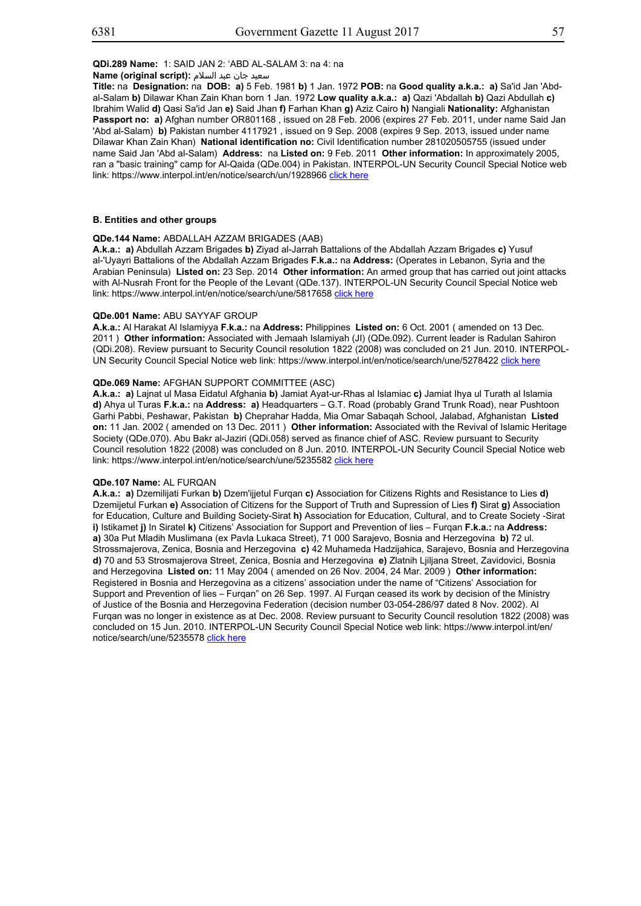سعید جان عبد السلام **:(script original (Name**

**Title:** na **Designation:** na **DOB: a)** 5 Feb. 1981 **b)** 1 Jan. 1972 **POB:** na **Good quality a.k.a.: a)** Sa'id Jan 'Abdal-Salam **b)** Dilawar Khan Zain Khan born 1 Jan. 1972 **Low quality a.k.a.: a)** Qazi 'Abdallah **b)** Qazi Abdullah **c)** Ibrahim Walid **d)** Qasi Sa'id Jan **e)** Said Jhan **f)** Farhan Khan **g)** Aziz Cairo **h)** Nangiali **Nationality:** Afghanistan **Passport no: a)** Afghan number OR801168 , issued on 28 Feb. 2006 (expires 27 Feb. 2011, under name Said Jan 'Abd al-Salam) **b)** Pakistan number 4117921 , issued on 9 Sep. 2008 (expires 9 Sep. 2013, issued under name Dilawar Khan Zain Khan) **National identification no:** Civil Identification number 281020505755 (issued under name Said Jan 'Abd al-Salam) **Address:** na **Listed on:** 9 Feb. 2011 **Other information:** In approximately 2005, ran a "basic training" camp for Al-Qaida (QDe.004) in Pakistan. INTERPOL-UN Security Council Special Notice web link: https://www.interpol.int/en/notice/search/un/1928966 click here

## **B. Entities and other groups**

#### **QDe.144 Name:** ABDALLAH AZZAM BRIGADES (AAB)

**A.k.a.: a)** Abdullah Azzam Brigades **b)** Ziyad al-Jarrah Battalions of the Abdallah Azzam Brigades **c)** Yusuf al-'Uyayri Battalions of the Abdallah Azzam Brigades **F.k.a.:** na **Address:** (Operates in Lebanon, Syria and the Arabian Peninsula) **Listed on:** 23 Sep. 2014 **Other information:** An armed group that has carried out joint attacks with Al-Nusrah Front for the People of the Levant (QDe.137). INTERPOL-UN Security Council Special Notice web link: https://www.interpol.int/en/notice/search/une/5817658 click here

#### **QDe.001 Name:** ABU SAYYAF GROUP

**A.k.a.:** Al Harakat Al Islamiyya **F.k.a.:** na **Address:** Philippines **Listed on:** 6 Oct. 2001 ( amended on 13 Dec. 2011 ) **Other information:** Associated with Jemaah Islamiyah (JI) (QDe.092). Current leader is Radulan Sahiron (QDi.208). Review pursuant to Security Council resolution 1822 (2008) was concluded on 21 Jun. 2010. INTERPOL-UN Security Council Special Notice web link: https://www.interpol.int/en/notice/search/une/5278422 click here

## **QDe.069 Name:** AFGHAN SUPPORT COMMITTEE (ASC)

**A.k.a.: a)** Lajnat ul Masa Eidatul Afghania **b)** Jamiat Ayat-ur-Rhas al Islamiac **c)** Jamiat Ihya ul Turath al Islamia **d)** Ahya ul Turas **F.k.a.:** na **Address: a)** Headquarters – G.T. Road (probably Grand Trunk Road), near Pushtoon Garhi Pabbi, Peshawar, Pakistan **b)** Cheprahar Hadda, Mia Omar Sabaqah School, Jalabad, Afghanistan **Listed on:** 11 Jan. 2002 ( amended on 13 Dec. 2011 ) **Other information:** Associated with the Revival of Islamic Heritage Society (QDe.070). Abu Bakr al-Jaziri (QDi.058) served as finance chief of ASC. Review pursuant to Security Council resolution 1822 (2008) was concluded on 8 Jun. 2010. INTERPOL-UN Security Council Special Notice web link: https://www.interpol.int/en/notice/search/une/5235582 click here

#### **QDe.107 Name:** AL FURQAN

**A.k.a.: a)** Dzemilijati Furkan **b)** Dzem'ijjetul Furqan **c)** Association for Citizens Rights and Resistance to Lies **d)** Dzemijetul Furkan **e)** Association of Citizens for the Support of Truth and Supression of Lies **f)** Sirat **g)** Association for Education, Culture and Building Society-Sirat **h)** Association for Education, Cultural, and to Create Society -Sirat **i)** Istikamet **j)** In Siratel **k)** Citizens' Association for Support and Prevention of lies – Furqan **F.k.a.:** na **Address: a)** 30a Put Mladih Muslimana (ex Pavla Lukaca Street), 71 000 Sarajevo, Bosnia and Herzegovina **b)** 72 ul. Strossmajerova, Zenica, Bosnia and Herzegovina **c)** 42 Muhameda Hadzijahica, Sarajevo, Bosnia and Herzegovina **d)** 70 and 53 Strosmajerova Street, Zenica, Bosnia and Herzegovina **e)** Zlatnih Ljiljana Street, Zavidovici, Bosnia and Herzegovina **Listed on:** 11 May 2004 ( amended on 26 Nov. 2004, 24 Mar. 2009 ) **Other information:** Registered in Bosnia and Herzegovina as a citizens' association under the name of "Citizens' Association for Support and Prevention of lies – Furqan" on 26 Sep. 1997. Al Furqan ceased its work by decision of the Ministry of Justice of the Bosnia and Herzegovina Federation (decision number 03-054-286/97 dated 8 Nov. 2002). Al Furqan was no longer in existence as at Dec. 2008. Review pursuant to Security Council resolution 1822 (2008) was concluded on 15 Jun. 2010. INTERPOL-UN Security Council Special Notice web link: https://www.interpol.int/en/ notice/search/une/5235578 click here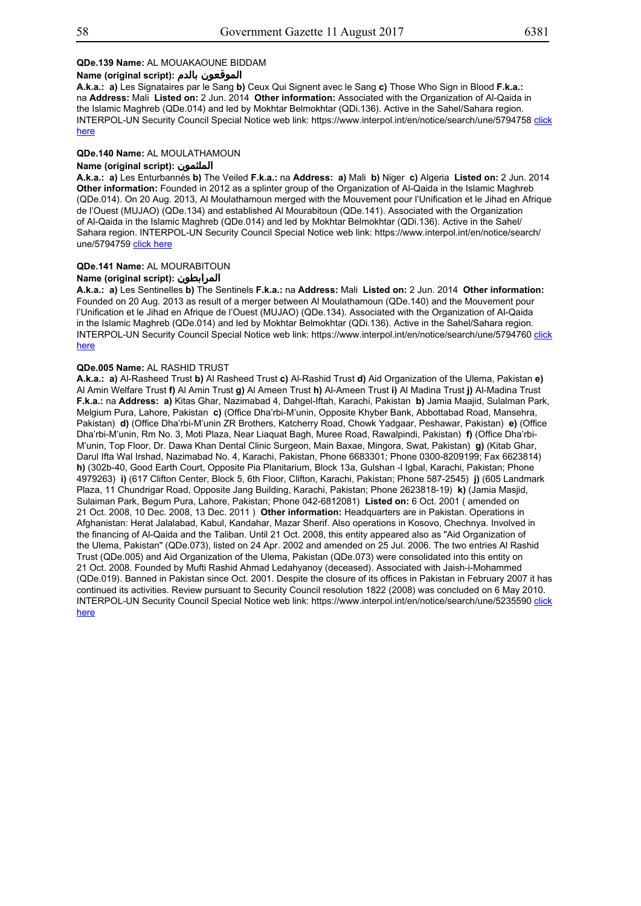## **QDe.139 Name:** AL MOUAKAOUNE BIDDAM

## **Name (original script): بالدم الموقعون**

**A.k.a.: a)** Les Signataires par le Sang **b)** Ceux Qui Signent avec le Sang **c)** Those Who Sign in Blood **F.k.a.:** na **Address:** Mali **Listed on:** 2 Jun. 2014 **Other information:** Associated with the Organization of Al-Qaida in the Islamic Maghreb (QDe.014) and led by Mokhtar Belmokhtar (QDi.136). Active in the Sahel/Sahara region. INTERPOL-UN Security Council Special Notice web link: https://www.interpol.int/en/notice/search/une/5794758 click here

## **QDe.140 Name:** AL MOULATHAMOUN

## **Name (original script): الملثمون**

**A.k.a.: a)** Les Enturbannés **b)** The Veiled **F.k.a.:** na **Address: a)** Mali **b)** Niger **c)** Algeria **Listed on:** 2 Jun. 2014 **Other information:** Founded in 2012 as a splinter group of the Organization of Al-Qaida in the Islamic Maghreb (QDe.014). On 20 Aug. 2013, Al Moulathamoun merged with the Mouvement pour l'Unification et le Jihad en Afrique de l'Ouest (MUJAO) (QDe.134) and established Al Mourabitoun (QDe.141). Associated with the Organization of Al-Qaida in the Islamic Maghreb (QDe.014) and led by Mokhtar Belmokhtar (QDi.136). Active in the Sahel/ Sahara region. INTERPOL-UN Security Council Special Notice web link: https://www.interpol.int/en/notice/search/ une/5794759 click here

## **QDe.141 Name:** AL MOURABITOUN

## **Name (original script): المرابطون**

**A.k.a.: a)** Les Sentinelles **b)** The Sentinels **F.k.a.:** na **Address:** Mali **Listed on:** 2 Jun. 2014 **Other information:** Founded on 20 Aug. 2013 as result of a merger between Al Moulathamoun (QDe.140) and the Mouvement pour l'Unification et le Jihad en Afrique de l'Ouest (MUJAO) (QDe.134). Associated with the Organization of Al-Qaida in the Islamic Maghreb (QDe.014) and led by Mokhtar Belmokhtar (QDi.136). Active in the Sahel/Sahara region. INTERPOL-UN Security Council Special Notice web link: https://www.interpol.int/en/notice/search/une/5794760 click here

#### **QDe.005 Name:** AL RASHID TRUST

**A.k.a.: a)** Al-Rasheed Trust **b)** Al Rasheed Trust **c)** Al-Rashid Trust **d)** Aid Organization of the Ulema, Pakistan **e)** Al Amin Welfare Trust **f)** Al Amin Trust **g)** Al Ameen Trust **h)** Al-Ameen Trust **i)** Al Madina Trust **j)** Al-Madina Trust **F.k.a.:** na **Address: a)** Kitas Ghar, Nazimabad 4, Dahgel-Iftah, Karachi, Pakistan **b)** Jamia Maajid, Sulalman Park, Melgium Pura, Lahore, Pakistan **c)** (Office Dha'rbi-M'unin, Opposite Khyber Bank, Abbottabad Road, Mansehra, Pakistan) **d)** (Office Dha'rbi-M'unin ZR Brothers, Katcherry Road, Chowk Yadgaar, Peshawar, Pakistan) **e)** (Office Dha'rbi-M'unin, Rm No. 3, Moti Plaza, Near Liaquat Bagh, Muree Road, Rawalpindi, Pakistan) **f)** (Office Dha'rbi-M'unin, Top Floor, Dr. Dawa Khan Dental Clinic Surgeon, Main Baxae, Mingora, Swat, Pakistan) **g)** (Kitab Ghar, Darul Ifta Wal Irshad, Nazimabad No. 4, Karachi, Pakistan, Phone 6683301; Phone 0300-8209199; Fax 6623814) **h)** (302b-40, Good Earth Court, Opposite Pia Planitarium, Block 13a, Gulshan -l Igbal, Karachi, Pakistan; Phone 4979263) **i)** (617 Clifton Center, Block 5, 6th Floor, Clifton, Karachi, Pakistan; Phone 587-2545) **j)** (605 Landmark Plaza, 11 Chundrigar Road, Opposite Jang Building, Karachi, Pakistan; Phone 2623818-19) **k)** (Jamia Masjid, Sulaiman Park, Begum Pura, Lahore, Pakistan; Phone 042-6812081) **Listed on:** 6 Oct. 2001 ( amended on 21 Oct. 2008, 10 Dec. 2008, 13 Dec. 2011 ) **Other information:** Headquarters are in Pakistan. Operations in Afghanistan: Herat Jalalabad, Kabul, Kandahar, Mazar Sherif. Also operations in Kosovo, Chechnya. Involved in the financing of Al-Qaida and the Taliban. Until 21 Oct. 2008, this entity appeared also as "Aid Organization of the Ulema, Pakistan" (QDe.073), listed on 24 Apr. 2002 and amended on 25 Jul. 2006. The two entries Al Rashid Trust (QDe.005) and Aid Organization of the Ulema, Pakistan (QDe.073) were consolidated into this entity on 21 Oct. 2008. Founded by Mufti Rashid Ahmad Ledahyanoy (deceased). Associated with Jaish-i-Mohammed (QDe.019). Banned in Pakistan since Oct. 2001. Despite the closure of its offices in Pakistan in February 2007 it has continued its activities. Review pursuant to Security Council resolution 1822 (2008) was concluded on 6 May 2010. INTERPOL-UN Security Council Special Notice web link: https://www.interpol.int/en/notice/search/une/5235590 click here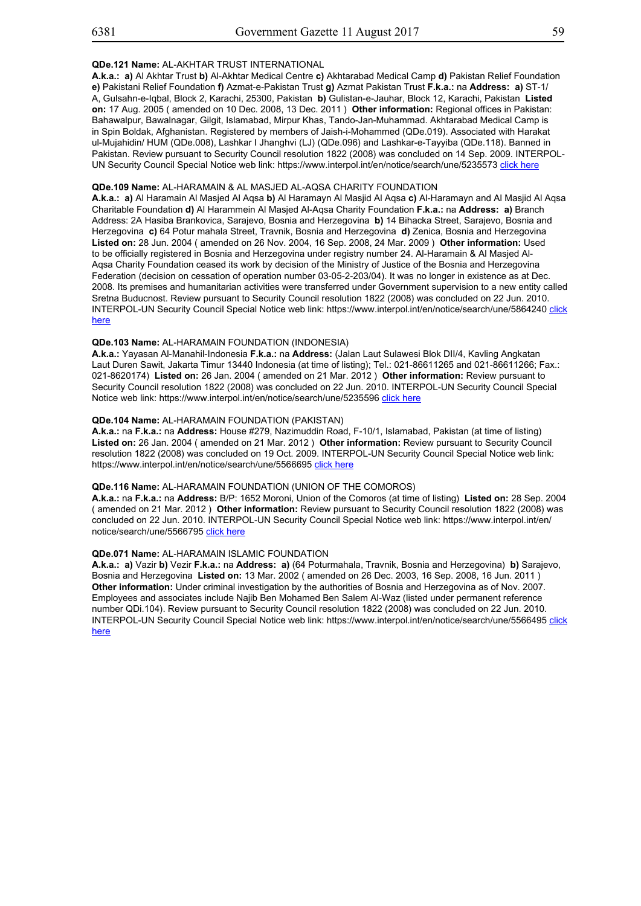## **QDe.121 Name:** AL-AKHTAR TRUST INTERNATIONAL

**A.k.a.: a)** Al Akhtar Trust **b)** Al-Akhtar Medical Centre **c)** Akhtarabad Medical Camp **d)** Pakistan Relief Foundation **e)** Pakistani Relief Foundation **f)** Azmat-e-Pakistan Trust **g)** Azmat Pakistan Trust **F.k.a.:** na **Address: a)** ST-1/ A, Gulsahn-e-Iqbal, Block 2, Karachi, 25300, Pakistan **b)** Gulistan-e-Jauhar, Block 12, Karachi, Pakistan **Listed on:** 17 Aug. 2005 ( amended on 10 Dec. 2008, 13 Dec. 2011 ) **Other information:** Regional offices in Pakistan: Bahawalpur, Bawalnagar, Gilgit, Islamabad, Mirpur Khas, Tando-Jan-Muhammad. Akhtarabad Medical Camp is in Spin Boldak, Afghanistan. Registered by members of Jaish-i-Mohammed (QDe.019). Associated with Harakat ul-Mujahidin/ HUM (QDe.008), Lashkar I Jhanghvi (LJ) (QDe.096) and Lashkar-e-Tayyiba (QDe.118). Banned in Pakistan. Review pursuant to Security Council resolution 1822 (2008) was concluded on 14 Sep. 2009. INTERPOL-UN Security Council Special Notice web link: https://www.interpol.int/en/notice/search/une/5235573 click here

## **QDe.109 Name:** AL-HARAMAIN & AL MASJED AL-AQSA CHARITY FOUNDATION

**A.k.a.: a)** Al Haramain Al Masjed Al Aqsa **b)** Al Haramayn Al Masjid Al Aqsa **c)** Al-Haramayn and Al Masjid Al Aqsa Charitable Foundation **d)** Al Harammein Al Masjed Al-Aqsa Charity Foundation **F.k.a.:** na **Address: a)** Branch Address: 2A Hasiba Brankovica, Sarajevo, Bosnia and Herzegovina **b)** 14 Bihacka Street, Sarajevo, Bosnia and Herzegovina **c)** 64 Potur mahala Street, Travnik, Bosnia and Herzegovina **d)** Zenica, Bosnia and Herzegovina **Listed on:** 28 Jun. 2004 ( amended on 26 Nov. 2004, 16 Sep. 2008, 24 Mar. 2009 ) **Other information:** Used to be officially registered in Bosnia and Herzegovina under registry number 24. Al-Haramain & Al Masjed Al-Aqsa Charity Foundation ceased its work by decision of the Ministry of Justice of the Bosnia and Herzegovina Federation (decision on cessation of operation number 03-05-2-203/04). It was no longer in existence as at Dec. 2008. Its premises and humanitarian activities were transferred under Government supervision to a new entity called Sretna Buducnost. Review pursuant to Security Council resolution 1822 (2008) was concluded on 22 Jun. 2010. INTERPOL-UN Security Council Special Notice web link: https://www.interpol.int/en/notice/search/une/5864240 click here

## **QDe.103 Name:** AL-HARAMAIN FOUNDATION (INDONESIA)

**A.k.a.:** Yayasan Al-Manahil-Indonesia **F.k.a.:** na **Address:** (Jalan Laut Sulawesi Blok DII/4, Kavling Angkatan Laut Duren Sawit, Jakarta Timur 13440 Indonesia (at time of listing); Tel.: 021-86611265 and 021-86611266; Fax.: 021-8620174) **Listed on:** 26 Jan. 2004 ( amended on 21 Mar. 2012 ) **Other information:** Review pursuant to Security Council resolution 1822 (2008) was concluded on 22 Jun. 2010. INTERPOL-UN Security Council Special Notice web link: https://www.interpol.int/en/notice/search/une/5235596 click here

## **QDe.104 Name:** AL-HARAMAIN FOUNDATION (PAKISTAN)

**A.k.a.:** na **F.k.a.:** na **Address:** House #279, Nazimuddin Road, F-10/1, Islamabad, Pakistan (at time of listing) **Listed on:** 26 Jan. 2004 ( amended on 21 Mar. 2012 ) **Other information:** Review pursuant to Security Council resolution 1822 (2008) was concluded on 19 Oct. 2009. INTERPOL-UN Security Council Special Notice web link: https://www.interpol.int/en/notice/search/une/5566695 click here

## **QDe.116 Name:** AL-HARAMAIN FOUNDATION (UNION OF THE COMOROS)

**A.k.a.:** na **F.k.a.:** na **Address:** B/P: 1652 Moroni, Union of the Comoros (at time of listing) **Listed on:** 28 Sep. 2004 ( amended on 21 Mar. 2012 ) **Other information:** Review pursuant to Security Council resolution 1822 (2008) was concluded on 22 Jun. 2010. INTERPOL-UN Security Council Special Notice web link: https://www.interpol.int/en/ notice/search/une/5566795 click here

## **QDe.071 Name:** AL-HARAMAIN ISLAMIC FOUNDATION

**A.k.a.: a)** Vazir **b)** Vezir **F.k.a.:** na **Address: a)** (64 Poturmahala, Travnik, Bosnia and Herzegovina) **b)** Sarajevo, Bosnia and Herzegovina **Listed on:** 13 Mar. 2002 ( amended on 26 Dec. 2003, 16 Sep. 2008, 16 Jun. 2011 ) **Other information:** Under criminal investigation by the authorities of Bosnia and Herzegovina as of Nov. 2007. Employees and associates include Najib Ben Mohamed Ben Salem Al-Waz (listed under permanent reference number QDi.104). Review pursuant to Security Council resolution 1822 (2008) was concluded on 22 Jun. 2010. INTERPOL-UN Security Council Special Notice web link: https://www.interpol.int/en/notice/search/une/5566495 click here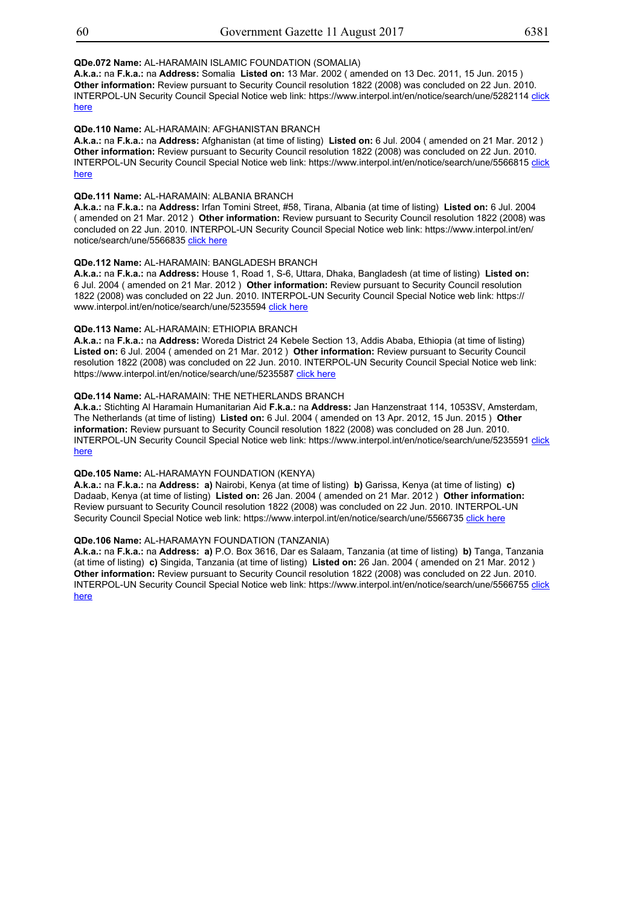## **QDe.072 Name:** AL-HARAMAIN ISLAMIC FOUNDATION (SOMALIA)

**A.k.a.:** na **F.k.a.:** na **Address:** Somalia **Listed on:** 13 Mar. 2002 ( amended on 13 Dec. 2011, 15 Jun. 2015 ) **Other information:** Review pursuant to Security Council resolution 1822 (2008) was concluded on 22 Jun. 2010. INTERPOL-UN Security Council Special Notice web link: https://www.interpol.int/en/notice/search/une/5282114 click here

## **QDe.110 Name:** AL-HARAMAIN: AFGHANISTAN BRANCH

**A.k.a.:** na **F.k.a.:** na **Address:** Afghanistan (at time of listing) **Listed on:** 6 Jul. 2004 ( amended on 21 Mar. 2012 ) **Other information:** Review pursuant to Security Council resolution 1822 (2008) was concluded on 22 Jun. 2010. INTERPOL-UN Security Council Special Notice web link: https://www.interpol.int/en/notice/search/une/5566815 click here

## **QDe.111 Name:** AL-HARAMAIN: ALBANIA BRANCH

**A.k.a.:** na **F.k.a.:** na **Address:** Irfan Tomini Street, #58, Tirana, Albania (at time of listing) **Listed on:** 6 Jul. 2004 ( amended on 21 Mar. 2012 ) **Other information:** Review pursuant to Security Council resolution 1822 (2008) was concluded on 22 Jun. 2010. INTERPOL-UN Security Council Special Notice web link: https://www.interpol.int/en/ notice/search/une/5566835 click here

## **QDe.112 Name:** AL-HARAMAIN: BANGLADESH BRANCH

**A.k.a.:** na **F.k.a.:** na **Address:** House 1, Road 1, S-6, Uttara, Dhaka, Bangladesh (at time of listing) **Listed on:** 6 Jul. 2004 ( amended on 21 Mar. 2012 ) **Other information:** Review pursuant to Security Council resolution 1822 (2008) was concluded on 22 Jun. 2010. INTERPOL-UN Security Council Special Notice web link: https:// www.interpol.int/en/notice/search/une/5235594 click here

## **QDe.113 Name:** AL-HARAMAIN: ETHIOPIA BRANCH

**A.k.a.:** na **F.k.a.:** na **Address:** Woreda District 24 Kebele Section 13, Addis Ababa, Ethiopia (at time of listing) **Listed on:** 6 Jul. 2004 ( amended on 21 Mar. 2012 ) **Other information:** Review pursuant to Security Council resolution 1822 (2008) was concluded on 22 Jun. 2010. INTERPOL-UN Security Council Special Notice web link: https://www.interpol.int/en/notice/search/une/5235587 click here

## **QDe.114 Name:** AL-HARAMAIN: THE NETHERLANDS BRANCH

**A.k.a.:** Stichting Al Haramain Humanitarian Aid **F.k.a.:** na **Address:** Jan Hanzenstraat 114, 1053SV, Amsterdam, The Netherlands (at time of listing) **Listed on:** 6 Jul. 2004 ( amended on 13 Apr. 2012, 15 Jun. 2015 ) **Other information:** Review pursuant to Security Council resolution 1822 (2008) was concluded on 28 Jun. 2010. INTERPOL-UN Security Council Special Notice web link: https://www.interpol.int/en/notice/search/une/5235591 click here

## **QDe.105 Name:** AL-HARAMAYN FOUNDATION (KENYA)

**A.k.a.:** na **F.k.a.:** na **Address: a)** Nairobi, Kenya (at time of listing) **b)** Garissa, Kenya (at time of listing) **c)** Dadaab, Kenya (at time of listing) **Listed on:** 26 Jan. 2004 ( amended on 21 Mar. 2012 ) **Other information:** Review pursuant to Security Council resolution 1822 (2008) was concluded on 22 Jun. 2010. INTERPOL-UN Security Council Special Notice web link: https://www.interpol.int/en/notice/search/une/5566735 click here

## **QDe.106 Name:** AL-HARAMAYN FOUNDATION (TANZANIA)

**A.k.a.:** na **F.k.a.:** na **Address: a)** P.O. Box 3616, Dar es Salaam, Tanzania (at time of listing) **b)** Tanga, Tanzania (at time of listing) **c)** Singida, Tanzania (at time of listing) **Listed on:** 26 Jan. 2004 ( amended on 21 Mar. 2012 ) **Other information:** Review pursuant to Security Council resolution 1822 (2008) was concluded on 22 Jun. 2010. INTERPOL-UN Security Council Special Notice web link: https://www.interpol.int/en/notice/search/une/5566755 click here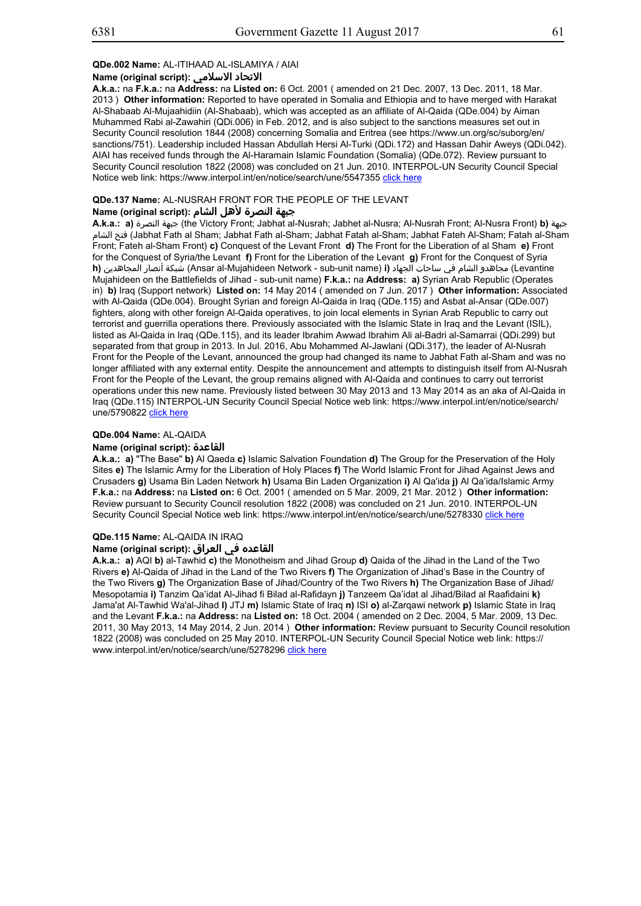## **QDe.002 Name:** AL-ITIHAAD AL-ISLAMIYA / AIAI

#### **Name (original script): الاسلامي الاتحاد**

**A.k.a.:** na **F.k.a.:** na **Address:** na **Listed on:** 6 Oct. 2001 ( amended on 21 Dec. 2007, 13 Dec. 2011, 18 Mar. 2013 ) **Other information:** Reported to have operated in Somalia and Ethiopia and to have merged with Harakat Al-Shabaab Al-Mujaahidiin (Al-Shabaab), which was accepted as an affiliate of Al-Qaida (QDe.004) by Aiman Muhammed Rabi al-Zawahiri (QDi.006) in Feb. 2012, and is also subject to the sanctions measures set out in Security Council resolution 1844 (2008) concerning Somalia and Eritrea (see https://www.un.org/sc/suborg/en/ sanctions/751). Leadership included Hassan Abdullah Hersi Al-Turki (QDi.172) and Hassan Dahir Aweys (QDi.042). AIAI has received funds through the Al-Haramain Islamic Foundation (Somalia) (QDe.072). Review pursuant to Security Council resolution 1822 (2008) was concluded on 21 Jun. 2010. INTERPOL-UN Security Council Special Notice web link: https://www.interpol.int/en/notice/search/une/5547355 click here

# **QDe.137 Name:** AL-NUSRAH FRONT FOR THE PEOPLE OF THE LEVANT

## **جبهة النصرة لأهل الشام :(script original (Name**

**A.k.a.: a)** النصرة جبهة) the Victory Front; Jabhat al-Nusrah; Jabhet al-Nusra; Al-Nusrah Front; Al-Nusra Front) **b)** جبهة الشام فتح) Jabhat Fath al Sham; Jabhat Fath al-Sham; Jabhat Fatah al-Sham; Jabhat Fateh Al-Sham; Fatah al-Sham Front; Fateh al-Sham Front) **c)** Conquest of the Levant Front **d)** The Front for the Liberation of al Sham **e)** Front for the Conquest of Syria/the Levant **f)** Front for the Liberation of the Levant **g)** Front for the Conquest of Syria **h)** المجاهدين أنصار شبكة) Ansar al-Mujahideen Network - sub-unit name) **i)** الجهاد ساحات في الشام مجاهدو) Levantine Mujahideen on the Battlefields of Jihad - sub-unit name) **F.k.a.:** na **Address: a)** Syrian Arab Republic (Operates in) **b)** Iraq (Support network) **Listed on:** 14 May 2014 ( amended on 7 Jun. 2017 ) **Other information:** Associated with Al-Qaida (QDe.004). Brought Syrian and foreign Al-Qaida in Iraq (QDe.115) and Asbat al-Ansar (QDe.007) fighters, along with other foreign Al-Qaida operatives, to join local elements in Syrian Arab Republic to carry out terrorist and guerrilla operations there. Previously associated with the Islamic State in Iraq and the Levant (ISIL), listed as Al-Qaida in Iraq (QDe.115), and its leader Ibrahim Awwad Ibrahim Ali al-Badri al-Samarrai (QDi.299) but separated from that group in 2013. In Jul. 2016, Abu Mohammed Al-Jawlani (QDi.317), the leader of Al-Nusrah Front for the People of the Levant, announced the group had changed its name to Jabhat Fath al-Sham and was no longer affiliated with any external entity. Despite the announcement and attempts to distinguish itself from Al-Nusrah Front for the People of the Levant, the group remains aligned with Al-Qaida and continues to carry out terrorist operations under this new name. Previously listed between 30 May 2013 and 13 May 2014 as an aka of Al-Qaida in Iraq (QDe.115) INTERPOL-UN Security Council Special Notice web link: https://www.interpol.int/en/notice/search/ une/5790822 click here

## **QDe.004 Name:** AL-QAIDA

#### **Name (original script): القاعدة**

**A.k.a.: a)** "The Base" **b)** Al Qaeda **c)** Islamic Salvation Foundation **d)** The Group for the Preservation of the Holy Sites **e)** The Islamic Army for the Liberation of Holy Places **f)** The World Islamic Front for Jihad Against Jews and Crusaders **g)** Usama Bin Laden Network **h)** Usama Bin Laden Organization **i)** Al Qa'ida **j)** Al Qa'ida/Islamic Army **F.k.a.:** na **Address:** na **Listed on:** 6 Oct. 2001 ( amended on 5 Mar. 2009, 21 Mar. 2012 ) **Other information:** Review pursuant to Security Council resolution 1822 (2008) was concluded on 21 Jun. 2010. INTERPOL-UN Security Council Special Notice web link: https://www.interpol.int/en/notice/search/une/5278330 click here

## **QDe.115 Name:** AL-QAIDA IN IRAQ

## **القاعده في العراق :(script original (Name**

**A.k.a.: a)** AQI **b)** al-Tawhid **c)** the Monotheism and Jihad Group **d)** Qaida of the Jihad in the Land of the Two Rivers **e)** Al-Qaida of Jihad in the Land of the Two Rivers **f)** The Organization of Jihad's Base in the Country of the Two Rivers **g)** The Organization Base of Jihad/Country of the Two Rivers **h)** The Organization Base of Jihad/ Mesopotamia **i)** Tanzim Qa'idat Al-Jihad fi Bilad al-Rafidayn **j)** Tanzeem Qa'idat al Jihad/Bilad al Raafidaini **k)** Jama'at Al-Tawhid Wa'al-Jihad **l)** JTJ **m)** Islamic State of Iraq **n)** ISI **o)** al-Zarqawi network **p)** Islamic State in Iraq and the Levant **F.k.a.:** na **Address:** na **Listed on:** 18 Oct. 2004 ( amended on 2 Dec. 2004, 5 Mar. 2009, 13 Dec. 2011, 30 May 2013, 14 May 2014, 2 Jun. 2014 ) **Other information:** Review pursuant to Security Council resolution 1822 (2008) was concluded on 25 May 2010. INTERPOL-UN Security Council Special Notice web link: https:// www.interpol.int/en/notice/search/une/5278296 click here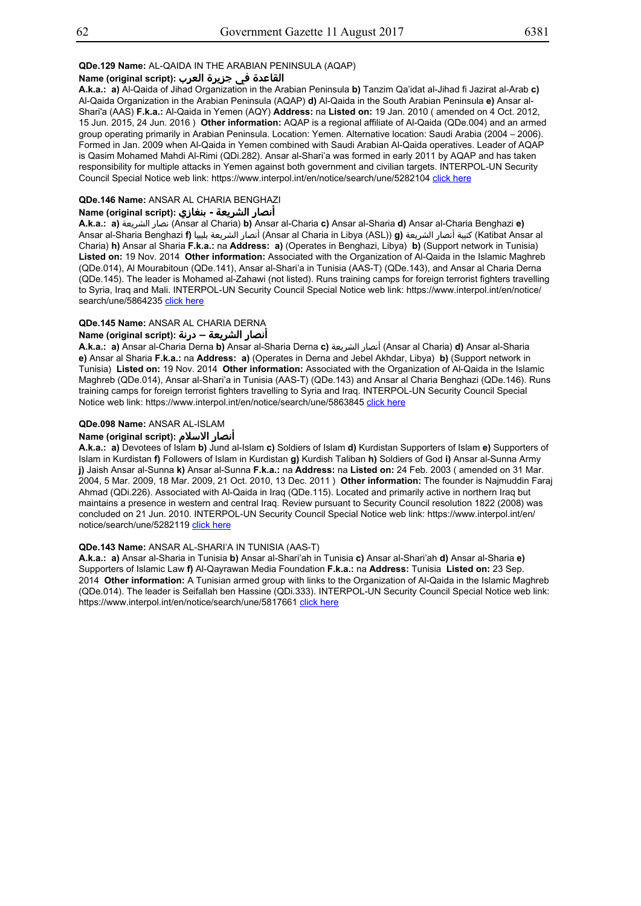## **QDe.129 Name:** AL-QAIDA IN THE ARABIAN PENINSULA (AQAP)

## **القاعدة في جزيرة العرب :(script original (Name**

**A.k.a.: a)** Al-Qaida of Jihad Organization in the Arabian Peninsula **b)** Tanzim Qa'idat al-Jihad fi Jazirat al-Arab **c)** Al-Qaida Organization in the Arabian Peninsula (AQAP) **d)** Al-Qaida in the South Arabian Peninsula **e)** Ansar al-Shari'a (AAS) **F.k.a.:** Al-Qaida in Yemen (AQY) **Address:** na **Listed on:** 19 Jan. 2010 ( amended on 4 Oct. 2012, 15 Jun. 2015, 24 Jun. 2016 ) **Other information:** AQAP is a regional affiliate of Al-Qaida (QDe.004) and an armed group operating primarily in Arabian Peninsula. Location: Yemen. Alternative location: Saudi Arabia (2004 – 2006). Formed in Jan. 2009 when Al-Qaida in Yemen combined with Saudi Arabian Al-Qaida operatives. Leader of AQAP is Qasim Mohamed Mahdi Al-Rimi (QDi.282). Ansar al-Shari'a was formed in early 2011 by AQAP and has taken responsibility for multiple attacks in Yemen against both government and civilian targets. INTERPOL-UN Security Council Special Notice web link: https://www.interpol.int/en/notice/search/une/5282104 click here

## **QDe.146 Name:** ANSAR AL CHARIA BENGHAZI

## **أنصار الشريعة - بنغازي :(script original (Name**

**A.k.a.: a)** الشريعة نصار) Ansar al Charia) **b)** Ansar al-Charia **c)** Ansar al-Sharia **d)** Ansar al-Charia Benghazi **e)** Ansar al-Sharia Benghazi **f)** بليبيا الشريعة أنصار) Ansar al Charia in Libya (ASL)) **g)** الشريعة أنصار كتيبة) Katibat Ansar al Charia) **h)** Ansar al Sharia **F.k.a.:** na **Address: a)** (Operates in Benghazi, Libya) **b)** (Support network in Tunisia) **Listed on:** 19 Nov. 2014 **Other information:** Associated with the Organization of Al-Qaida in the Islamic Maghreb (QDe.014), Al Mourabitoun (QDe.141), Ansar al-Shari'a in Tunisia (AAS-T) (QDe.143), and Ansar al Charia Derna (QDe.145). The leader is Mohamed al-Zahawi (not listed). Runs training camps for foreign terrorist fighters travelling to Syria, Iraq and Mali. INTERPOL-UN Security Council Special Notice web link: https://www.interpol.int/en/notice/ search/une/5864235 click here

## **QDe.145 Name:** ANSAR AL CHARIA DERNA

## **أنصار الشريعة – درنة :(script original (Name**

**A.k.a.: a)** Ansar al-Charia Derna **b)** Ansar al-Sharia Derna **c)** الشريعة أنصار) Ansar al Charia) **d)** Ansar al-Sharia **e)** Ansar al Sharia **F.k.a.:** na **Address: a)** (Operates in Derna and Jebel Akhdar, Libya) **b)** (Support network in Tunisia) **Listed on:** 19 Nov. 2014 **Other information:** Associated with the Organization of Al-Qaida in the Islamic Maghreb (QDe.014), Ansar al-Shari'a in Tunisia (AAS-T) (QDe.143) and Ansar al Charia Benghazi (QDe.146). Runs training camps for foreign terrorist fighters travelling to Syria and Iraq. INTERPOL-UN Security Council Special Notice web link: https://www.interpol.int/en/notice/search/une/5863845 click here

## **QDe.098 Name:** ANSAR AL-ISLAM

## **Name (original script): الاسلام أنصار**

**A.k.a.: a)** Devotees of Islam **b)** Jund al-Islam **c)** Soldiers of Islam **d)** Kurdistan Supporters of Islam **e)** Supporters of Islam in Kurdistan **f)** Followers of Islam in Kurdistan **g)** Kurdish Taliban **h)** Soldiers of God **i)** Ansar al-Sunna Army **j)** Jaish Ansar al-Sunna **k)** Ansar al-Sunna **F.k.a.:** na **Address:** na **Listed on:** 24 Feb. 2003 ( amended on 31 Mar. 2004, 5 Mar. 2009, 18 Mar. 2009, 21 Oct. 2010, 13 Dec. 2011 ) **Other information:** The founder is Najmuddin Faraj Ahmad (QDi.226). Associated with Al-Qaida in Iraq (QDe.115). Located and primarily active in northern Iraq but maintains a presence in western and central Iraq. Review pursuant to Security Council resolution 1822 (2008) was concluded on 21 Jun. 2010. INTERPOL-UN Security Council Special Notice web link: https://www.interpol.int/en/ notice/search/une/5282119 click here

## **QDe.143 Name:** ANSAR AL-SHARI'A IN TUNISIA (AAS-T)

**A.k.a.: a)** Ansar al-Sharia in Tunisia **b)** Ansar al-Shari'ah in Tunisia **c)** Ansar al-Shari'ah **d)** Ansar al-Sharia **e)** Supporters of Islamic Law **f)** Al-Qayrawan Media Foundation **F.k.a.:** na **Address:** Tunisia **Listed on:** 23 Sep. 2014 **Other information:** A Tunisian armed group with links to the Organization of Al-Qaida in the Islamic Maghreb (QDe.014). The leader is Seifallah ben Hassine (QDi.333). INTERPOL-UN Security Council Special Notice web link: https://www.interpol.int/en/notice/search/une/5817661 click here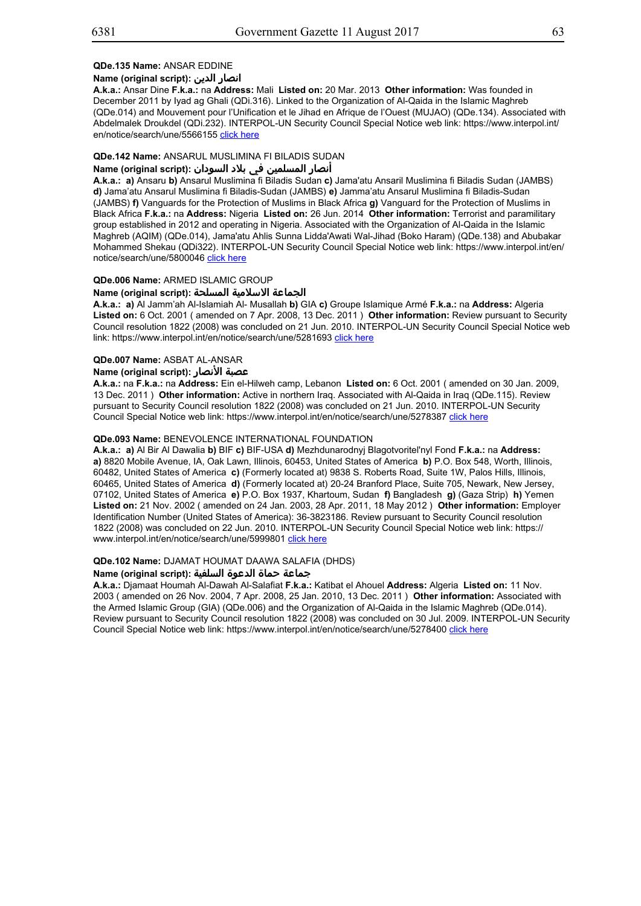## **QDe.135 Name:** ANSAR EDDINE

Res. 1267/1989/2253 List

## **Name (original script): الدين انصار**

**A.k.a.:** Ansar Dine **F.k.a.:** na **Address:** Mali **Listed on:** 20 Mar. 2013 **Other information:** Was founded in December 2011 by Iyad ag Ghali (QDi.316). Linked to the Organization of Al-Qaida in the Islamic Maghreb (QDe.014) and Mouvement pour l'Unification et le Jihad en Afrique de l'Ouest (MUJAO) (QDe.134). Associated with Abdelmalek Droukdel (QDi.232). INTERPOL-UN Security Council Special Notice web link: https://www.interpol.int/ en/notice/search/une/5566155 click here

## **QDe.142 Name:** ANSARUL MUSLIMINA FI BILADIS SUDAN

## أنصار المسلمين في بلاد السودان :(Name (original script

**A.k.a.: a)** Ansaru **b)** Ansarul Muslimina fi Biladis Sudan **c)** Jama'atu Ansaril Muslimina fi Biladis Sudan (JAMBS) **d)** Jama'atu Ansarul Muslimina fi Biladis-Sudan (JAMBS) **e)** Jamma'atu Ansarul Muslimina fi Biladis-Sudan (JAMBS) **f)** Vanguards for the Protection of Muslims in Black Africa **g)** Vanguard for the Protection of Muslims in Black Africa **F.k.a.:** na **Address:** Nigeria **Listed on:** 26 Jun. 2014 **Other information:** Terrorist and paramilitary group established in 2012 and operating in Nigeria. Associated with the Organization of Al-Qaida in the Islamic Maghreb (AQIM) (QDe.014), Jama'atu Ahlis Sunna Lidda'Awati Wal-Jihad (Boko Haram) (QDe.138) and Abubakar Mohammed Shekau (QDi322). INTERPOL-UN Security Council Special Notice web link: https://www.interpol.int/en/ notice/search/une/5800046 click here

## **QDe.006 Name:** ARMED ISLAMIC GROUP

## **الجماعة الاسلامية المسلحة :(script original (Name**

**A.k.a.: a)** Al Jamm'ah Al-Islamiah Al- Musallah **b)** GIA **c)** Groupe Islamique Armé **F.k.a.:** na **Address:** Algeria **Listed on:** 6 Oct. 2001 ( amended on 7 Apr. 2008, 13 Dec. 2011 ) **Other information:** Review pursuant to Security Council resolution 1822 (2008) was concluded on 21 Jun. 2010. INTERPOL-UN Security Council Special Notice web link: https://www.interpol.int/en/notice/search/une/5281693 click here

# **QDe.007 Name:** ASBAT AL-ANSAR

## **Name (original script): الأنصار عصبة**

**A.k.a.:** na **F.k.a.:** na **Address:** Ein el-Hilweh camp, Lebanon **Listed on:** 6 Oct. 2001 ( amended on 30 Jan. 2009, 13 Dec. 2011 ) **Other information:** Active in northern Iraq. Associated with Al-Qaida in Iraq (QDe.115). Review pursuant to Security Council resolution 1822 (2008) was concluded on 21 Jun. 2010. INTERPOL-UN Security Council Special Notice web link: https://www.interpol.int/en/notice/search/une/5278387 click here

## **QDe.093 Name:** BENEVOLENCE INTERNATIONAL FOUNDATION

**A.k.a.: a)** Al Bir Al Dawalia **b)** BIF **c)** BIF-USA **d)** Mezhdunarodnyj Blagotvoritel'nyl Fond **F.k.a.:** na **Address: a)** 8820 Mobile Avenue, IA, Oak Lawn, Illinois, 60453, United States of America **b)** P.O. Box 548, Worth, Illinois, 60482, United States of America **c)** (Formerly located at) 9838 S. Roberts Road, Suite 1W, Palos Hills, Illinois, 60465, United States of America **d)** (Formerly located at) 20-24 Branford Place, Suite 705, Newark, New Jersey, 07102, United States of America **e)** P.O. Box 1937, Khartoum, Sudan **f)** Bangladesh **g)** (Gaza Strip) **h)** Yemen **Listed on:** 21 Nov. 2002 ( amended on 24 Jan. 2003, 28 Apr. 2011, 18 May 2012 ) **Other information:** Employer Identification Number (United States of America): 36-3823186. Review pursuant to Security Council resolution 1822 (2008) was concluded on 22 Jun. 2010. INTERPOL-UN Security Council Special Notice web link: https:// www.interpol.int/en/notice/search/une/5999801 click here

## **QDe.102 Name:** DJAMAT HOUMAT DAAWA SALAFIA (DHDS)

## **جماعة حماة الدعوة السلفية :(script original (Name**

**A.k.a.:** Djamaat Houmah Al-Dawah Al-Salafiat **F.k.a.:** Katibat el Ahouel **Address:** Algeria **Listed on:** 11 Nov. 2003 ( amended on 26 Nov. 2004, 7 Apr. 2008, 25 Jan. 2010, 13 Dec. 2011 ) **Other information:** Associated with the Armed Islamic Group (GIA) (QDe.006) and the Organization of Al-Qaida in the Islamic Maghreb (QDe.014). Review pursuant to Security Council resolution 1822 (2008) was concluded on 30 Jul. 2009. INTERPOL-UN Security Council Special Notice web link: https://www.interpol.int/en/notice/search/une/5278400 click here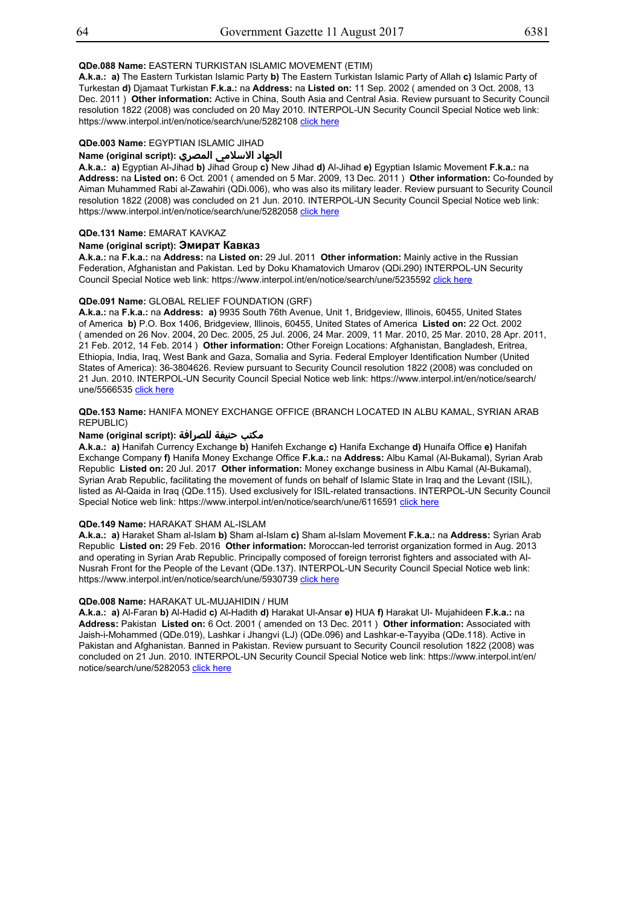## **QDe.088 Name:** EASTERN TURKISTAN ISLAMIC MOVEMENT (ETIM)

**A.k.a.: a)** The Eastern Turkistan Islamic Party **b)** The Eastern Turkistan Islamic Party of Allah **c)** Islamic Party of Turkestan **d)** Djamaat Turkistan **F.k.a.:** na **Address:** na **Listed on:** 11 Sep. 2002 ( amended on 3 Oct. 2008, 13 Dec. 2011 ) **Other information:** Active in China, South Asia and Central Asia. Review pursuant to Security Council resolution 1822 (2008) was concluded on 20 May 2010. INTERPOL-UN Security Council Special Notice web link: https://www.interpol.int/en/notice/search/une/5282108 click here

## **QDe.003 Name:** EGYPTIAN ISLAMIC JIHAD

## الجهاد الاسلامي المصري :(Name (original script

**A.k.a.: a)** Egyptian Al-Jihad **b)** Jihad Group **c)** New Jihad **d)** Al-Jihad **e)** Egyptian Islamic Movement **F.k.a.:** na **Address:** na **Listed on:** 6 Oct. 2001 ( amended on 5 Mar. 2009, 13 Dec. 2011 ) **Other information:** Co-founded by Aiman Muhammed Rabi al-Zawahiri (QDi.006), who was also its military leader. Review pursuant to Security Council resolution 1822 (2008) was concluded on 21 Jun. 2010. INTERPOL-UN Security Council Special Notice web link: https://www.interpol.int/en/notice/search/une/5282058 click here

## **QDe.131 Name:** EMARAT KAVKAZ

# **Name (original script): Эмират Кавказ**

**A.k.a.:** na **F.k.a.:** na **Address:** na **Listed on:** 29 Jul. 2011 **Other information:** Mainly active in the Russian Federation, Afghanistan and Pakistan. Led by Doku Khamatovich Umarov (QDi.290) INTERPOL-UN Security Council Special Notice web link: https://www.interpol.int/en/notice/search/une/5235592 click here

#### **QDe.091 Name:** GLOBAL RELIEF FOUNDATION (GRF)

**A.k.a.:** na **F.k.a.:** na **Address: a)** 9935 South 76th Avenue, Unit 1, Bridgeview, Illinois, 60455, United States of America **b)** P.O. Box 1406, Bridgeview, Illinois, 60455, United States of America **Listed on:** 22 Oct. 2002 ( amended on 26 Nov. 2004, 20 Dec. 2005, 25 Jul. 2006, 24 Mar. 2009, 11 Mar. 2010, 25 Mar. 2010, 28 Apr. 2011, 21 Feb. 2012, 14 Feb. 2014 ) **Other information:** Other Foreign Locations: Afghanistan, Bangladesh, Eritrea, Ethiopia, India, Iraq, West Bank and Gaza, Somalia and Syria. Federal Employer Identification Number (United States of America): 36-3804626. Review pursuant to Security Council resolution 1822 (2008) was concluded on 21 Jun. 2010. INTERPOL-UN Security Council Special Notice web link: https://www.interpol.int/en/notice/search/ une/5566535 click here

#### **QDe.153 Name:** HANIFA MONEY EXCHANGE OFFICE (BRANCH LOCATED IN ALBU KAMAL, SYRIAN ARAB REPUBLIC)

## مكتب حنيفة للصرافة :(Name (original script

**A.k.a.: a)** Hanifah Currency Exchange **b)** Hanifeh Exchange **c)** Hanifa Exchange **d)** Hunaifa Office **e)** Hanifah Exchange Company **f)** Hanifa Money Exchange Office **F.k.a.:** na **Address:** Albu Kamal (Al-Bukamal), Syrian Arab Republic **Listed on:** 20 Jul. 2017 **Other information:** Money exchange business in Albu Kamal (Al-Bukamal), Syrian Arab Republic, facilitating the movement of funds on behalf of Islamic State in Iraq and the Levant (ISIL), listed as Al-Qaida in Iraq (QDe.115). Used exclusively for ISIL-related transactions. INTERPOL-UN Security Council Special Notice web link: https://www.interpol.int/en/notice/search/une/6116591 click here

## **QDe.149 Name:** HARAKAT SHAM AL-ISLAM

**A.k.a.: a)** Haraket Sham al-Islam **b)** Sham al-Islam **c)** Sham al-Islam Movement **F.k.a.:** na **Address:** Syrian Arab Republic **Listed on:** 29 Feb. 2016 **Other information:** Moroccan-led terrorist organization formed in Aug. 2013 and operating in Syrian Arab Republic. Principally composed of foreign terrorist fighters and associated with AI-Nusrah Front for the People of the Levant (QDe.137). INTERPOL-UN Security Council Special Notice web link: https://www.interpol.int/en/notice/search/une/5930739 click here

## **QDe.008 Name:** HARAKAT UL-MUJAHIDIN / HUM

**A.k.a.: a)** Al-Faran **b)** Al-Hadid **c)** Al-Hadith **d)** Harakat Ul-Ansar **e)** HUA **f)** Harakat Ul- Mujahideen **F.k.a.:** na **Address:** Pakistan **Listed on:** 6 Oct. 2001 ( amended on 13 Dec. 2011 ) **Other information:** Associated with Jaish-i-Mohammed (QDe.019), Lashkar i Jhangvi (LJ) (QDe.096) and Lashkar-e-Tayyiba (QDe.118). Active in Pakistan and Afghanistan. Banned in Pakistan. Review pursuant to Security Council resolution 1822 (2008) was concluded on 21 Jun. 2010. INTERPOL-UN Security Council Special Notice web link: https://www.interpol.int/en/ notice/search/une/5282053 click here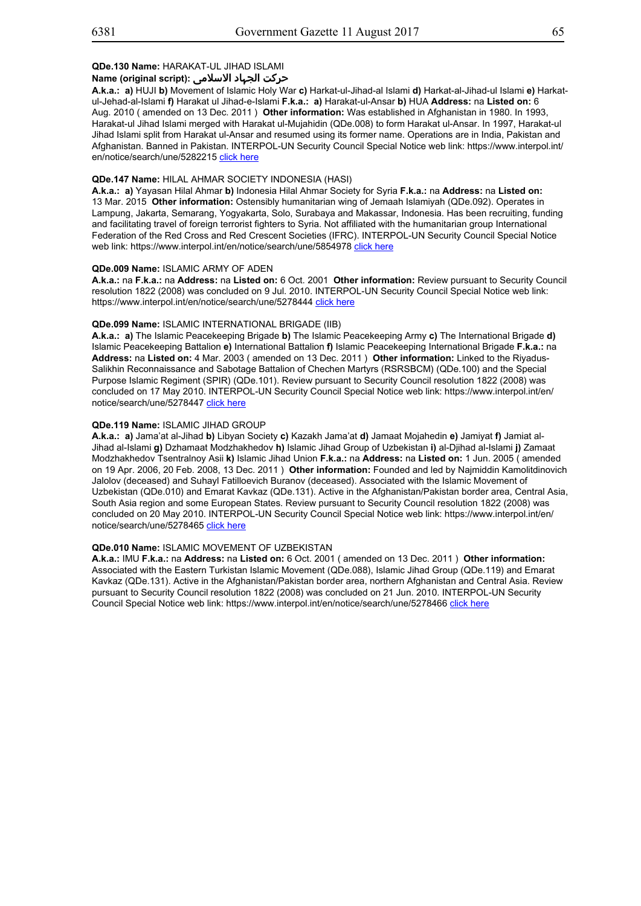# **حرکت الجہاد الاسلامی :(script original (Name**

**A.k.a.: a)** HUJI **b)** Movement of Islamic Holy War **c)** Harkat-ul-Jihad-al Islami **d)** Harkat-al-Jihad-ul Islami **e)** Harkatul-Jehad-al-Islami **f)** Harakat ul Jihad-e-Islami **F.k.a.: a)** Harakat-ul-Ansar **b)** HUA **Address:** na **Listed on:** 6 Aug. 2010 ( amended on 13 Dec. 2011 ) **Other information:** Was established in Afghanistan in 1980. In 1993, Harakat-ul Jihad Islami merged with Harakat ul-Mujahidin (QDe.008) to form Harakat ul-Ansar. In 1997, Harakat-ul Jihad Islami split from Harakat ul-Ansar and resumed using its former name. Operations are in India, Pakistan and Afghanistan. Banned in Pakistan. INTERPOL-UN Security Council Special Notice web link: https://www.interpol.int/ en/notice/search/une/5282215 click here

#### **QDe.147 Name:** HILAL AHMAR SOCIETY INDONESIA (HASI)

**A.k.a.: a)** Yayasan Hilal Ahmar **b)** Indonesia Hilal Ahmar Society for Syria **F.k.a.:** na **Address:** na **Listed on:** 13 Mar. 2015 **Other information:** Ostensibly humanitarian wing of Jemaah Islamiyah (QDe.092). Operates in Lampung, Jakarta, Semarang, Yogyakarta, Solo, Surabaya and Makassar, Indonesia. Has been recruiting, funding and facilitating travel of foreign terrorist fighters to Syria. Not affiliated with the humanitarian group International Federation of the Red Cross and Red Crescent Societies (IFRC). INTERPOL-UN Security Council Special Notice web link: https://www.interpol.int/en/notice/search/une/5854978 click here

#### **QDe.009 Name:** ISLAMIC ARMY OF ADEN

**A.k.a.:** na **F.k.a.:** na **Address:** na **Listed on:** 6 Oct. 2001 **Other information:** Review pursuant to Security Council resolution 1822 (2008) was concluded on 9 Jul. 2010. INTERPOL-UN Security Council Special Notice web link: https://www.interpol.int/en/notice/search/une/5278444 click here

## **QDe.099 Name:** ISLAMIC INTERNATIONAL BRIGADE (IIB)

**A.k.a.: a)** The Islamic Peacekeeping Brigade **b)** The Islamic Peacekeeping Army **c)** The International Brigade **d)** Islamic Peacekeeping Battalion **e)** International Battalion **f)** Islamic Peacekeeping International Brigade **F.k.a.:** na **Address:** na **Listed on:** 4 Mar. 2003 ( amended on 13 Dec. 2011 ) **Other information:** Linked to the Riyadus-Salikhin Reconnaissance and Sabotage Battalion of Chechen Martyrs (RSRSBCM) (QDe.100) and the Special Purpose Islamic Regiment (SPIR) (QDe.101). Review pursuant to Security Council resolution 1822 (2008) was concluded on 17 May 2010. INTERPOL-UN Security Council Special Notice web link: https://www.interpol.int/en/ notice/search/une/5278447 click here

#### **QDe.119 Name:** ISLAMIC JIHAD GROUP

**A.k.a.: a)** Jama'at al-Jihad **b)** Libyan Society **c)** Kazakh Jama'at **d)** Jamaat Mojahedin **e)** Jamiyat **f)** Jamiat al-Jihad al-Islami **g)** Dzhamaat Modzhakhedov **h)** Islamic Jihad Group of Uzbekistan **i)** al-Djihad al-Islami **j)** Zamaat Modzhakhedov Tsentralnoy Asii **k)** Islamic Jihad Union **F.k.a.:** na **Address:** na **Listed on:** 1 Jun. 2005 ( amended on 19 Apr. 2006, 20 Feb. 2008, 13 Dec. 2011 ) **Other information:** Founded and led by Najmiddin Kamolitdinovich Jalolov (deceased) and Suhayl Fatilloevich Buranov (deceased). Associated with the Islamic Movement of Uzbekistan (QDe.010) and Emarat Kavkaz (QDe.131). Active in the Afghanistan/Pakistan border area, Central Asia, South Asia region and some European States. Review pursuant to Security Council resolution 1822 (2008) was concluded on 20 May 2010. INTERPOL-UN Security Council Special Notice web link: https://www.interpol.int/en/ notice/search/une/5278465 click here

## **QDe.010 Name:** ISLAMIC MOVEMENT OF UZBEKISTAN

**A.k.a.:** IMU **F.k.a.:** na **Address:** na **Listed on:** 6 Oct. 2001 ( amended on 13 Dec. 2011 ) **Other information:** Associated with the Eastern Turkistan Islamic Movement (QDe.088), Islamic Jihad Group (QDe.119) and Emarat Kavkaz (QDe.131). Active in the Afghanistan/Pakistan border area, northern Afghanistan and Central Asia. Review pursuant to Security Council resolution 1822 (2008) was concluded on 21 Jun. 2010. INTERPOL-UN Security Council Special Notice web link: https://www.interpol.int/en/notice/search/une/5278466 click here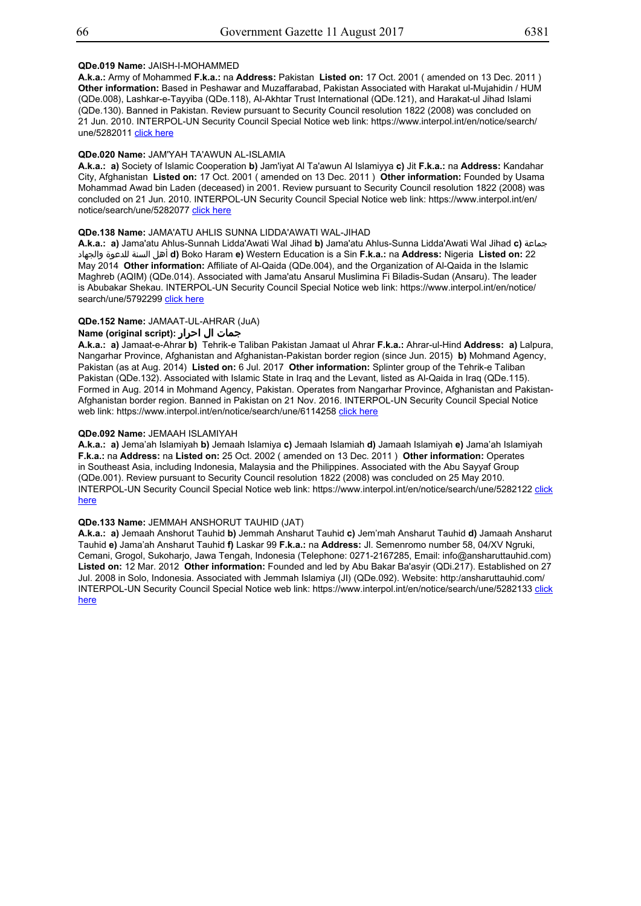## **QDe.019 Name:** JAISH-I-MOHAMMED

**A.k.a.:** Army of Mohammed **F.k.a.:** na **Address:** Pakistan **Listed on:** 17 Oct. 2001 ( amended on 13 Dec. 2011 ) **Other information:** Based in Peshawar and Muzaffarabad, Pakistan Associated with Harakat ul-Mujahidin / HUM (QDe.008), Lashkar-e-Tayyiba (QDe.118), Al-Akhtar Trust International (QDe.121), and Harakat-ul Jihad Islami (QDe.130). Banned in Pakistan. Review pursuant to Security Council resolution 1822 (2008) was concluded on 21 Jun. 2010. INTERPOL-UN Security Council Special Notice web link: https://www.interpol.int/en/notice/search/ une/5282011 click here

## **QDe.020 Name:** JAM'YAH TA'AWUN AL-ISLAMIA

**A.k.a.: a)** Society of Islamic Cooperation **b)** Jam'iyat Al Ta'awun Al Islamiyya **c)** Jit **F.k.a.:** na **Address:** Kandahar City, Afghanistan **Listed on:** 17 Oct. 2001 ( amended on 13 Dec. 2011 ) **Other information:** Founded by Usama Mohammad Awad bin Laden (deceased) in 2001. Review pursuant to Security Council resolution 1822 (2008) was concluded on 21 Jun. 2010. INTERPOL-UN Security Council Special Notice web link: https://www.interpol.int/en/ notice/search/une/5282077 click here

## **QDe.138 Name:** JAMA'ATU AHLIS SUNNA LIDDA'AWATI WAL-JIHAD

**A.k.a.: a)** Jama'atu Ahlus-Sunnah Lidda'Awati Wal Jihad **b)** Jama'atu Ahlus-Sunna Lidda'Awati Wal Jihad **c)** جماعة والجهاد للدعوة السنة أهل **d)** Boko Haram **e)** Western Education is a Sin **F.k.a.:** na **Address:** Nigeria **Listed on:** 22 May 2014 **Other information:** Affiliate of Al-Qaida (QDe.004), and the Organization of Al-Qaida in the Islamic Maghreb (AQIM) (QDe.014). Associated with Jama'atu Ansarul Muslimina Fi Biladis-Sudan (Ansaru). The leader is Abubakar Shekau. INTERPOL-UN Security Council Special Notice web link: https://www.interpol.int/en/notice/ search/une/5792299 click here

## **QDe.152 Name:** JAMAAT-UL-AHRAR (JuA)

## **جمات ال احرار :(script original (Name**

**A.k.a.: a)** Jamaat-e-Ahrar **b)** Tehrik-e Taliban Pakistan Jamaat ul Ahrar **F.k.a.:** Ahrar-ul-Hind **Address: a)** Lalpura, Nangarhar Province, Afghanistan and Afghanistan-Pakistan border region (since Jun. 2015) **b)** Mohmand Agency, Pakistan (as at Aug. 2014) **Listed on:** 6 Jul. 2017 **Other information:** Splinter group of the Tehrik-e Taliban Pakistan (QDe.132). Associated with Islamic State in Iraq and the Levant, listed as Al-Qaida in Iraq (QDe.115). Formed in Aug. 2014 in Mohmand Agency, Pakistan. Operates from Nangarhar Province, Afghanistan and Pakistan-Afghanistan border region. Banned in Pakistan on 21 Nov. 2016. INTERPOL-UN Security Council Special Notice web link: https://www.interpol.int/en/notice/search/une/6114258 click here

#### **QDe.092 Name:** JEMAAH ISLAMIYAH

**A.k.a.: a)** Jema'ah Islamiyah **b)** Jemaah Islamiya **c)** Jemaah Islamiah **d)** Jamaah Islamiyah **e)** Jama'ah Islamiyah **F.k.a.:** na **Address:** na **Listed on:** 25 Oct. 2002 ( amended on 13 Dec. 2011 ) **Other information:** Operates in Southeast Asia, including Indonesia, Malaysia and the Philippines. Associated with the Abu Sayyaf Group (QDe.001). Review pursuant to Security Council resolution 1822 (2008) was concluded on 25 May 2010. INTERPOL-UN Security Council Special Notice web link: https://www.interpol.int/en/notice/search/une/5282122 click here

## **QDe.133 Name:** JEMMAH ANSHORUT TAUHID (JAT)

**A.k.a.: a)** Jemaah Anshorut Tauhid **b)** Jemmah Ansharut Tauhid **c)** Jem'mah Ansharut Tauhid **d)** Jamaah Ansharut Tauhid **e)** Jama'ah Ansharut Tauhid **f)** Laskar 99 **F.k.a.:** na **Address:** Jl. Semenromo number 58, 04/XV Ngruki, Cemani, Grogol, Sukoharjo, Jawa Tengah, Indonesia (Telephone: 0271-2167285, Email: info@ansharuttauhid.com) **Listed on:** 12 Mar. 2012 **Other information:** Founded and led by Abu Bakar Ba'asyir (QDi.217). Established on 27 Jul. 2008 in Solo, Indonesia. Associated with Jemmah Islamiya (JI) (QDe.092). Website: http:/ansharuttauhid.com/ INTERPOL-UN Security Council Special Notice web link: https://www.interpol.int/en/notice/search/une/5282133 click here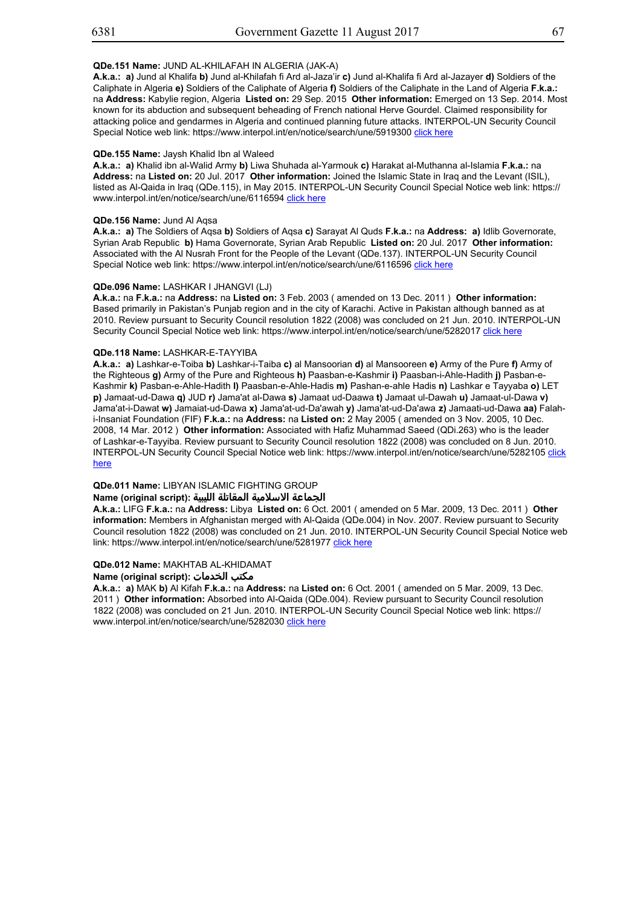## **QDe.151 Name:** JUND AL-KHILAFAH IN ALGERIA (JAK-A)

**A.k.a.: a)** Jund al Khalifa **b)** Jund al-Khilafah fi Ard al-Jaza'ir **c)** Jund al-Khalifa fi Ard al-Jazayer **d)** Soldiers of the Caliphate in Algeria **e)** Soldiers of the Caliphate of Algeria **f)** Soldiers of the Caliphate in the Land of Algeria **F.k.a.:** na **Address:** Kabylie region, Algeria **Listed on:** 29 Sep. 2015 **Other information:** Emerged on 13 Sep. 2014. Most known for its abduction and subsequent beheading of French national Herve Gourdel. Claimed responsibility for attacking police and gendarmes in Algeria and continued planning future attacks. INTERPOL-UN Security Council Special Notice web link: https://www.interpol.int/en/notice/search/une/5919300 click here

#### **QDe.155 Name:** Jaysh Khalid Ibn al Waleed

**A.k.a.: a)** Khalid ibn al-Walid Army **b)** Liwa Shuhada al-Yarmouk **c)** Harakat al-Muthanna al-Islamia **F.k.a.:** na **Address:** na **Listed on:** 20 Jul. 2017 **Other information:** Joined the Islamic State in Iraq and the Levant (ISIL), listed as Al-Qaida in Iraq (QDe.115), in May 2015. INTERPOL-UN Security Council Special Notice web link: https:// www.interpol.int/en/notice/search/une/6116594 click here

#### **QDe.156 Name:** Jund Al Aqsa

**A.k.a.: a)** The Soldiers of Aqsa **b)** Soldiers of Aqsa **c)** Sarayat Al Quds **F.k.a.:** na **Address: a)** Idlib Governorate, Syrian Arab Republic **b)** Hama Governorate, Syrian Arab Republic **Listed on:** 20 Jul. 2017 **Other information:** Associated with the Al Nusrah Front for the People of the Levant (QDe.137). INTERPOL-UN Security Council Special Notice web link: https://www.interpol.int/en/notice/search/une/6116596 click here

## **QDe.096 Name:** LASHKAR I JHANGVI (LJ)

**A.k.a.:** na **F.k.a.:** na **Address:** na **Listed on:** 3 Feb. 2003 ( amended on 13 Dec. 2011 ) **Other information:** Based primarily in Pakistan's Punjab region and in the city of Karachi. Active in Pakistan although banned as at 2010. Review pursuant to Security Council resolution 1822 (2008) was concluded on 21 Jun. 2010. INTERPOL-UN Security Council Special Notice web link: https://www.interpol.int/en/notice/search/une/5282017 click here

## **QDe.118 Name:** LASHKAR-E-TAYYIBA

**A.k.a.: a)** Lashkar-e-Toiba **b)** Lashkar-i-Taiba **c)** al Mansoorian **d)** al Mansooreen **e)** Army of the Pure **f)** Army of the Righteous **g)** Army of the Pure and Righteous **h)** Paasban-e-Kashmir **i)** Paasban-i-Ahle-Hadith **j)** Pasban-e-Kashmir **k)** Pasban-e-Ahle-Hadith **l)** Paasban-e-Ahle-Hadis **m)** Pashan-e-ahle Hadis **n)** Lashkar e Tayyaba **o)** LET **p)** Jamaat-ud-Dawa **q)** JUD **r)** Jama'at al-Dawa **s)** Jamaat ud-Daawa **t)** Jamaat ul-Dawah **u)** Jamaat-ul-Dawa **v)** Jama'at-i-Dawat **w)** Jamaiat-ud-Dawa **x)** Jama'at-ud-Da'awah **y)** Jama'at-ud-Da'awa **z)** Jamaati-ud-Dawa **aa)** Falahi-Insaniat Foundation (FIF) **F.k.a.:** na **Address:** na **Listed on:** 2 May 2005 ( amended on 3 Nov. 2005, 10 Dec. 2008, 14 Mar. 2012 ) **Other information:** Associated with Hafiz Muhammad Saeed (QDi.263) who is the leader of Lashkar-e-Tayyiba. Review pursuant to Security Council resolution 1822 (2008) was concluded on 8 Jun. 2010. INTERPOL-UN Security Council Special Notice web link: https://www.interpol.int/en/notice/search/une/5282105 click here

## **QDe.011 Name:** LIBYAN ISLAMIC FIGHTING GROUP

## **الجماعة الاسلامية المقاتلة الليبية :(script original (Name**

**A.k.a.:** LIFG **F.k.a.:** na **Address:** Libya **Listed on:** 6 Oct. 2001 ( amended on 5 Mar. 2009, 13 Dec. 2011 ) **Other information:** Members in Afghanistan merged with Al-Qaida (QDe.004) in Nov. 2007. Review pursuant to Security Council resolution 1822 (2008) was concluded on 21 Jun. 2010. INTERPOL-UN Security Council Special Notice web link: https://www.interpol.int/en/notice/search/une/5281977 click here

## **QDe.012 Name:** MAKHTAB AL-KHIDAMAT

## **Name (original script): الخدمات مكتب**

**A.k.a.: a)** MAK **b)** Al Kifah **F.k.a.:** na **Address:** na **Listed on:** 6 Oct. 2001 ( amended on 5 Mar. 2009, 13 Dec. 2011 ) **Other information:** Absorbed into Al-Qaida (QDe.004). Review pursuant to Security Council resolution 1822 (2008) was concluded on 21 Jun. 2010. INTERPOL-UN Security Council Special Notice web link: https:// www.interpol.int/en/notice/search/une/5282030 click here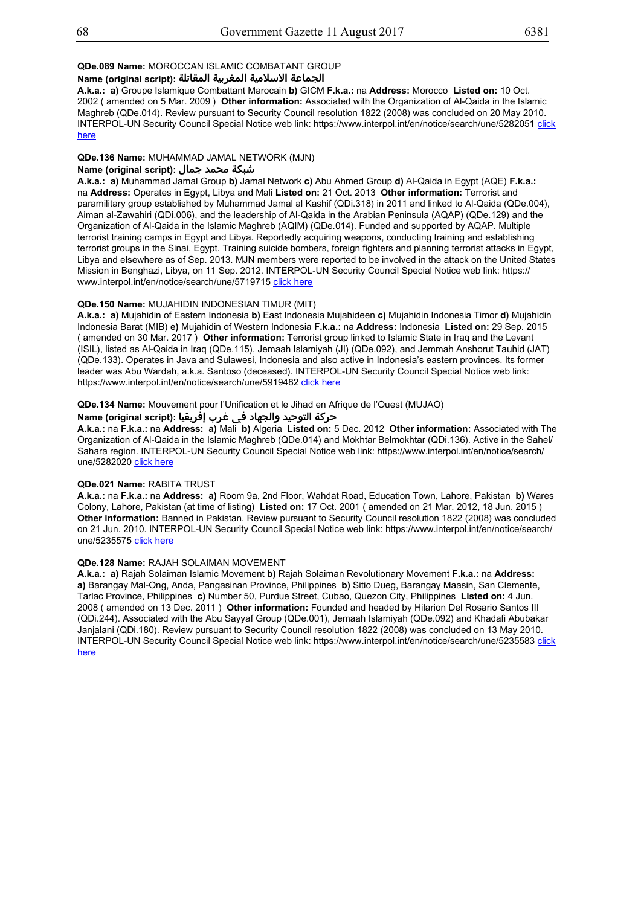## **QDe.089 Name:** MOROCCAN ISLAMIC COMBATANT GROUP

## **الجماعة الاسلامية المغربية المقاتلة :(script original (Name**

**A.k.a.: a)** Groupe Islamique Combattant Marocain **b)** GICM **F.k.a.:** na **Address:** Morocco **Listed on:** 10 Oct. 2002 ( amended on 5 Mar. 2009 ) **Other information:** Associated with the Organization of Al-Qaida in the Islamic Maghreb (QDe.014). Review pursuant to Security Council resolution 1822 (2008) was concluded on 20 May 2010. INTERPOL-UN Security Council Special Notice web link: https://www.interpol.int/en/notice/search/une/5282051 click here

#### **QDe.136 Name:** MUHAMMAD JAMAL NETWORK (MJN)

## **شبكة محمد جمال :(Name (original script**

**A.k.a.: a)** Muhammad Jamal Group **b)** Jamal Network **c)** Abu Ahmed Group **d)** Al-Qaida in Egypt (AQE) **F.k.a.:** na **Address:** Operates in Egypt, Libya and Mali **Listed on:** 21 Oct. 2013 **Other information:** Terrorist and paramilitary group established by Muhammad Jamal al Kashif (QDi.318) in 2011 and linked to Al-Qaida (QDe.004), Aiman al-Zawahiri (QDi.006), and the leadership of Al-Qaida in the Arabian Peninsula (AQAP) (QDe.129) and the Organization of Al-Qaida in the Islamic Maghreb (AQIM) (QDe.014). Funded and supported by AQAP. Multiple terrorist training camps in Egypt and Libya. Reportedly acquiring weapons, conducting training and establishing terrorist groups in the Sinai, Egypt. Training suicide bombers, foreign fighters and planning terrorist attacks in Egypt, Libya and elsewhere as of Sep. 2013. MJN members were reported to be involved in the attack on the United States Mission in Benghazi, Libya, on 11 Sep. 2012. INTERPOL-UN Security Council Special Notice web link: https:// www.interpol.int/en/notice/search/une/5719715 click here

#### **QDe.150 Name:** MUJAHIDIN INDONESIAN TIMUR (MIT)

**A.k.a.: a)** Mujahidin of Eastern Indonesia **b)** East Indonesia Mujahideen **c)** Mujahidin Indonesia Timor **d)** Mujahidin Indonesia Barat (MIB) **e)** Mujahidin of Western Indonesia **F.k.a.:** na **Address:** Indonesia **Listed on:** 29 Sep. 2015 ( amended on 30 Mar. 2017 ) **Other information:** Terrorist group linked to Islamic State in Iraq and the Levant (ISIL), listed as Al-Qaida in Iraq (QDe.115), Jemaah Islamiyah (JI) (QDe.092), and Jemmah Anshorut Tauhid (JAT) (QDe.133). Operates in Java and Sulawesi, Indonesia and also active in Indonesia's eastern provinces. Its former leader was Abu Wardah, a.k.a. Santoso (deceased). INTERPOL-UN Security Council Special Notice web link: https://www.interpol.int/en/notice/search/une/5919482 click here

## **QDe.134 Name:** Mouvement pour l'Unification et le Jihad en Afrique de l'Ouest (MUJAO)

# حركة التوحيد والجهاد في غرب إفريقيا :Name (original script)

**A.k.a.:** na **F.k.a.:** na **Address: a)** Mali **b)** Algeria **Listed on:** 5 Dec. 2012 **Other information:** Associated with The Organization of Al-Qaida in the Islamic Maghreb (QDe.014) and Mokhtar Belmokhtar (QDi.136). Active in the Sahel/ Sahara region. INTERPOL-UN Security Council Special Notice web link: https://www.interpol.int/en/notice/search/ une/5282020 click here

#### **QDe.021 Name:** RABITA TRUST

**A.k.a.:** na **F.k.a.:** na **Address: a)** Room 9a, 2nd Floor, Wahdat Road, Education Town, Lahore, Pakistan **b)** Wares Colony, Lahore, Pakistan (at time of listing) **Listed on:** 17 Oct. 2001 ( amended on 21 Mar. 2012, 18 Jun. 2015 ) **Other information:** Banned in Pakistan. Review pursuant to Security Council resolution 1822 (2008) was concluded on 21 Jun. 2010. INTERPOL-UN Security Council Special Notice web link: https://www.interpol.int/en/notice/search/ une/5235575 click here

## **QDe.128 Name:** RAJAH SOLAIMAN MOVEMENT

**A.k.a.: a)** Rajah Solaiman Islamic Movement **b)** Rajah Solaiman Revolutionary Movement **F.k.a.:** na **Address: a)** Barangay Mal-Ong, Anda, Pangasinan Province, Philippines **b)** Sitio Dueg, Barangay Maasin, San Clemente, Tarlac Province, Philippines **c)** Number 50, Purdue Street, Cubao, Quezon City, Philippines **Listed on:** 4 Jun. 2008 ( amended on 13 Dec. 2011 ) **Other information:** Founded and headed by Hilarion Del Rosario Santos III (QDi.244). Associated with the Abu Sayyaf Group (QDe.001), Jemaah Islamiyah (QDe.092) and Khadafi Abubakar Janjalani (QDi.180). Review pursuant to Security Council resolution 1822 (2008) was concluded on 13 May 2010. INTERPOL-UN Security Council Special Notice web link: https://www.interpol.int/en/notice/search/une/5235583 click here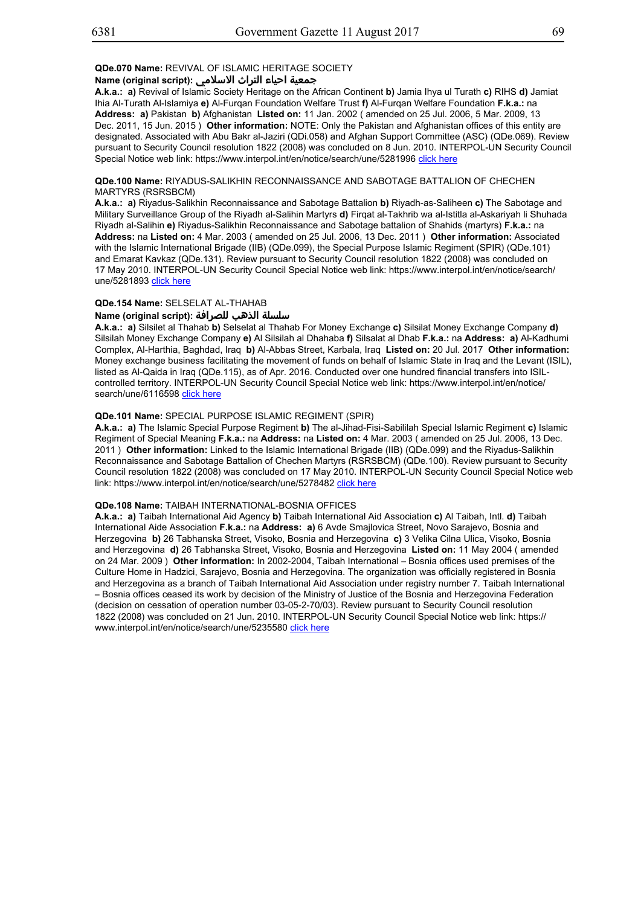# **جمعية احياء التراث الاسلامي :(script original (Name**

**A.k.a.: a)** Revival of Islamic Society Heritage on the African Continent **b)** Jamia Ihya ul Turath **c)** RIHS **d)** Jamiat Ihia Al-Turath Al-Islamiya **e)** Al-Furqan Foundation Welfare Trust **f)** Al-Furqan Welfare Foundation **F.k.a.:** na **Address: a)** Pakistan **b)** Afghanistan **Listed on:** 11 Jan. 2002 ( amended on 25 Jul. 2006, 5 Mar. 2009, 13 Dec. 2011, 15 Jun. 2015 ) **Other information:** NOTE: Only the Pakistan and Afghanistan offices of this entity are designated. Associated with Abu Bakr al-Jaziri (QDi.058) and Afghan Support Committee (ASC) (QDe.069). Review pursuant to Security Council resolution 1822 (2008) was concluded on 8 Jun. 2010. INTERPOL-UN Security Council Special Notice web link: https://www.interpol.int/en/notice/search/une/5281996 click here

## **QDe.100 Name:** RIYADUS-SALIKHIN RECONNAISSANCE AND SABOTAGE BATTALION OF CHECHEN MARTYRS (RSRSBCM)

**A.k.a.: a)** Riyadus-Salikhin Reconnaissance and Sabotage Battalion **b)** Riyadh-as-Saliheen **c)** The Sabotage and Military Surveillance Group of the Riyadh al-Salihin Martyrs **d)** Firqat al-Takhrib wa al-Istitla al-Askariyah li Shuhada Riyadh al-Salihin **e)** Riyadus-Salikhin Reconnaissance and Sabotage battalion of Shahids (martyrs) **F.k.a.:** na **Address:** na **Listed on:** 4 Mar. 2003 ( amended on 25 Jul. 2006, 13 Dec. 2011 ) **Other information:** Associated with the Islamic International Brigade (IIB) (QDe.099), the Special Purpose Islamic Regiment (SPIR) (QDe.101) and Emarat Kavkaz (QDe.131). Review pursuant to Security Council resolution 1822 (2008) was concluded on 17 May 2010. INTERPOL-UN Security Council Special Notice web link: https://www.interpol.int/en/notice/search/ une/5281893 click here

## **QDe.154 Name:** SELSELAT AL-THAHAB

## **سلسلة الذهب للصرافة :(script original (Name**

**A.k.a.: a)** Silsilet al Thahab **b)** Selselat al Thahab For Money Exchange **c)** Silsilat Money Exchange Company **d)** Silsilah Money Exchange Company **e)** Al Silsilah al Dhahaba **f)** Silsalat al Dhab **F.k.a.:** na **Address: a)** Al-Kadhumi Complex, Al-Harthia, Baghdad, Iraq **b)** Al-Abbas Street, Karbala, Iraq **Listed on:** 20 Jul. 2017 **Other information:** Money exchange business facilitating the movement of funds on behalf of Islamic State in Iraq and the Levant (ISIL), listed as Al-Qaida in Iraq (QDe.115), as of Apr. 2016. Conducted over one hundred financial transfers into ISILcontrolled territory. INTERPOL-UN Security Council Special Notice web link: https://www.interpol.int/en/notice/ search/une/6116598 click here

## **QDe.101 Name:** SPECIAL PURPOSE ISLAMIC REGIMENT (SPIR)

**A.k.a.: a)** The Islamic Special Purpose Regiment **b)** The al-Jihad-Fisi-Sabililah Special Islamic Regiment **c)** Islamic Regiment of Special Meaning **F.k.a.:** na **Address:** na **Listed on:** 4 Mar. 2003 ( amended on 25 Jul. 2006, 13 Dec. 2011 ) **Other information:** Linked to the Islamic International Brigade (IIB) (QDe.099) and the Riyadus-Salikhin Reconnaissance and Sabotage Battalion of Chechen Martyrs (RSRSBCM) (QDe.100). Review pursuant to Security Council resolution 1822 (2008) was concluded on 17 May 2010. INTERPOL-UN Security Council Special Notice web link: https://www.interpol.int/en/notice/search/une/5278482 click here

## **QDe.108 Name:** TAIBAH INTERNATIONAL-BOSNIA OFFICES

**A.k.a.: a)** Taibah International Aid Agency **b)** Taibah International Aid Association **c)** Al Taibah, Intl. **d)** Taibah International Aide Association **F.k.a.:** na **Address: a)** 6 Avde Smajlovica Street, Novo Sarajevo, Bosnia and Herzegovina **b)** 26 Tabhanska Street, Visoko, Bosnia and Herzegovina **c)** 3 Velika Cilna Ulica, Visoko, Bosnia and Herzegovina **d)** 26 Tabhanska Street, Visoko, Bosnia and Herzegovina **Listed on:** 11 May 2004 ( amended on 24 Mar. 2009 ) **Other information:** In 2002-2004, Taibah International – Bosnia offices used premises of the Culture Home in Hadzici, Sarajevo, Bosnia and Herzegovina. The organization was officially registered in Bosnia and Herzegovina as a branch of Taibah International Aid Association under registry number 7. Taibah International – Bosnia offices ceased its work by decision of the Ministry of Justice of the Bosnia and Herzegovina Federation (decision on cessation of operation number 03-05-2-70/03). Review pursuant to Security Council resolution 1822 (2008) was concluded on 21 Jun. 2010. INTERPOL-UN Security Council Special Notice web link: https:// www.interpol.int/en/notice/search/une/5235580 click here